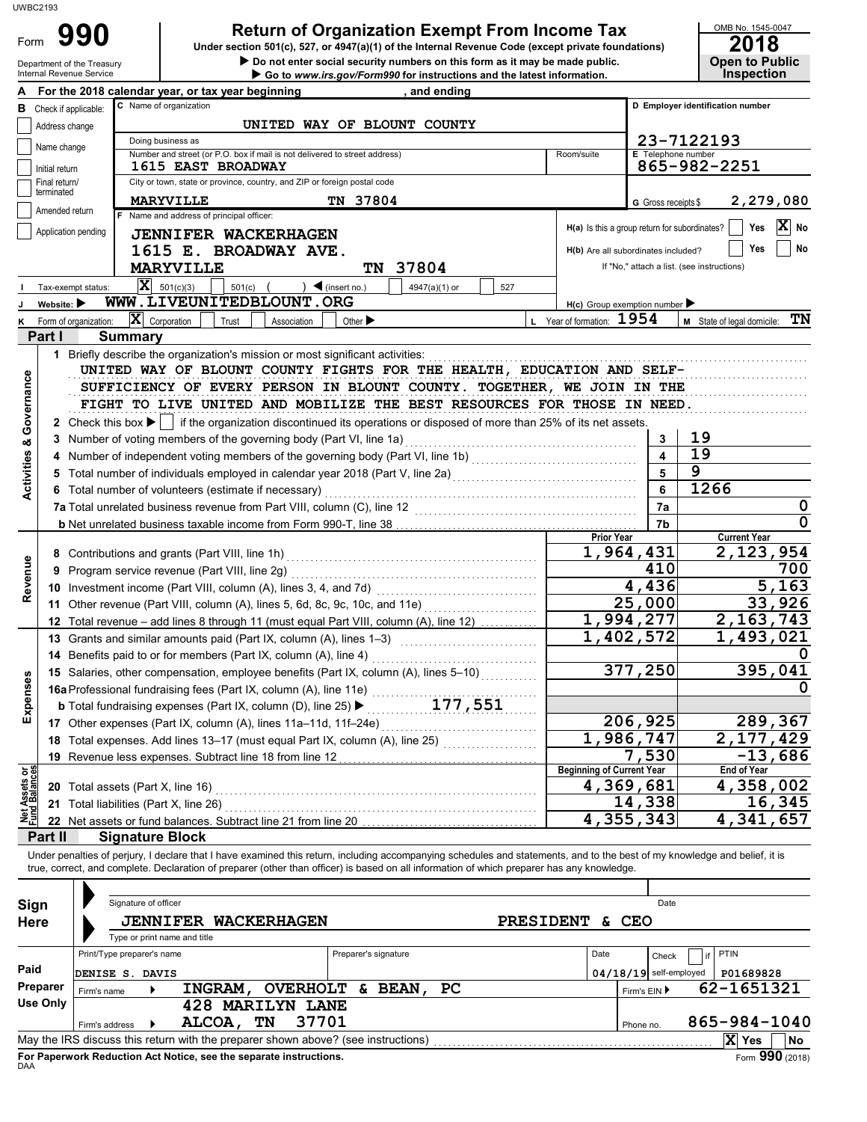Department of the

Form 990

# **990 2018 2018 2018 2018 Depend on Exempt From Income Tax 2018 2018**

**• Do not enter social security numbers on this form as it may be made public. Open to Public** 

OMB No. 1545-0047

|                                | Department of the Treasury<br>Internal Revenue Service |                                        |                                                                               | Go to www.irs.gov/Form990 for instructions and the latest information.                                                                                                     |                  |                                               |                          | <b>Inspection</b>                          |
|--------------------------------|--------------------------------------------------------|----------------------------------------|-------------------------------------------------------------------------------|----------------------------------------------------------------------------------------------------------------------------------------------------------------------------|------------------|-----------------------------------------------|--------------------------|--------------------------------------------|
|                                |                                                        |                                        | For the 2018 calendar year, or tax year beginning                             | , and ending                                                                                                                                                               |                  |                                               |                          |                                            |
|                                | <b>B</b> Check if applicable:                          |                                        | C Name of organization                                                        |                                                                                                                                                                            |                  |                                               |                          | D Employer identification number           |
|                                | Address change                                         |                                        |                                                                               | UNITED WAY OF BLOUNT COUNTY                                                                                                                                                |                  |                                               |                          |                                            |
|                                |                                                        |                                        | Doing business as                                                             |                                                                                                                                                                            |                  |                                               |                          | 23-7122193                                 |
|                                | Name change                                            |                                        | Number and street (or P.O. box if mail is not delivered to street address)    |                                                                                                                                                                            |                  | Room/suite                                    |                          | E Telephone number                         |
|                                | Initial return                                         |                                        | <b>1615 EAST BROADWAY</b>                                                     |                                                                                                                                                                            |                  |                                               |                          | 865-982-2251                               |
|                                | Final return/<br>terminated                            |                                        | City or town, state or province, country, and ZIP or foreign postal code      |                                                                                                                                                                            |                  |                                               |                          |                                            |
|                                |                                                        |                                        | <b>MARYVILLE</b>                                                              | TN 37804                                                                                                                                                                   |                  |                                               | G Gross receipts \$      | 2,279,080                                  |
|                                | Amended return                                         |                                        | F Name and address of principal officer:                                      |                                                                                                                                                                            |                  |                                               |                          |                                            |
|                                | Application pending                                    |                                        | <b>JENNIFER WACKERHAGEN</b>                                                   |                                                                                                                                                                            |                  | H(a) Is this a group return for subordinates? |                          | $ \mathbf{X} $ No<br>Yes                   |
|                                |                                                        |                                        | 1615 E. BROADWAY AVE.                                                         |                                                                                                                                                                            |                  | H(b) Are all subordinates included?           |                          | No<br>Yes                                  |
|                                |                                                        |                                        | <b>MARYVILLE</b>                                                              | TN 37804                                                                                                                                                                   |                  |                                               |                          | If "No," attach a list. (see instructions) |
|                                | Tax-exempt status:                                     |                                        | $ \mathbf{X} $ 501(c)(3)<br>$501(c)$ (                                        | $\bigcup$ (insert no.)<br>4947(a)(1) or                                                                                                                                    | 527              |                                               |                          |                                            |
|                                | Website:                                               |                                        | WWW.LIVEUNITEDBLOUNT.ORG                                                      |                                                                                                                                                                            |                  | $H(c)$ Group exemption number                 |                          |                                            |
|                                | Form of organization:                                  |                                        | $ \mathbf{X} $ Corporation<br>Trust<br>Association                            | Other $\blacktriangleright$                                                                                                                                                |                  | L Year of formation: 1954                     |                          | M State of legal domicile: TN              |
|                                | Part I                                                 | <b>Summary</b>                         |                                                                               |                                                                                                                                                                            |                  |                                               |                          |                                            |
|                                |                                                        |                                        | 1 Briefly describe the organization's mission or most significant activities: |                                                                                                                                                                            |                  |                                               |                          |                                            |
|                                |                                                        |                                        |                                                                               | UNITED WAY OF BLOUNT COUNTY FIGHTS FOR THE HEALTH, EDUCATION AND SELF-                                                                                                     |                  |                                               |                          |                                            |
| Governance                     |                                                        |                                        |                                                                               | SUFFICIENCY OF EVERY PERSON IN BLOUNT COUNTY. TOGETHER, WE JOIN IN THE                                                                                                     |                  |                                               |                          |                                            |
|                                |                                                        |                                        |                                                                               | FIGHT TO LIVE UNITED AND MOBILIZE THE BEST RESOURCES FOR THOSE IN NEED.                                                                                                    |                  |                                               |                          |                                            |
|                                |                                                        |                                        |                                                                               | 2 Check this box ▶   if the organization discontinued its operations or disposed of more than 25% of its net assets.                                                       |                  |                                               |                          |                                            |
|                                |                                                        |                                        | 3 Number of voting members of the governing body (Part VI, line 1a)           |                                                                                                                                                                            |                  |                                               | 3                        | 19                                         |
|                                |                                                        |                                        |                                                                               | 4 Number of independent voting members of the governing body (Part VI, line 1b) [11] [11] Number of independent voting members of the governing body (Part VI, line 1b)    |                  |                                               | $\blacktriangle$         | 19                                         |
|                                |                                                        |                                        |                                                                               |                                                                                                                                                                            |                  |                                               | 5                        | 9                                          |
| <b>Activities &amp;</b>        |                                                        |                                        |                                                                               | 5 Total number of individuals employed in calendar year 2018 (Part V, line 2a) [[[[[[[[[[[[[[[[[[[[[[[[[[[[[[[                                                             |                  |                                               | 6                        | 1266                                       |
|                                |                                                        |                                        | 6 Total number of volunteers (estimate if necessary)                          |                                                                                                                                                                            |                  |                                               |                          | 0                                          |
|                                |                                                        |                                        | 7a Total unrelated business revenue from Part VIII, column (C), line 12       |                                                                                                                                                                            |                  |                                               | 7a<br>7 <sub>b</sub>     | 0                                          |
|                                |                                                        |                                        |                                                                               |                                                                                                                                                                            |                  | <b>Prior Year</b>                             |                          | <b>Current Year</b>                        |
|                                |                                                        |                                        | 1,964,431                                                                     | 2,123,954                                                                                                                                                                  |                  |                                               |                          |                                            |
| Revenue                        |                                                        |                                        | 9 Program service revenue (Part VIII, line 2g)                                |                                                                                                                                                                            |                  |                                               | 410                      | 700                                        |
|                                |                                                        |                                        |                                                                               |                                                                                                                                                                            |                  |                                               | 4,436                    | 5,163                                      |
|                                |                                                        |                                        |                                                                               | 11 Other revenue (Part VIII, column (A), lines 5, 6d, 8c, 9c, 10c, and 11e)                                                                                                |                  |                                               | 25,000                   | 33,926                                     |
|                                |                                                        |                                        |                                                                               | 12 Total revenue - add lines 8 through 11 (must equal Part VIII, column (A), line 12)                                                                                      |                  |                                               | 1,994,277                | 2, 163, 743                                |
|                                |                                                        |                                        |                                                                               | 13 Grants and similar amounts paid (Part IX, column (A), lines 1-3) [10] [10] [10] [10] [10] Grants and similar amounts paid (Part IX, column (A), lines 1-3)              |                  |                                               | 1,402,572                | 1,493,021                                  |
|                                |                                                        |                                        |                                                                               |                                                                                                                                                                            |                  |                                               |                          |                                            |
|                                |                                                        |                                        |                                                                               | 15 Salaries, other compensation, employee benefits (Part IX, column (A), lines 5-10)                                                                                       |                  |                                               | $\overline{3}77,250$     | 395,041                                    |
| enses                          |                                                        |                                        |                                                                               | 16a Professional fundraising fees (Part IX, column (A), line 11e) <i>Community Chartery Chartery</i>                                                                       |                  |                                               |                          | 0                                          |
|                                |                                                        |                                        | <b>b</b> Total fundraising expenses (Part IX, column (D), line 25)            | 177,551                                                                                                                                                                    |                  |                                               |                          |                                            |
| Expe                           |                                                        |                                        | 17 Other expenses (Part IX, column (A), lines 11a-11d, 11f-24e)               |                                                                                                                                                                            |                  |                                               | 206,925                  | 289,367                                    |
|                                |                                                        |                                        |                                                                               | 18 Total expenses. Add lines 13-17 (must equal Part IX, column (A), line 25)                                                                                               |                  |                                               | 1,986,747                | 2,177,429                                  |
|                                |                                                        |                                        | 19 Revenue less expenses. Subtract line 18 from line 12                       |                                                                                                                                                                            |                  |                                               | 7,530                    | $-13,686$                                  |
|                                |                                                        |                                        |                                                                               |                                                                                                                                                                            |                  | <b>Beginning of Current Year</b>              |                          | <b>End of Year</b>                         |
|                                |                                                        | 20 Total assets (Part X, line 16)      |                                                                               |                                                                                                                                                                            |                  |                                               | 4,369,681                | 4,358,002                                  |
| Net Assets or<br>Fund Balances |                                                        | 21 Total liabilities (Part X, line 26) |                                                                               |                                                                                                                                                                            |                  |                                               | 14,338                   | 16,345                                     |
|                                |                                                        |                                        | 22 Net assets or fund balances. Subtract line 21 from line 20                 |                                                                                                                                                                            |                  |                                               | 4,355,343                | 4,341,657                                  |
|                                | Part II                                                | <b>Signature Block</b>                 |                                                                               |                                                                                                                                                                            |                  |                                               |                          |                                            |
|                                |                                                        |                                        |                                                                               | Under penalties of perjury, I declare that I have examined this return, including accompanying schedules and statements, and to the best of my knowledge and belief, it is |                  |                                               |                          |                                            |
|                                |                                                        |                                        |                                                                               | true, correct, and complete. Declaration of preparer (other than officer) is based on all information of which preparer has any knowledge.                                 |                  |                                               |                          |                                            |
|                                |                                                        |                                        |                                                                               |                                                                                                                                                                            |                  |                                               |                          |                                            |
|                                | Sign                                                   | Signature of officer                   |                                                                               |                                                                                                                                                                            |                  |                                               | Date                     |                                            |
|                                | Here                                                   |                                        | <b>JENNIFER WACKERHAGEN</b>                                                   |                                                                                                                                                                            | <b>PRESIDENT</b> | & CEO                                         |                          |                                            |
|                                |                                                        |                                        | Type or print name and title                                                  |                                                                                                                                                                            |                  |                                               |                          |                                            |
|                                |                                                        | Print/Type preparer's name             |                                                                               | Preparer's signature                                                                                                                                                       |                  | Date                                          | Check                    | PTIN<br>if                                 |
| Paid                           |                                                        | <b>DENISE S. DAVIS</b>                 |                                                                               |                                                                                                                                                                            |                  |                                               | $04/18/19$ self-employed | P01689828                                  |
|                                | Preparer                                               | Firm's name                            | <b>INGRAM,</b>                                                                | <b>OVERHOLT &amp; BEAN,</b><br>PC                                                                                                                                          |                  |                                               | Firm's EIN ▶             | 62-1651321                                 |
|                                | <b>Use Only</b>                                        |                                        | 428 MARILYN LANE                                                              |                                                                                                                                                                            |                  |                                               |                          |                                            |
|                                |                                                        | Firm's address                         | 37701<br>TN<br>ALCOA,                                                         |                                                                                                                                                                            |                  |                                               | Phone no.                | 865-984-1040                               |
|                                |                                                        |                                        |                                                                               |                                                                                                                                                                            |                  |                                               |                          | X Yes<br>No                                |

| Sign                                                                             |             | Signature of officer       |                              |    |                     |     |                                                                                   |    |                  |      |              | Date                     |                       |                 |
|----------------------------------------------------------------------------------|-------------|----------------------------|------------------------------|----|---------------------|-----|-----------------------------------------------------------------------------------|----|------------------|------|--------------|--------------------------|-----------------------|-----------------|
| Here                                                                             |             |                            | <b>JENNIFER</b>              |    | WACKERHAGEN         |     |                                                                                   |    | <b>PRESIDENT</b> |      | & CEO        |                          |                       |                 |
|                                                                                  |             |                            | Type or print name and title |    |                     |     |                                                                                   |    |                  |      |              |                          |                       |                 |
|                                                                                  |             | Print/Type preparer's name |                              |    |                     |     | Preparer's signature                                                              |    |                  | Date |              | Check                    | PTIN                  |                 |
| Paid                                                                             |             | DENISE S. DAVIS            |                              |    |                     |     |                                                                                   |    |                  |      |              | $04/18/19$ self-employed | P01689828             |                 |
| Preparer                                                                         | Firm's name |                            | <b>INGRAM</b>                |    | <b>OVERHOLT</b>     | δr. | <b>BEAN</b>                                                                       | PC |                  |      | Firm's EIN ▶ |                          | 62-1651321            |                 |
| Use Only                                                                         |             |                            | 428                          |    | <b>MARILYN LANE</b> |     |                                                                                   |    |                  |      |              |                          |                       |                 |
|                                                                                  |             | Firm's address             | ALCOA,                       | TN | 37701               |     |                                                                                   |    |                  |      | Phone no.    |                          | 865-984-1040          |                 |
|                                                                                  |             |                            |                              |    |                     |     | May the IRS discuss this return with the preparer shown above? (see instructions) |    |                  |      |              |                          | $ \mathbf{x} $<br>Yes | <b>No</b>       |
| For Paperwork Reduction Act Notice, see the separate instructions.<br><b>DAA</b> |             |                            |                              |    |                     |     |                                                                                   |    |                  |      |              |                          |                       | Form 990 (2018) |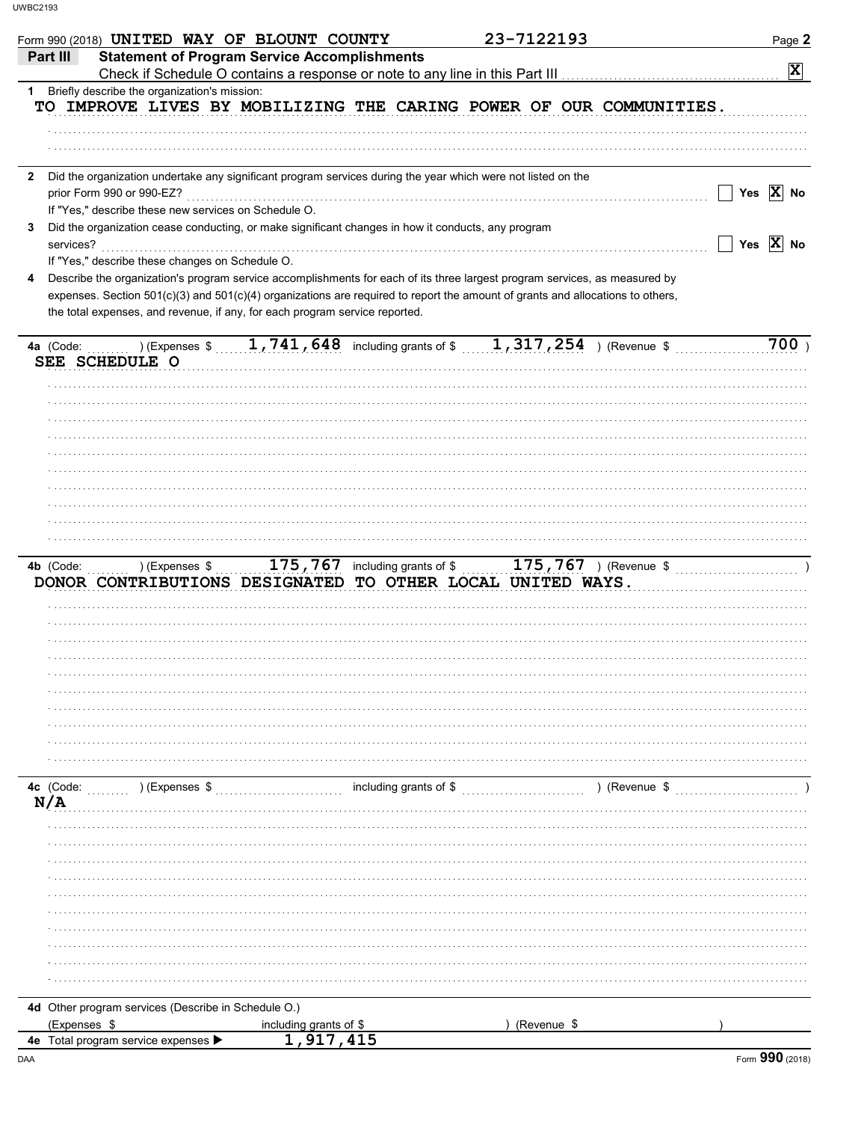|              | Form 990 (2018) UNITED WAY OF BLOUNT COUNTY                                 |                                                     |                                                                                                              | 23-7122193                                                                                                                     | Page 2                   |
|--------------|-----------------------------------------------------------------------------|-----------------------------------------------------|--------------------------------------------------------------------------------------------------------------|--------------------------------------------------------------------------------------------------------------------------------|--------------------------|
| Part III     |                                                                             | <b>Statement of Program Service Accomplishments</b> |                                                                                                              |                                                                                                                                |                          |
|              |                                                                             |                                                     | Check if Schedule O contains a response or note to any line in this Part III                                 |                                                                                                                                | $\vert \mathbf{x} \vert$ |
| 1.           | Briefly describe the organization's mission:                                |                                                     |                                                                                                              |                                                                                                                                |                          |
|              |                                                                             |                                                     |                                                                                                              | TO IMPROVE LIVES BY MOBILIZING THE CARING POWER OF OUR COMMUNITIES.                                                            |                          |
|              |                                                                             |                                                     |                                                                                                              |                                                                                                                                |                          |
|              |                                                                             |                                                     |                                                                                                              |                                                                                                                                |                          |
|              |                                                                             |                                                     |                                                                                                              |                                                                                                                                |                          |
|              |                                                                             |                                                     |                                                                                                              |                                                                                                                                |                          |
| $\mathbf{2}$ |                                                                             |                                                     | Did the organization undertake any significant program services during the year which were not listed on the |                                                                                                                                |                          |
|              | prior Form 990 or 990-EZ?                                                   |                                                     |                                                                                                              |                                                                                                                                | Yes $\overline{X}$ No    |
|              | If "Yes," describe these new services on Schedule O.                        |                                                     |                                                                                                              |                                                                                                                                |                          |
| 3            |                                                                             |                                                     | Did the organization cease conducting, or make significant changes in how it conducts, any program           |                                                                                                                                |                          |
|              | services?                                                                   |                                                     |                                                                                                              |                                                                                                                                | Yes $\overline{X}$ No    |
|              | If "Yes," describe these changes on Schedule O.                             |                                                     |                                                                                                              |                                                                                                                                |                          |
| 4            |                                                                             |                                                     |                                                                                                              | Describe the organization's program service accomplishments for each of its three largest program services, as measured by     |                          |
|              |                                                                             |                                                     |                                                                                                              | expenses. Section 501(c)(3) and 501(c)(4) organizations are required to report the amount of grants and allocations to others, |                          |
|              | the total expenses, and revenue, if any, for each program service reported. |                                                     |                                                                                                              |                                                                                                                                |                          |
|              |                                                                             |                                                     |                                                                                                              |                                                                                                                                |                          |
| 4a (Code:    |                                                                             |                                                     |                                                                                                              | ) (Expenses $\frac{1}{741}$ , 741, 648 including grants of $\frac{1}{317}$ , 317, 254 ) (Revenue \$                            | 700)                     |
|              | SEE SCHEDULE O                                                              |                                                     |                                                                                                              |                                                                                                                                |                          |
|              |                                                                             |                                                     |                                                                                                              |                                                                                                                                |                          |
|              |                                                                             |                                                     |                                                                                                              |                                                                                                                                |                          |
|              |                                                                             |                                                     |                                                                                                              |                                                                                                                                |                          |
|              |                                                                             |                                                     |                                                                                                              |                                                                                                                                |                          |
|              |                                                                             |                                                     |                                                                                                              |                                                                                                                                |                          |
|              |                                                                             |                                                     |                                                                                                              |                                                                                                                                |                          |
|              |                                                                             |                                                     |                                                                                                              |                                                                                                                                |                          |
|              |                                                                             |                                                     |                                                                                                              |                                                                                                                                |                          |
|              |                                                                             |                                                     |                                                                                                              |                                                                                                                                |                          |
|              |                                                                             |                                                     |                                                                                                              |                                                                                                                                |                          |
|              |                                                                             |                                                     |                                                                                                              |                                                                                                                                |                          |
|              |                                                                             |                                                     |                                                                                                              |                                                                                                                                |                          |
|              |                                                                             |                                                     |                                                                                                              |                                                                                                                                |                          |
|              |                                                                             |                                                     |                                                                                                              |                                                                                                                                |                          |
| 4b (Code:    | ) (Expenses \$                                                              |                                                     |                                                                                                              |                                                                                                                                |                          |
|              |                                                                             |                                                     |                                                                                                              | DONOR CONTRIBUTIONS DESIGNATED TO OTHER LOCAL UNITED WAYS.                                                                     |                          |
|              |                                                                             |                                                     |                                                                                                              |                                                                                                                                |                          |
|              |                                                                             |                                                     |                                                                                                              |                                                                                                                                |                          |
|              |                                                                             |                                                     |                                                                                                              |                                                                                                                                |                          |
|              |                                                                             |                                                     |                                                                                                              |                                                                                                                                |                          |
|              |                                                                             |                                                     |                                                                                                              |                                                                                                                                |                          |
|              |                                                                             |                                                     |                                                                                                              |                                                                                                                                |                          |
|              |                                                                             |                                                     |                                                                                                              |                                                                                                                                |                          |
|              |                                                                             |                                                     |                                                                                                              |                                                                                                                                |                          |
|              |                                                                             |                                                     |                                                                                                              |                                                                                                                                |                          |
|              |                                                                             |                                                     |                                                                                                              |                                                                                                                                |                          |
|              |                                                                             |                                                     |                                                                                                              |                                                                                                                                |                          |
|              |                                                                             |                                                     |                                                                                                              |                                                                                                                                |                          |
| 4c (Code:    | (Expenses \$                                                                |                                                     | including grants of $\frac{1}{2}$                                                                            |                                                                                                                                | ) (Revenue \$            |
| N/A          |                                                                             |                                                     |                                                                                                              |                                                                                                                                |                          |
|              |                                                                             |                                                     |                                                                                                              |                                                                                                                                |                          |
|              |                                                                             |                                                     |                                                                                                              |                                                                                                                                |                          |
|              |                                                                             |                                                     |                                                                                                              |                                                                                                                                |                          |
|              |                                                                             |                                                     |                                                                                                              |                                                                                                                                |                          |
|              |                                                                             |                                                     |                                                                                                              |                                                                                                                                |                          |
|              |                                                                             |                                                     |                                                                                                              |                                                                                                                                |                          |
|              |                                                                             |                                                     |                                                                                                              |                                                                                                                                |                          |
|              |                                                                             |                                                     |                                                                                                              |                                                                                                                                |                          |
|              |                                                                             |                                                     |                                                                                                              |                                                                                                                                |                          |
|              |                                                                             |                                                     |                                                                                                              |                                                                                                                                |                          |
|              |                                                                             |                                                     |                                                                                                              |                                                                                                                                |                          |
|              |                                                                             |                                                     |                                                                                                              |                                                                                                                                |                          |
|              | 4d Other program services (Describe in Schedule O.)                         |                                                     |                                                                                                              |                                                                                                                                |                          |
|              | (Expenses \$                                                                | including grants of \$<br>1,917,415                 |                                                                                                              | (Revenue \$                                                                                                                    |                          |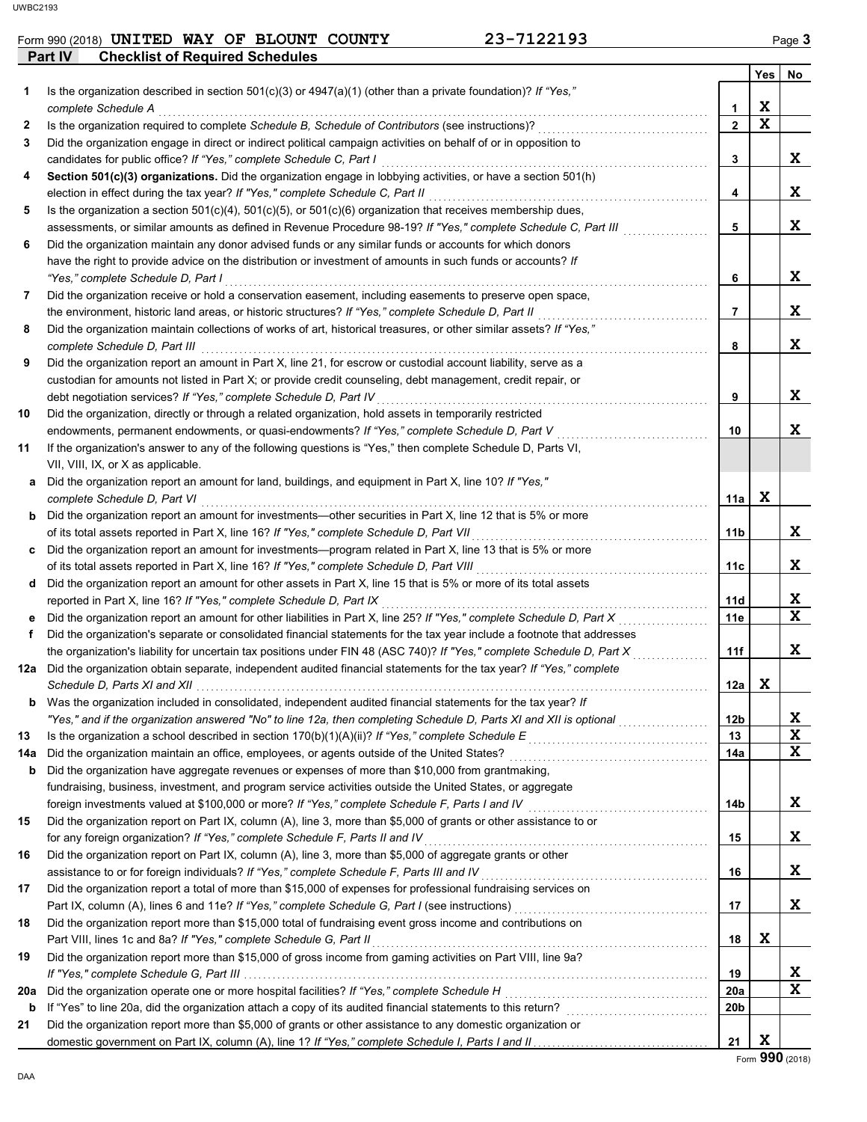### Form 990 (2018) **UNITED WAY OF BLOUNT COUNTY 23-7122193** Page 3

|     | Part IV<br><b>Checklist of Required Schedules</b>                                                                                                                                                             |                 |             |              |
|-----|---------------------------------------------------------------------------------------------------------------------------------------------------------------------------------------------------------------|-----------------|-------------|--------------|
|     |                                                                                                                                                                                                               |                 | Yes         | No           |
| 1   | Is the organization described in section 501(c)(3) or $4947(a)(1)$ (other than a private foundation)? If "Yes,"                                                                                               |                 |             |              |
|     | complete Schedule A                                                                                                                                                                                           | 1               | X           |              |
| 2   | Is the organization required to complete Schedule B, Schedule of Contributors (see instructions)?                                                                                                             | $\mathbf{2}$    | $\mathbf x$ |              |
| 3   | Did the organization engage in direct or indirect political campaign activities on behalf of or in opposition to                                                                                              |                 |             |              |
|     | candidates for public office? If "Yes," complete Schedule C, Part I                                                                                                                                           | 3               |             | X            |
| 4   | Section 501(c)(3) organizations. Did the organization engage in lobbying activities, or have a section 501(h)                                                                                                 |                 |             |              |
|     | election in effect during the tax year? If "Yes," complete Schedule C, Part II                                                                                                                                | 4               |             | X            |
| 5   | Is the organization a section $501(c)(4)$ , $501(c)(5)$ , or $501(c)(6)$ organization that receives membership dues,                                                                                          |                 |             |              |
|     | assessments, or similar amounts as defined in Revenue Procedure 98-19? If "Yes," complete Schedule C, Part III                                                                                                | 5               |             | X.           |
| 6   | Did the organization maintain any donor advised funds or any similar funds or accounts for which donors                                                                                                       |                 |             |              |
|     | have the right to provide advice on the distribution or investment of amounts in such funds or accounts? If                                                                                                   |                 |             | X            |
| 7   | "Yes," complete Schedule D, Part I<br>Did the organization receive or hold a conservation easement, including easements to preserve open space,                                                               | 6               |             |              |
|     | the environment, historic land areas, or historic structures? If "Yes," complete Schedule D, Part II                                                                                                          | 7               |             | X.           |
| 8   | Did the organization maintain collections of works of art, historical treasures, or other similar assets? If "Yes,"                                                                                           |                 |             |              |
|     | complete Schedule D, Part III                                                                                                                                                                                 | 8               |             | X.           |
| 9   | Did the organization report an amount in Part X, line 21, for escrow or custodial account liability, serve as a                                                                                               |                 |             |              |
|     | custodian for amounts not listed in Part X; or provide credit counseling, debt management, credit repair, or                                                                                                  |                 |             |              |
|     | debt negotiation services? If "Yes," complete Schedule D, Part IV                                                                                                                                             | 9               |             | X            |
| 10  | Did the organization, directly or through a related organization, hold assets in temporarily restricted                                                                                                       |                 |             |              |
|     | endowments, permanent endowments, or quasi-endowments? If "Yes," complete Schedule D, Part V                                                                                                                  | 10              |             | X            |
| 11  | If the organization's answer to any of the following questions is "Yes," then complete Schedule D, Parts VI,                                                                                                  |                 |             |              |
|     | VII, VIII, IX, or X as applicable.                                                                                                                                                                            |                 |             |              |
| a   | Did the organization report an amount for land, buildings, and equipment in Part X, line 10? If "Yes,"                                                                                                        |                 |             |              |
|     | complete Schedule D, Part VI                                                                                                                                                                                  | 11a             | X           |              |
| b   | Did the organization report an amount for investments—other securities in Part X, line 12 that is 5% or more                                                                                                  |                 |             |              |
|     | of its total assets reported in Part X, line 16? If "Yes," complete Schedule D, Part VII                                                                                                                      | 11b             |             | X.           |
| c   | Did the organization report an amount for investments—program related in Part X, line 13 that is 5% or more                                                                                                   |                 |             |              |
|     | of its total assets reported in Part X, line 16? If "Yes," complete Schedule D, Part VIII                                                                                                                     | 11c             |             | X            |
| d   | Did the organization report an amount for other assets in Part X, line 15 that is 5% or more of its total assets                                                                                              |                 |             |              |
|     | reported in Part X, line 16? If "Yes," complete Schedule D, Part IX                                                                                                                                           | 11d             |             | X.           |
| е   | Did the organization report an amount for other liabilities in Part X, line 25? If "Yes," complete Schedule D, Part X                                                                                         | 11e             |             | $\mathbf{x}$ |
| f   | Did the organization's separate or consolidated financial statements for the tax year include a footnote that addresses                                                                                       |                 |             |              |
|     | the organization's liability for uncertain tax positions under FIN 48 (ASC 740)? If "Yes," complete Schedule D, Part X                                                                                        | 11f             |             | X            |
| 12a | Did the organization obtain separate, independent audited financial statements for the tax year? If "Yes," complete                                                                                           |                 |             |              |
|     | Schedule D. Parts XI and XII                                                                                                                                                                                  | 12a             | x           |              |
| b   | Was the organization included in consolidated, independent audited financial statements for the tax year? If                                                                                                  |                 |             |              |
|     | "Yes," and if the organization answered "No" to line 12a, then completing Schedule D, Parts XI and XII is optional                                                                                            | 12 <sub>b</sub> |             | X            |
| 13  |                                                                                                                                                                                                               | 13              |             | X<br>X       |
| 14a | Did the organization maintain an office, employees, or agents outside of the United States?                                                                                                                   | 14a             |             |              |
| b   | Did the organization have aggregate revenues or expenses of more than \$10,000 from grantmaking,<br>fundraising, business, investment, and program service activities outside the United States, or aggregate |                 |             |              |
|     | foreign investments valued at \$100,000 or more? If "Yes," complete Schedule F, Parts I and IV [[[[[[[[[[[[[[[                                                                                                | 14b             |             | X.           |
| 15  | Did the organization report on Part IX, column (A), line 3, more than \$5,000 of grants or other assistance to or                                                                                             |                 |             |              |
|     | for any foreign organization? If "Yes," complete Schedule F, Parts II and IV                                                                                                                                  | 15              |             | X            |
| 16  | Did the organization report on Part IX, column (A), line 3, more than \$5,000 of aggregate grants or other                                                                                                    |                 |             |              |
|     | assistance to or for foreign individuals? If "Yes," complete Schedule F, Parts III and IV [[[[[[[[[[[[[[[[[[[                                                                                                 | 16              |             | X.           |
| 17  | Did the organization report a total of more than \$15,000 of expenses for professional fundraising services on                                                                                                |                 |             |              |
|     | Part IX, column (A), lines 6 and 11e? If "Yes," complete Schedule G, Part I (see instructions) [[[[[[[[[[[[[[                                                                                                 | 17              |             | X            |
| 18  | Did the organization report more than \$15,000 total of fundraising event gross income and contributions on                                                                                                   |                 |             |              |
|     | Part VIII, lines 1c and 8a? If "Yes," complete Schedule G, Part II                                                                                                                                            | 18              | X           |              |
| 19  | Did the organization report more than \$15,000 of gross income from gaming activities on Part VIII, line 9a?                                                                                                  |                 |             |              |
|     |                                                                                                                                                                                                               | 19              |             | X            |
| 20a |                                                                                                                                                                                                               | 20a             |             | X            |
| b   |                                                                                                                                                                                                               | 20 <sub>b</sub> |             |              |
| 21  | Did the organization report more than \$5,000 of grants or other assistance to any domestic organization or                                                                                                   |                 |             |              |
|     |                                                                                                                                                                                                               | 21              | x           |              |

Form **990** (2018)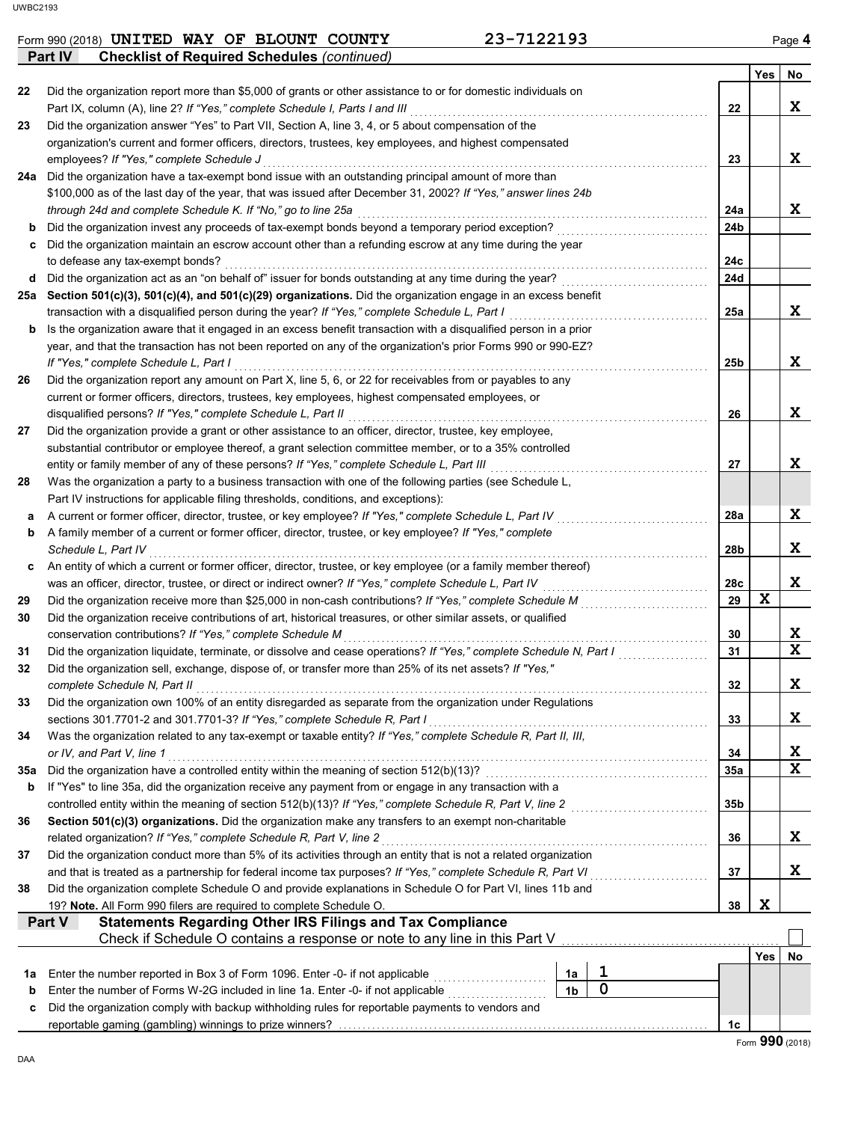#### Form 990 (2018) **UNITED WAY OF BLOUNT COUNTY 23-7122193** Page 4 **UNITED WAY OF BLOUNT COUNTY 23-7122193**

|     | Part IV<br><b>Checklist of Required Schedules (continued)</b>                                                                                                                               |                |             |                 |     |        |
|-----|---------------------------------------------------------------------------------------------------------------------------------------------------------------------------------------------|----------------|-------------|-----------------|-----|--------|
|     |                                                                                                                                                                                             |                |             |                 | Yes | No     |
| 22  | Did the organization report more than \$5,000 of grants or other assistance to or for domestic individuals on                                                                               |                |             |                 |     |        |
|     | Part IX, column (A), line 2? If "Yes," complete Schedule I, Parts I and III                                                                                                                 |                |             | 22              |     | X      |
| 23  | Did the organization answer "Yes" to Part VII, Section A, line 3, 4, or 5 about compensation of the                                                                                         |                |             |                 |     |        |
|     | organization's current and former officers, directors, trustees, key employees, and highest compensated                                                                                     |                |             |                 |     |        |
|     | employees? If "Yes," complete Schedule J                                                                                                                                                    |                |             | 23              |     | X      |
| 24a | Did the organization have a tax-exempt bond issue with an outstanding principal amount of more than                                                                                         |                |             |                 |     |        |
|     | \$100,000 as of the last day of the year, that was issued after December 31, 2002? If "Yes," answer lines 24b                                                                               |                |             |                 |     |        |
|     | through 24d and complete Schedule K. If "No," go to line 25a                                                                                                                                |                |             | 24a             |     | X      |
| b   | Did the organization invest any proceeds of tax-exempt bonds beyond a temporary period exception?                                                                                           |                |             | 24b             |     |        |
| c   | Did the organization maintain an escrow account other than a refunding escrow at any time during the year                                                                                   |                |             |                 |     |        |
|     | to defease any tax-exempt bonds?                                                                                                                                                            |                |             | 24c             |     |        |
| d   | Did the organization act as an "on behalf of" issuer for bonds outstanding at any time during the year?                                                                                     |                |             | <b>24d</b>      |     |        |
|     | 25a Section 501(c)(3), 501(c)(4), and 501(c)(29) organizations. Did the organization engage in an excess benefit                                                                            |                |             |                 |     |        |
|     | transaction with a disqualified person during the year? If "Yes," complete Schedule L, Part I                                                                                               |                |             | 25a             |     | X      |
| b   | Is the organization aware that it engaged in an excess benefit transaction with a disqualified person in a prior                                                                            |                |             |                 |     |        |
|     | year, and that the transaction has not been reported on any of the organization's prior Forms 990 or 990-EZ?                                                                                |                |             |                 |     |        |
|     | If "Yes," complete Schedule L, Part I                                                                                                                                                       |                |             | 25 <sub>b</sub> |     | X      |
| 26  | Did the organization report any amount on Part X, line 5, 6, or 22 for receivables from or payables to any                                                                                  |                |             |                 |     |        |
|     | current or former officers, directors, trustees, key employees, highest compensated employees, or                                                                                           |                |             |                 |     |        |
|     | disqualified persons? If "Yes," complete Schedule L, Part II                                                                                                                                |                |             | 26              |     | X      |
| 27  | Did the organization provide a grant or other assistance to an officer, director, trustee, key employee,                                                                                    |                |             |                 |     |        |
|     | substantial contributor or employee thereof, a grant selection committee member, or to a 35% controlled                                                                                     |                |             |                 |     |        |
|     | entity or family member of any of these persons? If "Yes," complete Schedule L, Part III                                                                                                    |                |             | 27              |     | X      |
| 28  | Was the organization a party to a business transaction with one of the following parties (see Schedule L,                                                                                   |                |             |                 |     |        |
|     | Part IV instructions for applicable filing thresholds, conditions, and exceptions):                                                                                                         |                |             |                 |     |        |
| а   | A current or former officer, director, trustee, or key employee? If "Yes," complete Schedule L, Part IV                                                                                     |                |             | 28a             |     | X      |
| b   | A family member of a current or former officer, director, trustee, or key employee? If "Yes," complete                                                                                      |                |             |                 |     |        |
|     | Schedule L, Part IV                                                                                                                                                                         |                |             | 28b             |     | X      |
| c   | An entity of which a current or former officer, director, trustee, or key employee (or a family member thereof)                                                                             |                |             |                 |     |        |
|     | was an officer, director, trustee, or direct or indirect owner? If "Yes," complete Schedule L, Part IV                                                                                      |                |             | 28c             |     | X      |
| 29  |                                                                                                                                                                                             |                |             | 29              | X   |        |
| 30  | Did the organization receive contributions of art, historical treasures, or other similar assets, or qualified                                                                              |                |             |                 |     |        |
|     | conservation contributions? If "Yes," complete Schedule M                                                                                                                                   |                |             | 30              |     | X<br>X |
| 31  | Did the organization liquidate, terminate, or dissolve and cease operations? If "Yes," complete Schedule N, Part I                                                                          |                |             | 31              |     |        |
| 32  | Did the organization sell, exchange, dispose of, or transfer more than 25% of its net assets? If "Yes,"                                                                                     |                |             | 32              |     | X.     |
|     | complete Schedule N, Part II                                                                                                                                                                |                |             |                 |     |        |
| 33  | Did the organization own 100% of an entity disregarded as separate from the organization under Regulations                                                                                  |                |             |                 |     |        |
|     | sections 301.7701-2 and 301.7701-3? If "Yes," complete Schedule R, Part I<br>Was the organization related to any tax-exempt or taxable entity? If "Yes," complete Schedule R, Part II, III, |                |             | 33              |     | X      |
| 34  | or IV, and Part V, line 1                                                                                                                                                                   |                |             | 34              |     | X      |
| 35а |                                                                                                                                                                                             |                |             | 35a             |     | X      |
| b   | If "Yes" to line 35a, did the organization receive any payment from or engage in any transaction with a                                                                                     |                |             |                 |     |        |
|     | controlled entity within the meaning of section 512(b)(13)? If "Yes," complete Schedule R, Part V, line 2                                                                                   |                |             | 35 <sub>b</sub> |     |        |
| 36  | Section 501(c)(3) organizations. Did the organization make any transfers to an exempt non-charitable                                                                                        |                |             |                 |     |        |
|     | related organization? If "Yes," complete Schedule R, Part V, line 2                                                                                                                         |                |             | 36              |     | X      |
| 37  | Did the organization conduct more than 5% of its activities through an entity that is not a related organization                                                                            |                |             |                 |     |        |
|     | and that is treated as a partnership for federal income tax purposes? If "Yes," complete Schedule R, Part VI                                                                                |                |             | 37              |     | X      |
| 38  | Did the organization complete Schedule O and provide explanations in Schedule O for Part VI, lines 11b and                                                                                  |                |             |                 |     |        |
|     | 19? Note. All Form 990 filers are required to complete Schedule O.                                                                                                                          |                |             | 38              | X   |        |
|     | <b>Statements Regarding Other IRS Filings and Tax Compliance</b><br>Part V                                                                                                                  |                |             |                 |     |        |
|     | Check if Schedule O contains a response or note to any line in this Part V                                                                                                                  |                |             |                 |     |        |
|     |                                                                                                                                                                                             |                |             |                 | Yes | No     |
| 1a  | Enter the number reported in Box 3 of Form 1096. Enter -0- if not applicable                                                                                                                | 1a             | 1           |                 |     |        |
| b   | Enter the number of Forms W-2G included in line 1a. Enter -0- if not applicable <i>manus contained</i>                                                                                      | 1 <sub>b</sub> | $\mathbf 0$ |                 |     |        |
| с   | Did the organization comply with backup withholding rules for reportable payments to vendors and                                                                                            |                |             |                 |     |        |
|     |                                                                                                                                                                                             |                |             | 1c              |     |        |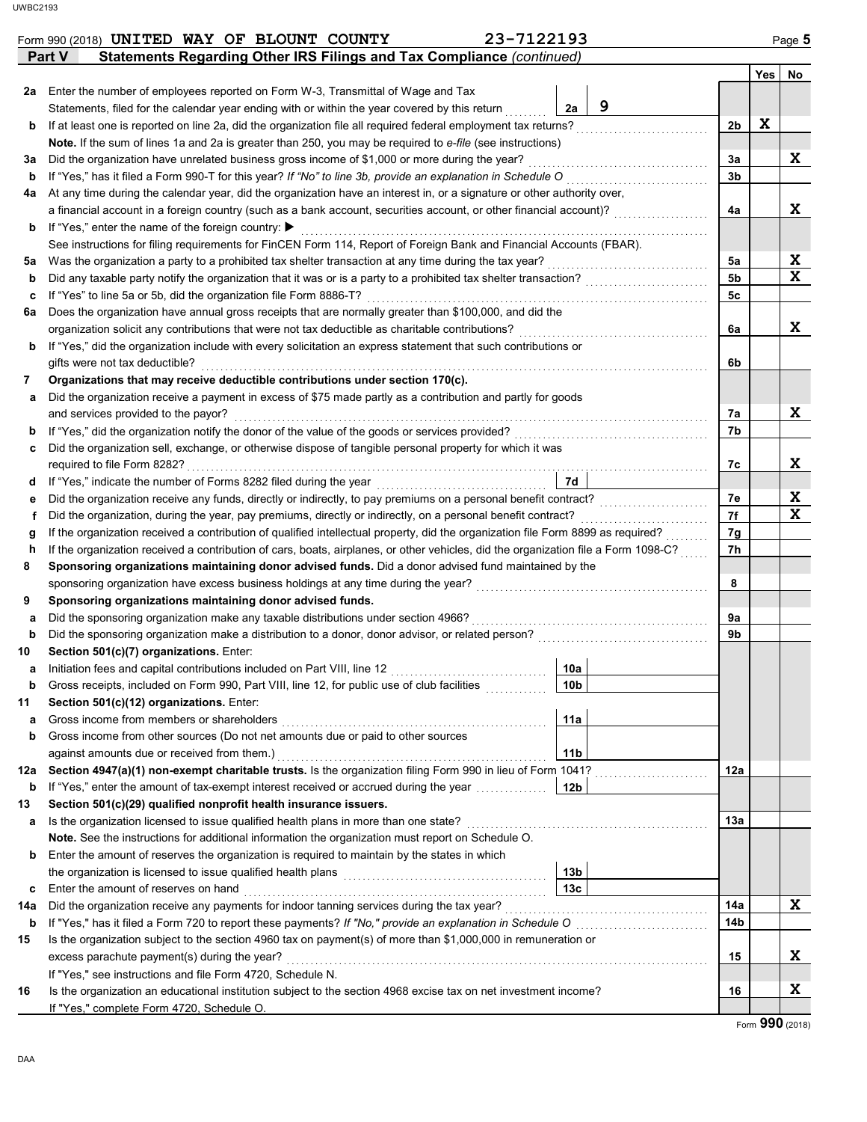|             | 23-7122193<br>Form 990 (2018) UNITED WAY OF BLOUNT COUNTY                                                                                          |                 |   |                |   | Page 5                                  |
|-------------|----------------------------------------------------------------------------------------------------------------------------------------------------|-----------------|---|----------------|---|-----------------------------------------|
|             | Statements Regarding Other IRS Filings and Tax Compliance (continued)<br>Part V                                                                    |                 |   |                |   |                                         |
|             |                                                                                                                                                    |                 |   |                |   | Yes No                                  |
|             | 2a Enter the number of employees reported on Form W-3, Transmittal of Wage and Tax                                                                 |                 |   |                |   |                                         |
|             | Statements, filed for the calendar year ending with or within the year covered by this return                                                      | 2a              | 9 |                |   |                                         |
| b           | If at least one is reported on line 2a, did the organization file all required federal employment tax returns?                                     |                 |   | 2 <sub>b</sub> | X |                                         |
|             | Note. If the sum of lines 1a and 2a is greater than 250, you may be required to e-file (see instructions)                                          |                 |   |                |   |                                         |
| За          | Did the organization have unrelated business gross income of \$1,000 or more during the year?                                                      |                 |   | 3a             |   | X                                       |
| b           | If "Yes," has it filed a Form 990-T for this year? If "No" to line 3b, provide an explanation in Schedule O                                        |                 |   | 3 <sub>b</sub> |   |                                         |
| 4a          | At any time during the calendar year, did the organization have an interest in, or a signature or other authority over,                            |                 |   |                |   |                                         |
|             | a financial account in a foreign country (such as a bank account, securities account, or other financial account)?                                 |                 |   | 4a             |   | X                                       |
| b           | If "Yes," enter the name of the foreign country: ▶                                                                                                 |                 |   |                |   |                                         |
|             | See instructions for filing requirements for FinCEN Form 114, Report of Foreign Bank and Financial Accounts (FBAR).                                |                 |   |                |   |                                         |
| 5a          | Was the organization a party to a prohibited tax shelter transaction at any time during the tax year?                                              |                 |   | 5а             |   | $\mathbf{x}$<br>$\overline{\mathbf{x}}$ |
| b           | Did any taxable party notify the organization that it was or is a party to a prohibited tax shelter transaction?                                   |                 |   | 5 <sub>b</sub> |   |                                         |
| с           | If "Yes" to line 5a or 5b, did the organization file Form 8886-T?                                                                                  |                 |   | 5 <sub>c</sub> |   |                                         |
| 6a          | Does the organization have annual gross receipts that are normally greater than \$100,000, and did the                                             |                 |   |                |   |                                         |
|             | organization solicit any contributions that were not tax deductible as charitable contributions?                                                   |                 |   | 6a             |   | X                                       |
| b           | If "Yes," did the organization include with every solicitation an express statement that such contributions or                                     |                 |   |                |   |                                         |
|             | gifts were not tax deductible?                                                                                                                     |                 |   | 6b             |   |                                         |
| 7           | Organizations that may receive deductible contributions under section 170(c).                                                                      |                 |   |                |   |                                         |
| а           | Did the organization receive a payment in excess of \$75 made partly as a contribution and partly for goods<br>and services provided to the payor? |                 |   |                |   | X                                       |
|             | If "Yes," did the organization notify the donor of the value of the goods or services provided?                                                    |                 |   | 7а<br>7b       |   |                                         |
| b           | Did the organization sell, exchange, or otherwise dispose of tangible personal property for which it was                                           |                 |   |                |   |                                         |
| с           | required to file Form 8282?                                                                                                                        |                 |   | 7c             |   | X                                       |
| d           |                                                                                                                                                    | <b>7d</b>       |   |                |   |                                         |
| е           | Did the organization receive any funds, directly or indirectly, to pay premiums on a personal benefit contract?                                    |                 |   | 7e             |   | $\mathbf{x}$                            |
| f           | Did the organization, during the year, pay premiums, directly or indirectly, on a personal benefit contract?                                       |                 |   | 7f             |   | $\mathbf{x}$                            |
| g           | If the organization received a contribution of qualified intellectual property, did the organization file Form 8899 as required?                   |                 |   | 7g             |   |                                         |
| h           | If the organization received a contribution of cars, boats, airplanes, or other vehicles, did the organization file a Form 1098-C?                 |                 |   | 7h             |   |                                         |
| 8           | Sponsoring organizations maintaining donor advised funds. Did a donor advised fund maintained by the                                               |                 |   |                |   |                                         |
|             | sponsoring organization have excess business holdings at any time during the year?                                                                 |                 |   | 8              |   |                                         |
| 9           | Sponsoring organizations maintaining donor advised funds.                                                                                          |                 |   |                |   |                                         |
| а           | Did the sponsoring organization make any taxable distributions under section 4966?                                                                 |                 |   | 9а             |   |                                         |
| b           | Did the sponsoring organization make a distribution to a donor, donor advisor, or related person?                                                  |                 |   | 9b             |   |                                         |
| 10          | Section 501(c)(7) organizations. Enter:                                                                                                            |                 |   |                |   |                                         |
|             | Initiation fees and capital contributions included on Part VIII, line 12                                                                           | 10a             |   |                |   |                                         |
| b           | Gross receipts, included on Form 990, Part VIII, line 12, for public use of club facilities                                                        | 10 <sub>b</sub> |   |                |   |                                         |
| 11          | Section 501(c)(12) organizations. Enter:                                                                                                           |                 |   |                |   |                                         |
| а           | Gross income from members or shareholders                                                                                                          | 11a             |   |                |   |                                         |
| b           | Gross income from other sources (Do not net amounts due or paid to other sources                                                                   |                 |   |                |   |                                         |
|             | against amounts due or received from them.)                                                                                                        | 11 <sub>b</sub> |   |                |   |                                         |
| 12a         | Section 4947(a)(1) non-exempt charitable trusts. Is the organization filing Form 990 in lieu of Form 1041?                                         |                 |   | 12a            |   |                                         |
| b           | If "Yes," enter the amount of tax-exempt interest received or accrued during the year                                                              | 12b             |   |                |   |                                         |
| 13          | Section 501(c)(29) qualified nonprofit health insurance issuers.                                                                                   |                 |   |                |   |                                         |
| а           | Is the organization licensed to issue qualified health plans in more than one state?                                                               |                 |   | 13а            |   |                                         |
|             | Note. See the instructions for additional information the organization must report on Schedule O.                                                  |                 |   |                |   |                                         |
| b           | Enter the amount of reserves the organization is required to maintain by the states in which                                                       |                 |   |                |   |                                         |
|             |                                                                                                                                                    | 13 <sub>b</sub> |   |                |   |                                         |
| c           | Enter the amount of reserves on hand                                                                                                               | 13 <sub>c</sub> |   |                |   |                                         |
| 14a         | Did the organization receive any payments for indoor tanning services during the tax year?                                                         |                 |   | 14a            |   | X                                       |
| $\mathbf b$ | If "Yes," has it filed a Form 720 to report these payments? If "No," provide an explanation in Schedule O                                          |                 |   | 14b            |   |                                         |
| 15          | Is the organization subject to the section 4960 tax on payment(s) of more than \$1,000,000 in remuneration or                                      |                 |   |                |   |                                         |
|             | excess parachute payment(s) during the year?                                                                                                       |                 |   | 15             |   | X                                       |
|             | If "Yes," see instructions and file Form 4720, Schedule N.                                                                                         |                 |   |                |   |                                         |
| 16          | Is the organization an educational institution subject to the section 4968 excise tax on net investment income?                                    |                 |   | 16             |   | X                                       |
|             | If "Yes," complete Form 4720, Schedule O.                                                                                                          |                 |   |                |   |                                         |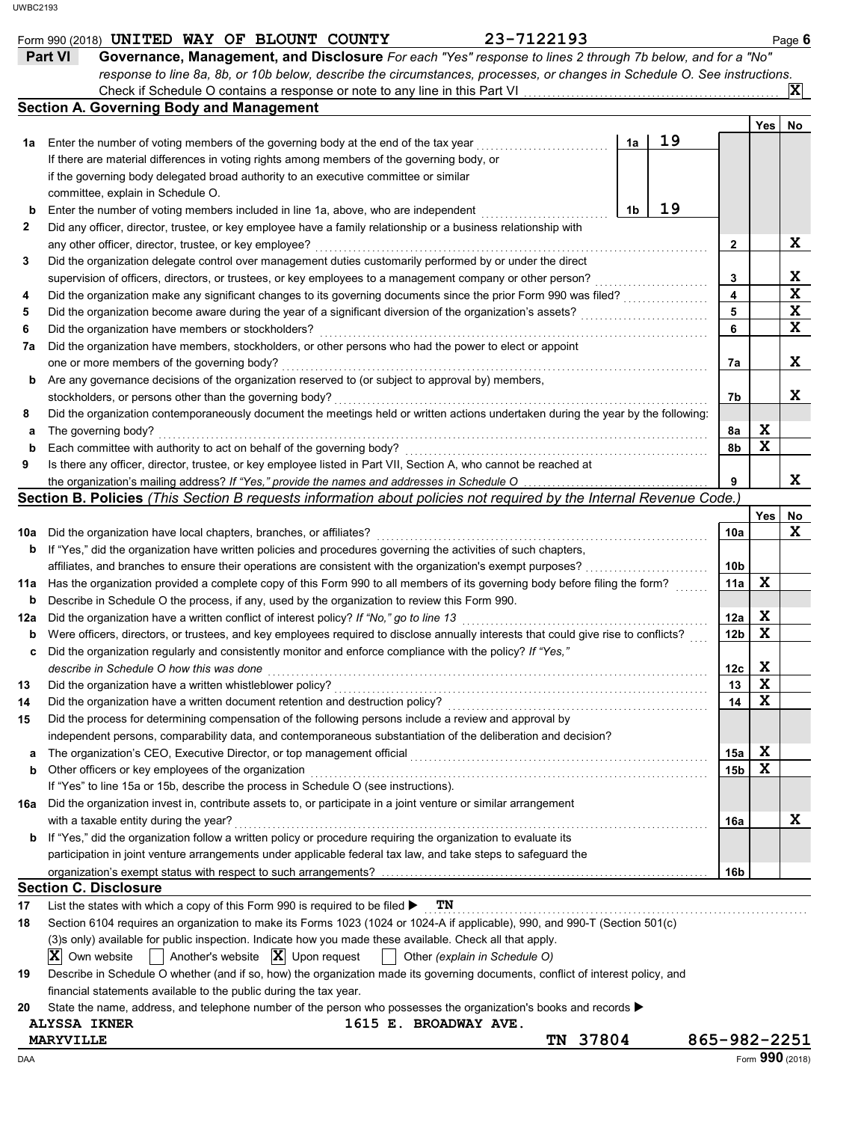|     | 23-7122193<br>Form 990 (2018) UNITED WAY OF BLOUNT COUNTY                                                                                                                                                                       |                 |             | Page 6          |
|-----|---------------------------------------------------------------------------------------------------------------------------------------------------------------------------------------------------------------------------------|-----------------|-------------|-----------------|
|     | Governance, Management, and Disclosure For each "Yes" response to lines 2 through 7b below, and for a "No"<br><b>Part VI</b>                                                                                                    |                 |             |                 |
|     | response to line 8a, 8b, or 10b below, describe the circumstances, processes, or changes in Schedule O. See instructions.                                                                                                       |                 |             |                 |
|     | Check if Schedule O contains a response or note to any line in this Part VI.                                                                                                                                                    |                 |             | X               |
|     | <b>Section A. Governing Body and Management</b>                                                                                                                                                                                 |                 |             |                 |
|     |                                                                                                                                                                                                                                 |                 | Yes         | No              |
| 1a  | 19<br>Enter the number of voting members of the governing body at the end of the tax year<br>1a                                                                                                                                 |                 |             |                 |
|     | If there are material differences in voting rights among members of the governing body, or                                                                                                                                      |                 |             |                 |
|     | if the governing body delegated broad authority to an executive committee or similar                                                                                                                                            |                 |             |                 |
|     | committee, explain in Schedule O.                                                                                                                                                                                               |                 |             |                 |
| b   | 19<br>Enter the number of voting members included in line 1a, above, who are independent<br>1b                                                                                                                                  |                 |             |                 |
| 2   | Did any officer, director, trustee, or key employee have a family relationship or a business relationship with                                                                                                                  |                 |             |                 |
|     | any other officer, director, trustee, or key employee?                                                                                                                                                                          | 2               |             | X               |
| 3   | Did the organization delegate control over management duties customarily performed by or under the direct                                                                                                                       |                 |             |                 |
|     | supervision of officers, directors, or trustees, or key employees to a management company or other person?                                                                                                                      | 3               |             | X               |
| 4   | Did the organization make any significant changes to its governing documents since the prior Form 990 was filed?                                                                                                                | 4               |             | $\mathbf x$     |
| 5   | Did the organization become aware during the year of a significant diversion of the organization's assets?                                                                                                                      | 5               |             | X               |
| 6   | Did the organization have members or stockholders?                                                                                                                                                                              | 6               |             | X               |
| 7a  | Did the organization have members, stockholders, or other persons who had the power to elect or appoint                                                                                                                         |                 |             |                 |
|     | one or more members of the governing body?                                                                                                                                                                                      | 7a              |             | X               |
| b   | Are any governance decisions of the organization reserved to (or subject to approval by) members,                                                                                                                               |                 |             |                 |
|     | stockholders, or persons other than the governing body?                                                                                                                                                                         | 7b              |             | X               |
| 8   | Did the organization contemporaneously document the meetings held or written actions undertaken during the year by the following:                                                                                               |                 |             |                 |
| а   | The governing body?                                                                                                                                                                                                             | 8a              | X           |                 |
| b   | Each committee with authority to act on behalf of the governing body?                                                                                                                                                           | 8b              | $\mathbf x$ |                 |
| 9   | Is there any officer, director, trustee, or key employee listed in Part VII, Section A, who cannot be reached at                                                                                                                |                 |             |                 |
|     | the organization's mailing address? If "Yes," provide the names and addresses in Schedule O                                                                                                                                     | 9               |             | X               |
|     | Section B. Policies (This Section B requests information about policies not required by the Internal Revenue Code.)                                                                                                             |                 |             |                 |
|     |                                                                                                                                                                                                                                 |                 | Yes         | No              |
| 10a | Did the organization have local chapters, branches, or affiliates?                                                                                                                                                              | 10a             |             | X               |
| b   | If "Yes," did the organization have written policies and procedures governing the activities of such chapters,                                                                                                                  |                 |             |                 |
|     | affiliates, and branches to ensure their operations are consistent with the organization's exempt purposes?                                                                                                                     | 10 <sub>b</sub> |             |                 |
| 11a | Has the organization provided a complete copy of this Form 990 to all members of its governing body before filing the form?                                                                                                     | 11a             | X           |                 |
| b   | Describe in Schedule O the process, if any, used by the organization to review this Form 990.                                                                                                                                   |                 |             |                 |
| 12a | Did the organization have a written conflict of interest policy? If "No," go to line 13                                                                                                                                         | 12a             | X           |                 |
| b   | Were officers, directors, or trustees, and key employees required to disclose annually interests that could give rise to conflicts?                                                                                             | 12 <sub>b</sub> | $\mathbf x$ |                 |
| c   | Did the organization regularly and consistently monitor and enforce compliance with the policy? If "Yes,"                                                                                                                       |                 |             |                 |
|     | describe in Schedule O how this was done                                                                                                                                                                                        | 12c             | X           |                 |
| 13  | Did the organization have a written whistleblower policy?                                                                                                                                                                       | 13              | $\mathbf x$ |                 |
| 14  | Did the organization have a written document retention and destruction policy?                                                                                                                                                  | 14              | X           |                 |
| 15  | Did the process for determining compensation of the following persons include a review and approval by                                                                                                                          |                 |             |                 |
|     | independent persons, comparability data, and contemporaneous substantiation of the deliberation and decision?                                                                                                                   |                 |             |                 |
| а   |                                                                                                                                                                                                                                 | 15a             | X           |                 |
| b   | Other officers or key employees of the organization                                                                                                                                                                             | 15 <sub>b</sub> | X           |                 |
|     | If "Yes" to line 15a or 15b, describe the process in Schedule O (see instructions).                                                                                                                                             |                 |             |                 |
| 16a | Did the organization invest in, contribute assets to, or participate in a joint venture or similar arrangement                                                                                                                  |                 |             |                 |
|     | with a taxable entity during the year?                                                                                                                                                                                          | 16a             |             | X               |
| b   | If "Yes," did the organization follow a written policy or procedure requiring the organization to evaluate its                                                                                                                  |                 |             |                 |
|     | participation in joint venture arrangements under applicable federal tax law, and take steps to safeguard the                                                                                                                   |                 |             |                 |
|     |                                                                                                                                                                                                                                 | 16 <sub>b</sub> |             |                 |
|     | <b>Section C. Disclosure</b>                                                                                                                                                                                                    |                 |             |                 |
|     | TN                                                                                                                                                                                                                              |                 |             |                 |
| 17  | List the states with which a copy of this Form 990 is required to be filed $\blacktriangleright$<br>Section 6104 requires an organization to make its Forms 1023 (1024 or 1024-A if applicable), 990, and 990-T (Section 501(c) |                 |             |                 |
| 18  |                                                                                                                                                                                                                                 |                 |             |                 |
|     | (3)s only) available for public inspection. Indicate how you made these available. Check all that apply.<br>Another's website $\ \mathbf{X}\ $ Upon request                                                                     |                 |             |                 |
|     | $ \mathbf{X} $ Own website<br>Other (explain in Schedule O)                                                                                                                                                                     |                 |             |                 |
| 19  | Describe in Schedule O whether (and if so, how) the organization made its governing documents, conflict of interest policy, and                                                                                                 |                 |             |                 |
|     | financial statements available to the public during the tax year.                                                                                                                                                               |                 |             |                 |
| 20  | State the name, address, and telephone number of the person who possesses the organization's books and records                                                                                                                  |                 |             |                 |
|     | <b>ALYSSA IKNER</b><br><b>1615 E. BROADWAY AVE.</b><br>TN 37804                                                                                                                                                                 | 865-982-2251    |             |                 |
|     | <b>MARYVILLE</b>                                                                                                                                                                                                                |                 |             | Form 990 (2018) |
| DAA |                                                                                                                                                                                                                                 |                 |             |                 |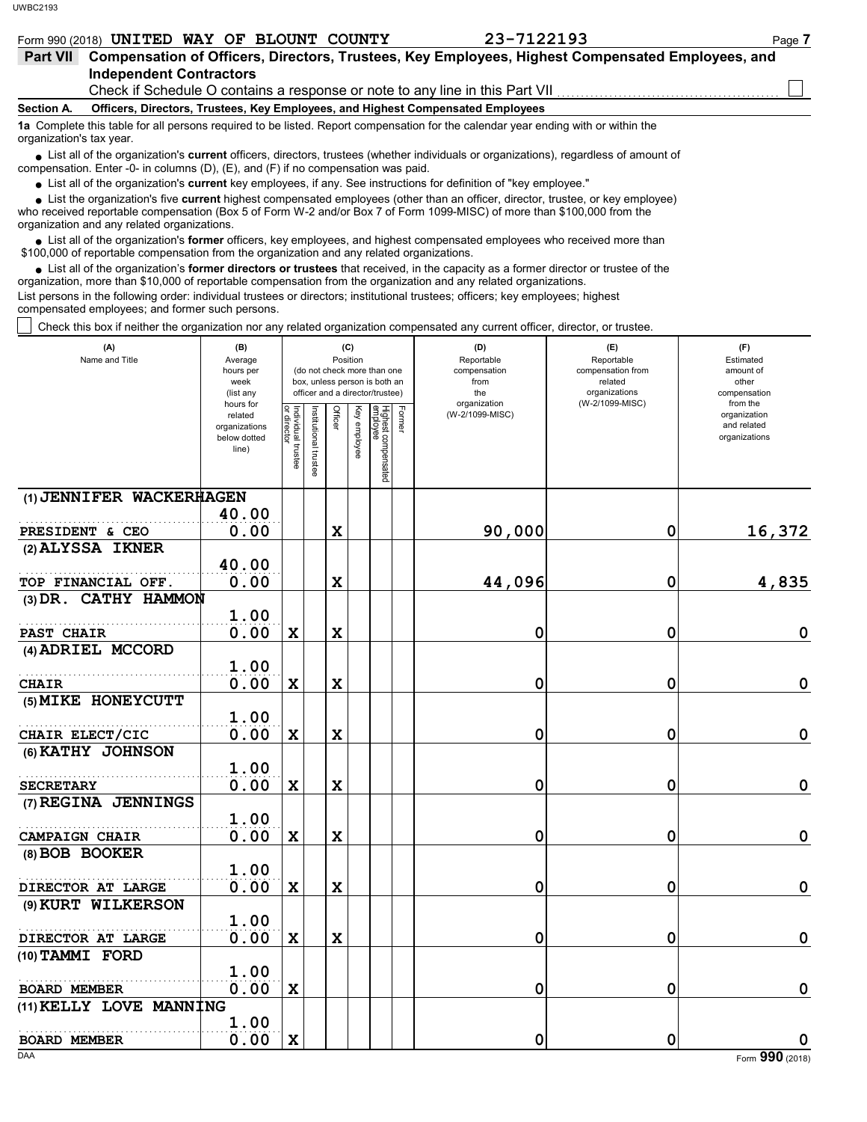who received reportable compensation (Box 5 of Form W-2 and/or Box 7 of Form 1099-MISC) of more than \$100,000 from the organization and any related organizations.

• List all of the organization's **former** officers, key employees, and highest compensated employees who received more than<br>00,000 of reportable compensation from the erganization and any related erganizations. \$100,000 of reportable compensation from the organization and any related organizations.

• List all of the organization's **former directors or trustees** that received, in the capacity as a former director or trustee of the paratition more than \$10,000 of reportable compensation from the organization and any re organization, more than \$10,000 of reportable compensation from the organization and any related organizations.

List persons in the following order: individual trustees or directors; institutional trustees; officers; key employees; highest compensated employees; and former such persons.

Check this box if neither the organization nor any related organization compensated any current officer, director, or trustee.

| (A)<br>Name and Title                      | (B)<br>Average<br>hours per<br>week<br>(list any<br>hours for |                         |                            |             | (C)<br>Position | (do not check more than one<br>box, unless person is both an<br>officer and a director/trustee) | (D)<br>Reportable<br>compensation<br>from<br>the<br>organization | (E)<br>Reportable<br>compensation from<br>related<br>organizations<br>(W-2/1099-MISC) | (F)<br>Estimated<br>amount of<br>other<br>compensation<br>from the |  |  |
|--------------------------------------------|---------------------------------------------------------------|-------------------------|----------------------------|-------------|-----------------|-------------------------------------------------------------------------------------------------|------------------------------------------------------------------|---------------------------------------------------------------------------------------|--------------------------------------------------------------------|--|--|
|                                            | related<br>organizations<br>below dotted<br>line)             | Individual 1<br>trustee | heroptitutional<br>trustee | Officer     | Key employee    | Highest compensated<br>employee<br>Former                                                       | (W-2/1099-MISC)                                                  |                                                                                       | organization<br>and related<br>organizations                       |  |  |
| (1) JENNIFER WACKERHAGEN                   |                                                               |                         |                            |             |                 |                                                                                                 |                                                                  |                                                                                       |                                                                    |  |  |
|                                            | 40.00                                                         |                         |                            |             |                 |                                                                                                 |                                                                  |                                                                                       |                                                                    |  |  |
| PRESIDENT & CEO                            | 0.00                                                          |                         |                            | $\mathbf x$ |                 |                                                                                                 | 90,000                                                           | 0                                                                                     | 16,372                                                             |  |  |
| (2) ALYSSA IKNER                           |                                                               |                         |                            |             |                 |                                                                                                 |                                                                  |                                                                                       |                                                                    |  |  |
|                                            | 40.00<br>0.00                                                 |                         |                            | X           |                 |                                                                                                 | 44,096                                                           | 0                                                                                     | 4,835                                                              |  |  |
| TOP FINANCIAL OFF.<br>(3) DR. CATHY HAMMON |                                                               |                         |                            |             |                 |                                                                                                 |                                                                  |                                                                                       |                                                                    |  |  |
|                                            | 1.00                                                          |                         |                            |             |                 |                                                                                                 |                                                                  |                                                                                       |                                                                    |  |  |
| PAST CHAIR                                 | 0.00                                                          | $\mathbf x$             |                            | $\mathbf x$ |                 |                                                                                                 | 0                                                                | 0                                                                                     | 0                                                                  |  |  |
| (4) ADRIEL MCCORD                          |                                                               |                         |                            |             |                 |                                                                                                 |                                                                  |                                                                                       |                                                                    |  |  |
|                                            | 1.00                                                          |                         |                            |             |                 |                                                                                                 |                                                                  |                                                                                       |                                                                    |  |  |
| <b>CHAIR</b>                               | 0.00                                                          | $\mathbf x$             |                            | $\mathbf x$ |                 |                                                                                                 | 0                                                                | 0                                                                                     | $\pmb{0}$                                                          |  |  |
| (5) MIKE HONEYCUTT                         |                                                               |                         |                            |             |                 |                                                                                                 |                                                                  |                                                                                       |                                                                    |  |  |
|                                            | 1.00                                                          |                         |                            |             |                 |                                                                                                 |                                                                  |                                                                                       |                                                                    |  |  |
| CHAIR ELECT/CIC                            | 0.00                                                          | $\mathbf x$             |                            | $\mathbf x$ |                 |                                                                                                 | 0                                                                | 0                                                                                     | $\mathbf 0$                                                        |  |  |
| (6) KATHY JOHNSON                          |                                                               |                         |                            |             |                 |                                                                                                 |                                                                  |                                                                                       |                                                                    |  |  |
|                                            | 1.00                                                          |                         |                            |             |                 |                                                                                                 |                                                                  |                                                                                       |                                                                    |  |  |
| <b>SECRETARY</b>                           | 0.00                                                          | $\mathbf x$             |                            | $\mathbf x$ |                 |                                                                                                 | 0                                                                | 0                                                                                     | $\mathbf 0$                                                        |  |  |
| (7) REGINA JENNINGS                        |                                                               |                         |                            |             |                 |                                                                                                 |                                                                  |                                                                                       |                                                                    |  |  |
|                                            | 1.00                                                          |                         |                            |             |                 |                                                                                                 |                                                                  |                                                                                       |                                                                    |  |  |
| <b>CAMPAIGN CHAIR</b>                      | 0.00                                                          | $\mathbf x$             |                            | $\mathbf x$ |                 |                                                                                                 | 0                                                                | 0                                                                                     | $\pmb{0}$                                                          |  |  |
| (8) BOB BOOKER                             |                                                               |                         |                            |             |                 |                                                                                                 |                                                                  |                                                                                       |                                                                    |  |  |
|                                            | 1.00<br>0.00                                                  |                         |                            |             |                 |                                                                                                 |                                                                  |                                                                                       | $\mathbf 0$                                                        |  |  |
| DIRECTOR AT LARGE<br>(9) KURT WILKERSON    |                                                               | $\mathbf x$             |                            | $\mathbf x$ |                 |                                                                                                 | 0                                                                | 0                                                                                     |                                                                    |  |  |
|                                            | 1.00                                                          |                         |                            |             |                 |                                                                                                 |                                                                  |                                                                                       |                                                                    |  |  |
| DIRECTOR AT LARGE                          | 0.00                                                          | $\mathbf x$             |                            | $\mathbf x$ |                 |                                                                                                 | 0                                                                | 0                                                                                     | $\pmb{0}$                                                          |  |  |
| (10) TAMMI FORD                            |                                                               |                         |                            |             |                 |                                                                                                 |                                                                  |                                                                                       |                                                                    |  |  |
|                                            | 1.00                                                          |                         |                            |             |                 |                                                                                                 |                                                                  |                                                                                       |                                                                    |  |  |
| <b>BOARD MEMBER</b>                        | 0.00                                                          | $\mathbf x$             |                            |             |                 |                                                                                                 | 0                                                                | 0                                                                                     | $\mathbf 0$                                                        |  |  |
| (11) KELLY LOVE MANNING                    |                                                               |                         |                            |             |                 |                                                                                                 |                                                                  |                                                                                       |                                                                    |  |  |
|                                            | 1.00                                                          |                         |                            |             |                 |                                                                                                 |                                                                  |                                                                                       |                                                                    |  |  |
| <b>BOARD MEMBER</b>                        | 0.00                                                          | $\mathbf x$             |                            |             |                 |                                                                                                 | 0                                                                | 0                                                                                     | 0                                                                  |  |  |
| DAA                                        |                                                               |                         |                            |             |                 |                                                                                                 |                                                                  |                                                                                       | Form 990 (2018)                                                    |  |  |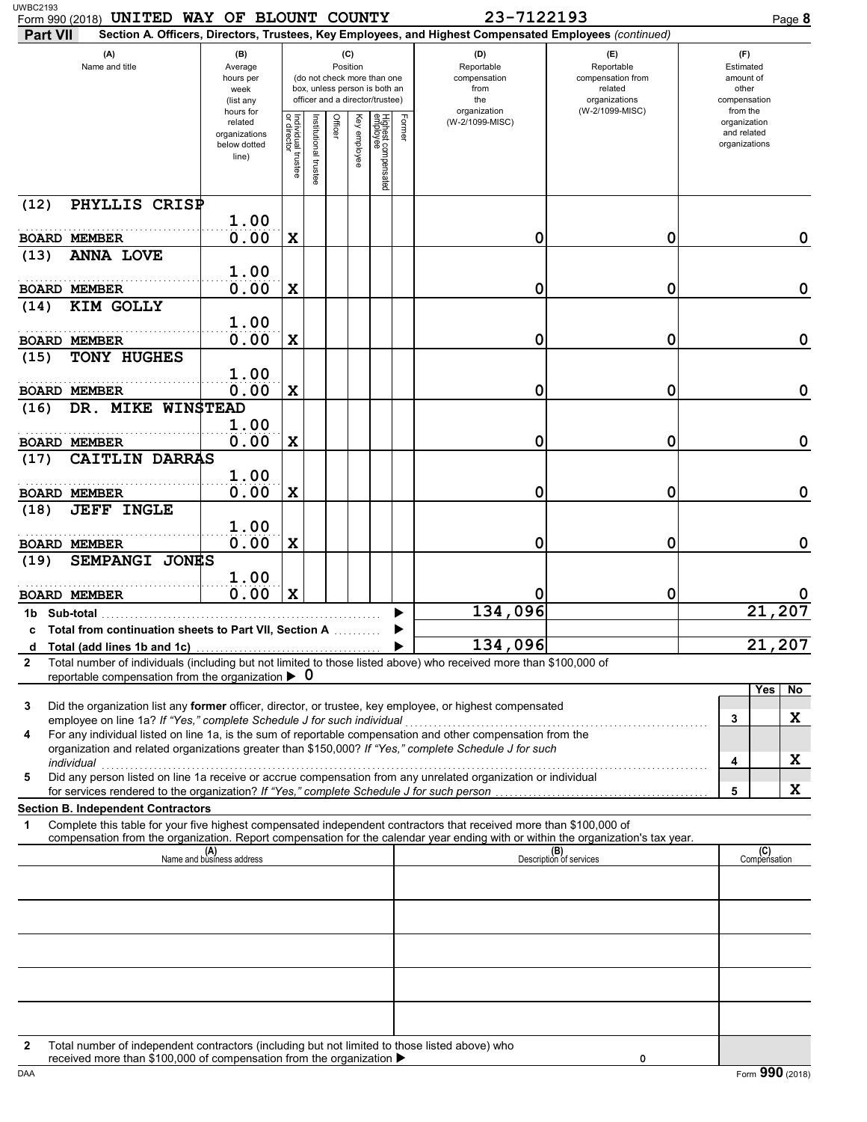| Form 990 (2018) UNITED WAY OF BLOUNT COUNTY<br><b>Part VII</b>                                                                                                                                                                                                                                                                                                                                                                                              |                                                                |                         |                      |                 |              |                                                                                                 |        | 23-7122193<br>Section A. Officers, Directors, Trustees, Key Employees, and Highest Compensated Employees (continued) |                                                                    | Page 8                                                   |
|-------------------------------------------------------------------------------------------------------------------------------------------------------------------------------------------------------------------------------------------------------------------------------------------------------------------------------------------------------------------------------------------------------------------------------------------------------------|----------------------------------------------------------------|-------------------------|----------------------|-----------------|--------------|-------------------------------------------------------------------------------------------------|--------|----------------------------------------------------------------------------------------------------------------------|--------------------------------------------------------------------|----------------------------------------------------------|
| (A)<br>Name and title                                                                                                                                                                                                                                                                                                                                                                                                                                       | (B)<br>Average<br>hours per<br>week<br>(list any               |                         |                      | (C)<br>Position |              | (do not check more than one<br>box, unless person is both an<br>officer and a director/trustee) |        | (D)<br>Reportable<br>compensation<br>from<br>the                                                                     | (E)<br>Reportable<br>compensation from<br>related<br>organizations | (F)<br>Estimated<br>amount of<br>other<br>compensation   |
|                                                                                                                                                                                                                                                                                                                                                                                                                                                             | hours for<br>related<br>organizations<br>below dotted<br>line) | Individual t<br>trustee | nstitutional trustee | Officer         | Key employee | Highest compensated<br>employee                                                                 | Former | organization<br>(W-2/1099-MISC)                                                                                      | (W-2/1099-MISC)                                                    | from the<br>organization<br>and related<br>organizations |
| (12)<br>PHYLLIS CRISP                                                                                                                                                                                                                                                                                                                                                                                                                                       |                                                                |                         |                      |                 |              |                                                                                                 |        |                                                                                                                      |                                                                    |                                                          |
| <b>BOARD MEMBER</b>                                                                                                                                                                                                                                                                                                                                                                                                                                         | 1.00<br>0.00                                                   | X                       |                      |                 |              |                                                                                                 |        | 0                                                                                                                    | 0                                                                  | 0                                                        |
| <b>ANNA LOVE</b><br>(13)<br><b>BOARD MEMBER</b>                                                                                                                                                                                                                                                                                                                                                                                                             | 1.00<br>0.00                                                   | $\mathbf x$             |                      |                 |              |                                                                                                 |        | 0                                                                                                                    | 0                                                                  | $\mathbf 0$                                              |
| KIM GOLLY<br>(14)                                                                                                                                                                                                                                                                                                                                                                                                                                           |                                                                |                         |                      |                 |              |                                                                                                 |        |                                                                                                                      |                                                                    |                                                          |
| <b>BOARD MEMBER</b>                                                                                                                                                                                                                                                                                                                                                                                                                                         | 1.00<br>0.00                                                   | X                       |                      |                 |              |                                                                                                 |        | 0                                                                                                                    | 0                                                                  | $\mathbf 0$                                              |
| TONY HUGHES<br>(15)                                                                                                                                                                                                                                                                                                                                                                                                                                         | 1.00                                                           |                         |                      |                 |              |                                                                                                 |        |                                                                                                                      |                                                                    |                                                          |
| <b>BOARD MEMBER</b>                                                                                                                                                                                                                                                                                                                                                                                                                                         | 0.00                                                           | $\mathbf x$             |                      |                 |              |                                                                                                 |        | 0                                                                                                                    | 0                                                                  | $\mathbf 0$                                              |
| DR. MIKE WINSTEAD<br>(16)                                                                                                                                                                                                                                                                                                                                                                                                                                   | 1.00                                                           |                         |                      |                 |              |                                                                                                 |        |                                                                                                                      |                                                                    |                                                          |
| <b>BOARD MEMBER</b><br>CAITLIN DARRAS<br>(17)                                                                                                                                                                                                                                                                                                                                                                                                               | 0.00                                                           | X                       |                      |                 |              |                                                                                                 |        | 0                                                                                                                    | 0                                                                  | $\mathbf 0$                                              |
|                                                                                                                                                                                                                                                                                                                                                                                                                                                             | 1.00                                                           |                         |                      |                 |              |                                                                                                 |        |                                                                                                                      |                                                                    |                                                          |
| <b>BOARD MEMBER</b><br><b>JEFF INGLE</b><br>(18)                                                                                                                                                                                                                                                                                                                                                                                                            | 0.00                                                           | X                       |                      |                 |              |                                                                                                 |        | 0                                                                                                                    | 0                                                                  | 0                                                        |
| <b>BOARD MEMBER</b>                                                                                                                                                                                                                                                                                                                                                                                                                                         | 1.00<br>0.00                                                   | X                       |                      |                 |              |                                                                                                 |        | 0                                                                                                                    | 0                                                                  | 0                                                        |
| SEMPANGI JONES<br>(19)                                                                                                                                                                                                                                                                                                                                                                                                                                      | 1.00<br>0.00                                                   | X                       |                      |                 |              |                                                                                                 |        | 0                                                                                                                    | 0                                                                  |                                                          |
| <b>BOARD MEMBER</b><br>1b Sub-total                                                                                                                                                                                                                                                                                                                                                                                                                         |                                                                |                         |                      |                 |              |                                                                                                 |        | 134,096                                                                                                              |                                                                    | 207<br>21,                                               |
| c Total from continuation sheets to Part VII, Section A                                                                                                                                                                                                                                                                                                                                                                                                     |                                                                |                         |                      |                 |              |                                                                                                 |        |                                                                                                                      |                                                                    |                                                          |
| d<br>Total number of individuals (including but not limited to those listed above) who received more than \$100,000 of<br>$\mathbf{2}$                                                                                                                                                                                                                                                                                                                      |                                                                |                         |                      |                 |              |                                                                                                 |        | 134,096                                                                                                              |                                                                    | 21,207                                                   |
| reportable compensation from the organization $\triangleright$ 0                                                                                                                                                                                                                                                                                                                                                                                            |                                                                |                         |                      |                 |              |                                                                                                 |        |                                                                                                                      |                                                                    |                                                          |
| Did the organization list any former officer, director, or trustee, key employee, or highest compensated<br>3                                                                                                                                                                                                                                                                                                                                               |                                                                |                         |                      |                 |              |                                                                                                 |        |                                                                                                                      |                                                                    | Yes<br>No.<br>X<br>3                                     |
| For any individual listed on line 1a, is the sum of reportable compensation and other compensation from the<br>4<br>organization and related organizations greater than \$150,000? If "Yes," complete Schedule J for such<br>individual with a construction of the construction of the construction of the construction of the construction of the construction of the construction of the construction of the construction of the construction of the cons |                                                                |                         |                      |                 |              |                                                                                                 |        |                                                                                                                      |                                                                    | X<br>4                                                   |
| Did any person listed on line 1a receive or accrue compensation from any unrelated organization or individual<br>5                                                                                                                                                                                                                                                                                                                                          |                                                                |                         |                      |                 |              |                                                                                                 |        |                                                                                                                      |                                                                    | X<br>5                                                   |
| <b>Section B. Independent Contractors</b>                                                                                                                                                                                                                                                                                                                                                                                                                   |                                                                |                         |                      |                 |              |                                                                                                 |        |                                                                                                                      |                                                                    |                                                          |
| Complete this table for your five highest compensated independent contractors that received more than \$100,000 of<br>1<br>compensation from the organization. Report compensation for the calendar year ending with or within the organization's tax year.                                                                                                                                                                                                 |                                                                |                         |                      |                 |              |                                                                                                 |        |                                                                                                                      |                                                                    |                                                          |
|                                                                                                                                                                                                                                                                                                                                                                                                                                                             | (A)<br>Name and business address                               |                         |                      |                 |              |                                                                                                 |        |                                                                                                                      | (B)<br>Description of services                                     | (C)<br>Compensation                                      |
|                                                                                                                                                                                                                                                                                                                                                                                                                                                             |                                                                |                         |                      |                 |              |                                                                                                 |        |                                                                                                                      |                                                                    |                                                          |
|                                                                                                                                                                                                                                                                                                                                                                                                                                                             |                                                                |                         |                      |                 |              |                                                                                                 |        |                                                                                                                      |                                                                    |                                                          |
|                                                                                                                                                                                                                                                                                                                                                                                                                                                             |                                                                |                         |                      |                 |              |                                                                                                 |        |                                                                                                                      |                                                                    |                                                          |
|                                                                                                                                                                                                                                                                                                                                                                                                                                                             |                                                                |                         |                      |                 |              |                                                                                                 |        |                                                                                                                      |                                                                    |                                                          |
| Total number of independent contractors (including but not limited to those listed above) who<br>2                                                                                                                                                                                                                                                                                                                                                          |                                                                |                         |                      |                 |              |                                                                                                 |        |                                                                                                                      |                                                                    |                                                          |

received more than \$100,000 of compensation from the organization  $\blacktriangleright$ 

**0**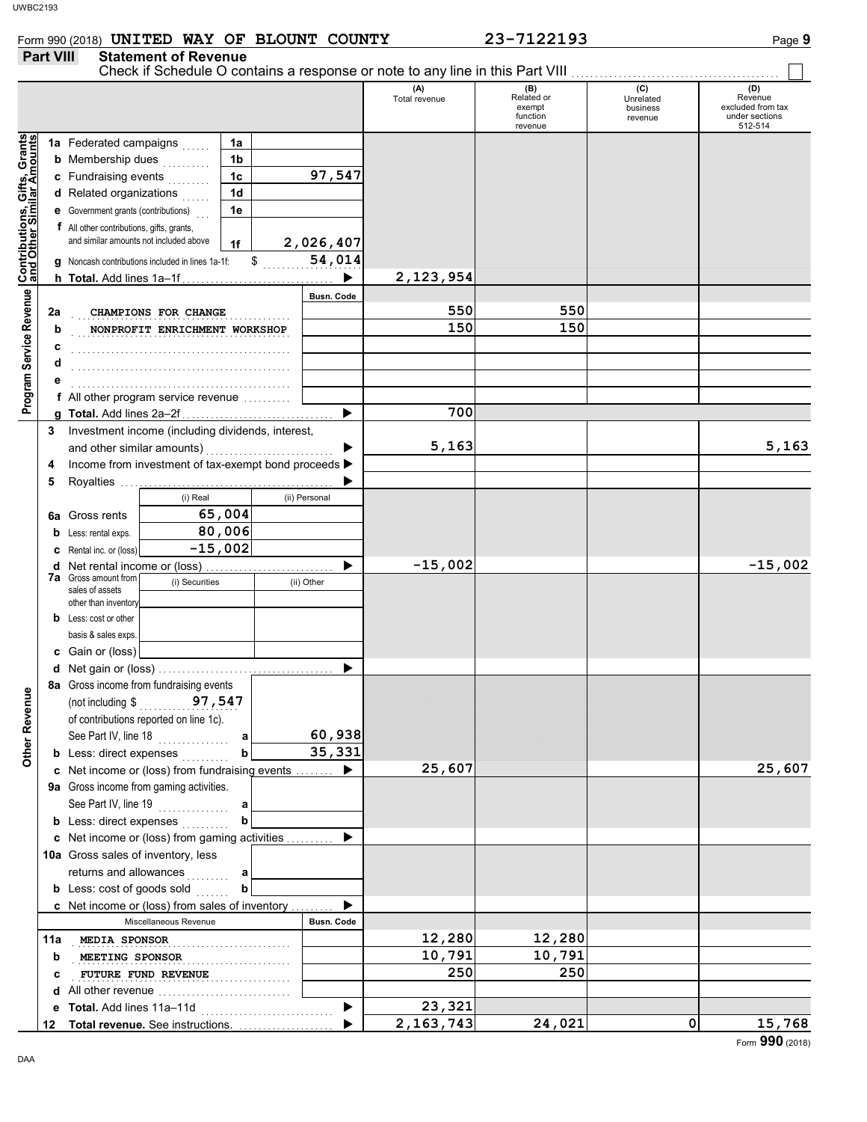|                                                           |                  |                                                  | Form 990 (2018) UNITED WAY OF BLOUNT COUNTY           |                                              |  |                       |                      | 23-7122193                                         |                                         | Page 9                                                           |
|-----------------------------------------------------------|------------------|--------------------------------------------------|-------------------------------------------------------|----------------------------------------------|--|-----------------------|----------------------|----------------------------------------------------|-----------------------------------------|------------------------------------------------------------------|
|                                                           | <b>Part VIII</b> |                                                  | <b>Statement of Revenue</b>                           |                                              |  |                       |                      |                                                    |                                         |                                                                  |
|                                                           |                  |                                                  |                                                       |                                              |  |                       | (A)<br>Total revenue | (B)<br>Related or<br>exempt<br>function<br>revenue | (C)<br>Unrelated<br>business<br>revenue | (D)<br>Revenue<br>excluded from tax<br>under sections<br>512-514 |
|                                                           |                  | 1a Federated campaigns                           |                                                       | 1a                                           |  |                       |                      |                                                    |                                         |                                                                  |
| Contributions, Gifts, Grants<br>and Other Similar Amounts |                  | <b>b</b> Membership dues                         | .                                                     | 1 <sub>b</sub>                               |  |                       |                      |                                                    |                                         |                                                                  |
|                                                           |                  | c Fundraising events                             |                                                       | 1 <sub>c</sub>                               |  | 97,547                |                      |                                                    |                                         |                                                                  |
|                                                           |                  | d Related organizations                          |                                                       | 1d                                           |  |                       |                      |                                                    |                                         |                                                                  |
|                                                           |                  | <b>e</b> Government grants (contributions)       |                                                       | 1e                                           |  |                       |                      |                                                    |                                         |                                                                  |
|                                                           |                  | <b>f</b> All other contributions, gifts, grants, |                                                       |                                              |  |                       |                      |                                                    |                                         |                                                                  |
|                                                           |                  | and similar amounts not included above           |                                                       | 1f                                           |  | 2,026,407             |                      |                                                    |                                         |                                                                  |
|                                                           |                  |                                                  | g Noncash contributions included in lines 1a-1f:      | $\mathbb{S}$                                 |  | 54,014                |                      |                                                    |                                         |                                                                  |
|                                                           |                  |                                                  |                                                       |                                              |  | ▶                     | 2,123,954            |                                                    |                                         |                                                                  |
|                                                           |                  |                                                  |                                                       |                                              |  | Busn. Code            |                      |                                                    |                                         |                                                                  |
| Program Service Revenue                                   | 2a               |                                                  | CHAMPIONS FOR CHANGE                                  |                                              |  |                       | 550                  | 550                                                |                                         |                                                                  |
|                                                           | b                |                                                  | NONPROFIT ENRICHMENT WORKSHOP                         |                                              |  |                       | 150                  | 150                                                |                                         |                                                                  |
|                                                           | c                |                                                  |                                                       |                                              |  |                       |                      |                                                    |                                         |                                                                  |
|                                                           | d                |                                                  |                                                       |                                              |  |                       |                      |                                                    |                                         |                                                                  |
|                                                           |                  |                                                  |                                                       |                                              |  |                       |                      |                                                    |                                         |                                                                  |
|                                                           |                  |                                                  | f All other program service revenue                   |                                              |  |                       |                      |                                                    |                                         |                                                                  |
|                                                           |                  |                                                  |                                                       |                                              |  | ▶                     | 700                  |                                                    |                                         |                                                                  |
|                                                           | 3                |                                                  | Investment income (including dividends, interest,     |                                              |  |                       |                      |                                                    |                                         |                                                                  |
|                                                           |                  |                                                  | and other similar amounts)                            |                                              |  | ▶                     | 5,163                |                                                    |                                         | 5,163                                                            |
|                                                           | 4                |                                                  | Income from investment of tax-exempt bond proceeds >  |                                              |  |                       |                      |                                                    |                                         |                                                                  |
|                                                           | 5                |                                                  |                                                       |                                              |  | ▶                     |                      |                                                    |                                         |                                                                  |
|                                                           |                  |                                                  | (i) Real                                              |                                              |  | (ii) Personal         |                      |                                                    |                                         |                                                                  |
|                                                           |                  | 6a Gross rents                                   |                                                       | 65,004                                       |  |                       |                      |                                                    |                                         |                                                                  |
|                                                           |                  | <b>b</b> Less: rental exps.                      |                                                       | 80,006                                       |  |                       |                      |                                                    |                                         |                                                                  |
|                                                           |                  | C Rental inc. or (loss)                          |                                                       | $-15,002$                                    |  |                       |                      |                                                    |                                         |                                                                  |
|                                                           | d                |                                                  |                                                       |                                              |  | $-15,002$             |                      |                                                    | $-15,002$                               |                                                                  |
|                                                           |                  | <b>7a</b> Gross amount from                      | (i) Securities                                        |                                              |  | (ii) Other            |                      |                                                    |                                         |                                                                  |
|                                                           |                  | sales of assets<br>other than inventory          |                                                       |                                              |  |                       |                      |                                                    |                                         |                                                                  |
|                                                           |                  | <b>b</b> Less: cost or other                     |                                                       |                                              |  |                       |                      |                                                    |                                         |                                                                  |
|                                                           |                  | basis & sales exps.                              |                                                       |                                              |  |                       |                      |                                                    |                                         |                                                                  |
|                                                           |                  | c Gain or (loss)                                 |                                                       |                                              |  |                       |                      |                                                    |                                         |                                                                  |
|                                                           |                  |                                                  | d Net gain or (loss)                                  |                                              |  |                       |                      |                                                    |                                         |                                                                  |
|                                                           |                  |                                                  | 8a Gross income from fundraising events               |                                              |  |                       |                      |                                                    |                                         |                                                                  |
|                                                           |                  |                                                  | (not including $$$ 97, 547                            |                                              |  |                       |                      |                                                    |                                         |                                                                  |
|                                                           |                  |                                                  | of contributions reported on line 1c).                |                                              |  |                       |                      |                                                    |                                         |                                                                  |
|                                                           |                  |                                                  | See Part IV, line 18                                  |                                              |  | 60,938                |                      |                                                    |                                         |                                                                  |
| Other Revenue                                             |                  |                                                  | <b>b</b> Less: direct expenses                        | $\mathbf b$                                  |  | 35,331                |                      |                                                    |                                         |                                                                  |
|                                                           |                  |                                                  | c Net income or (loss) from fundraising events        |                                              |  | $\blacktriangleright$ | 25,607               |                                                    |                                         | 25,607                                                           |
|                                                           |                  |                                                  | 9a Gross income from gaming activities.               |                                              |  |                       |                      |                                                    |                                         |                                                                  |
|                                                           |                  |                                                  | See Part IV, line 19                                  |                                              |  |                       |                      |                                                    |                                         |                                                                  |
|                                                           |                  |                                                  | <b>b</b> Less: direct expenses                        |                                              |  |                       |                      |                                                    |                                         |                                                                  |
|                                                           |                  |                                                  | c Net income or (loss) from gaming activities         |                                              |  |                       |                      |                                                    |                                         |                                                                  |
|                                                           |                  |                                                  | 10a Gross sales of inventory, less                    |                                              |  |                       |                      |                                                    |                                         |                                                                  |
|                                                           |                  |                                                  | returns and allowances                                |                                              |  |                       |                      |                                                    |                                         |                                                                  |
|                                                           |                  |                                                  | <b>b</b> Less: cost of goods sold                     |                                              |  |                       |                      |                                                    |                                         |                                                                  |
|                                                           |                  |                                                  | <b>c</b> Net income or (loss) from sales of inventory |                                              |  |                       |                      |                                                    |                                         |                                                                  |
|                                                           |                  |                                                  | Miscellaneous Revenue                                 |                                              |  | Busn. Code            |                      |                                                    |                                         |                                                                  |
|                                                           | 11a              | MEDIA SPONSOR                                    |                                                       |                                              |  |                       | 12,280               | 12,280                                             |                                         |                                                                  |
|                                                           | b                | MEETING SPONSOR                                  |                                                       |                                              |  |                       | 10,791               | 10,791                                             |                                         |                                                                  |
|                                                           | c                |                                                  | FUTURE FUND REVENUE                                   | <u> 1986 - Alexandr Steinberg, ameri</u> kan |  |                       | 250                  | 250                                                |                                         |                                                                  |
|                                                           |                  |                                                  |                                                       |                                              |  |                       |                      |                                                    |                                         |                                                                  |
|                                                           |                  |                                                  |                                                       |                                              |  | $\blacktriangleright$ | 23,321               |                                                    |                                         |                                                                  |
|                                                           |                  |                                                  |                                                       |                                              |  |                       | 2, 163, 743          | 24,021                                             | $\Omega$                                | 15,768                                                           |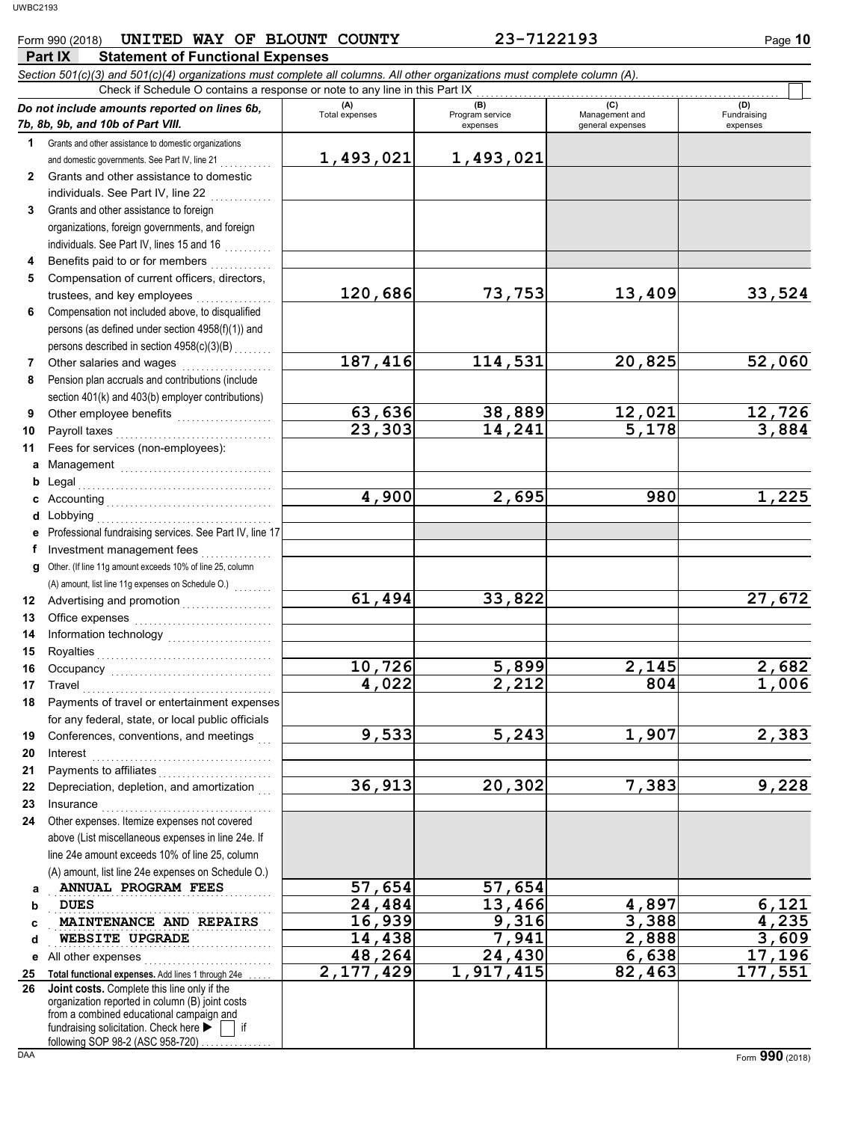### Form 990 (2018) **UNITED WAY OF BLOUNT COUNTY 23-7122193** Page 10

|              | Part IX<br><b>Statement of Functional Expenses</b>                                                                                                                                                                                                                                                                                                                                            |                       |                                    |                                           |                         |
|--------------|-----------------------------------------------------------------------------------------------------------------------------------------------------------------------------------------------------------------------------------------------------------------------------------------------------------------------------------------------------------------------------------------------|-----------------------|------------------------------------|-------------------------------------------|-------------------------|
|              | Section 501(c)(3) and 501(c)(4) organizations must complete all columns. All other organizations must complete column (A).                                                                                                                                                                                                                                                                    |                       |                                    |                                           |                         |
|              | Check if Schedule O contains a response or note to any line in this Part IX                                                                                                                                                                                                                                                                                                                   |                       |                                    |                                           | (D)                     |
|              | Do not include amounts reported on lines 6b,<br>7b, 8b, 9b, and 10b of Part VIII.                                                                                                                                                                                                                                                                                                             | (A)<br>Total expenses | (B)<br>Program service<br>expenses | (C)<br>Management and<br>general expenses | Fundraising<br>expenses |
| 1            | Grants and other assistance to domestic organizations                                                                                                                                                                                                                                                                                                                                         |                       |                                    |                                           |                         |
|              | and domestic governments. See Part IV, line 21                                                                                                                                                                                                                                                                                                                                                | 1,493,021             | 1,493,021                          |                                           |                         |
| $\mathbf{2}$ | Grants and other assistance to domestic                                                                                                                                                                                                                                                                                                                                                       |                       |                                    |                                           |                         |
|              | individuals. See Part IV, line 22                                                                                                                                                                                                                                                                                                                                                             |                       |                                    |                                           |                         |
| 3            | Grants and other assistance to foreign                                                                                                                                                                                                                                                                                                                                                        |                       |                                    |                                           |                         |
|              | organizations, foreign governments, and foreign                                                                                                                                                                                                                                                                                                                                               |                       |                                    |                                           |                         |
|              | individuals. See Part IV, lines 15 and 16                                                                                                                                                                                                                                                                                                                                                     |                       |                                    |                                           |                         |
| 4            | Benefits paid to or for members                                                                                                                                                                                                                                                                                                                                                               |                       |                                    |                                           |                         |
| 5            | Compensation of current officers, directors,                                                                                                                                                                                                                                                                                                                                                  |                       |                                    |                                           |                         |
|              | trustees, and key employees                                                                                                                                                                                                                                                                                                                                                                   | 120,686               | 73,753                             | 13,409                                    | 33,524                  |
| 6            | Compensation not included above, to disqualified                                                                                                                                                                                                                                                                                                                                              |                       |                                    |                                           |                         |
|              | persons (as defined under section 4958(f)(1)) and                                                                                                                                                                                                                                                                                                                                             |                       |                                    |                                           |                         |
|              | persons described in section 4958(c)(3)(B)                                                                                                                                                                                                                                                                                                                                                    |                       |                                    |                                           |                         |
| 7            | Other salaries and wages                                                                                                                                                                                                                                                                                                                                                                      | 187,416               | 114,531                            | 20,825                                    | 52,060                  |
| 8            | Pension plan accruals and contributions (include                                                                                                                                                                                                                                                                                                                                              |                       |                                    |                                           |                         |
|              | section 401(k) and 403(b) employer contributions)                                                                                                                                                                                                                                                                                                                                             |                       |                                    |                                           |                         |
| 9            | Other employee benefits                                                                                                                                                                                                                                                                                                                                                                       | 63,636                | 38,889                             | 12,021                                    | 12,726                  |
| 10           | Payroll taxes<br><u> 1986 - Johann Stoff, Amerikaansk politiker (</u>                                                                                                                                                                                                                                                                                                                         | 23,303                | $\overline{14}$ , 241              | $\overline{5}$ , 178                      | 3,884                   |
| 11           | Fees for services (non-employees):                                                                                                                                                                                                                                                                                                                                                            |                       |                                    |                                           |                         |
| а            | Management                                                                                                                                                                                                                                                                                                                                                                                    |                       |                                    |                                           |                         |
| b            | Legal                                                                                                                                                                                                                                                                                                                                                                                         | 4,900                 | 2,695                              | 980                                       | 1,225                   |
| c            | Lobbying                                                                                                                                                                                                                                                                                                                                                                                      |                       |                                    |                                           |                         |
| d<br>е       | Professional fundraising services. See Part IV, line 17                                                                                                                                                                                                                                                                                                                                       |                       |                                    |                                           |                         |
| f            | Investment management fees                                                                                                                                                                                                                                                                                                                                                                    |                       |                                    |                                           |                         |
| g            | Other. (If line 11g amount exceeds 10% of line 25, column                                                                                                                                                                                                                                                                                                                                     |                       |                                    |                                           |                         |
|              |                                                                                                                                                                                                                                                                                                                                                                                               |                       |                                    |                                           |                         |
| 12           |                                                                                                                                                                                                                                                                                                                                                                                               | 61,494                | 33,822                             |                                           | 27,672                  |
| 13           |                                                                                                                                                                                                                                                                                                                                                                                               |                       |                                    |                                           |                         |
| 14           |                                                                                                                                                                                                                                                                                                                                                                                               |                       |                                    |                                           |                         |
| 15           | Royalties                                                                                                                                                                                                                                                                                                                                                                                     |                       |                                    |                                           |                         |
| 16           |                                                                                                                                                                                                                                                                                                                                                                                               | 10,726                | 5,899                              | 2,145                                     | 2,682                   |
| 17           | Travel                                                                                                                                                                                                                                                                                                                                                                                        | 4,022                 | 2,212                              | 804                                       | 1,006                   |
| 18           | Payments of travel or entertainment expenses                                                                                                                                                                                                                                                                                                                                                  |                       |                                    |                                           |                         |
|              | for any federal, state, or local public officials                                                                                                                                                                                                                                                                                                                                             |                       |                                    |                                           |                         |
| 19           | Conferences, conventions, and meetings                                                                                                                                                                                                                                                                                                                                                        | 9,533                 | 5,243                              | 1,907                                     | 2,383                   |
| 20           | $\textbf{Interest} \hspace{0.05cm} \textbf{1} \hspace{0.05cm} \textbf{1} \hspace{0.05cm} \textbf{1} \hspace{0.05cm} \textbf{1} \hspace{0.05cm} \textbf{1} \hspace{0.05cm} \textbf{1} \hspace{0.05cm} \textbf{1} \hspace{0.05cm} \textbf{1} \hspace{0.05cm} \textbf{1} \hspace{0.05cm} \textbf{1} \hspace{0.05cm} \textbf{1} \hspace{0.05cm} \textbf{1} \hspace{0.05cm} \textbf{1} \hspace{0.$ |                       |                                    |                                           |                         |
| 21           |                                                                                                                                                                                                                                                                                                                                                                                               |                       |                                    |                                           |                         |
| 22           | Depreciation, depletion, and amortization                                                                                                                                                                                                                                                                                                                                                     | 36,913                | 20,302                             | 7,383                                     | 9,228                   |
| 23           |                                                                                                                                                                                                                                                                                                                                                                                               |                       |                                    |                                           |                         |
| 24           | Other expenses. Itemize expenses not covered                                                                                                                                                                                                                                                                                                                                                  |                       |                                    |                                           |                         |
|              | above (List miscellaneous expenses in line 24e. If                                                                                                                                                                                                                                                                                                                                            |                       |                                    |                                           |                         |
|              | line 24e amount exceeds 10% of line 25, column<br>(A) amount, list line 24e expenses on Schedule O.)                                                                                                                                                                                                                                                                                          |                       |                                    |                                           |                         |
|              | ANNUAL PROGRAM FEES                                                                                                                                                                                                                                                                                                                                                                           | 57,654                | 57,654                             |                                           |                         |
| а<br>b       | <b>DUES</b>                                                                                                                                                                                                                                                                                                                                                                                   | 24,484                | 13,466                             | 4,897                                     | 6,121                   |
| с            | MAINTENANCE AND REPAIRS                                                                                                                                                                                                                                                                                                                                                                       | 16,939                | 9,316                              | 3,388                                     | 4,235                   |
| d            | WEBSITE UPGRADE                                                                                                                                                                                                                                                                                                                                                                               | 14,438                | 7,941                              | 2,888                                     | 3,609                   |
| е            | All other expenses                                                                                                                                                                                                                                                                                                                                                                            | 48,264                | 24,430                             | 6,638                                     | 17,196                  |
| 25           | Total functional expenses. Add lines 1 through 24e                                                                                                                                                                                                                                                                                                                                            | 2,177,429             | 1,917,415                          | 82,463                                    | 177,551                 |
| 26           | Joint costs. Complete this line only if the                                                                                                                                                                                                                                                                                                                                                   |                       |                                    |                                           |                         |
|              | organization reported in column (B) joint costs<br>from a combined educational campaign and                                                                                                                                                                                                                                                                                                   |                       |                                    |                                           |                         |
|              | fundraising solicitation. Check here ><br>if                                                                                                                                                                                                                                                                                                                                                  |                       |                                    |                                           |                         |
|              | following SOP 98-2 (ASC 958-720).                                                                                                                                                                                                                                                                                                                                                             |                       |                                    |                                           |                         |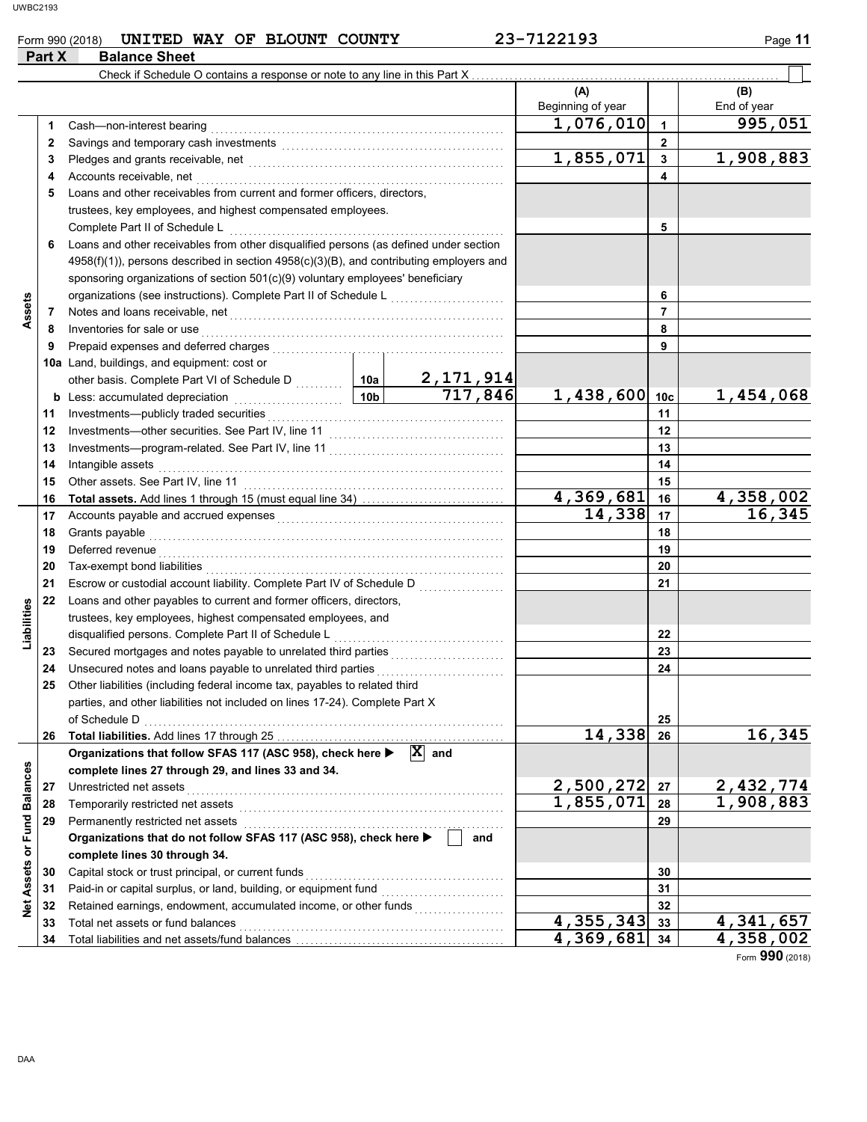#### Form 990 (2018) **UNITED WAY OF BLOUNT COUNTY 23-7122193** Page 11

|                   | Part X | <b>Balance Sheet</b>                                                                                                               |                 |                             |                          |                 |                    |
|-------------------|--------|------------------------------------------------------------------------------------------------------------------------------------|-----------------|-----------------------------|--------------------------|-----------------|--------------------|
|                   |        | Check if Schedule O contains a response or note to any line in this Part X                                                         |                 |                             |                          |                 |                    |
|                   |        |                                                                                                                                    |                 |                             | (A)<br>Beginning of year |                 | (B)<br>End of year |
|                   | 1      | Cash-non-interest bearing                                                                                                          |                 |                             | 1,076,010                | $\overline{1}$  | 995,051            |
|                   | 2      |                                                                                                                                    |                 |                             |                          | $\mathbf{2}$    |                    |
|                   | 3      |                                                                                                                                    |                 |                             | 1,855,071                | $\mathbf{3}$    | 1,908,883          |
|                   | 4      | Accounts receivable, net                                                                                                           |                 |                             |                          | 4               |                    |
|                   | 5      | Loans and other receivables from current and former officers, directors,                                                           |                 |                             |                          |                 |                    |
|                   |        | trustees, key employees, and highest compensated employees.                                                                        |                 |                             |                          |                 |                    |
|                   |        | Complete Part II of Schedule L                                                                                                     |                 |                             |                          | 5               |                    |
|                   | 6      | Loans and other receivables from other disqualified persons (as defined under section                                              |                 |                             |                          |                 |                    |
|                   |        | $4958(f)(1)$ , persons described in section $4958(c)(3)(B)$ , and contributing employers and                                       |                 |                             |                          |                 |                    |
|                   |        | sponsoring organizations of section 501(c)(9) voluntary employees' beneficiary                                                     |                 |                             |                          |                 |                    |
|                   |        |                                                                                                                                    |                 |                             |                          | 6               |                    |
| Assets            | 7      | Notes and loans receivable, net                                                                                                    |                 |                             |                          | $\overline{7}$  |                    |
|                   | 8      | Inventories for sale or use                                                                                                        |                 |                             |                          | 8               |                    |
|                   | 9      | Prepaid expenses and deferred charges                                                                                              |                 |                             |                          | 9               |                    |
|                   |        | 10a Land, buildings, and equipment: cost or                                                                                        |                 |                             |                          |                 |                    |
|                   |        |                                                                                                                                    |                 | $\frac{2,171,914}{717,846}$ |                          |                 |                    |
|                   |        | <b>b</b> Less: accumulated depreciation                                                                                            | 10 <sub>b</sub> |                             | 1,438,600                | 10 <sub>c</sub> | 1,454,068          |
|                   | 11     | Investments-publicly traded securities                                                                                             |                 | 11                          |                          |                 |                    |
|                   | 12     |                                                                                                                                    |                 | 12                          |                          |                 |                    |
|                   | 13     |                                                                                                                                    |                 |                             | 13                       |                 |                    |
|                   | 14     | Intangible assets                                                                                                                  |                 |                             |                          | 14              |                    |
|                   | 15     |                                                                                                                                    |                 |                             |                          | 15              |                    |
|                   | 16     |                                                                                                                                    |                 | 4,369,681                   | 16                       | 4,358,002       |                    |
|                   | 17     |                                                                                                                                    |                 |                             | 14,338                   | 17              | 16,345             |
|                   | 18     | Grants payable                                                                                                                     |                 |                             | 18                       |                 |                    |
|                   | 19     | Deferred revenue                                                                                                                   |                 |                             |                          | 19              |                    |
|                   | 20     |                                                                                                                                    |                 |                             |                          | 20              |                    |
|                   | 21     |                                                                                                                                    |                 |                             |                          | 21              |                    |
| Liabilities       | 22     | Loans and other payables to current and former officers, directors,<br>trustees, key employees, highest compensated employees, and |                 |                             |                          |                 |                    |
|                   |        | disqualified persons. Complete Part II of Schedule L                                                                               |                 |                             |                          | 22              |                    |
|                   | 23     |                                                                                                                                    |                 |                             |                          | 23              |                    |
|                   | 24     | Unsecured notes and loans payable to unrelated third parties                                                                       |                 |                             |                          | 24              |                    |
|                   | 25     | Other liabilities (including federal income tax, payables to related third                                                         |                 |                             |                          |                 |                    |
|                   |        | parties, and other liabilities not included on lines 17-24). Complete Part X                                                       |                 |                             |                          |                 |                    |
|                   |        | of Schedule D                                                                                                                      |                 |                             |                          | 25              |                    |
|                   |        |                                                                                                                                    |                 |                             | 14,338                   | 26              | 16,345             |
|                   |        | Organizations that follow SFAS 117 (ASC 958), check here $\blacktriangleright$ $\mathbf{X}$ and                                    |                 |                             |                          |                 |                    |
|                   |        | complete lines 27 through 29, and lines 33 and 34.                                                                                 |                 |                             |                          |                 |                    |
|                   | 27     | Unrestricted net assets                                                                                                            |                 |                             | 2,500,272                | 27              | 2,432,774          |
| or Fund Balances  | 28     | Temporarily restricted net assets                                                                                                  |                 |                             | 1,855,071                | 28              | 1,908,883          |
|                   | 29     | Permanently restricted net assets                                                                                                  |                 |                             |                          | 29              |                    |
|                   |        | Organizations that do not follow SFAS 117 (ASC 958), check here ▶                                                                  |                 | and                         |                          |                 |                    |
|                   |        | complete lines 30 through 34.                                                                                                      |                 |                             |                          |                 |                    |
|                   | 30     | Capital stock or trust principal, or current funds                                                                                 |                 |                             | 30                       |                 |                    |
|                   | 31     |                                                                                                                                    |                 |                             |                          | 31              |                    |
| <b>Net Assets</b> | 32     | Retained earnings, endowment, accumulated income, or other funds                                                                   |                 |                             |                          | 32              |                    |
|                   | 33     | Total net assets or fund balances                                                                                                  |                 | 4,355,343                   | 33                       | 4,341,657       |                    |
|                   | 34     |                                                                                                                                    |                 |                             | 4,369,681                | 34              | 4,358,002          |

Form **990** (2018)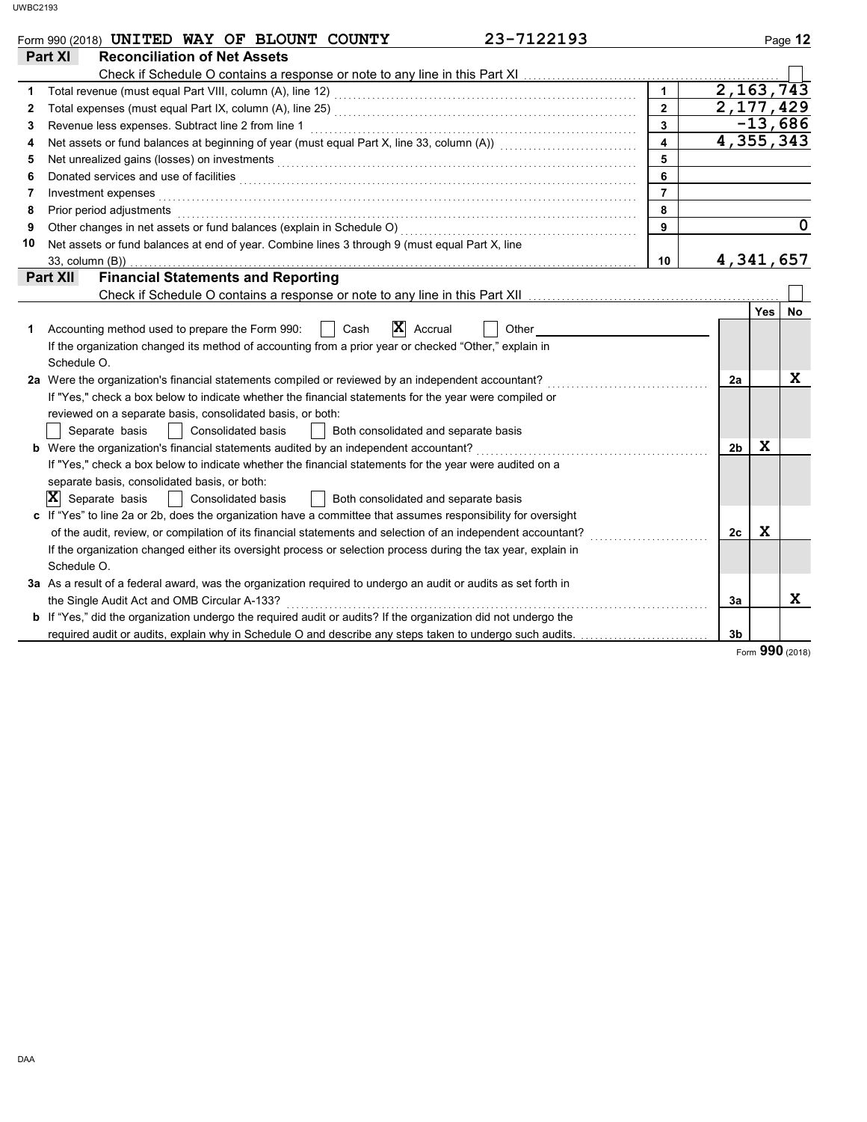|    | 23-7122193<br>Form 990 (2018) UNITED WAY OF BLOUNT COUNTY                                                                                                                                                                           |                         |                |                 | Page 12     |
|----|-------------------------------------------------------------------------------------------------------------------------------------------------------------------------------------------------------------------------------------|-------------------------|----------------|-----------------|-------------|
|    | <b>Reconciliation of Net Assets</b><br>Part XI                                                                                                                                                                                      |                         |                |                 |             |
|    |                                                                                                                                                                                                                                     |                         |                |                 |             |
| 1  |                                                                                                                                                                                                                                     | $\mathbf{1}$            |                | 2, 163, 743     |             |
| 2  |                                                                                                                                                                                                                                     | $\overline{2}$          |                | 2,177,429       |             |
| 3  | Revenue less expenses. Subtract line 2 from line 1                                                                                                                                                                                  | $\mathbf{3}$            |                | $-13,686$       |             |
| 4  |                                                                                                                                                                                                                                     | $\overline{\mathbf{4}}$ |                | 4,355,343       |             |
| 5  | Net unrealized gains (losses) on investments [11] Martin Martin Martin Martin Martin Martin Martin Martin Martin Martin Martin Martin Martin Martin Martin Martin Martin Martin Martin Martin Martin Martin Martin Martin Mart      | 5                       |                |                 |             |
| 6  |                                                                                                                                                                                                                                     | 6                       |                |                 |             |
| 7  |                                                                                                                                                                                                                                     | $\overline{7}$          |                |                 |             |
| 8  | Prior period adjustments <b>construction and construction</b> and and construction of the construction of the construction of the construction of the construction of the construction of the construction of the construction of t | 8                       |                |                 |             |
| 9  |                                                                                                                                                                                                                                     | 9                       |                |                 | $\mathbf 0$ |
| 10 | Net assets or fund balances at end of year. Combine lines 3 through 9 (must equal Part X, line                                                                                                                                      |                         |                |                 |             |
|    | 33, column (B))                                                                                                                                                                                                                     | 10                      |                | 4,341,657       |             |
|    | <b>Financial Statements and Reporting</b><br><b>Part XII</b>                                                                                                                                                                        |                         |                |                 |             |
|    | Check if Schedule O contains a response or note to any line in this Part XII                                                                                                                                                        |                         |                |                 |             |
|    |                                                                                                                                                                                                                                     |                         |                | Yes             | No.         |
| 1  | $ \mathbf{X} $ Accrual<br>Accounting method used to prepare the Form 990:<br>$\vert$ $\vert$ Cash<br>Other                                                                                                                          |                         |                |                 |             |
|    | If the organization changed its method of accounting from a prior year or checked "Other," explain in                                                                                                                               |                         |                |                 |             |
|    | Schedule O.                                                                                                                                                                                                                         |                         |                |                 |             |
|    | 2a Were the organization's financial statements compiled or reviewed by an independent accountant?                                                                                                                                  |                         | 2a             |                 | X           |
|    | If "Yes," check a box below to indicate whether the financial statements for the year were compiled or                                                                                                                              |                         |                |                 |             |
|    | reviewed on a separate basis, consolidated basis, or both:                                                                                                                                                                          |                         |                |                 |             |
|    | Separate basis<br>Consolidated basis<br>Both consolidated and separate basis                                                                                                                                                        |                         |                |                 |             |
|    |                                                                                                                                                                                                                                     |                         | 2 <sub>b</sub> | x               |             |
|    | If "Yes," check a box below to indicate whether the financial statements for the year were audited on a                                                                                                                             |                         |                |                 |             |
|    | separate basis, consolidated basis, or both:                                                                                                                                                                                        |                         |                |                 |             |
|    | $ \mathbf{X} $ Separate basis<br>Both consolidated and separate basis<br><b>Consolidated basis</b>                                                                                                                                  |                         |                |                 |             |
|    | c If "Yes" to line 2a or 2b, does the organization have a committee that assumes responsibility for oversight                                                                                                                       |                         |                |                 |             |
|    | of the audit, review, or compilation of its financial statements and selection of an independent accountant?                                                                                                                        |                         | 2c             | X               |             |
|    | If the organization changed either its oversight process or selection process during the tax year, explain in                                                                                                                       |                         |                |                 |             |
|    | Schedule O.                                                                                                                                                                                                                         |                         |                |                 |             |
|    | 3a As a result of a federal award, was the organization required to undergo an audit or audits as set forth in                                                                                                                      |                         |                |                 |             |
|    | the Single Audit Act and OMB Circular A-133?                                                                                                                                                                                        |                         | 3a             |                 | X           |
|    | b If "Yes," did the organization undergo the required audit or audits? If the organization did not undergo the                                                                                                                      |                         |                |                 |             |
|    | required audit or audits, explain why in Schedule O and describe any steps taken to undergo such audits.                                                                                                                            |                         | 3b             |                 |             |
|    |                                                                                                                                                                                                                                     |                         |                | Form 990 (2018) |             |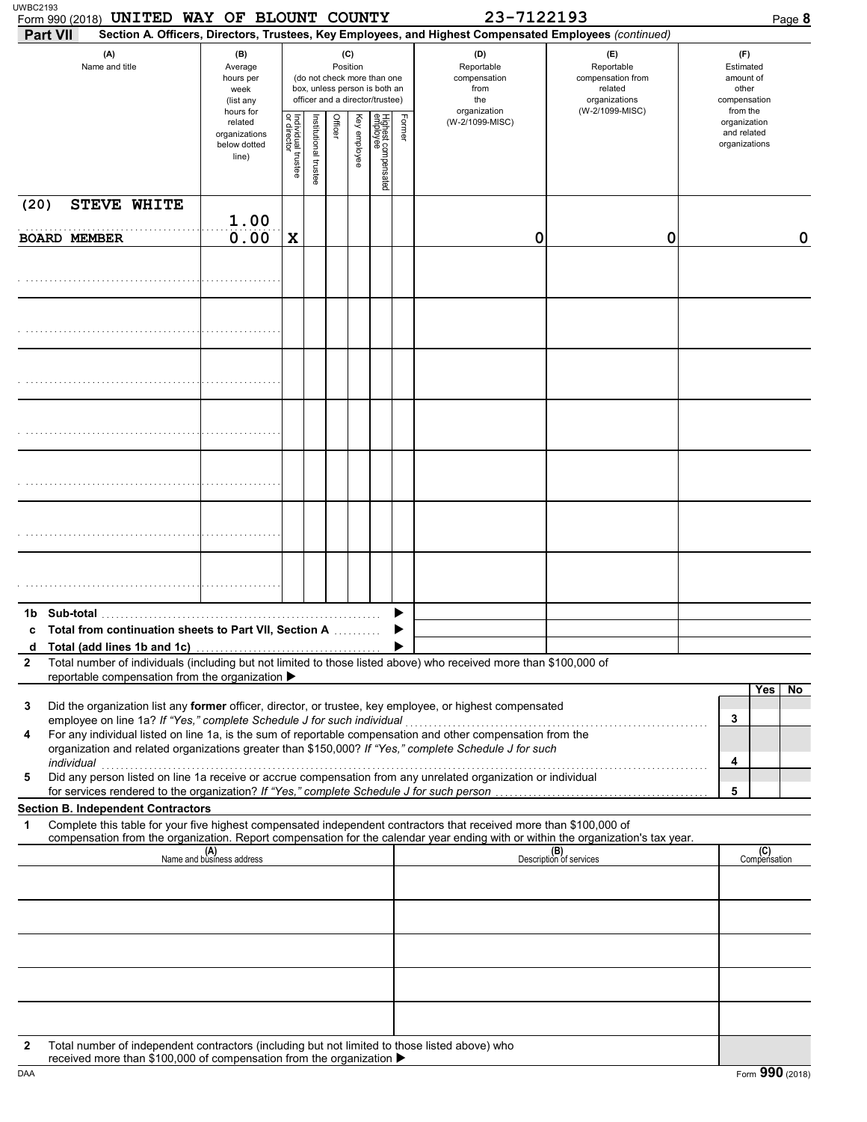| Form 990 (2018) UNITED WAY OF BLOUNT COUNTY<br><b>Part VII</b>                                                                                                                                                                                                                                                    |                                                               |                                   |                       |         |                 |                                                                                                 |        | 23-7122193<br>Section A. Officers, Directors, Trustees, Key Employees, and Highest Compensated Employees (continued) |                                                                                       | Page 8                                                             |
|-------------------------------------------------------------------------------------------------------------------------------------------------------------------------------------------------------------------------------------------------------------------------------------------------------------------|---------------------------------------------------------------|-----------------------------------|-----------------------|---------|-----------------|-------------------------------------------------------------------------------------------------|--------|----------------------------------------------------------------------------------------------------------------------|---------------------------------------------------------------------------------------|--------------------------------------------------------------------|
| (A)<br>Name and title                                                                                                                                                                                                                                                                                             | (B)<br>Average<br>hours per<br>week<br>(list any<br>hours for |                                   |                       |         | (C)<br>Position | (do not check more than one<br>box, unless person is both an<br>officer and a director/trustee) |        | (D)<br>Reportable<br>compensation<br>from<br>the<br>organization                                                     | (E)<br>Reportable<br>compensation from<br>related<br>organizations<br>(W-2/1099-MISC) | (F)<br>Estimated<br>amount of<br>other<br>compensation<br>from the |
|                                                                                                                                                                                                                                                                                                                   | related<br>organizations<br>below dotted<br>line)             | Individual trustee<br>or director | Institutional trustee | Officer | Key employee    | Highest compensated<br>employee                                                                 | Former | (W-2/1099-MISC)                                                                                                      |                                                                                       | organization<br>and related<br>organizations                       |
| <b>STEVE WHITE</b><br>(20)                                                                                                                                                                                                                                                                                        |                                                               |                                   |                       |         |                 |                                                                                                 |        |                                                                                                                      |                                                                                       |                                                                    |
| <b>BOARD MEMBER</b>                                                                                                                                                                                                                                                                                               | 1.00<br>0.00                                                  | $\mathbf x$                       |                       |         |                 |                                                                                                 |        | 0                                                                                                                    | 0                                                                                     | 0                                                                  |
|                                                                                                                                                                                                                                                                                                                   |                                                               |                                   |                       |         |                 |                                                                                                 |        |                                                                                                                      |                                                                                       |                                                                    |
|                                                                                                                                                                                                                                                                                                                   |                                                               |                                   |                       |         |                 |                                                                                                 |        |                                                                                                                      |                                                                                       |                                                                    |
|                                                                                                                                                                                                                                                                                                                   |                                                               |                                   |                       |         |                 |                                                                                                 |        |                                                                                                                      |                                                                                       |                                                                    |
|                                                                                                                                                                                                                                                                                                                   |                                                               |                                   |                       |         |                 |                                                                                                 |        |                                                                                                                      |                                                                                       |                                                                    |
|                                                                                                                                                                                                                                                                                                                   |                                                               |                                   |                       |         |                 |                                                                                                 |        |                                                                                                                      |                                                                                       |                                                                    |
|                                                                                                                                                                                                                                                                                                                   |                                                               |                                   |                       |         |                 |                                                                                                 |        |                                                                                                                      |                                                                                       |                                                                    |
|                                                                                                                                                                                                                                                                                                                   |                                                               |                                   |                       |         |                 |                                                                                                 |        |                                                                                                                      |                                                                                       |                                                                    |
|                                                                                                                                                                                                                                                                                                                   |                                                               |                                   |                       |         |                 |                                                                                                 |        |                                                                                                                      |                                                                                       |                                                                    |
|                                                                                                                                                                                                                                                                                                                   |                                                               |                                   |                       |         |                 |                                                                                                 |        |                                                                                                                      |                                                                                       |                                                                    |
| c Total from continuation sheets to Part VII, Section A                                                                                                                                                                                                                                                           |                                                               |                                   |                       |         |                 |                                                                                                 |        |                                                                                                                      |                                                                                       |                                                                    |
| d<br>Total number of individuals (including but not limited to those listed above) who received more than \$100,000 of<br>2                                                                                                                                                                                       |                                                               |                                   |                       |         |                 |                                                                                                 |        |                                                                                                                      |                                                                                       |                                                                    |
| reportable compensation from the organization ▶                                                                                                                                                                                                                                                                   |                                                               |                                   |                       |         |                 |                                                                                                 |        |                                                                                                                      |                                                                                       | Yes<br>No                                                          |
| Did the organization list any former officer, director, or trustee, key employee, or highest compensated<br>3                                                                                                                                                                                                     |                                                               |                                   |                       |         |                 |                                                                                                 |        |                                                                                                                      |                                                                                       | 3                                                                  |
| employee on line 1a? If "Yes," complete Schedule J for such individual<br>For any individual listed on line 1a, is the sum of reportable compensation and other compensation from the<br>4<br>organization and related organizations greater than \$150,000? If "Yes," complete Schedule J for such<br>individual |                                                               |                                   |                       |         |                 |                                                                                                 |        |                                                                                                                      |                                                                                       | 4                                                                  |
| Did any person listed on line 1a receive or accrue compensation from any unrelated organization or individual<br>5<br>for services rendered to the organization? If "Yes," complete Schedule J for such person                                                                                                    |                                                               |                                   |                       |         |                 |                                                                                                 |        |                                                                                                                      |                                                                                       | 5                                                                  |
| <b>Section B. Independent Contractors</b>                                                                                                                                                                                                                                                                         |                                                               |                                   |                       |         |                 |                                                                                                 |        |                                                                                                                      |                                                                                       |                                                                    |
| Complete this table for your five highest compensated independent contractors that received more than \$100,000 of<br>1<br>compensation from the organization. Report compensation for the calendar year ending with or within the organization's tax year.                                                       |                                                               |                                   |                       |         |                 |                                                                                                 |        |                                                                                                                      |                                                                                       |                                                                    |
|                                                                                                                                                                                                                                                                                                                   | (A)<br>Name and business address                              |                                   |                       |         |                 |                                                                                                 |        |                                                                                                                      | (B)<br>Description of services                                                        | (C)<br>Compensation                                                |
|                                                                                                                                                                                                                                                                                                                   |                                                               |                                   |                       |         |                 |                                                                                                 |        |                                                                                                                      |                                                                                       |                                                                    |
|                                                                                                                                                                                                                                                                                                                   |                                                               |                                   |                       |         |                 |                                                                                                 |        |                                                                                                                      |                                                                                       |                                                                    |
|                                                                                                                                                                                                                                                                                                                   |                                                               |                                   |                       |         |                 |                                                                                                 |        |                                                                                                                      |                                                                                       |                                                                    |
|                                                                                                                                                                                                                                                                                                                   |                                                               |                                   |                       |         |                 |                                                                                                 |        |                                                                                                                      |                                                                                       |                                                                    |
|                                                                                                                                                                                                                                                                                                                   |                                                               |                                   |                       |         |                 |                                                                                                 |        |                                                                                                                      |                                                                                       |                                                                    |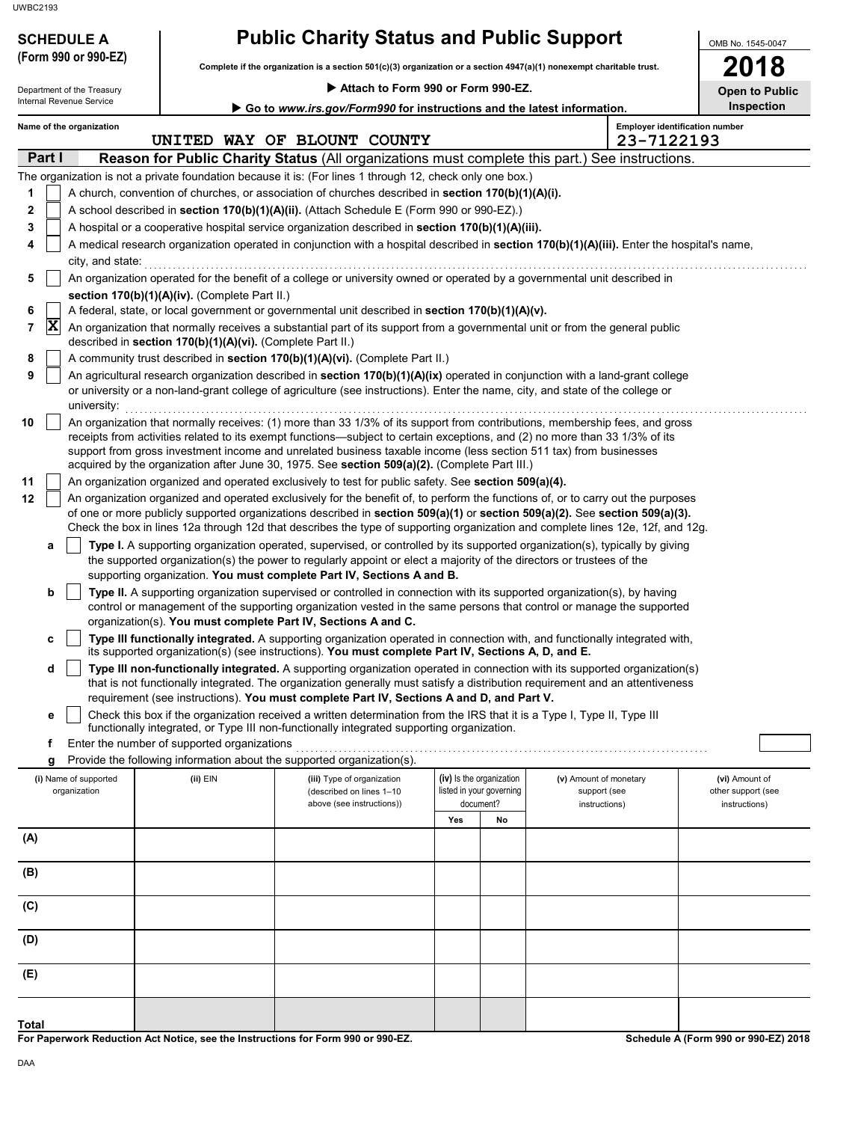# **SCHEDULE A Public Charity Status and Public Support**

**Complete if the organization is a section 501(c)(3) organization or a section 4947(a)(1) nonexempt charitable trust. (Form 990 or 990-EZ)**

 **Attach to Form 990 or Form 990-EZ.**

OMB No. 1545-0047 **2018**

| Department of the Treasury |        |                                       |                                                            | Attach to Form 990 or Form 990-EZ.                                                                                                                                                                                                                                                                                                                                                                                                                                               |                   |                                                                   |                                                         |                                                       |  |  |
|----------------------------|--------|---------------------------------------|------------------------------------------------------------|----------------------------------------------------------------------------------------------------------------------------------------------------------------------------------------------------------------------------------------------------------------------------------------------------------------------------------------------------------------------------------------------------------------------------------------------------------------------------------|-------------------|-------------------------------------------------------------------|---------------------------------------------------------|-------------------------------------------------------|--|--|
|                            |        | Internal Revenue Service              |                                                            | Go to www.irs.gov/Form990 for instructions and the latest information.                                                                                                                                                                                                                                                                                                                                                                                                           | <b>Inspection</b> |                                                                   |                                                         |                                                       |  |  |
|                            |        | Name of the organization              |                                                            | UNITED WAY OF BLOUNT COUNTY                                                                                                                                                                                                                                                                                                                                                                                                                                                      |                   |                                                                   | 23-7122193                                              | <b>Employer identification number</b>                 |  |  |
|                            | Part I |                                       |                                                            | Reason for Public Charity Status (All organizations must complete this part.) See instructions.                                                                                                                                                                                                                                                                                                                                                                                  |                   |                                                                   |                                                         |                                                       |  |  |
|                            |        |                                       |                                                            | The organization is not a private foundation because it is: (For lines 1 through 12, check only one box.)                                                                                                                                                                                                                                                                                                                                                                        |                   |                                                                   |                                                         |                                                       |  |  |
| 1                          |        |                                       |                                                            | A church, convention of churches, or association of churches described in section 170(b)(1)(A)(i).                                                                                                                                                                                                                                                                                                                                                                               |                   |                                                                   |                                                         |                                                       |  |  |
| 2                          |        |                                       |                                                            | A school described in section 170(b)(1)(A)(ii). (Attach Schedule E (Form 990 or 990-EZ).)                                                                                                                                                                                                                                                                                                                                                                                        |                   |                                                                   |                                                         |                                                       |  |  |
| 3                          |        |                                       |                                                            | A hospital or a cooperative hospital service organization described in section 170(b)(1)(A)(iii).                                                                                                                                                                                                                                                                                                                                                                                |                   |                                                                   |                                                         |                                                       |  |  |
| 4                          |        |                                       |                                                            | A medical research organization operated in conjunction with a hospital described in section 170(b)(1)(A)(iii). Enter the hospital's name,                                                                                                                                                                                                                                                                                                                                       |                   |                                                                   |                                                         |                                                       |  |  |
|                            |        | city, and state:                      |                                                            |                                                                                                                                                                                                                                                                                                                                                                                                                                                                                  |                   |                                                                   |                                                         |                                                       |  |  |
| 5                          |        |                                       |                                                            | An organization operated for the benefit of a college or university owned or operated by a governmental unit described in                                                                                                                                                                                                                                                                                                                                                        |                   |                                                                   |                                                         |                                                       |  |  |
|                            |        |                                       | section 170(b)(1)(A)(iv). (Complete Part II.)              |                                                                                                                                                                                                                                                                                                                                                                                                                                                                                  |                   |                                                                   |                                                         |                                                       |  |  |
| 6                          | X      |                                       |                                                            | A federal, state, or local government or governmental unit described in section 170(b)(1)(A)(v).                                                                                                                                                                                                                                                                                                                                                                                 |                   |                                                                   |                                                         |                                                       |  |  |
| 7                          |        |                                       | described in section 170(b)(1)(A)(vi). (Complete Part II.) | An organization that normally receives a substantial part of its support from a governmental unit or from the general public                                                                                                                                                                                                                                                                                                                                                     |                   |                                                                   |                                                         |                                                       |  |  |
| 8                          |        |                                       |                                                            | A community trust described in section 170(b)(1)(A)(vi). (Complete Part II.)                                                                                                                                                                                                                                                                                                                                                                                                     |                   |                                                                   |                                                         |                                                       |  |  |
| 9                          |        | university:                           |                                                            | An agricultural research organization described in section 170(b)(1)(A)(ix) operated in conjunction with a land-grant college<br>or university or a non-land-grant college of agriculture (see instructions). Enter the name, city, and state of the college or                                                                                                                                                                                                                  |                   |                                                                   |                                                         |                                                       |  |  |
| 10                         |        |                                       |                                                            | An organization that normally receives: (1) more than 33 1/3% of its support from contributions, membership fees, and gross<br>receipts from activities related to its exempt functions—subject to certain exceptions, and (2) no more than 33 1/3% of its<br>support from gross investment income and unrelated business taxable income (less section 511 tax) from businesses<br>acquired by the organization after June 30, 1975. See section 509(a)(2). (Complete Part III.) |                   |                                                                   |                                                         |                                                       |  |  |
| 11                         |        |                                       |                                                            | An organization organized and operated exclusively to test for public safety. See section 509(a)(4).                                                                                                                                                                                                                                                                                                                                                                             |                   |                                                                   |                                                         |                                                       |  |  |
| 12                         |        |                                       |                                                            | An organization organized and operated exclusively for the benefit of, to perform the functions of, or to carry out the purposes<br>of one or more publicly supported organizations described in section 509(a)(1) or section 509(a)(2). See section 509(a)(3).<br>Check the box in lines 12a through 12d that describes the type of supporting organization and complete lines 12e, 12f, and 12g.                                                                               |                   |                                                                   |                                                         |                                                       |  |  |
|                            | a      |                                       |                                                            | Type I. A supporting organization operated, supervised, or controlled by its supported organization(s), typically by giving<br>the supported organization(s) the power to regularly appoint or elect a majority of the directors or trustees of the<br>supporting organization. You must complete Part IV, Sections A and B.                                                                                                                                                     |                   |                                                                   |                                                         |                                                       |  |  |
|                            | b      |                                       |                                                            | Type II. A supporting organization supervised or controlled in connection with its supported organization(s), by having<br>control or management of the supporting organization vested in the same persons that control or manage the supported<br>organization(s). You must complete Part IV, Sections A and C.                                                                                                                                                                 |                   |                                                                   |                                                         |                                                       |  |  |
|                            | c      |                                       |                                                            | Type III functionally integrated. A supporting organization operated in connection with, and functionally integrated with,<br>its supported organization(s) (see instructions). You must complete Part IV, Sections A, D, and E.                                                                                                                                                                                                                                                 |                   |                                                                   |                                                         |                                                       |  |  |
|                            | d      |                                       |                                                            | Type III non-functionally integrated. A supporting organization operated in connection with its supported organization(s)                                                                                                                                                                                                                                                                                                                                                        |                   |                                                                   |                                                         |                                                       |  |  |
|                            |        |                                       |                                                            | that is not functionally integrated. The organization generally must satisfy a distribution requirement and an attentiveness                                                                                                                                                                                                                                                                                                                                                     |                   |                                                                   |                                                         |                                                       |  |  |
|                            |        |                                       |                                                            | requirement (see instructions). You must complete Part IV, Sections A and D, and Part V.<br>Check this box if the organization received a written determination from the IRS that it is a Type I, Type II, Type III                                                                                                                                                                                                                                                              |                   |                                                                   |                                                         |                                                       |  |  |
|                            | е      |                                       |                                                            | functionally integrated, or Type III non-functionally integrated supporting organization.                                                                                                                                                                                                                                                                                                                                                                                        |                   |                                                                   |                                                         |                                                       |  |  |
|                            | f      |                                       | Enter the number of supported organizations                |                                                                                                                                                                                                                                                                                                                                                                                                                                                                                  |                   |                                                                   |                                                         |                                                       |  |  |
|                            | g      |                                       |                                                            | Provide the following information about the supported organization(s).                                                                                                                                                                                                                                                                                                                                                                                                           |                   |                                                                   |                                                         |                                                       |  |  |
|                            |        | (i) Name of supported<br>organization | (ii) EIN                                                   | (iii) Type of organization<br>(described on lines 1-10<br>above (see instructions))                                                                                                                                                                                                                                                                                                                                                                                              |                   | (iv) Is the organization<br>listed in your governing<br>document? | (v) Amount of monetary<br>support (see<br>instructions) | (vi) Amount of<br>other support (see<br>instructions) |  |  |
|                            |        |                                       |                                                            |                                                                                                                                                                                                                                                                                                                                                                                                                                                                                  | Yes               | No                                                                |                                                         |                                                       |  |  |
| (A)                        |        |                                       |                                                            |                                                                                                                                                                                                                                                                                                                                                                                                                                                                                  |                   |                                                                   |                                                         |                                                       |  |  |
|                            |        |                                       |                                                            |                                                                                                                                                                                                                                                                                                                                                                                                                                                                                  |                   |                                                                   |                                                         |                                                       |  |  |
| (B)                        |        |                                       |                                                            |                                                                                                                                                                                                                                                                                                                                                                                                                                                                                  |                   |                                                                   |                                                         |                                                       |  |  |
| (C)                        |        |                                       |                                                            |                                                                                                                                                                                                                                                                                                                                                                                                                                                                                  |                   |                                                                   |                                                         |                                                       |  |  |
| (D)                        |        |                                       |                                                            |                                                                                                                                                                                                                                                                                                                                                                                                                                                                                  |                   |                                                                   |                                                         |                                                       |  |  |
| (E)                        |        |                                       |                                                            |                                                                                                                                                                                                                                                                                                                                                                                                                                                                                  |                   |                                                                   |                                                         |                                                       |  |  |

**For Paperwork Reduction Act Notice, see the Instructions for Form 990 or 990-EZ.**

**Schedule A (Form 990 or 990-EZ) 2018**

**Total**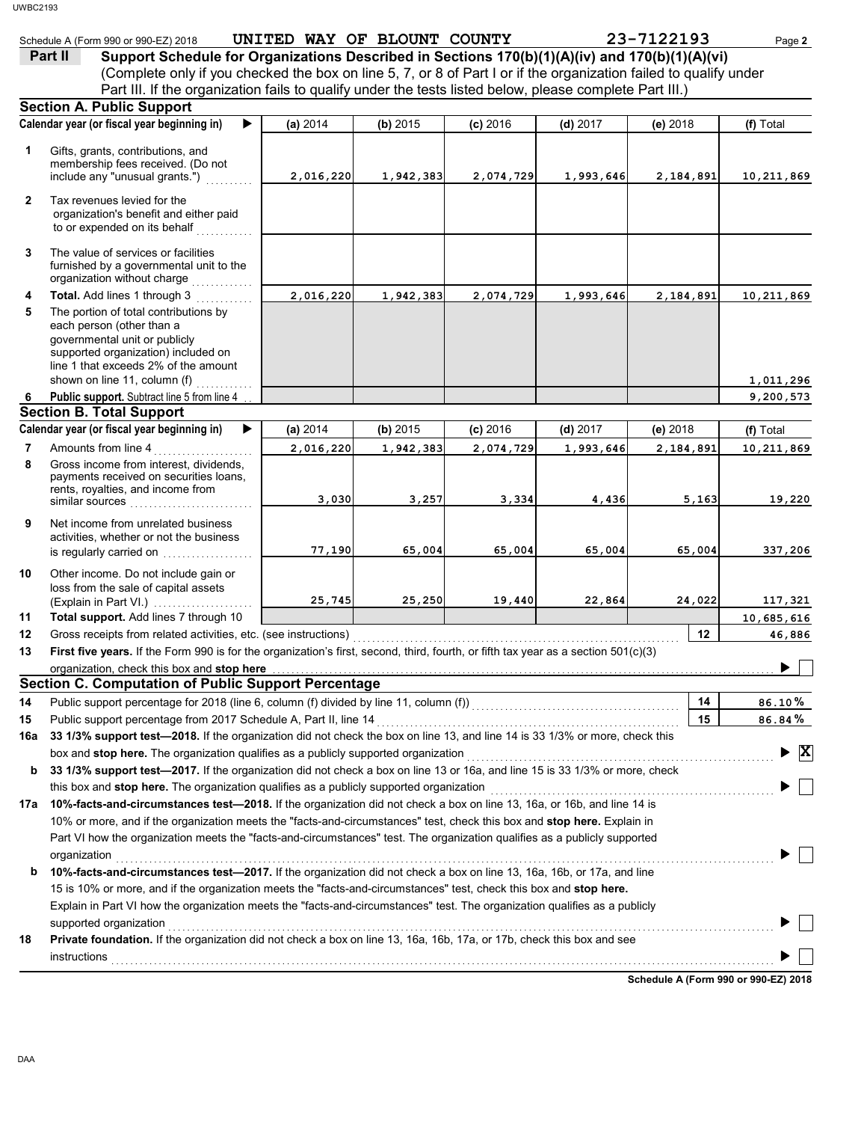|              | Schedule A (Form 990 or 990-EZ) 2018                                                                                                                                                                                                | UNITED WAY OF BLOUNT COUNTY |           |            |            | 23-7122193 | Page 2                                        |
|--------------|-------------------------------------------------------------------------------------------------------------------------------------------------------------------------------------------------------------------------------------|-----------------------------|-----------|------------|------------|------------|-----------------------------------------------|
|              | Support Schedule for Organizations Described in Sections 170(b)(1)(A)(iv) and 170(b)(1)(A)(vi)<br>Part II                                                                                                                           |                             |           |            |            |            |                                               |
|              | (Complete only if you checked the box on line 5, 7, or 8 of Part I or if the organization failed to qualify under                                                                                                                   |                             |           |            |            |            |                                               |
|              | Part III. If the organization fails to qualify under the tests listed below, please complete Part III.)                                                                                                                             |                             |           |            |            |            |                                               |
|              | <b>Section A. Public Support</b>                                                                                                                                                                                                    |                             |           |            |            |            |                                               |
|              | Calendar year (or fiscal year beginning in)<br>▶                                                                                                                                                                                    | (a) 2014                    | (b) 2015  | $(c)$ 2016 | $(d)$ 2017 | (e) 2018   | (f) Total                                     |
|              |                                                                                                                                                                                                                                     |                             |           |            |            |            |                                               |
| 1            | Gifts, grants, contributions, and                                                                                                                                                                                                   |                             |           |            |            |            |                                               |
|              | membership fees received. (Do not                                                                                                                                                                                                   | 2,016,220                   |           |            |            |            |                                               |
|              | include any "unusual grants.")                                                                                                                                                                                                      |                             | 1,942,383 | 2,074,729  | 1,993,646  | 2,184,891  | 10,211,869                                    |
| $\mathbf{2}$ | Tax revenues levied for the                                                                                                                                                                                                         |                             |           |            |            |            |                                               |
|              | organization's benefit and either paid                                                                                                                                                                                              |                             |           |            |            |            |                                               |
|              | to or expended on its behalf                                                                                                                                                                                                        |                             |           |            |            |            |                                               |
| 3            | The value of services or facilities                                                                                                                                                                                                 |                             |           |            |            |            |                                               |
|              | furnished by a governmental unit to the                                                                                                                                                                                             |                             |           |            |            |            |                                               |
|              | organization without charge                                                                                                                                                                                                         |                             |           |            |            |            |                                               |
| 4            | Total. Add lines 1 through 3                                                                                                                                                                                                        | 2,016,220                   | 1,942,383 | 2,074,729  | 1,993,646  | 2,184,891  | 10,211,869                                    |
| 5            | The portion of total contributions by                                                                                                                                                                                               |                             |           |            |            |            |                                               |
|              | each person (other than a                                                                                                                                                                                                           |                             |           |            |            |            |                                               |
|              | governmental unit or publicly                                                                                                                                                                                                       |                             |           |            |            |            |                                               |
|              | supported organization) included on<br>line 1 that exceeds 2% of the amount                                                                                                                                                         |                             |           |            |            |            |                                               |
|              | shown on line 11, column (f)                                                                                                                                                                                                        |                             |           |            |            |            | 1,011,296                                     |
| 6            | Public support. Subtract line 5 from line 4                                                                                                                                                                                         |                             |           |            |            |            | 9,200,573                                     |
|              | <b>Section B. Total Support</b>                                                                                                                                                                                                     |                             |           |            |            |            |                                               |
|              | Calendar year (or fiscal year beginning in)<br>▶                                                                                                                                                                                    | (a) 2014                    | (b) 2015  | $(c)$ 2016 | $(d)$ 2017 | (e) 2018   | (f) Total                                     |
| 7            | Amounts from line 4                                                                                                                                                                                                                 | 2,016,220                   | 1,942,383 | 2,074,729  | 1,993,646  | 2,184,891  | 10,211,869                                    |
| 8            | Gross income from interest, dividends,                                                                                                                                                                                              |                             |           |            |            |            |                                               |
|              | payments received on securities loans,                                                                                                                                                                                              |                             |           |            |            |            |                                               |
|              | rents, royalties, and income from                                                                                                                                                                                                   |                             |           |            |            |            |                                               |
|              | similar sources                                                                                                                                                                                                                     | 3,030                       | 3,257     | 3,334      | 4,436      | 5,163      | 19,220                                        |
| 9            | Net income from unrelated business                                                                                                                                                                                                  |                             |           |            |            |            |                                               |
|              | activities, whether or not the business                                                                                                                                                                                             |                             |           |            |            |            |                                               |
|              | is regularly carried on                                                                                                                                                                                                             | 77,190                      | 65,004    | 65,004     | 65,004     | 65,004     | 337,206                                       |
| 10           | Other income. Do not include gain or                                                                                                                                                                                                |                             |           |            |            |            |                                               |
|              | loss from the sale of capital assets                                                                                                                                                                                                |                             |           |            |            |            |                                               |
|              |                                                                                                                                                                                                                                     | 25,745                      | 25,250    | 19,440     | 22,864     | 24,022     | 117,321                                       |
| 11           | Total support. Add lines 7 through 10                                                                                                                                                                                               |                             |           |            |            |            | 10,685,616                                    |
| 12           |                                                                                                                                                                                                                                     |                             |           |            |            | 12         | 46,886                                        |
| 13           | First five years. If the Form 990 is for the organization's first, second, third, fourth, or fifth tax year as a section 501(c)(3)                                                                                                  |                             |           |            |            |            |                                               |
|              | organization, check this box and stop here <b>construction and construction</b> construction of the box and stop here construction and stop here construction and stop here construction and stop here construction and stop here c |                             |           |            |            |            |                                               |
|              | <b>Section C. Computation of Public Support Percentage</b>                                                                                                                                                                          |                             |           |            |            |            |                                               |
| 14           | Public support percentage for 2018 (line 6, column (f) divided by line 11, column (f)) [[[[[[[[[[[[[[[[[[[[[[                                                                                                                       |                             |           |            |            | 14         | 86.10%                                        |
| 15           |                                                                                                                                                                                                                                     |                             |           |            |            | 15         | 86.84%                                        |
| 16a          | 33 1/3% support test-2018. If the organization did not check the box on line 13, and line 14 is 33 1/3% or more, check this                                                                                                         |                             |           |            |            |            |                                               |
|              | box and stop here. The organization qualifies as a publicly supported organization [111] content content content content or supported organization                                                                                  |                             |           |            |            |            | $\blacktriangleright$ $\overline{\mathbf{X}}$ |
| b            | 33 1/3% support test-2017. If the organization did not check a box on line 13 or 16a, and line 15 is 33 1/3% or more, check                                                                                                         |                             |           |            |            |            |                                               |
|              | this box and stop here. The organization qualifies as a publicly supported organization                                                                                                                                             |                             |           |            |            |            |                                               |
| 17a          | 10%-facts-and-circumstances test-2018. If the organization did not check a box on line 13, 16a, or 16b, and line 14 is                                                                                                              |                             |           |            |            |            |                                               |
|              | 10% or more, and if the organization meets the "facts-and-circumstances" test, check this box and stop here. Explain in                                                                                                             |                             |           |            |            |            |                                               |
|              | Part VI how the organization meets the "facts-and-circumstances" test. The organization qualifies as a publicly supported                                                                                                           |                             |           |            |            |            |                                               |
|              | organization                                                                                                                                                                                                                        |                             |           |            |            |            |                                               |
| b            | 10%-facts-and-circumstances test-2017. If the organization did not check a box on line 13, 16a, 16b, or 17a, and line                                                                                                               |                             |           |            |            |            |                                               |
|              | 15 is 10% or more, and if the organization meets the "facts-and-circumstances" test, check this box and stop here.                                                                                                                  |                             |           |            |            |            |                                               |
|              | Explain in Part VI how the organization meets the "facts-and-circumstances" test. The organization qualifies as a publicly                                                                                                          |                             |           |            |            |            |                                               |
|              | supported organization                                                                                                                                                                                                              |                             |           |            |            |            |                                               |
| 18           | Private foundation. If the organization did not check a box on line 13, 16a, 16b, 17a, or 17b, check this box and see                                                                                                               |                             |           |            |            |            |                                               |
|              |                                                                                                                                                                                                                                     |                             |           |            |            |            |                                               |
|              |                                                                                                                                                                                                                                     |                             |           |            |            |            |                                               |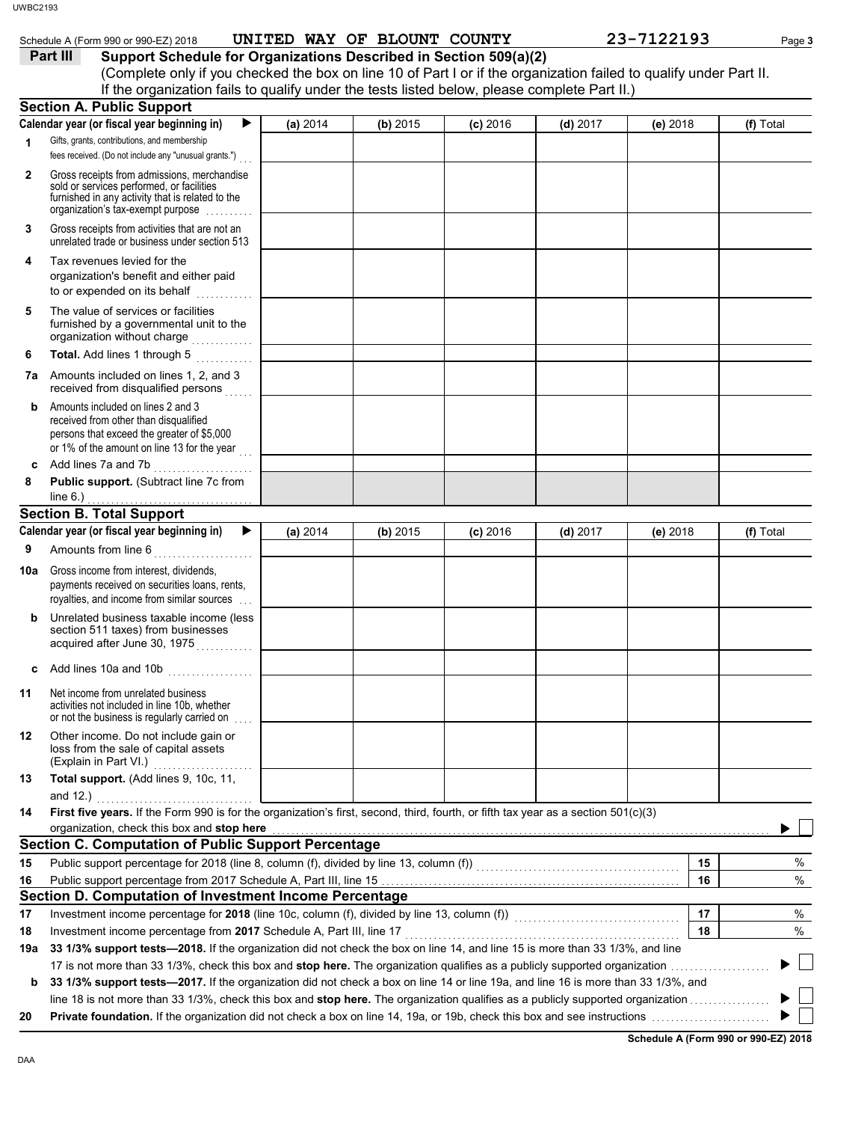|              | Schedule A (Form 990 or 990-EZ) 2018<br>Support Schedule for Organizations Described in Section 509(a)(2)<br>Part III<br>(Complete only if you checked the box on line 10 of Part I or if the organization failed to qualify under Part II. |          | UNITED WAY OF BLOUNT COUNTY |            |            | 23-7122193 | Page 3    |
|--------------|---------------------------------------------------------------------------------------------------------------------------------------------------------------------------------------------------------------------------------------------|----------|-----------------------------|------------|------------|------------|-----------|
|              | If the organization fails to qualify under the tests listed below, please complete Part II.)<br><b>Section A. Public Support</b>                                                                                                            |          |                             |            |            |            |           |
|              | Calendar year (or fiscal year beginning in)<br>▶                                                                                                                                                                                            | (a) 2014 | (b) 2015                    | $(c)$ 2016 | $(d)$ 2017 | (e) 2018   | (f) Total |
| 1            | Gifts, grants, contributions, and membership                                                                                                                                                                                                |          |                             |            |            |            |           |
|              | fees received. (Do not include any "unusual grants.")                                                                                                                                                                                       |          |                             |            |            |            |           |
| $\mathbf{2}$ | Gross receipts from admissions, merchandise<br>sold or services performed, or facilities<br>furnished in any activity that is related to the<br>organization's tax-exempt purpose                                                           |          |                             |            |            |            |           |
| 3            | Gross receipts from activities that are not an<br>unrelated trade or business under section 513                                                                                                                                             |          |                             |            |            |            |           |
| 4            | Tax revenues levied for the<br>organization's benefit and either paid<br>to or expended on its behalf<br>.                                                                                                                                  |          |                             |            |            |            |           |
| 5            | The value of services or facilities<br>furnished by a governmental unit to the<br>organization without charge                                                                                                                               |          |                             |            |            |            |           |
| 6            | Total. Add lines 1 through 5<br>.                                                                                                                                                                                                           |          |                             |            |            |            |           |
| 7a           | Amounts included on lines 1, 2, and 3<br>received from disqualified persons                                                                                                                                                                 |          |                             |            |            |            |           |
| b            | Amounts included on lines 2 and 3<br>received from other than disqualified<br>persons that exceed the greater of \$5,000<br>or 1% of the amount on line 13 for the year                                                                     |          |                             |            |            |            |           |
| c            | Add lines 7a and 7b                                                                                                                                                                                                                         |          |                             |            |            |            |           |
| 8            | Public support. (Subtract line 7c from<br>line 6.) $\ldots$ $\ldots$ $\ldots$ $\ldots$ $\ldots$ $\ldots$ $\ldots$                                                                                                                           |          |                             |            |            |            |           |
|              | <b>Section B. Total Support</b>                                                                                                                                                                                                             |          |                             |            |            |            |           |
|              | Calendar year (or fiscal year beginning in)<br>▶                                                                                                                                                                                            | (a) 2014 | (b) 2015                    | $(c)$ 2016 | $(d)$ 2017 | (e) 2018   | (f) Total |
| 9            | Amounts from line 6                                                                                                                                                                                                                         |          |                             |            |            |            |           |
| 10a          | Gross income from interest, dividends,<br>payments received on securities loans, rents,<br>royalties, and income from similar sources                                                                                                       |          |                             |            |            |            |           |
| b            | Unrelated business taxable income (less<br>section 511 taxes) from businesses<br>acquired after June 30, 1975                                                                                                                               |          |                             |            |            |            |           |
| c            |                                                                                                                                                                                                                                             |          |                             |            |            |            |           |
| 11           | Net income from unrelated business<br>activities not included in line 10b, whether<br>or not the business is regularly carried on                                                                                                           |          |                             |            |            |            |           |
| 12           | Other income. Do not include gain or<br>loss from the sale of capital assets<br>(Explain in Part VI.)                                                                                                                                       |          |                             |            |            |            |           |
| 13           | Total support. (Add lines 9, 10c, 11,<br>and $12.$ )                                                                                                                                                                                        |          |                             |            |            |            |           |
| 14           | First five years. If the Form 990 is for the organization's first, second, third, fourth, or fifth tax year as a section 501(c)(3)<br>organization, check this box and stop here                                                            |          |                             |            |            |            |           |
|              | <b>Section C. Computation of Public Support Percentage</b>                                                                                                                                                                                  |          |                             |            |            |            |           |
| 15           | Public support percentage for 2018 (line 8, column (f), divided by line 13, column (f)) [[[[[[[[[[[[[[[[[[[[[                                                                                                                               |          |                             |            |            | 15         | %         |
| 16           |                                                                                                                                                                                                                                             |          |                             |            |            | 16         | $\%$      |
|              | Section D. Computation of Investment Income Percentage                                                                                                                                                                                      |          |                             |            |            |            |           |
| 17           | Investment income percentage for 2018 (line 10c, column (f), divided by line 13, column (f))<br>[[[[Column (f)]                                                                                                                             |          |                             |            |            | 17         | $\%$      |
| 18           | Investment income percentage from 2017 Schedule A, Part III, line 17                                                                                                                                                                        |          |                             |            |            | 18         | %         |
| 19a          | 33 1/3% support tests—2018. If the organization did not check the box on line 14, and line 15 is more than 33 1/3%, and line                                                                                                                |          |                             |            |            |            |           |
|              | 33 1/3% support tests-2017. If the organization did not check a box on line 14 or line 19a, and line 16 is more than 33 1/3%, and                                                                                                           |          |                             |            |            |            |           |

**Schedule A (Form 990 or 990-EZ) 2018**

 $\blacksquare$ ▶

DAA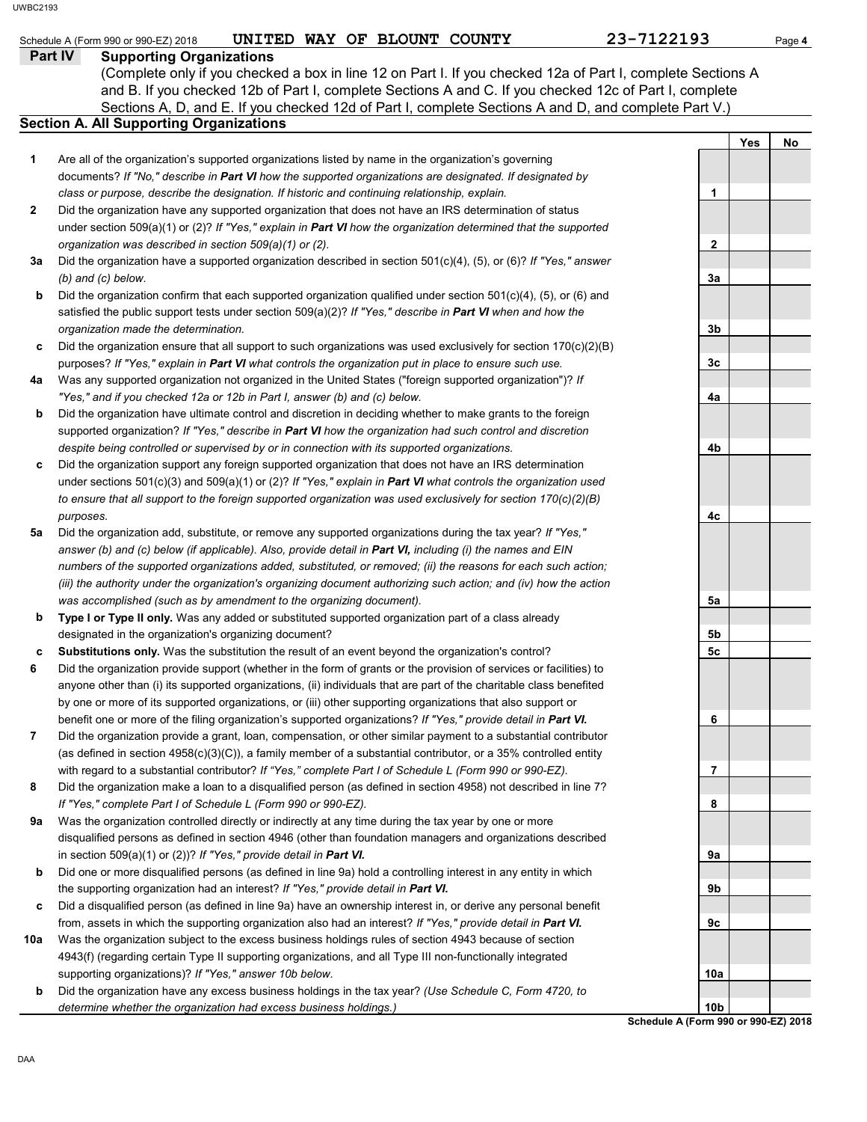| WBC2193      |                                                                                                                                                           |              |            |        |
|--------------|-----------------------------------------------------------------------------------------------------------------------------------------------------------|--------------|------------|--------|
|              | UNITED WAY OF BLOUNT COUNTY<br>Schedule A (Form 990 or 990-EZ) 2018                                                                                       | 23-7122193   |            | Page 4 |
|              | Part IV<br><b>Supporting Organizations</b><br>(Complete only if you checked a box in line 12 on Part I. If you checked 12a of Part I, complete Sections A |              |            |        |
|              | and B. If you checked 12b of Part I, complete Sections A and C. If you checked 12c of Part I, complete                                                    |              |            |        |
|              | Sections A, D, and E. If you checked 12d of Part I, complete Sections A and D, and complete Part V.)                                                      |              |            |        |
|              | <b>Section A. All Supporting Organizations</b>                                                                                                            |              |            |        |
|              |                                                                                                                                                           |              | <b>Yes</b> | No     |
| 1            | Are all of the organization's supported organizations listed by name in the organization's governing                                                      |              |            |        |
|              | documents? If "No," describe in Part VI how the supported organizations are designated. If designated by                                                  |              |            |        |
|              | class or purpose, describe the designation. If historic and continuing relationship, explain.                                                             | 1            |            |        |
| $\mathbf{2}$ | Did the organization have any supported organization that does not have an IRS determination of status                                                    |              |            |        |
|              | under section 509(a)(1) or (2)? If "Yes," explain in Part VI how the organization determined that the supported                                           |              |            |        |
|              | organization was described in section 509(a)(1) or (2).                                                                                                   | $\mathbf{2}$ |            |        |
| Зa           | Did the organization have a supported organization described in section $501(c)(4)$ , (5), or (6)? If "Yes," answer                                       |              |            |        |
|              | $(b)$ and $(c)$ below.                                                                                                                                    | 3a           |            |        |
| b            | Did the organization confirm that each supported organization qualified under section $501(c)(4)$ , $(5)$ , or $(6)$ and                                  |              |            |        |
|              | satisfied the public support tests under section 509(a)(2)? If "Yes," describe in Part VI when and how the                                                |              |            |        |
|              | organization made the determination.                                                                                                                      | 3b           |            |        |
| c            | Did the organization ensure that all support to such organizations was used exclusively for section 170(c)(2)(B)                                          |              |            |        |
|              | purposes? If "Yes," explain in Part VI what controls the organization put in place to ensure such use.                                                    | 3c           |            |        |
| 4a           | Was any supported organization not organized in the United States ("foreign supported organization")? If                                                  |              |            |        |
|              | "Yes," and if you checked 12a or 12b in Part I, answer (b) and (c) below.                                                                                 | 4a           |            |        |
| b            | Did the organization have ultimate control and discretion in deciding whether to make grants to the foreign                                               |              |            |        |
|              | supported organization? If "Yes," describe in Part VI how the organization had such control and discretion                                                |              |            |        |
|              | despite being controlled or supervised by or in connection with its supported organizations.                                                              | 4b           |            |        |
| c            | Did the organization support any foreign supported organization that does not have an IRS determination                                                   |              |            |        |
|              | under sections $501(c)(3)$ and $509(a)(1)$ or (2)? If "Yes," explain in <b>Part VI</b> what controls the organization used                                |              |            |        |
|              | to ensure that all support to the foreign supported organization was used exclusively for section $170(c)(2)(B)$                                          |              |            |        |
|              | purposes.                                                                                                                                                 | 4c           |            |        |
| 5а           | Did the organization add, substitute, or remove any supported organizations during the tax year? If "Yes,"                                                |              |            |        |
|              | answer (b) and (c) below (if applicable). Also, provide detail in Part VI, including (i) the names and EIN                                                |              |            |        |
|              | numbers of the supported organizations added, substituted, or removed; (ii) the reasons for each such action;                                             |              |            |        |
|              | (iii) the authority under the organization's organizing document authorizing such action; and (iv) how the action                                         |              |            |        |
|              | was accomplished (such as by amendment to the organizing document).                                                                                       | 5a           |            |        |
| b            | Type I or Type II only. Was any added or substituted supported organization part of a class already                                                       |              |            |        |

designated in the organization's organizing document?

**c Substitutions only.** Was the substitution the result of an event beyond the organization's control?

- **6** Did the organization provide support (whether in the form of grants or the provision of services or facilities) to anyone other than (i) its supported organizations, (ii) individuals that are part of the charitable class benefited by one or more of its supported organizations, or (iii) other supporting organizations that also support or benefit one or more of the filing organization's supported organizations? *If "Yes," provide detail in Part VI.*
- **7** Did the organization provide a grant, loan, compensation, or other similar payment to a substantial contributor (as defined in section 4958(c)(3)(C)), a family member of a substantial contributor, or a 35% controlled entity with regard to a substantial contributor? *If "Yes," complete Part I of Schedule L (Form 990 or 990-EZ).*
- **8** Did the organization make a loan to a disqualified person (as defined in section 4958) not described in line 7? *If "Yes," complete Part I of Schedule L (Form 990 or 990-EZ).*
- **9a** Was the organization controlled directly or indirectly at any time during the tax year by one or more disqualified persons as defined in section 4946 (other than foundation managers and organizations described in section 509(a)(1) or (2))? *If "Yes," provide detail in Part VI.*
- **b** Did one or more disqualified persons (as defined in line 9a) hold a controlling interest in any entity in which the supporting organization had an interest? *If "Yes," provide detail in Part VI.*
- **c** Did a disqualified person (as defined in line 9a) have an ownership interest in, or derive any personal benefit from, assets in which the supporting organization also had an interest? *If "Yes," provide detail in Part VI.*
- **10a** Was the organization subject to the excess business holdings rules of section 4943 because of section 4943(f) (regarding certain Type II supporting organizations, and all Type III non-functionally integrated supporting organizations)? *If "Yes," answer 10b below.*
	- **b** Did the organization have any excess business holdings in the tax year? *(Use Schedule C, Form 4720, to determine whether the organization had excess business holdings.)*

**5b 5c 6 7 8 9a 9b 9c 10a 10b**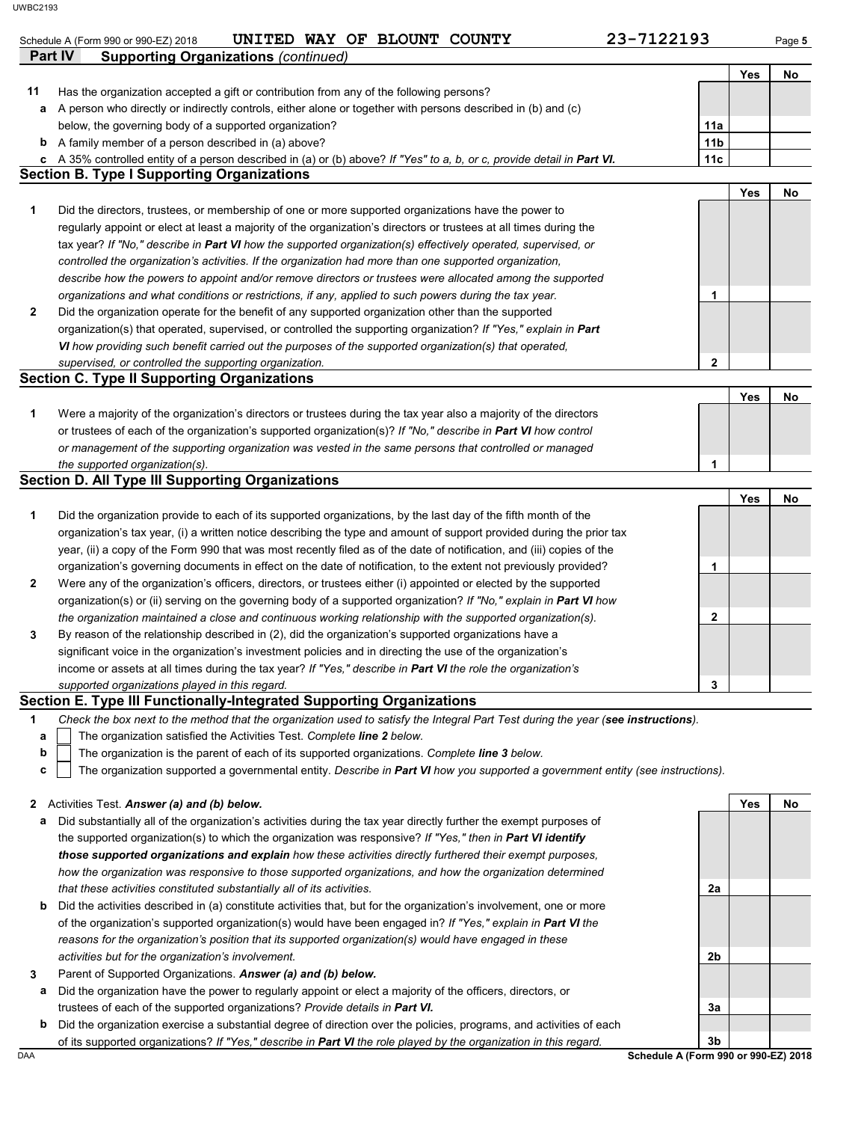| Part IV      | UNITED WAY OF BLOUNT COUNTY<br>Schedule A (Form 990 or 990-EZ) 2018<br><b>Supporting Organizations (continued)</b>                | 23-7122193      |     | Page 5 |
|--------------|-----------------------------------------------------------------------------------------------------------------------------------|-----------------|-----|--------|
|              |                                                                                                                                   |                 | Yes | No     |
| 11           | Has the organization accepted a gift or contribution from any of the following persons?                                           |                 |     |        |
| а            | A person who directly or indirectly controls, either alone or together with persons described in (b) and (c)                      |                 |     |        |
|              | below, the governing body of a supported organization?                                                                            | 11a             |     |        |
|              | <b>b</b> A family member of a person described in (a) above?                                                                      | 11 <sub>b</sub> |     |        |
|              | c A 35% controlled entity of a person described in (a) or (b) above? If "Yes" to a, b, or c, provide detail in Part VI.           | 11c             |     |        |
|              | <b>Section B. Type I Supporting Organizations</b>                                                                                 |                 |     |        |
|              |                                                                                                                                   |                 | Yes | No     |
| 1            | Did the directors, trustees, or membership of one or more supported organizations have the power to                               |                 |     |        |
|              | regularly appoint or elect at least a majority of the organization's directors or trustees at all times during the                |                 |     |        |
|              | tax year? If "No," describe in Part VI how the supported organization(s) effectively operated, supervised, or                     |                 |     |        |
|              | controlled the organization's activities. If the organization had more than one supported organization,                           |                 |     |        |
|              | describe how the powers to appoint and/or remove directors or trustees were allocated among the supported                         |                 |     |        |
|              | organizations and what conditions or restrictions, if any, applied to such powers during the tax year.                            | 1               |     |        |
| 2            | Did the organization operate for the benefit of any supported organization other than the supported                               |                 |     |        |
|              | organization(s) that operated, supervised, or controlled the supporting organization? If "Yes," explain in Part                   |                 |     |        |
|              | VI how providing such benefit carried out the purposes of the supported organization(s) that operated,                            |                 |     |        |
|              | supervised, or controlled the supporting organization.                                                                            | 2               |     |        |
|              | <b>Section C. Type II Supporting Organizations</b>                                                                                |                 |     |        |
|              |                                                                                                                                   |                 | Yes | No     |
| 1            | Were a majority of the organization's directors or trustees during the tax year also a majority of the directors                  |                 |     |        |
|              | or trustees of each of the organization's supported organization(s)? If "No," describe in Part VI how control                     |                 |     |        |
|              | or management of the supporting organization was vested in the same persons that controlled or managed                            |                 |     |        |
|              | the supported organization(s).                                                                                                    | 1               |     |        |
|              | <b>Section D. All Type III Supporting Organizations</b>                                                                           |                 |     |        |
|              |                                                                                                                                   |                 | Yes | No     |
| 1            | Did the organization provide to each of its supported organizations, by the last day of the fifth month of the                    |                 |     |        |
|              | organization's tax year, (i) a written notice describing the type and amount of support provided during the prior tax             |                 |     |        |
|              | year, (ii) a copy of the Form 990 that was most recently filed as of the date of notification, and (iii) copies of the            |                 |     |        |
|              | organization's governing documents in effect on the date of notification, to the extent not previously provided?                  | 1               |     |        |
| $\mathbf{2}$ | Were any of the organization's officers, directors, or trustees either (i) appointed or elected by the supported                  |                 |     |        |
|              | organization(s) or (ii) serving on the governing body of a supported organization? If "No," explain in Part VI how                |                 |     |        |
|              | the organization maintained a close and continuous working relationship with the supported organization(s).                       | 2               |     |        |
| З            | By reason of the relationship described in (2), did the organization's supported organizations have a                             |                 |     |        |
|              | significant voice in the organization's investment policies and in directing the use of the organization's                        |                 |     |        |
|              | income or assets at all times during the tax year? If "Yes," describe in Part VI the role the organization's                      |                 |     |        |
|              | supported organizations played in this regard.                                                                                    | 3               |     |        |
|              | Section E. Type III Functionally-Integrated Supporting Organizations                                                              |                 |     |        |
| 1            | Check the box next to the method that the organization used to satisfy the Integral Part Test during the year (see instructions). |                 |     |        |
| a            | The organization satisfied the Activities Test. Complete line 2 below.                                                            |                 |     |        |
| b            | The organization is the parent of each of its supported organizations. Complete line 3 below.                                     |                 |     |        |
| c            | The organization supported a governmental entity. Describe in Part VI how you supported a government entity (see instructions).   |                 |     |        |
| 2            | Activities Test. Answer (a) and (b) below.                                                                                        |                 | Yes | No     |
| а            | Did substantially all of the organization's activities during the tax year directly further the exempt purposes of                |                 |     |        |
|              | the supported organization(s) to which the organization was responsive? If "Yes," then in Part VI identify                        |                 |     |        |
|              | those supported organizations and explain how these activities directly furthered their exempt purposes,                          |                 |     |        |
|              | how the organization was responsive to those supported organizations, and how the organization determined                         |                 |     |        |
|              |                                                                                                                                   | 2a              |     |        |
|              | that these activities constituted substantially all of its activities.                                                            |                 |     |        |
| b            | Did the activities described in (a) constitute activities that, but for the organization's involvement, one or more               |                 |     |        |
|              | of the organization's supported organization(s) would have been engaged in? If "Yes," explain in Part VI the                      |                 |     |        |
|              | reasons for the organization's position that its supported organization(s) would have engaged in these                            |                 |     |        |
|              | activities but for the organization's involvement.                                                                                | 2b              |     |        |
| 3            | Parent of Supported Organizations. Answer (a) and (b) below.                                                                      |                 |     |        |
| а            | Did the organization have the power to regularly appoint or elect a majority of the officers, directors, or                       |                 |     |        |
|              | trustees of each of the supported organizations? Provide details in Part VI.                                                      | За              |     |        |
|              | Did the organization exercise a substantial degree of direction over the policies, programs, and activities of each               |                 |     |        |
| b            | of its supported organizations? If "Yes," describe in Part VI the role played by the organization in this regard.                 |                 |     |        |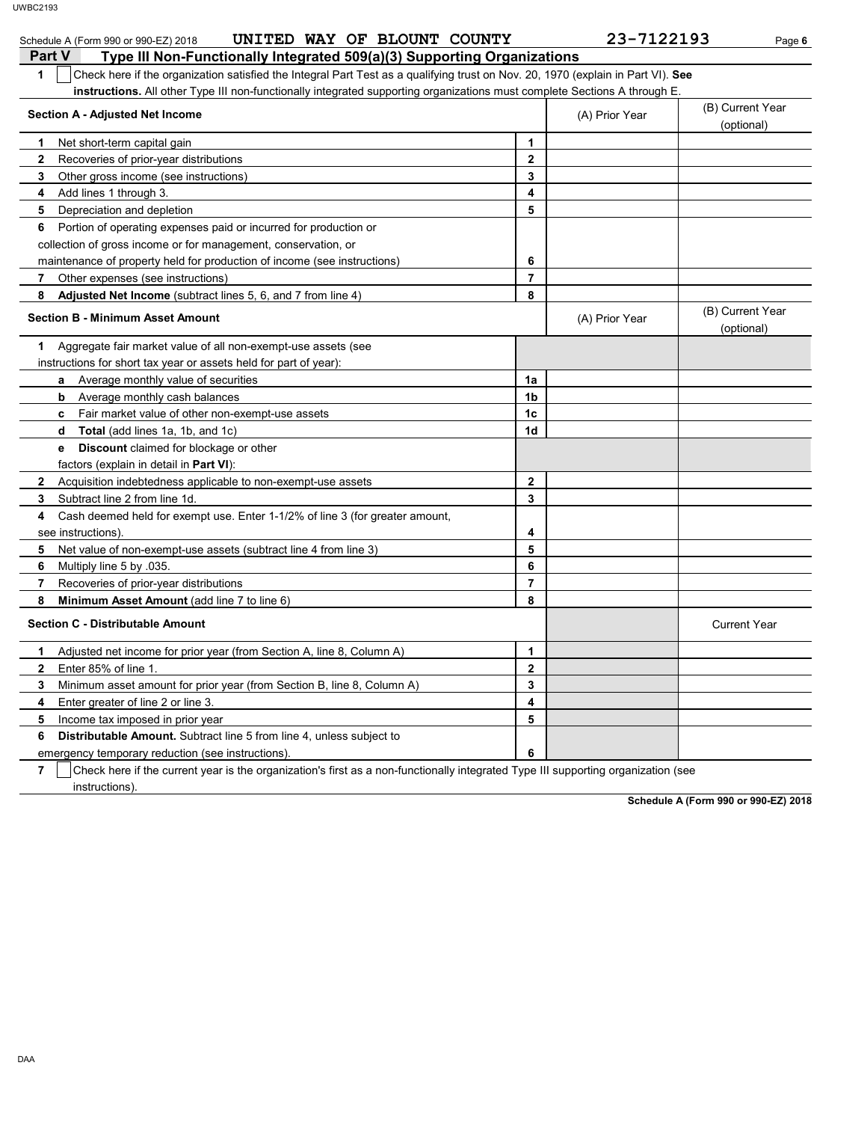| UNITED WAY OF BLOUNT COUNTY<br>Schedule A (Form 990 or 990-EZ) 2018                                                                   |                | 23-7122193     | Page 6                         |
|---------------------------------------------------------------------------------------------------------------------------------------|----------------|----------------|--------------------------------|
| Type III Non-Functionally Integrated 509(a)(3) Supporting Organizations<br><b>Part V</b>                                              |                |                |                                |
| 1<br>Check here if the organization satisfied the Integral Part Test as a qualifying trust on Nov. 20, 1970 (explain in Part VI). See |                |                |                                |
| instructions. All other Type III non-functionally integrated supporting organizations must complete Sections A through E.             |                |                |                                |
| <b>Section A - Adjusted Net Income</b>                                                                                                |                | (A) Prior Year | (B) Current Year<br>(optional) |
| Net short-term capital gain<br>1                                                                                                      | $\mathbf{1}$   |                |                                |
| $\mathbf{2}$<br>Recoveries of prior-year distributions                                                                                | $\mathbf{2}$   |                |                                |
| 3<br>Other gross income (see instructions)                                                                                            | 3              |                |                                |
| Add lines 1 through 3.<br>4                                                                                                           | 4              |                |                                |
| 5<br>Depreciation and depletion                                                                                                       | 5              |                |                                |
| Portion of operating expenses paid or incurred for production or<br>6                                                                 |                |                |                                |
| collection of gross income or for management, conservation, or                                                                        |                |                |                                |
| maintenance of property held for production of income (see instructions)                                                              | 6              |                |                                |
| 7<br>Other expenses (see instructions)                                                                                                | $\overline{7}$ |                |                                |
| 8<br>Adjusted Net Income (subtract lines 5, 6, and 7 from line 4)                                                                     | 8              |                |                                |
| <b>Section B - Minimum Asset Amount</b>                                                                                               |                | (A) Prior Year | (B) Current Year<br>(optional) |
| Aggregate fair market value of all non-exempt-use assets (see<br>1                                                                    |                |                |                                |
| instructions for short tax year or assets held for part of year):                                                                     |                |                |                                |
| <b>a</b> Average monthly value of securities                                                                                          | 1a             |                |                                |
| <b>b</b> Average monthly cash balances                                                                                                | 1b             |                |                                |
| <b>c</b> Fair market value of other non-exempt-use assets                                                                             | 1c             |                |                                |
| <b>d</b> Total (add lines 1a, 1b, and 1c)                                                                                             | 1 <sub>d</sub> |                |                                |
| <b>Discount</b> claimed for blockage or other<br>е                                                                                    |                |                |                                |
| factors (explain in detail in <b>Part VI</b> ):                                                                                       |                |                |                                |
| $\mathbf{2}$<br>Acquisition indebtedness applicable to non-exempt-use assets                                                          | $\mathbf{2}$   |                |                                |
| 3<br>Subtract line 2 from line 1d.                                                                                                    | 3              |                |                                |
| Cash deemed held for exempt use. Enter 1-1/2% of line 3 (for greater amount,<br>4                                                     |                |                |                                |
| see instructions).                                                                                                                    | 4              |                |                                |
| 5<br>Net value of non-exempt-use assets (subtract line 4 from line 3)                                                                 | 5              |                |                                |
| 6<br>Multiply line 5 by 035.                                                                                                          | 6              |                |                                |
| 7<br>Recoveries of prior-year distributions                                                                                           | $\overline{7}$ |                |                                |
| 8<br>Minimum Asset Amount (add line 7 to line 6)                                                                                      | 8              |                |                                |
| <b>Section C - Distributable Amount</b>                                                                                               |                |                | <b>Current Year</b>            |
| 1<br>Adjusted net income for prior year (from Section A, line 8, Column A)                                                            | $\mathbf{1}$   |                |                                |
| $\mathbf{2}$<br>Enter 85% of line 1.                                                                                                  | $\mathbf 2$    |                |                                |
| 3<br>Minimum asset amount for prior year (from Section B, line 8, Column A)                                                           | 3              |                |                                |
| 4<br>Enter greater of line 2 or line 3.                                                                                               | 4              |                |                                |
| 5<br>Income tax imposed in prior year                                                                                                 | 5              |                |                                |
| <b>Distributable Amount.</b> Subtract line 5 from line 4, unless subject to<br>6                                                      |                |                |                                |
| emergency temporary reduction (see instructions).                                                                                     | 6              |                |                                |

**7** Check here if the current year is the organization's first as a non-functionally integrated Type III supporting organization (see instructions).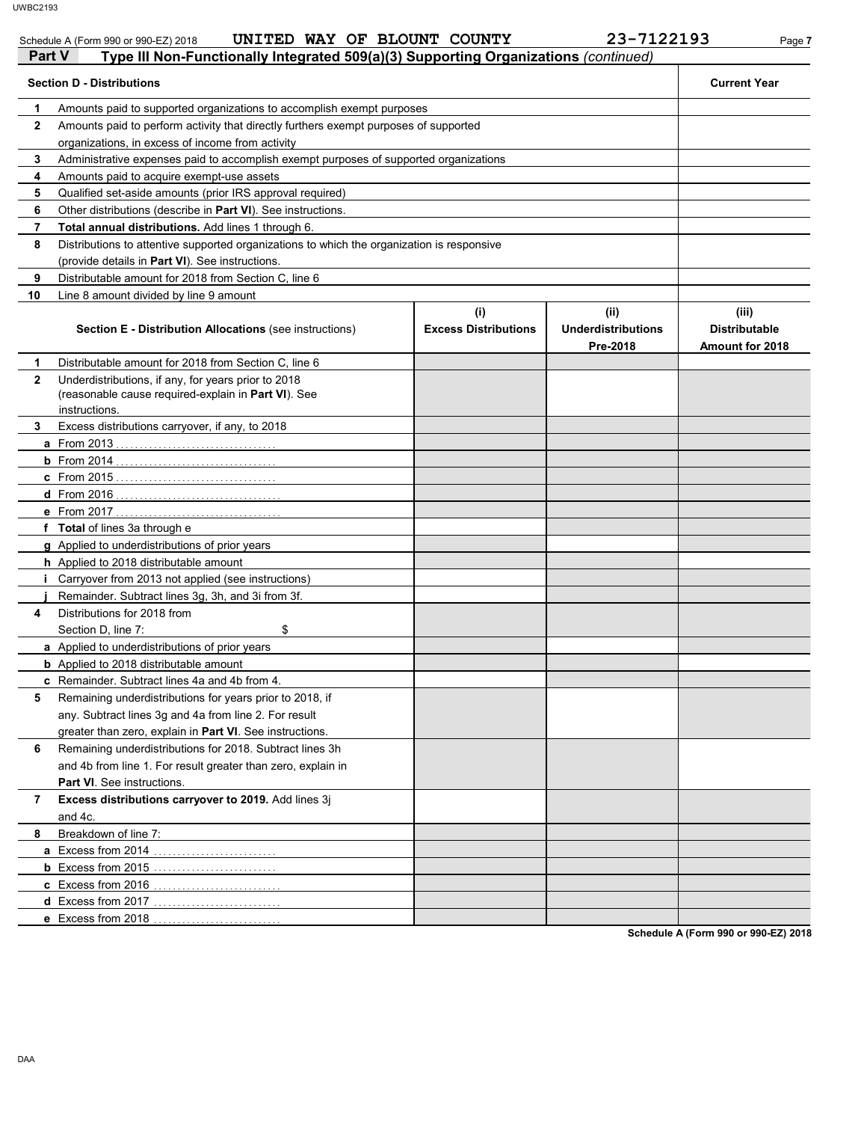| Schedule A (Form 990 or 990-EZ) 2018                            | UNITED WAY OF BLOUNT | <b>COUNTY</b> | -7122193<br>າ ຊ_ | Page 7 |
|-----------------------------------------------------------------|----------------------|---------------|------------------|--------|
| Contractor Co.<br><b><i>CONTRACTOR CONTRACTOR</i></b><br>______ |                      |               |                  |        |

| Part V<br>Type III Non-Functionally Integrated 509(a)(3) Supporting Organizations (continued) |                                                                                                                             |                                    |                                               |                                                  |  |  |
|-----------------------------------------------------------------------------------------------|-----------------------------------------------------------------------------------------------------------------------------|------------------------------------|-----------------------------------------------|--------------------------------------------------|--|--|
|                                                                                               | <b>Section D - Distributions</b>                                                                                            |                                    |                                               | <b>Current Year</b>                              |  |  |
| 1                                                                                             | Amounts paid to supported organizations to accomplish exempt purposes                                                       |                                    |                                               |                                                  |  |  |
| $\mathbf{2}$                                                                                  | Amounts paid to perform activity that directly furthers exempt purposes of supported                                        |                                    |                                               |                                                  |  |  |
|                                                                                               | organizations, in excess of income from activity                                                                            |                                    |                                               |                                                  |  |  |
| 3                                                                                             | Administrative expenses paid to accomplish exempt purposes of supported organizations                                       |                                    |                                               |                                                  |  |  |
| 4                                                                                             | Amounts paid to acquire exempt-use assets                                                                                   |                                    |                                               |                                                  |  |  |
| 5                                                                                             | Qualified set-aside amounts (prior IRS approval required)                                                                   |                                    |                                               |                                                  |  |  |
| 6                                                                                             | Other distributions (describe in Part VI). See instructions.                                                                |                                    |                                               |                                                  |  |  |
| 7                                                                                             | <b>Total annual distributions.</b> Add lines 1 through 6.                                                                   |                                    |                                               |                                                  |  |  |
| 8                                                                                             | Distributions to attentive supported organizations to which the organization is responsive                                  |                                    |                                               |                                                  |  |  |
|                                                                                               | (provide details in Part VI). See instructions.                                                                             |                                    |                                               |                                                  |  |  |
| 9                                                                                             | Distributable amount for 2018 from Section C, line 6                                                                        |                                    |                                               |                                                  |  |  |
| 10                                                                                            | Line 8 amount divided by line 9 amount                                                                                      |                                    |                                               |                                                  |  |  |
|                                                                                               | <b>Section E - Distribution Allocations (see instructions)</b>                                                              | (i)<br><b>Excess Distributions</b> | (ii)<br><b>Underdistributions</b><br>Pre-2018 | (iii)<br><b>Distributable</b><br>Amount for 2018 |  |  |
| 1                                                                                             | Distributable amount for 2018 from Section C, line 6                                                                        |                                    |                                               |                                                  |  |  |
| $\mathbf{2}$                                                                                  | Underdistributions, if any, for years prior to 2018<br>(reasonable cause required-explain in Part VI). See<br>instructions. |                                    |                                               |                                                  |  |  |
| 3                                                                                             | Excess distributions carryover, if any, to 2018                                                                             |                                    |                                               |                                                  |  |  |
|                                                                                               |                                                                                                                             |                                    |                                               |                                                  |  |  |
|                                                                                               |                                                                                                                             |                                    |                                               |                                                  |  |  |
|                                                                                               |                                                                                                                             |                                    |                                               |                                                  |  |  |
|                                                                                               |                                                                                                                             |                                    |                                               |                                                  |  |  |
|                                                                                               |                                                                                                                             |                                    |                                               |                                                  |  |  |
|                                                                                               | f Total of lines 3a through e                                                                                               |                                    |                                               |                                                  |  |  |
|                                                                                               | g Applied to underdistributions of prior years                                                                              |                                    |                                               |                                                  |  |  |
|                                                                                               | h Applied to 2018 distributable amount                                                                                      |                                    |                                               |                                                  |  |  |
|                                                                                               | <i>i</i> Carryover from 2013 not applied (see instructions)                                                                 |                                    |                                               |                                                  |  |  |
|                                                                                               | Remainder. Subtract lines 3g, 3h, and 3i from 3f.                                                                           |                                    |                                               |                                                  |  |  |
| 4                                                                                             | Distributions for 2018 from                                                                                                 |                                    |                                               |                                                  |  |  |
|                                                                                               | Section D, line 7:<br>\$                                                                                                    |                                    |                                               |                                                  |  |  |
|                                                                                               | <b>a</b> Applied to underdistributions of prior years                                                                       |                                    |                                               |                                                  |  |  |
|                                                                                               | <b>b</b> Applied to 2018 distributable amount                                                                               |                                    |                                               |                                                  |  |  |
|                                                                                               | c Remainder. Subtract lines 4a and 4b from 4.                                                                               |                                    |                                               |                                                  |  |  |
| 5                                                                                             | Remaining underdistributions for years prior to 2018, if                                                                    |                                    |                                               |                                                  |  |  |
|                                                                                               | any. Subtract lines 3g and 4a from line 2. For result                                                                       |                                    |                                               |                                                  |  |  |
|                                                                                               | greater than zero, explain in Part VI. See instructions.                                                                    |                                    |                                               |                                                  |  |  |
| 6                                                                                             | Remaining underdistributions for 2018. Subtract lines 3h                                                                    |                                    |                                               |                                                  |  |  |
|                                                                                               | and 4b from line 1. For result greater than zero, explain in                                                                |                                    |                                               |                                                  |  |  |
|                                                                                               | Part VI. See instructions.                                                                                                  |                                    |                                               |                                                  |  |  |
| 7                                                                                             | Excess distributions carryover to 2019. Add lines 3j                                                                        |                                    |                                               |                                                  |  |  |
|                                                                                               | and 4c.                                                                                                                     |                                    |                                               |                                                  |  |  |
| 8                                                                                             | Breakdown of line 7:                                                                                                        |                                    |                                               |                                                  |  |  |
|                                                                                               | a Excess from 2014                                                                                                          |                                    |                                               |                                                  |  |  |
|                                                                                               |                                                                                                                             |                                    |                                               |                                                  |  |  |
|                                                                                               |                                                                                                                             |                                    |                                               |                                                  |  |  |
|                                                                                               |                                                                                                                             |                                    |                                               |                                                  |  |  |
|                                                                                               |                                                                                                                             |                                    |                                               |                                                  |  |  |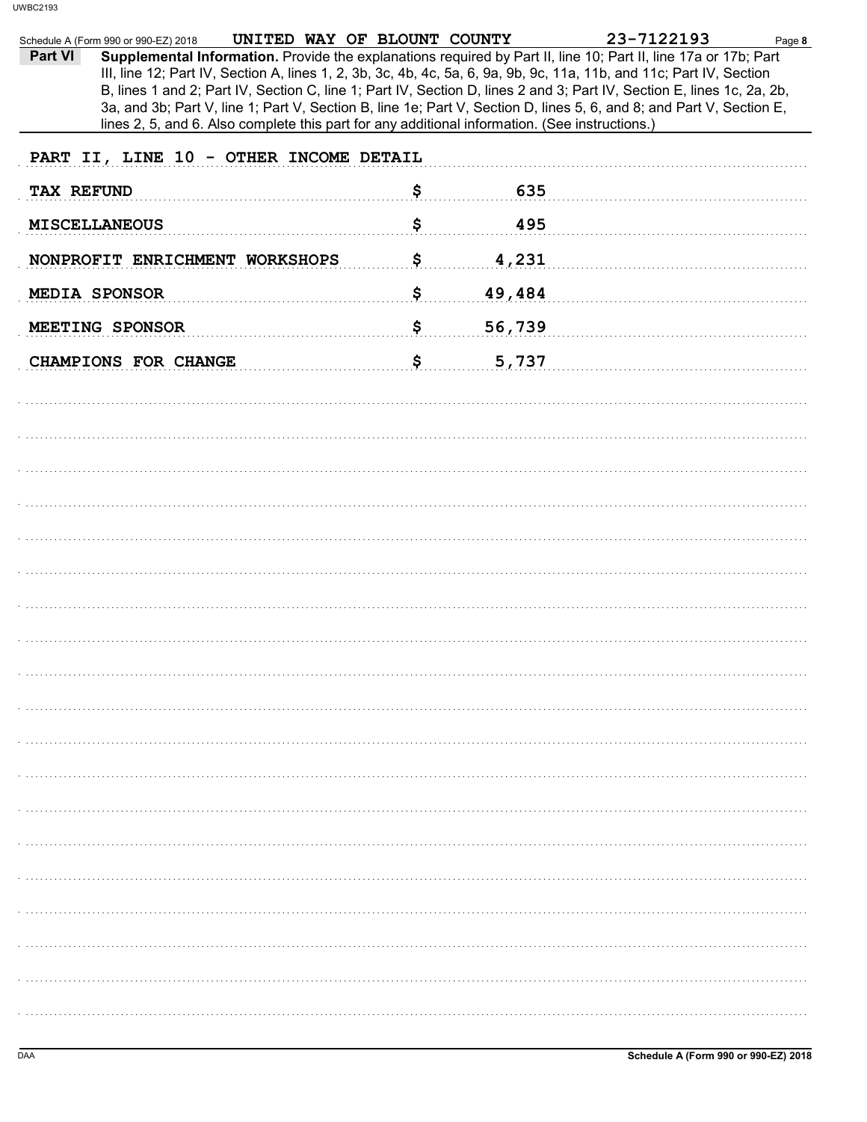| Schedule A (Form 990 or 990-EZ) 2018                                                                                                                                                                                                                                                                                                                                                                                                                                                                                                                                                                   | UNITED WAY OF BLOUNT COUNTY |        | 23-7122193 | Page 8 |
|--------------------------------------------------------------------------------------------------------------------------------------------------------------------------------------------------------------------------------------------------------------------------------------------------------------------------------------------------------------------------------------------------------------------------------------------------------------------------------------------------------------------------------------------------------------------------------------------------------|-----------------------------|--------|------------|--------|
| Supplemental Information. Provide the explanations required by Part II, line 10; Part II, line 17a or 17b; Part<br>Part VI<br>III, line 12; Part IV, Section A, lines 1, 2, 3b, 3c, 4b, 4c, 5a, 6, 9a, 9b, 9c, 11a, 11b, and 11c; Part IV, Section<br>B, lines 1 and 2; Part IV, Section C, line 1; Part IV, Section D, lines 2 and 3; Part IV, Section E, lines 1c, 2a, 2b,<br>3a, and 3b; Part V, line 1; Part V, Section B, line 1e; Part V, Section D, lines 5, 6, and 8; and Part V, Section E,<br>lines 2, 5, and 6. Also complete this part for any additional information. (See instructions.) |                             |        |            |        |
| PART II, LINE 10 - OTHER INCOME DETAIL                                                                                                                                                                                                                                                                                                                                                                                                                                                                                                                                                                 |                             |        |            |        |
| <b>TAX REFUND</b>                                                                                                                                                                                                                                                                                                                                                                                                                                                                                                                                                                                      | \$                          |        | 635        |        |
| <b>MISCELLANEOUS</b>                                                                                                                                                                                                                                                                                                                                                                                                                                                                                                                                                                                   | \$                          |        | 495        |        |
| NONPROFIT ENRICHMENT WORKSHOPS                                                                                                                                                                                                                                                                                                                                                                                                                                                                                                                                                                         | \$                          |        | 4,231      |        |
| MEDIA SPONSOR                                                                                                                                                                                                                                                                                                                                                                                                                                                                                                                                                                                          | \$                          | 49,484 |            |        |
| MEETING SPONSOR                                                                                                                                                                                                                                                                                                                                                                                                                                                                                                                                                                                        | \$                          | 56,739 |            |        |
| CHAMPIONS FOR CHANGE                                                                                                                                                                                                                                                                                                                                                                                                                                                                                                                                                                                   | \$                          |        | 5,737      |        |
|                                                                                                                                                                                                                                                                                                                                                                                                                                                                                                                                                                                                        |                             |        |            |        |
|                                                                                                                                                                                                                                                                                                                                                                                                                                                                                                                                                                                                        |                             |        |            |        |
|                                                                                                                                                                                                                                                                                                                                                                                                                                                                                                                                                                                                        |                             |        |            |        |
|                                                                                                                                                                                                                                                                                                                                                                                                                                                                                                                                                                                                        |                             |        |            |        |
|                                                                                                                                                                                                                                                                                                                                                                                                                                                                                                                                                                                                        |                             |        |            |        |
|                                                                                                                                                                                                                                                                                                                                                                                                                                                                                                                                                                                                        |                             |        |            |        |
|                                                                                                                                                                                                                                                                                                                                                                                                                                                                                                                                                                                                        |                             |        |            |        |
|                                                                                                                                                                                                                                                                                                                                                                                                                                                                                                                                                                                                        |                             |        |            |        |
|                                                                                                                                                                                                                                                                                                                                                                                                                                                                                                                                                                                                        |                             |        |            |        |
|                                                                                                                                                                                                                                                                                                                                                                                                                                                                                                                                                                                                        |                             |        |            |        |
|                                                                                                                                                                                                                                                                                                                                                                                                                                                                                                                                                                                                        |                             |        |            |        |
|                                                                                                                                                                                                                                                                                                                                                                                                                                                                                                                                                                                                        |                             |        |            |        |
|                                                                                                                                                                                                                                                                                                                                                                                                                                                                                                                                                                                                        |                             |        |            |        |
|                                                                                                                                                                                                                                                                                                                                                                                                                                                                                                                                                                                                        |                             |        |            |        |
|                                                                                                                                                                                                                                                                                                                                                                                                                                                                                                                                                                                                        |                             |        |            |        |
|                                                                                                                                                                                                                                                                                                                                                                                                                                                                                                                                                                                                        |                             |        |            |        |
|                                                                                                                                                                                                                                                                                                                                                                                                                                                                                                                                                                                                        |                             |        |            |        |
|                                                                                                                                                                                                                                                                                                                                                                                                                                                                                                                                                                                                        |                             |        |            |        |
|                                                                                                                                                                                                                                                                                                                                                                                                                                                                                                                                                                                                        |                             |        |            |        |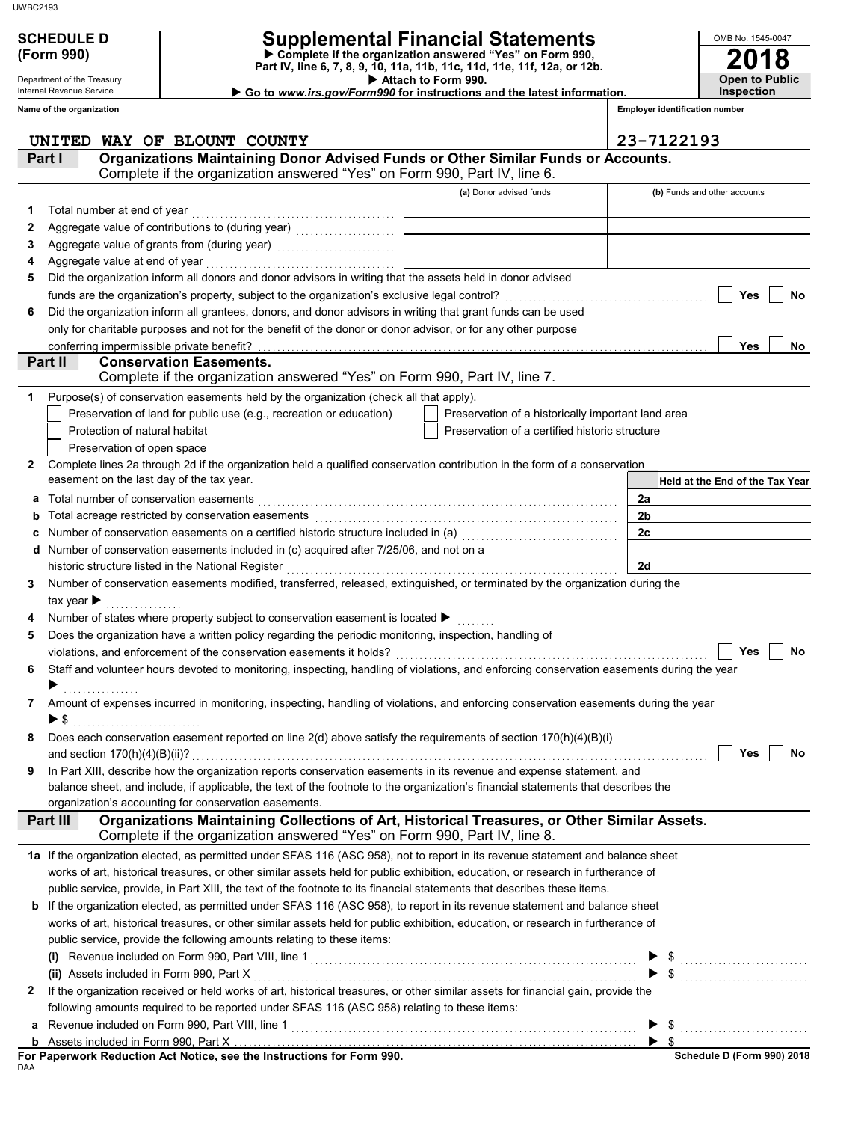### Department of the Treasury

Internal Revenue Service

## **SCHEDULE D Supplemental Financial Statements**

 **Attach to Form 990. (Form 990) Part IV, line 6, 7, 8, 9, 10, 11a, 11b, 11c, 11d, 11e, 11f, 12a, or 12b. Complete if the organization answered "Yes" on Form 990,**

 **Go to** *www.irs.gov/Form990* **for instructions and the latest information.**

**Name of the organization**

**Employer identification number**

**2018**

**Open to Public Inspection**

OMB No. 1545-0047

|   | UNITED WAY OF BLOUNT COUNTY                                                                                                                                            |                                                                 | 23-7122193                      |
|---|------------------------------------------------------------------------------------------------------------------------------------------------------------------------|-----------------------------------------------------------------|---------------------------------|
|   | Organizations Maintaining Donor Advised Funds or Other Similar Funds or Accounts.<br>Part I                                                                            |                                                                 |                                 |
|   | Complete if the organization answered "Yes" on Form 990, Part IV, line 6.                                                                                              |                                                                 |                                 |
|   |                                                                                                                                                                        | (a) Donor advised funds                                         | (b) Funds and other accounts    |
| 1 | Total number at end of year                                                                                                                                            | <u> 1980 - Johann Barn, mars an t-Amerikaansk kommunister (</u> |                                 |
| 2 |                                                                                                                                                                        |                                                                 |                                 |
| 3 | Aggregate value of grants from (during year) Materian Material Material Aggregate value of grants from (during year)                                                   |                                                                 |                                 |
| 4 |                                                                                                                                                                        |                                                                 |                                 |
| 5 | Did the organization inform all donors and donor advisors in writing that the assets held in donor advised                                                             |                                                                 |                                 |
|   |                                                                                                                                                                        |                                                                 | Yes<br>No                       |
| 6 | Did the organization inform all grantees, donors, and donor advisors in writing that grant funds can be used                                                           |                                                                 |                                 |
|   | only for charitable purposes and not for the benefit of the donor or donor advisor, or for any other purpose                                                           |                                                                 |                                 |
|   | conferring impermissible private benefit?                                                                                                                              |                                                                 | Yes<br>No                       |
|   | Part II<br><b>Conservation Easements.</b>                                                                                                                              |                                                                 |                                 |
|   | Complete if the organization answered "Yes" on Form 990, Part IV, line 7.                                                                                              |                                                                 |                                 |
| 1 | Purpose(s) of conservation easements held by the organization (check all that apply).                                                                                  |                                                                 |                                 |
|   | Preservation of land for public use (e.g., recreation or education)                                                                                                    |                                                                 |                                 |
|   |                                                                                                                                                                        | Preservation of a historically important land area              |                                 |
|   | Protection of natural habitat                                                                                                                                          | Preservation of a certified historic structure                  |                                 |
|   | Preservation of open space                                                                                                                                             |                                                                 |                                 |
| 2 | Complete lines 2a through 2d if the organization held a qualified conservation contribution in the form of a conservation<br>easement on the last day of the tax year. |                                                                 |                                 |
|   |                                                                                                                                                                        |                                                                 | Held at the End of the Tax Year |
| а | Total number of conservation easements [111] [12] Total materials are not conserved in the set of conservation easements [11] $\sim$ 100 m                             |                                                                 | 2a                              |
| b |                                                                                                                                                                        |                                                                 | 2 <sub>b</sub>                  |
| c | Number of conservation easements on a certified historic structure included in (a)<br>[20]                                                                             |                                                                 | 2c                              |
| d | Number of conservation easements included in (c) acquired after 7/25/06, and not on a                                                                                  |                                                                 |                                 |
|   | historic structure listed in the National Register                                                                                                                     |                                                                 | 2d                              |
| 3 | Number of conservation easements modified, transferred, released, extinguished, or terminated by the organization during the                                           |                                                                 |                                 |
|   | tax year $\blacktriangleright$                                                                                                                                         |                                                                 |                                 |
| 4 | Number of states where property subject to conservation easement is located ▶                                                                                          |                                                                 |                                 |
| 5 | Does the organization have a written policy regarding the periodic monitoring, inspection, handling of                                                                 |                                                                 |                                 |
|   | violations, and enforcement of the conservation easements it holds?                                                                                                    |                                                                 | Yes<br>No                       |
| 6 | Staff and volunteer hours devoted to monitoring, inspecting, handling of violations, and enforcing conservation easements during the year                              |                                                                 |                                 |
|   |                                                                                                                                                                        |                                                                 |                                 |
| 7 | Amount of expenses incurred in monitoring, inspecting, handling of violations, and enforcing conservation easements during the year                                    |                                                                 |                                 |
|   | $\blacktriangleright$ s                                                                                                                                                |                                                                 |                                 |
| 8 | Does each conservation easement reported on line 2(d) above satisfy the requirements of section 170(h)(4)(B)(i)                                                        |                                                                 |                                 |
|   |                                                                                                                                                                        |                                                                 |                                 |
| 9 | In Part XIII, describe how the organization reports conservation easements in its revenue and expense statement, and                                                   |                                                                 |                                 |
|   | balance sheet, and include, if applicable, the text of the footnote to the organization's financial statements that describes the                                      |                                                                 |                                 |
|   | organization's accounting for conservation easements.                                                                                                                  |                                                                 |                                 |
|   | Organizations Maintaining Collections of Art, Historical Treasures, or Other Similar Assets.<br>Part III                                                               |                                                                 |                                 |
|   | Complete if the organization answered "Yes" on Form 990, Part IV, line 8.                                                                                              |                                                                 |                                 |
|   | 1a If the organization elected, as permitted under SFAS 116 (ASC 958), not to report in its revenue statement and balance sheet                                        |                                                                 |                                 |
|   | works of art, historical treasures, or other similar assets held for public exhibition, education, or research in furtherance of                                       |                                                                 |                                 |
|   | public service, provide, in Part XIII, the text of the footnote to its financial statements that describes these items.                                                |                                                                 |                                 |
| b | If the organization elected, as permitted under SFAS 116 (ASC 958), to report in its revenue statement and balance sheet                                               |                                                                 |                                 |
|   | works of art, historical treasures, or other similar assets held for public exhibition, education, or research in furtherance of                                       |                                                                 |                                 |
|   | public service, provide the following amounts relating to these items:                                                                                                 |                                                                 |                                 |
|   |                                                                                                                                                                        |                                                                 |                                 |
|   | (ii) Assets included in Form 990, Part X                                                                                                                               |                                                                 |                                 |
| 2 | If the organization received or held works of art, historical treasures, or other similar assets for financial gain, provide the                                       |                                                                 |                                 |
|   | following amounts required to be reported under SFAS 116 (ASC 958) relating to these items:                                                                            |                                                                 |                                 |
| a |                                                                                                                                                                        |                                                                 |                                 |
|   |                                                                                                                                                                        |                                                                 | $\blacktriangleright$ s         |
|   | For Paperwork Reduction Act Notice, see the Instructions for Form 990.                                                                                                 |                                                                 | Schedule D (Form 990) 2018      |

For<br><sub>DAA</sub> **For Paperwork Reduction Act Notice, see the Instructions for Form 990.**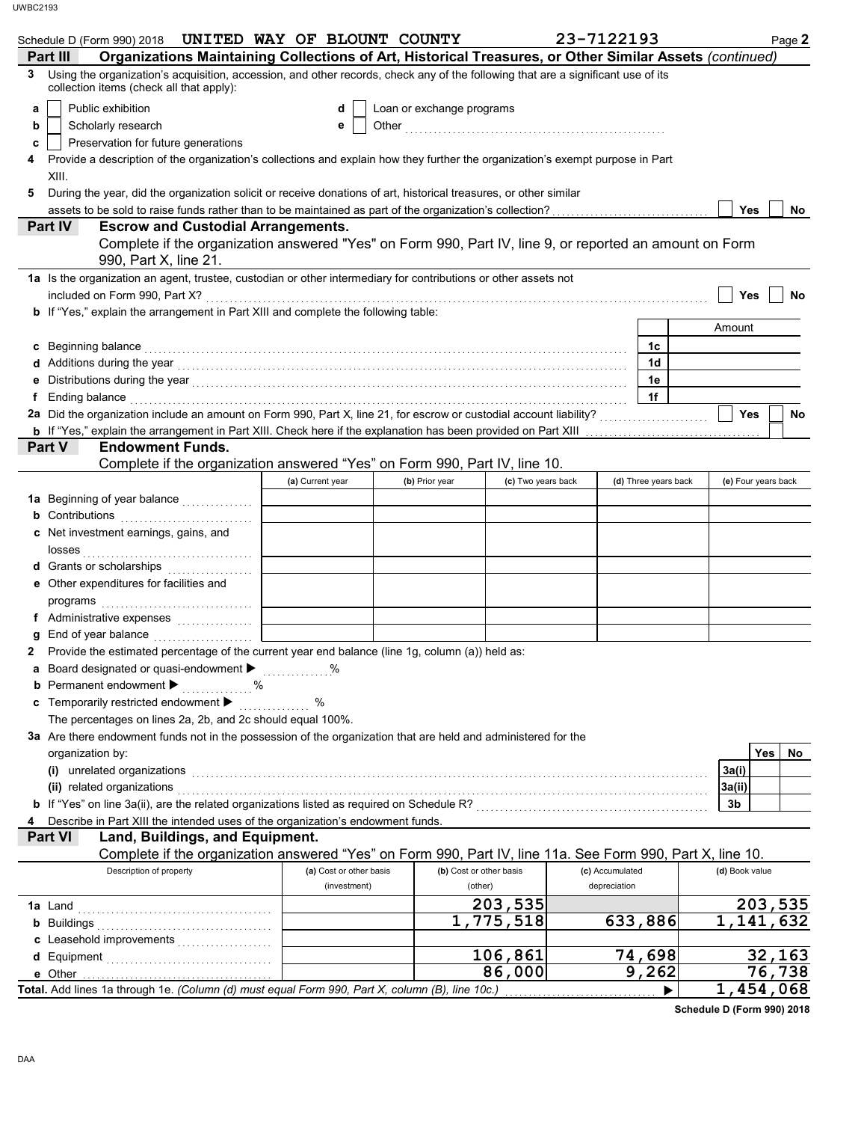|                | Schedule D (Form 990) 2018 UNITED WAY OF BLOUNT COUNTY                                                                                                                                                                         |                         |                           |                    | 23-7122193      |                      |                     | Page 2              |
|----------------|--------------------------------------------------------------------------------------------------------------------------------------------------------------------------------------------------------------------------------|-------------------------|---------------------------|--------------------|-----------------|----------------------|---------------------|---------------------|
| Part III       | Organizations Maintaining Collections of Art, Historical Treasures, or Other Similar Assets (continued)                                                                                                                        |                         |                           |                    |                 |                      |                     |                     |
| 3              | Using the organization's acquisition, accession, and other records, check any of the following that are a significant use of its<br>collection items (check all that apply):                                                   |                         |                           |                    |                 |                      |                     |                     |
| a              | Public exhibition                                                                                                                                                                                                              | d                       | Loan or exchange programs |                    |                 |                      |                     |                     |
| b              | Scholarly research                                                                                                                                                                                                             | е                       |                           |                    |                 |                      |                     |                     |
| c              | Preservation for future generations                                                                                                                                                                                            |                         |                           |                    |                 |                      |                     |                     |
| 4              | Provide a description of the organization's collections and explain how they further the organization's exempt purpose in Part                                                                                                 |                         |                           |                    |                 |                      |                     |                     |
| XIII.          |                                                                                                                                                                                                                                |                         |                           |                    |                 |                      |                     |                     |
| 5              | During the year, did the organization solicit or receive donations of art, historical treasures, or other similar                                                                                                              |                         |                           |                    |                 |                      | Yes                 | No                  |
| <b>Part IV</b> | <b>Escrow and Custodial Arrangements.</b>                                                                                                                                                                                      |                         |                           |                    |                 |                      |                     |                     |
|                | Complete if the organization answered "Yes" on Form 990, Part IV, line 9, or reported an amount on Form<br>990, Part X, line 21.                                                                                               |                         |                           |                    |                 |                      |                     |                     |
|                | 1a Is the organization an agent, trustee, custodian or other intermediary for contributions or other assets not                                                                                                                |                         |                           |                    |                 |                      |                     |                     |
|                |                                                                                                                                                                                                                                |                         |                           |                    |                 |                      | Yes                 | No                  |
|                | b If "Yes," explain the arrangement in Part XIII and complete the following table:                                                                                                                                             |                         |                           |                    |                 |                      |                     |                     |
|                |                                                                                                                                                                                                                                |                         |                           |                    |                 |                      | Amount              |                     |
| C              | Beginning balance expressions and the contract of the contract of the contract of the contract of the contract of the contract of the contract of the contract of the contract of the contract of the contract of the contract |                         |                           |                    |                 | 1с<br>1d             |                     |                     |
| е              |                                                                                                                                                                                                                                |                         |                           |                    |                 | 1e                   |                     |                     |
| f              | Ending balance with a construction of the construction of the construction of the construction of the construction of the construction of the construction of the construction of the construction of the construction of the  |                         |                           |                    |                 | 1f                   |                     |                     |
|                |                                                                                                                                                                                                                                |                         |                           |                    |                 |                      | Yes                 | No                  |
|                |                                                                                                                                                                                                                                |                         |                           |                    |                 |                      |                     |                     |
| Part V         | <b>Endowment Funds.</b>                                                                                                                                                                                                        |                         |                           |                    |                 |                      |                     |                     |
|                | Complete if the organization answered "Yes" on Form 990, Part IV, line 10.                                                                                                                                                     |                         |                           |                    |                 |                      |                     |                     |
|                |                                                                                                                                                                                                                                | (a) Current year        | (b) Prior year            | (c) Two years back |                 | (d) Three years back | (e) Four years back |                     |
|                |                                                                                                                                                                                                                                |                         |                           |                    |                 |                      |                     |                     |
|                | <b>b</b> Contributions <b>contributions</b><br>c Net investment earnings, gains, and                                                                                                                                           |                         |                           |                    |                 |                      |                     |                     |
|                |                                                                                                                                                                                                                                |                         |                           |                    |                 |                      |                     |                     |
|                | d Grants or scholarships                                                                                                                                                                                                       |                         |                           |                    |                 |                      |                     |                     |
|                | e Other expenditures for facilities and                                                                                                                                                                                        |                         |                           |                    |                 |                      |                     |                     |
|                |                                                                                                                                                                                                                                |                         |                           |                    |                 |                      |                     |                     |
|                | f Administrative expenses                                                                                                                                                                                                      |                         |                           |                    |                 |                      |                     |                     |
|                |                                                                                                                                                                                                                                |                         |                           |                    |                 |                      |                     |                     |
|                | Provide the estimated percentage of the current year end balance (line 1g, column (a)) held as:                                                                                                                                |                         |                           |                    |                 |                      |                     |                     |
|                | a Board designated or quasi-endowment > %                                                                                                                                                                                      |                         |                           |                    |                 |                      |                     |                     |
|                | Permanent endowment ><br>. %<br>Temporarily restricted endowment ▶                                                                                                                                                             | %                       |                           |                    |                 |                      |                     |                     |
|                | The percentages on lines 2a, 2b, and 2c should equal 100%.                                                                                                                                                                     | .                       |                           |                    |                 |                      |                     |                     |
|                | 3a Are there endowment funds not in the possession of the organization that are held and administered for the                                                                                                                  |                         |                           |                    |                 |                      |                     |                     |
|                | organization by:                                                                                                                                                                                                               |                         |                           |                    |                 |                      | <b>Yes</b>          | No                  |
|                | (i) unrelated organizations                                                                                                                                                                                                    |                         |                           |                    |                 |                      | 3a(i)               |                     |
|                | (ii) related organizations                                                                                                                                                                                                     |                         |                           |                    |                 |                      | 3a(ii)              |                     |
|                |                                                                                                                                                                                                                                |                         |                           |                    |                 |                      | 3b                  |                     |
|                | Describe in Part XIII the intended uses of the organization's endowment funds.                                                                                                                                                 |                         |                           |                    |                 |                      |                     |                     |
| <b>Part VI</b> | Land, Buildings, and Equipment.<br>Complete if the organization answered "Yes" on Form 990, Part IV, line 11a. See Form 990, Part X, line 10.                                                                                  |                         |                           |                    |                 |                      |                     |                     |
|                | Description of property                                                                                                                                                                                                        | (a) Cost or other basis | (b) Cost or other basis   |                    | (c) Accumulated |                      | (d) Book value      |                     |
|                |                                                                                                                                                                                                                                | (investment)            | (other)                   |                    | depreciation    |                      |                     |                     |
| <b>1a</b> Land |                                                                                                                                                                                                                                |                         |                           | 203,535            |                 |                      |                     | 203,535             |
|                |                                                                                                                                                                                                                                |                         |                           | 1,775,518          |                 | 633,886              |                     | 1,141,632           |
|                | c Leasehold improvements                                                                                                                                                                                                       |                         |                           |                    |                 |                      |                     |                     |
|                |                                                                                                                                                                                                                                |                         |                           | 106,861            |                 | 74,698               |                     | 32,163              |
| e Other        | Total. Add lines 1a through 1e. (Column (d) must equal Form 990, Part X, column (B), line 10c.)                                                                                                                                |                         |                           | 86,000             |                 | 9,262                |                     | 76,738<br>1,454,068 |
|                |                                                                                                                                                                                                                                |                         |                           |                    |                 |                      |                     |                     |

**Schedule D (Form 990) 2018**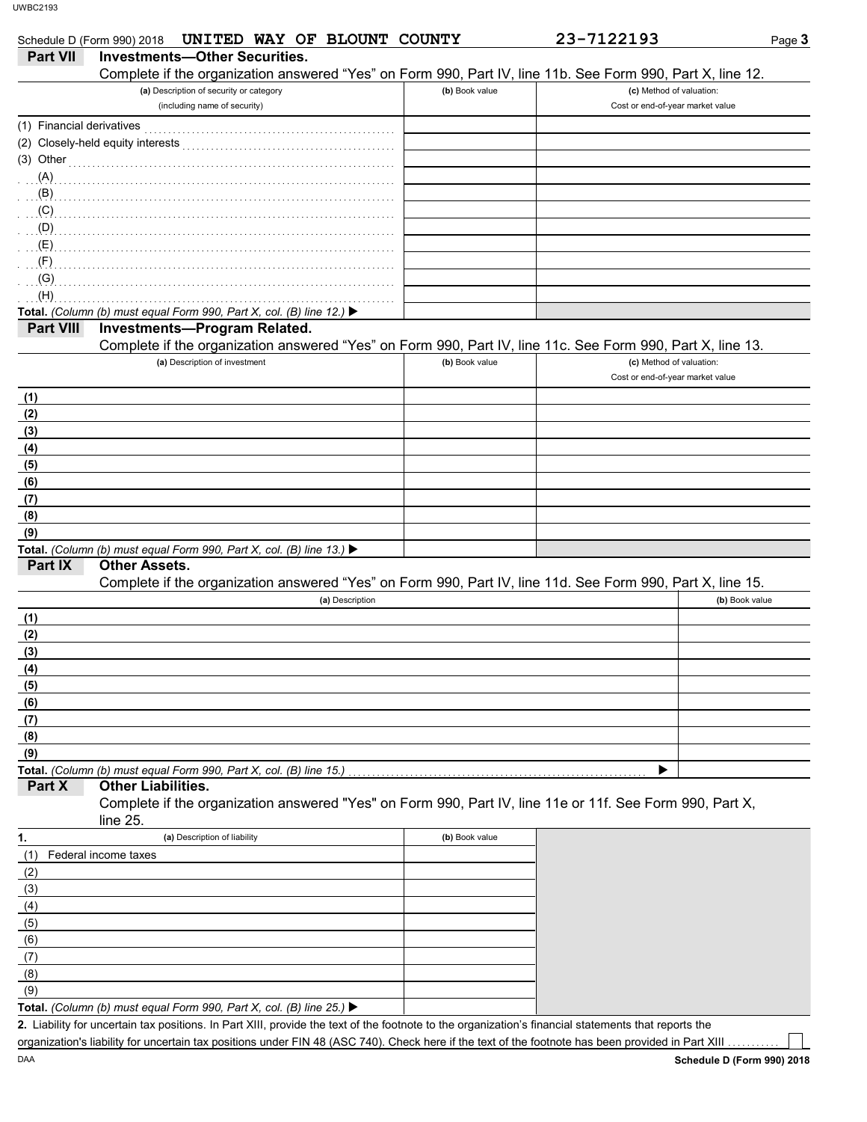|                           | UNITED WAY OF BLOUNT COUNTY<br>Schedule D (Form 990) 2018                                                                                                           |                | 23-7122193                       | Page 3         |
|---------------------------|---------------------------------------------------------------------------------------------------------------------------------------------------------------------|----------------|----------------------------------|----------------|
| <b>Part VII</b>           | <b>Investments-Other Securities.</b>                                                                                                                                |                |                                  |                |
|                           | Complete if the organization answered "Yes" on Form 990, Part IV, line 11b. See Form 990, Part X, line 12.                                                          |                |                                  |                |
|                           | (a) Description of security or category                                                                                                                             | (b) Book value | (c) Method of valuation:         |                |
|                           | (including name of security)                                                                                                                                        |                | Cost or end-of-year market value |                |
| (1) Financial derivatives |                                                                                                                                                                     |                |                                  |                |
|                           | (2) Closely-held equity interests                                                                                                                                   |                |                                  |                |
| (3) Other                 |                                                                                                                                                                     |                |                                  |                |
| (A)                       |                                                                                                                                                                     |                |                                  |                |
| (B)                       |                                                                                                                                                                     |                |                                  |                |
| (C)                       |                                                                                                                                                                     |                |                                  |                |
| (D)                       |                                                                                                                                                                     |                |                                  |                |
| (E)                       |                                                                                                                                                                     |                |                                  |                |
| (F)                       |                                                                                                                                                                     |                |                                  |                |
| (G)                       |                                                                                                                                                                     |                |                                  |                |
| (H)                       |                                                                                                                                                                     |                |                                  |                |
|                           | Total. (Column (b) must equal Form 990, Part X, col. (B) line 12.) $\blacktriangleright$                                                                            |                |                                  |                |
| <b>Part VIII</b>          | Investments-Program Related.                                                                                                                                        |                |                                  |                |
|                           | Complete if the organization answered "Yes" on Form 990, Part IV, line 11c. See Form 990, Part X, line 13.                                                          |                |                                  |                |
|                           | (a) Description of investment                                                                                                                                       | (b) Book value | (c) Method of valuation:         |                |
|                           |                                                                                                                                                                     |                | Cost or end-of-year market value |                |
| (1)                       |                                                                                                                                                                     |                |                                  |                |
| (2)                       |                                                                                                                                                                     |                |                                  |                |
| (3)                       |                                                                                                                                                                     |                |                                  |                |
| (4)                       |                                                                                                                                                                     |                |                                  |                |
| (5)                       |                                                                                                                                                                     |                |                                  |                |
| (6)                       |                                                                                                                                                                     |                |                                  |                |
| (7)                       |                                                                                                                                                                     |                |                                  |                |
| (8)                       |                                                                                                                                                                     |                |                                  |                |
| (9)                       |                                                                                                                                                                     |                |                                  |                |
|                           | Total. (Column (b) must equal Form 990, Part X, col. (B) line 13.) $\blacktriangleright$                                                                            |                |                                  |                |
| Part IX                   | <b>Other Assets.</b>                                                                                                                                                |                |                                  |                |
|                           | Complete if the organization answered "Yes" on Form 990, Part IV, line 11d. See Form 990, Part X, line 15.                                                          |                |                                  |                |
|                           | (a) Description                                                                                                                                                     |                |                                  | (b) Book value |
| (1)                       |                                                                                                                                                                     |                |                                  |                |
| (2)                       |                                                                                                                                                                     |                |                                  |                |
| (3)                       |                                                                                                                                                                     |                |                                  |                |
| (4)                       |                                                                                                                                                                     |                |                                  |                |
| (5)                       |                                                                                                                                                                     |                |                                  |                |
| (6)                       |                                                                                                                                                                     |                |                                  |                |
| (7)                       |                                                                                                                                                                     |                |                                  |                |
| (8)                       |                                                                                                                                                                     |                |                                  |                |
| (9)                       |                                                                                                                                                                     |                |                                  |                |
| Part X                    | Total. (Column (b) must equal Form 990, Part X, col. (B) line 15.)<br><b>Other Liabilities.</b>                                                                     |                |                                  |                |
|                           | Complete if the organization answered "Yes" on Form 990, Part IV, line 11e or 11f. See Form 990, Part X,                                                            |                |                                  |                |
|                           | line 25.                                                                                                                                                            |                |                                  |                |
| 1.                        | (a) Description of liability                                                                                                                                        | (b) Book value |                                  |                |
|                           |                                                                                                                                                                     |                |                                  |                |
| (1)                       | Federal income taxes                                                                                                                                                |                |                                  |                |
| (2)                       |                                                                                                                                                                     |                |                                  |                |
| (3)                       |                                                                                                                                                                     |                |                                  |                |
| (4)                       |                                                                                                                                                                     |                |                                  |                |
| (5)                       |                                                                                                                                                                     |                |                                  |                |
| (6)                       |                                                                                                                                                                     |                |                                  |                |
| (7)                       |                                                                                                                                                                     |                |                                  |                |
| (8)                       |                                                                                                                                                                     |                |                                  |                |
| (9)                       |                                                                                                                                                                     |                |                                  |                |
|                           | <b>Total.</b> (Column (b) must equal Form 990, Part X, col. (B) line 25.) $\blacktriangleright$<br>their tex positions. In Dart VIII, provide the text of the feets |                |                                  |                |

Liability for uncertain tax positions. In Part XIII, provide the text of the footnote to the organization's financial statements that reports the **2.** organization's liability for uncertain tax positions under FIN 48 (ASC 740). Check here if the text of the footnote has been provided in Part XIII .

T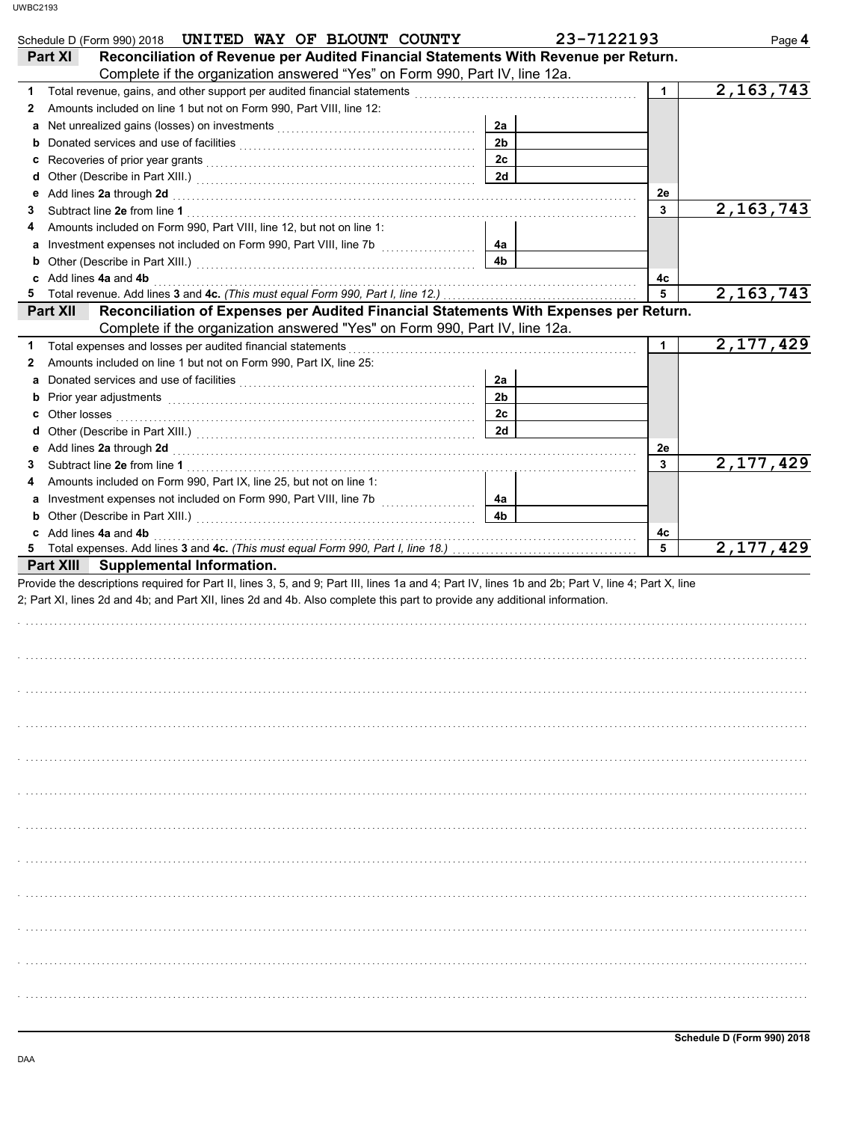| Schedule D (Form 990) 2018 UNITED WAY OF BLOUNT COUNTY                                                                                                                                                                                                                           |                      | 23-7122193   | Page 4      |
|----------------------------------------------------------------------------------------------------------------------------------------------------------------------------------------------------------------------------------------------------------------------------------|----------------------|--------------|-------------|
| Reconciliation of Revenue per Audited Financial Statements With Revenue per Return.<br>Part XI<br>Complete if the organization answered "Yes" on Form 990, Part IV, line 12a.                                                                                                    |                      |              |             |
| 1                                                                                                                                                                                                                                                                                |                      | $\mathbf{1}$ | 2,163,743   |
| Amounts included on line 1 but not on Form 990, Part VIII, line 12:<br>2                                                                                                                                                                                                         |                      |              |             |
|                                                                                                                                                                                                                                                                                  | 2a                   |              |             |
| b                                                                                                                                                                                                                                                                                | 2 <sub>b</sub>       |              |             |
| c                                                                                                                                                                                                                                                                                | 2c                   |              |             |
| d                                                                                                                                                                                                                                                                                | 2d                   |              |             |
|                                                                                                                                                                                                                                                                                  |                      | 2e           |             |
| 3                                                                                                                                                                                                                                                                                |                      | 3            | 2, 163, 743 |
| Amounts included on Form 990, Part VIII, line 12, but not on line 1:<br>4                                                                                                                                                                                                        |                      |              |             |
| Investment expenses not included on Form 990, Part VIII, line 7b<br>a                                                                                                                                                                                                            | 4a                   |              |             |
|                                                                                                                                                                                                                                                                                  | 4b                   |              |             |
| c Add lines 4a and 4b                                                                                                                                                                                                                                                            |                      | 4c           |             |
| 5                                                                                                                                                                                                                                                                                |                      | 5            | 2, 163, 743 |
| Reconciliation of Expenses per Audited Financial Statements With Expenses per Return.<br>Part XII<br>Complete if the organization answered "Yes" on Form 990, Part IV, line 12a.                                                                                                 |                      |              |             |
|                                                                                                                                                                                                                                                                                  |                      |              | 2,177,429   |
| Total expenses and losses per audited financial statements<br>1.                                                                                                                                                                                                                 |                      | 1            |             |
| Amounts included on line 1 but not on Form 990, Part IX, line 25:<br>2                                                                                                                                                                                                           |                      |              |             |
| a                                                                                                                                                                                                                                                                                | 2a<br>2 <sub>b</sub> |              |             |
| b Prior year adjustments <b>contained</b> and <b>b</b> Prior year adjustments <b>b</b> contained a set of the contained and <b>b</b> contained a set of the contained and <b>b</b> contained a set of the contained and <b>contained by contained a</b> set                      |                      |              |             |
| Other losses <b>contracts</b> and the contract of the contract of the contract of the contract of the contract of the contract of the contract of the contract of the contract of the contract of the contract of the contract of t<br>С                                         | 2 <sub>c</sub>       |              |             |
| d                                                                                                                                                                                                                                                                                | 2d                   |              |             |
| 3                                                                                                                                                                                                                                                                                |                      | 2e<br>3      | 2,177,429   |
| Amounts included on Form 990, Part IX, line 25, but not on line 1:<br>4                                                                                                                                                                                                          |                      |              |             |
| a                                                                                                                                                                                                                                                                                | 4a                   |              |             |
|                                                                                                                                                                                                                                                                                  | 4 <sub>b</sub>       |              |             |
| c Add lines 4a and 4b                                                                                                                                                                                                                                                            |                      | 4c           |             |
| Total expenses. Add lines 3 and 4c. (This must equal Form 990, Part I, line 18.) [100] Total expenses. Add lines 3 and 4c. (This must equal Form 990, Part I, line 18.)<br>5                                                                                                     |                      | 5            | 2,177,429   |
| Part XIII Supplemental Information.                                                                                                                                                                                                                                              |                      |              |             |
| Provide the descriptions required for Part II, lines 3, 5, and 9; Part III, lines 1a and 4; Part IV, lines 1b and 2b; Part V, line 4; Part X, line<br>2; Part XI, lines 2d and 4b; and Part XII, lines 2d and 4b. Also complete this part to provide any additional information. |                      |              |             |
|                                                                                                                                                                                                                                                                                  |                      |              |             |
|                                                                                                                                                                                                                                                                                  |                      |              |             |
|                                                                                                                                                                                                                                                                                  |                      |              |             |
|                                                                                                                                                                                                                                                                                  |                      |              |             |
|                                                                                                                                                                                                                                                                                  |                      |              |             |
|                                                                                                                                                                                                                                                                                  |                      |              |             |
|                                                                                                                                                                                                                                                                                  |                      |              |             |
|                                                                                                                                                                                                                                                                                  |                      |              |             |
|                                                                                                                                                                                                                                                                                  |                      |              |             |
|                                                                                                                                                                                                                                                                                  |                      |              |             |
|                                                                                                                                                                                                                                                                                  |                      |              |             |
|                                                                                                                                                                                                                                                                                  |                      |              |             |
|                                                                                                                                                                                                                                                                                  |                      |              |             |
|                                                                                                                                                                                                                                                                                  |                      |              |             |
|                                                                                                                                                                                                                                                                                  |                      |              |             |
|                                                                                                                                                                                                                                                                                  |                      |              |             |
|                                                                                                                                                                                                                                                                                  |                      |              |             |
|                                                                                                                                                                                                                                                                                  |                      |              |             |
|                                                                                                                                                                                                                                                                                  |                      |              |             |
|                                                                                                                                                                                                                                                                                  |                      |              |             |
|                                                                                                                                                                                                                                                                                  |                      |              |             |
|                                                                                                                                                                                                                                                                                  |                      |              |             |
|                                                                                                                                                                                                                                                                                  |                      |              |             |
|                                                                                                                                                                                                                                                                                  |                      |              |             |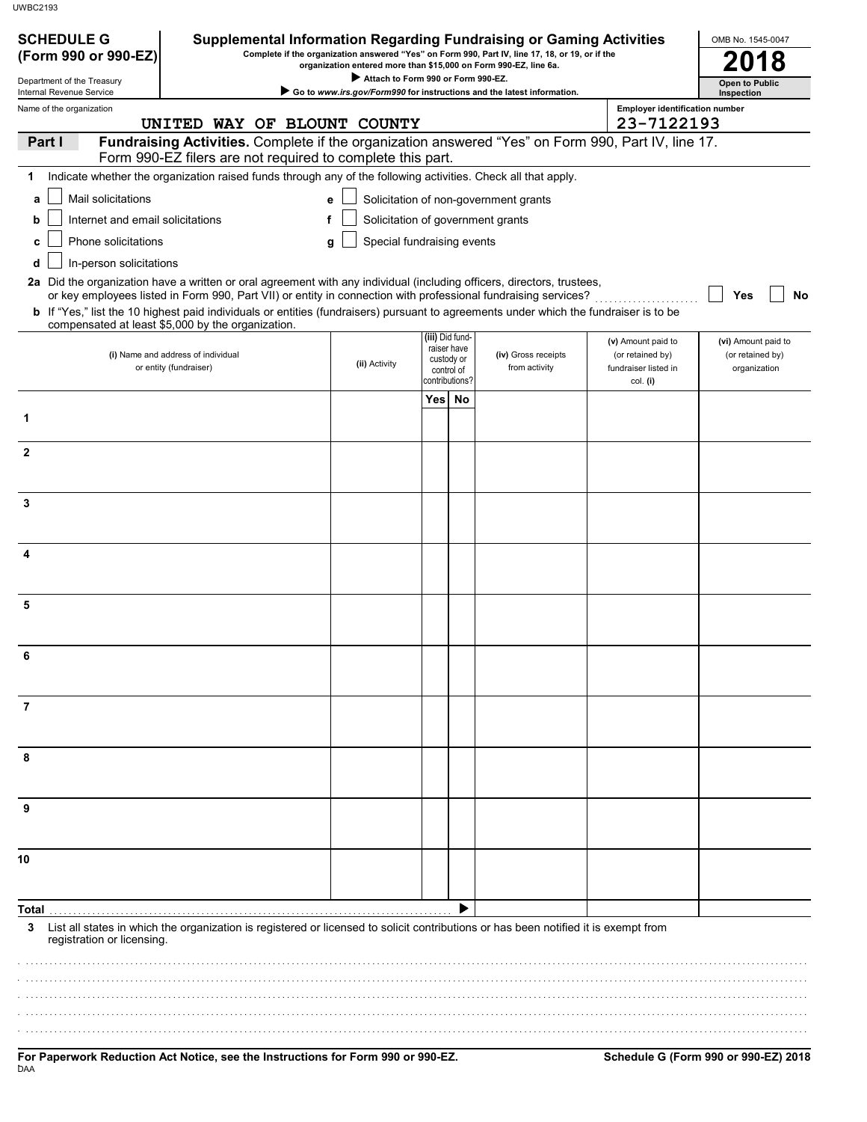| <b>SCHEDULE G</b><br>(Form 990 or 990-EZ) | <b>Supplemental Information Regarding Fundraising or Gaming Activities</b>                                                                                                                                                                                                                                                                                                                                                             |                                                                                                        |                                                           |                 | Complete if the organization answered "Yes" on Form 990, Part IV, line 17, 18, or 19, or if the |                                                      | OMB No. 1545-0047                |
|-------------------------------------------|----------------------------------------------------------------------------------------------------------------------------------------------------------------------------------------------------------------------------------------------------------------------------------------------------------------------------------------------------------------------------------------------------------------------------------------|--------------------------------------------------------------------------------------------------------|-----------------------------------------------------------|-----------------|-------------------------------------------------------------------------------------------------|------------------------------------------------------|----------------------------------|
| Department of the Treasury                |                                                                                                                                                                                                                                                                                                                                                                                                                                        | organization entered more than \$15,000 on Form 990-EZ, line 6a.<br>Attach to Form 990 or Form 990-EZ. |                                                           |                 |                                                                                                 |                                                      | <b>Open to Public</b>            |
| Internal Revenue Service                  |                                                                                                                                                                                                                                                                                                                                                                                                                                        |                                                                                                        |                                                           |                 | Go to www.irs.gov/Form990 for instructions and the latest information.                          |                                                      | Inspection                       |
| Name of the organization                  | UNITED WAY OF BLOUNT COUNTY                                                                                                                                                                                                                                                                                                                                                                                                            |                                                                                                        |                                                           |                 |                                                                                                 | <b>Employer identification number</b><br>23-7122193  |                                  |
| Part I                                    | Fundraising Activities. Complete if the organization answered "Yes" on Form 990, Part IV, line 17.<br>Form 990-EZ filers are not required to complete this part.                                                                                                                                                                                                                                                                       |                                                                                                        |                                                           |                 |                                                                                                 |                                                      |                                  |
| 1                                         | Indicate whether the organization raised funds through any of the following activities. Check all that apply.                                                                                                                                                                                                                                                                                                                          |                                                                                                        |                                                           |                 |                                                                                                 |                                                      |                                  |
| Mail solicitations<br>a                   |                                                                                                                                                                                                                                                                                                                                                                                                                                        | е                                                                                                      |                                                           |                 | Solicitation of non-government grants                                                           |                                                      |                                  |
| Internet and email solicitations<br>b     |                                                                                                                                                                                                                                                                                                                                                                                                                                        | f<br>Solicitation of government grants                                                                 |                                                           |                 |                                                                                                 |                                                      |                                  |
| Phone solicitations<br>C                  |                                                                                                                                                                                                                                                                                                                                                                                                                                        | Special fundraising events<br>g                                                                        |                                                           |                 |                                                                                                 |                                                      |                                  |
| In-person solicitations<br>d              |                                                                                                                                                                                                                                                                                                                                                                                                                                        |                                                                                                        |                                                           |                 |                                                                                                 |                                                      |                                  |
|                                           | 2a Did the organization have a written or oral agreement with any individual (including officers, directors, trustees,<br>or key employees listed in Form 990, Part VII) or entity in connection with professional fundraising services?<br>b If "Yes," list the 10 highest paid individuals or entities (fundraisers) pursuant to agreements under which the fundraiser is to be<br>compensated at least \$5,000 by the organization. |                                                                                                        |                                                           |                 |                                                                                                 |                                                      | Yes<br>No                        |
|                                           |                                                                                                                                                                                                                                                                                                                                                                                                                                        |                                                                                                        |                                                           | (iii) Did fund- |                                                                                                 | (v) Amount paid to                                   | (vi) Amount paid to              |
|                                           | (i) Name and address of individual<br>or entity (fundraiser)                                                                                                                                                                                                                                                                                                                                                                           | (ii) Activity                                                                                          | raiser have<br>custody or<br>control of<br>contributions? |                 | (iv) Gross receipts<br>from activity                                                            | (or retained by)<br>fundraiser listed in<br>col. (i) | (or retained by)<br>organization |
|                                           |                                                                                                                                                                                                                                                                                                                                                                                                                                        |                                                                                                        | Yes <sup> </sup>                                          | No              |                                                                                                 |                                                      |                                  |
| 1                                         |                                                                                                                                                                                                                                                                                                                                                                                                                                        |                                                                                                        |                                                           |                 |                                                                                                 |                                                      |                                  |
| $\mathbf{2}$                              |                                                                                                                                                                                                                                                                                                                                                                                                                                        |                                                                                                        |                                                           |                 |                                                                                                 |                                                      |                                  |
|                                           |                                                                                                                                                                                                                                                                                                                                                                                                                                        |                                                                                                        |                                                           |                 |                                                                                                 |                                                      |                                  |
| 3                                         |                                                                                                                                                                                                                                                                                                                                                                                                                                        |                                                                                                        |                                                           |                 |                                                                                                 |                                                      |                                  |
|                                           |                                                                                                                                                                                                                                                                                                                                                                                                                                        |                                                                                                        |                                                           |                 |                                                                                                 |                                                      |                                  |
| 4                                         |                                                                                                                                                                                                                                                                                                                                                                                                                                        |                                                                                                        |                                                           |                 |                                                                                                 |                                                      |                                  |
| 5                                         |                                                                                                                                                                                                                                                                                                                                                                                                                                        |                                                                                                        |                                                           |                 |                                                                                                 |                                                      |                                  |
|                                           |                                                                                                                                                                                                                                                                                                                                                                                                                                        |                                                                                                        |                                                           |                 |                                                                                                 |                                                      |                                  |
|                                           |                                                                                                                                                                                                                                                                                                                                                                                                                                        |                                                                                                        |                                                           |                 |                                                                                                 |                                                      |                                  |
|                                           |                                                                                                                                                                                                                                                                                                                                                                                                                                        |                                                                                                        |                                                           |                 |                                                                                                 |                                                      |                                  |
|                                           |                                                                                                                                                                                                                                                                                                                                                                                                                                        |                                                                                                        |                                                           |                 |                                                                                                 |                                                      |                                  |
|                                           |                                                                                                                                                                                                                                                                                                                                                                                                                                        |                                                                                                        |                                                           |                 |                                                                                                 |                                                      |                                  |
| 8                                         |                                                                                                                                                                                                                                                                                                                                                                                                                                        |                                                                                                        |                                                           |                 |                                                                                                 |                                                      |                                  |
|                                           |                                                                                                                                                                                                                                                                                                                                                                                                                                        |                                                                                                        |                                                           |                 |                                                                                                 |                                                      |                                  |
| 9                                         |                                                                                                                                                                                                                                                                                                                                                                                                                                        |                                                                                                        |                                                           |                 |                                                                                                 |                                                      |                                  |
| 10                                        |                                                                                                                                                                                                                                                                                                                                                                                                                                        |                                                                                                        |                                                           |                 |                                                                                                 |                                                      |                                  |
|                                           |                                                                                                                                                                                                                                                                                                                                                                                                                                        |                                                                                                        |                                                           |                 |                                                                                                 |                                                      |                                  |
|                                           |                                                                                                                                                                                                                                                                                                                                                                                                                                        |                                                                                                        |                                                           |                 |                                                                                                 |                                                      |                                  |
| Total<br>3<br>registration or licensing.  | List all states in which the organization is registered or licensed to solicit contributions or has been notified it is exempt from                                                                                                                                                                                                                                                                                                    |                                                                                                        |                                                           |                 |                                                                                                 |                                                      |                                  |
|                                           |                                                                                                                                                                                                                                                                                                                                                                                                                                        |                                                                                                        |                                                           |                 |                                                                                                 |                                                      |                                  |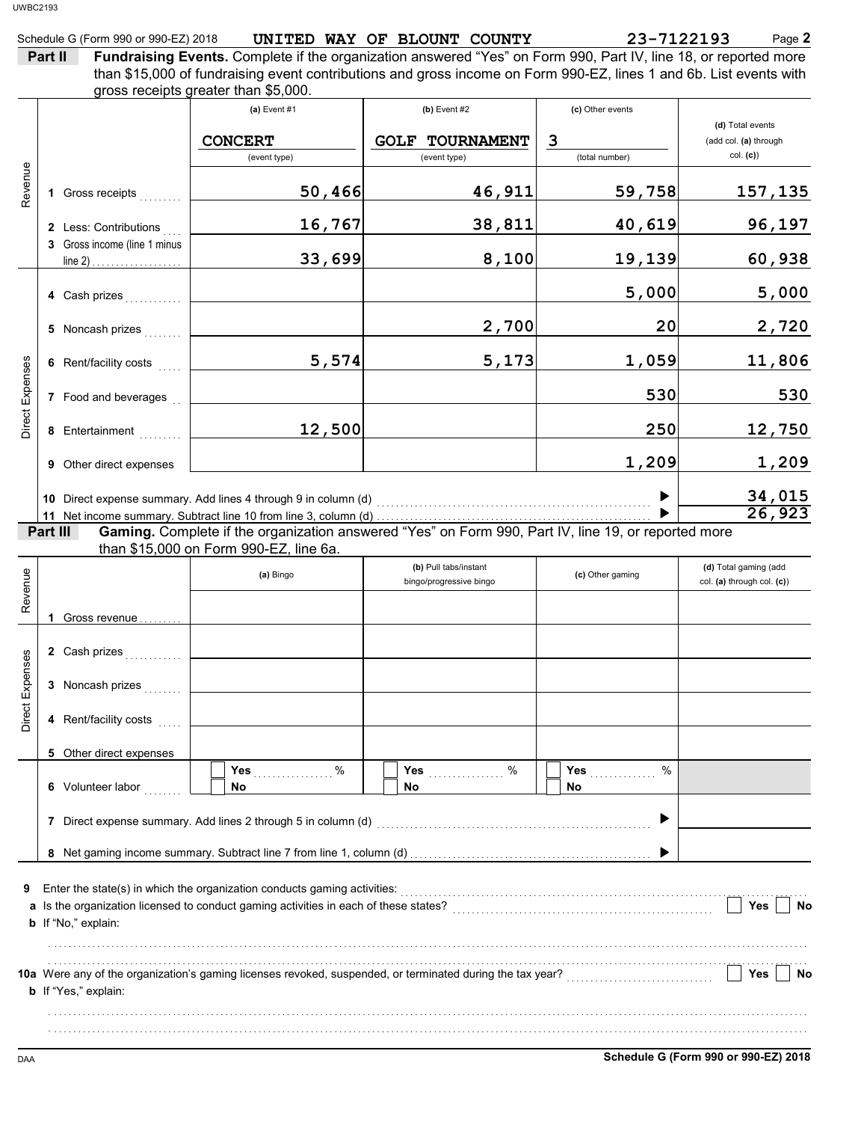|         | Schedule G (Form 990 or 990-EZ) 2018 |  | UNITED WAY OF BLOUNT COUNTY | 23-7122193                                                                                                        | Page 2 |
|---------|--------------------------------------|--|-----------------------------|-------------------------------------------------------------------------------------------------------------------|--------|
| Part II |                                      |  |                             | Fundraising Events. Complete if the organization answered "Yes" on Form 990, Part IV, line 18, or reported more   |        |
|         |                                      |  |                             | than \$15,000 of fundraising event contributions and gross income on Form 990-F7 lines 1 and 6b. List events with |        |

than  $$15,000$  of fundraising

|                 |          |                                                                             | gross receipts greater than \$5,000.                                     | than project. In the assignment with the continuum of the same of the control of the sports, must can controlled with |                                                      |                                                       |
|-----------------|----------|-----------------------------------------------------------------------------|--------------------------------------------------------------------------|-----------------------------------------------------------------------------------------------------------------------|------------------------------------------------------|-------------------------------------------------------|
|                 |          |                                                                             | (a) Event $#1$<br><b>CONCERT</b><br>(event type)                         | $(b)$ Event #2<br><b>GOLF TOURNAMENT</b><br>(event type)                                                              | (c) Other events<br>$\overline{3}$<br>(total number) | (d) Total events<br>(add col. (a) through<br>col. (c) |
| Revenue         |          | 1 Gross receipts                                                            | 50,466                                                                   | 46,911                                                                                                                | 59,758                                               | <u>157,135</u>                                        |
|                 |          | 2 Less: Contributions                                                       | 16,767                                                                   | 38,811                                                                                                                | 40,619                                               | 96,197                                                |
|                 |          | 3 Gross income (line 1 minus<br>line 2) $\ldots$ $\ldots$ $\ldots$ $\ldots$ | 33,699                                                                   | 8,100                                                                                                                 | 19,139                                               | 60,938                                                |
|                 |          | 4 Cash prizes                                                               |                                                                          |                                                                                                                       | 5,000                                                | 5,000                                                 |
|                 |          | 5 Noncash prizes                                                            |                                                                          | 2,700                                                                                                                 | 20                                                   | 2,720                                                 |
|                 |          | 6 Rent/facility costs                                                       | 5,574                                                                    | 5,173                                                                                                                 | 1,059                                                | 11,806                                                |
| Direct Expenses |          | 7 Food and beverages                                                        |                                                                          |                                                                                                                       | 530                                                  | 530                                                   |
|                 |          | 8 Entertainment                                                             | 12,500                                                                   |                                                                                                                       | 250                                                  | 12,750                                                |
|                 |          | <b>9</b> Other direct expenses                                              |                                                                          |                                                                                                                       | 1,209                                                | 1,209                                                 |
|                 | Part III |                                                                             |                                                                          | Gaming. Complete if the organization answered "Yes" on Form 990, Part IV, line 19, or reported more                   |                                                      | 34,015<br>26,923                                      |
|                 |          |                                                                             | than \$15,000 on Form 990-EZ, line 6a.                                   |                                                                                                                       |                                                      |                                                       |
| Revenue         |          |                                                                             | (a) Bingo                                                                | (b) Pull tabs/instant<br>bingo/progressive bingo                                                                      | (c) Other gaming                                     | (d) Total gaming (add<br>col. (a) through col. (c))   |
|                 |          | 1 Gross revenue                                                             |                                                                          |                                                                                                                       |                                                      |                                                       |
|                 |          | 2 Cash prizes                                                               |                                                                          |                                                                                                                       |                                                      |                                                       |
| Direct Expenses |          | 3 Noncash prizes                                                            |                                                                          |                                                                                                                       |                                                      |                                                       |
|                 |          | 4 Rent/facility costs                                                       |                                                                          |                                                                                                                       |                                                      |                                                       |
|                 |          | 5 Other direct expenses                                                     |                                                                          |                                                                                                                       |                                                      |                                                       |
|                 |          | 6 Volunteer labor                                                           | %<br>Yes<br>No                                                           | %<br>Yes<br>No                                                                                                        | $\%$<br>Yes<br>No                                    |                                                       |
|                 |          |                                                                             |                                                                          |                                                                                                                       |                                                      |                                                       |
|                 |          |                                                                             |                                                                          |                                                                                                                       |                                                      |                                                       |
| 9               |          | b If "No," explain:                                                         | Enter the state(s) in which the organization conducts gaming activities: |                                                                                                                       |                                                      | Yes<br>No                                             |
|                 |          |                                                                             |                                                                          | 10a Were any of the organization's gaming licenses revoked, suspended, or terminated during the tax year?             |                                                      | Yes<br>No                                             |

. . . . . . . . . . . . . . . . . . . . . . . . . . . . . . . . . . . . . . . . . . . . . . . . . . . . . . . . . . . . . . . . . . . . . . . . . . . . . . . . . . . . . . . . . . . . . . . . . . . . . . . . . . . . . . . . . . . . . . . . . . . . . . . . . . . . . . . . . . . . . . . . . . . . . . . . . . . . . . . . . . . . . . . . . . . . . . . . . . . . . . . . . . . . . . . . . . . . . . . . . . . . . . . . . . . . . . . . . . . . . . . . . . . . . . . . . . . . . . . . . . . . . . . . . . . . . . . . . . . . . . . . . . . . . . . . . . . . . . . . . . . . . . . . . . . . . . . . . . . . . . . . . . . . . . . . . . . . . . . .

**b** If "Yes," explain: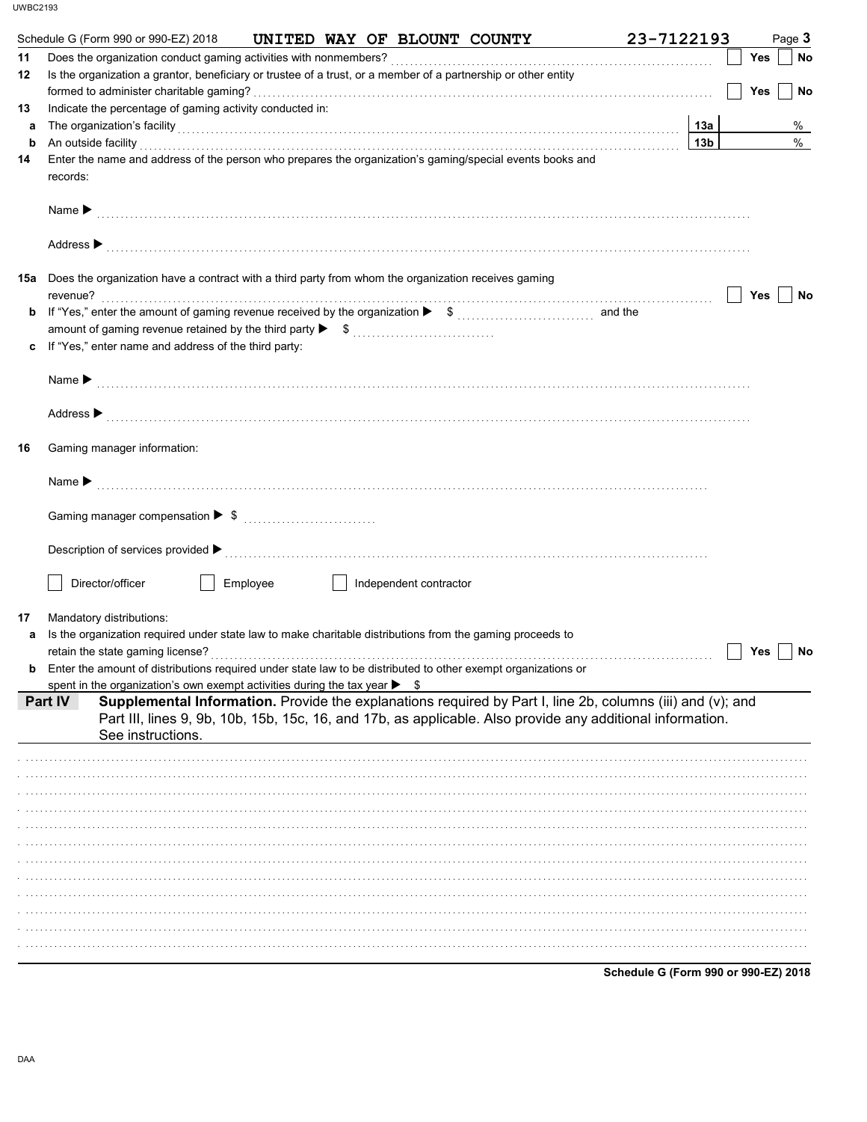|                            | Schedule G (Form 990 or 990-EZ) 2018<br>UNITED WAY OF BLOUNT COUNTY                                                                                                                                                                                                                                                                              | 23-7122193             | Page 3    |
|----------------------------|--------------------------------------------------------------------------------------------------------------------------------------------------------------------------------------------------------------------------------------------------------------------------------------------------------------------------------------------------|------------------------|-----------|
| 11                         |                                                                                                                                                                                                                                                                                                                                                  |                        | Yes<br>No |
| 12                         | Is the organization a grantor, beneficiary or trustee of a trust, or a member of a partnership or other entity                                                                                                                                                                                                                                   |                        |           |
|                            |                                                                                                                                                                                                                                                                                                                                                  |                        | Yes<br>No |
| 13                         | Indicate the percentage of gaming activity conducted in:                                                                                                                                                                                                                                                                                         |                        |           |
| a                          | The organization's facility [11] The organization's facility [12] The organization's facility [12] The organization's facility                                                                                                                                                                                                                   | 13а<br>13 <sub>b</sub> | %<br>%    |
| b<br>14                    | An outside facility <b>contract and the contract of the contract of the contract of the contract of the contract of the contract of the contract of the contract of the contract of the contract of the contract of the contract</b><br>Enter the name and address of the person who prepares the organization's gaming/special events books and |                        |           |
| records:                   |                                                                                                                                                                                                                                                                                                                                                  |                        |           |
| Name $\blacktriangleright$ |                                                                                                                                                                                                                                                                                                                                                  |                        |           |
|                            |                                                                                                                                                                                                                                                                                                                                                  |                        |           |
|                            | 15a Does the organization have a contract with a third party from whom the organization receives gaming                                                                                                                                                                                                                                          |                        | Yes<br>No |
| b                          |                                                                                                                                                                                                                                                                                                                                                  |                        |           |
|                            |                                                                                                                                                                                                                                                                                                                                                  |                        |           |
| C                          | If "Yes," enter name and address of the third party:                                                                                                                                                                                                                                                                                             |                        |           |
|                            |                                                                                                                                                                                                                                                                                                                                                  |                        |           |
|                            | Name $\blacktriangleright$ [1] $\ldots$ [1] $\ldots$ [1] $\ldots$ [1] $\ldots$ [1] $\ldots$ [1] $\ldots$ [1] $\ldots$ [1] $\ldots$ [1] $\ldots$ [1] $\ldots$ [1] $\ldots$ [1] $\ldots$ [1] $\ldots$ [1] $\ldots$ [1] $\ldots$ [1] $\ldots$ [1] $\ldots$ [1] $\ldots$ [1] $\ldots$ [1] $\ldots$ [1] $\ldots$                                      |                        |           |
|                            |                                                                                                                                                                                                                                                                                                                                                  |                        |           |
|                            | Address > the contract of the contract of the contract of the contract of the contract of the contract of the contract of the contract of the contract of the contract of the contract of the contract of the contract of the                                                                                                                    |                        |           |
| 16                         | Gaming manager information:                                                                                                                                                                                                                                                                                                                      |                        |           |
|                            | Name $\blacktriangleright$ [1] $\ldots$ [1] $\ldots$ [1] $\ldots$ [1] $\ldots$ [1] $\ldots$ [1] $\ldots$ [1] $\ldots$ [1] $\ldots$ [1] $\ldots$ [1] $\ldots$ [1] $\ldots$ [1] $\ldots$ [1] $\ldots$ [1] $\ldots$ [1] $\ldots$ [1] $\ldots$ [1] $\ldots$ [1] $\ldots$ [1] $\ldots$ [1] $\ldots$ [1] $\ldots$                                      |                        |           |
|                            |                                                                                                                                                                                                                                                                                                                                                  |                        |           |
|                            | Description of services provided $\blacktriangleright$ [100] contract the service of the service of the services provided $\blacktriangleright$ [100] contract the service of the service of the service of the service of the service of the service of t                                                                                       |                        |           |
|                            | Director/officer<br>Employee<br>Independent contractor                                                                                                                                                                                                                                                                                           |                        |           |
|                            |                                                                                                                                                                                                                                                                                                                                                  |                        |           |
| 17                         | Mandatory distributions:                                                                                                                                                                                                                                                                                                                         |                        |           |
| a                          | Is the organization required under state law to make charitable distributions from the gaming proceeds to                                                                                                                                                                                                                                        |                        |           |
|                            | retain the state gaming license?                                                                                                                                                                                                                                                                                                                 |                        | Yes<br>No |
|                            | <b>b</b> Enter the amount of distributions required under state law to be distributed to other exempt organizations or                                                                                                                                                                                                                           |                        |           |
| <b>Part IV</b>             | spent in the organization's own exempt activities during the tax year $\triangleright$ \$<br>Supplemental Information. Provide the explanations required by Part I, line 2b, columns (iii) and (v); and                                                                                                                                          |                        |           |
|                            | Part III, lines 9, 9b, 10b, 15b, 15c, 16, and 17b, as applicable. Also provide any additional information.<br>See instructions.                                                                                                                                                                                                                  |                        |           |
|                            |                                                                                                                                                                                                                                                                                                                                                  |                        |           |
|                            |                                                                                                                                                                                                                                                                                                                                                  |                        |           |
|                            |                                                                                                                                                                                                                                                                                                                                                  |                        |           |
|                            |                                                                                                                                                                                                                                                                                                                                                  |                        |           |
|                            |                                                                                                                                                                                                                                                                                                                                                  |                        |           |
|                            |                                                                                                                                                                                                                                                                                                                                                  |                        |           |
|                            |                                                                                                                                                                                                                                                                                                                                                  |                        |           |
|                            |                                                                                                                                                                                                                                                                                                                                                  |                        |           |
|                            |                                                                                                                                                                                                                                                                                                                                                  |                        |           |
|                            |                                                                                                                                                                                                                                                                                                                                                  |                        |           |
|                            |                                                                                                                                                                                                                                                                                                                                                  |                        |           |
|                            |                                                                                                                                                                                                                                                                                                                                                  |                        |           |
|                            |                                                                                                                                                                                                                                                                                                                                                  |                        |           |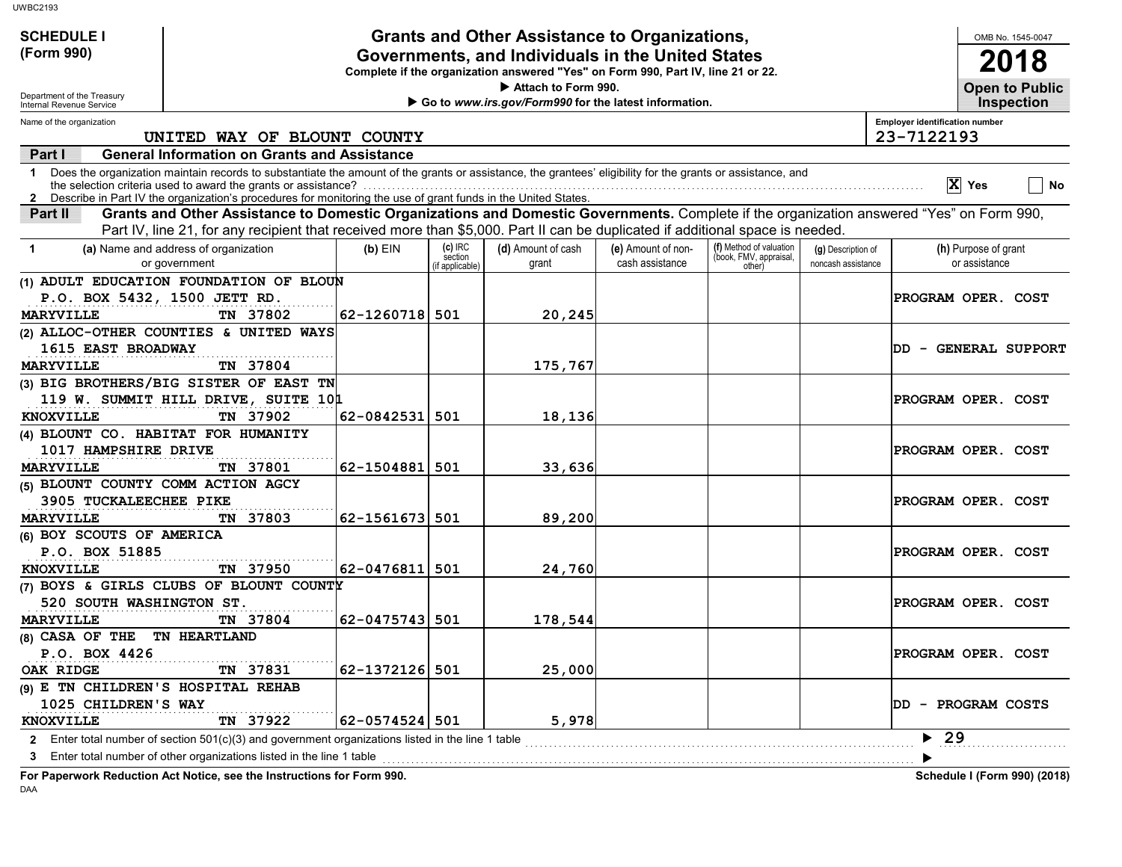| <b>UWBC2193</b>                                        |                                                                                                                                                                                                                                                                               |                |                    |                                                                                  |                    |                                                   |                    |                                                                                                                                          |
|--------------------------------------------------------|-------------------------------------------------------------------------------------------------------------------------------------------------------------------------------------------------------------------------------------------------------------------------------|----------------|--------------------|----------------------------------------------------------------------------------|--------------------|---------------------------------------------------|--------------------|------------------------------------------------------------------------------------------------------------------------------------------|
| <b>SCHEDULE I</b>                                      |                                                                                                                                                                                                                                                                               |                |                    | <b>Grants and Other Assistance to Organizations,</b>                             |                    |                                                   |                    | OMB No. 1545-0047                                                                                                                        |
| (Form 990)                                             | Governments, and Individuals in the United States                                                                                                                                                                                                                             |                |                    |                                                                                  |                    |                                                   |                    |                                                                                                                                          |
|                                                        |                                                                                                                                                                                                                                                                               |                |                    | Complete if the organization answered "Yes" on Form 990, Part IV, line 21 or 22. |                    |                                                   |                    | <b>2018</b>                                                                                                                              |
|                                                        |                                                                                                                                                                                                                                                                               |                |                    | Attach to Form 990.                                                              |                    |                                                   |                    | <b>Open to Public</b>                                                                                                                    |
| Department of the Treasury<br>Internal Revenue Service |                                                                                                                                                                                                                                                                               |                |                    | Go to www.irs.gov/Form990 for the latest information.                            |                    |                                                   |                    | <b>Inspection</b>                                                                                                                        |
| Name of the organization                               |                                                                                                                                                                                                                                                                               |                |                    |                                                                                  |                    |                                                   |                    | <b>Employer identification number</b>                                                                                                    |
|                                                        | UNITED WAY OF BLOUNT COUNTY                                                                                                                                                                                                                                                   |                |                    |                                                                                  |                    |                                                   |                    | 23-7122193                                                                                                                               |
| Part I                                                 | <b>General Information on Grants and Assistance</b>                                                                                                                                                                                                                           |                |                    |                                                                                  |                    |                                                   |                    |                                                                                                                                          |
| 1                                                      | Does the organization maintain records to substantiate the amount of the grants or assistance, the grantees' eligibility for the grants or assistance, and<br>2 Describe in Part IV the organization's procedures for monitoring the use of grant funds in the United States. |                |                    |                                                                                  |                    |                                                   |                    | $\overline{X}$ Yes<br>No                                                                                                                 |
| Part II                                                | Part IV, line 21, for any recipient that received more than \$5,000. Part II can be duplicated if additional space is needed.                                                                                                                                                 |                |                    |                                                                                  |                    |                                                   |                    | Grants and Other Assistance to Domestic Organizations and Domestic Governments. Complete if the organization answered "Yes" on Form 990, |
| -1                                                     | (a) Name and address of organization                                                                                                                                                                                                                                          | $(b)$ EIN      | (c) IRC<br>section | (d) Amount of cash                                                               | (e) Amount of non- | (f) Method of valuation<br>(book, FMV, appraisal, | (g) Description of | (h) Purpose of grant                                                                                                                     |
|                                                        | or government                                                                                                                                                                                                                                                                 |                | if applicable)     | grant                                                                            | cash assistance    | other)                                            | noncash assistance | or assistance                                                                                                                            |
|                                                        | (1) ADULT EDUCATION FOUNDATION OF BLOUN                                                                                                                                                                                                                                       |                |                    |                                                                                  |                    |                                                   |                    |                                                                                                                                          |
| P.O. BOX 5432, 1500 JETT RD.                           |                                                                                                                                                                                                                                                                               |                |                    |                                                                                  |                    |                                                   |                    | PROGRAM OPER. COST                                                                                                                       |
| <b>MARYVILLE</b>                                       | TN 37802                                                                                                                                                                                                                                                                      | 62-1260718 501 |                    | 20, 245                                                                          |                    |                                                   |                    |                                                                                                                                          |
|                                                        | (2) ALLOC-OTHER COUNTIES & UNITED WAYS                                                                                                                                                                                                                                        |                |                    |                                                                                  |                    |                                                   |                    |                                                                                                                                          |
| 1615 EAST BROADWAY                                     |                                                                                                                                                                                                                                                                               |                |                    |                                                                                  |                    |                                                   |                    | DD - GENERAL SUPPORT                                                                                                                     |
| <b>MARYVILLE</b>                                       | TN 37804                                                                                                                                                                                                                                                                      |                |                    | 175,767                                                                          |                    |                                                   |                    |                                                                                                                                          |
|                                                        | (3) BIG BROTHERS/BIG SISTER OF EAST TN                                                                                                                                                                                                                                        |                |                    |                                                                                  |                    |                                                   |                    |                                                                                                                                          |
|                                                        | 119 W. SUMMIT HILL DRIVE, SUITE 101                                                                                                                                                                                                                                           |                |                    |                                                                                  |                    |                                                   |                    | PROGRAM OPER. COST                                                                                                                       |
| <b>KNOXVILLE</b>                                       | TN 37902                                                                                                                                                                                                                                                                      | 62-0842531 501 |                    | 18,136                                                                           |                    |                                                   |                    |                                                                                                                                          |
| (4) BLOUNT CO. HABITAT FOR HUMANITY                    |                                                                                                                                                                                                                                                                               |                |                    |                                                                                  |                    |                                                   |                    |                                                                                                                                          |
| 1017 HAMPSHIRE DRIVE                                   |                                                                                                                                                                                                                                                                               |                |                    |                                                                                  |                    |                                                   |                    | PROGRAM OPER. COST                                                                                                                       |
| <b>MARYVILLE</b>                                       | TN 37801                                                                                                                                                                                                                                                                      | 62-1504881 501 |                    | 33,636                                                                           |                    |                                                   |                    |                                                                                                                                          |
| (5) BLOUNT COUNTY COMM ACTION AGCY                     |                                                                                                                                                                                                                                                                               |                |                    |                                                                                  |                    |                                                   |                    |                                                                                                                                          |
| 3905 TUCKALEECHEE PIKE                                 |                                                                                                                                                                                                                                                                               |                |                    |                                                                                  |                    |                                                   |                    | PROGRAM OPER. COST                                                                                                                       |
| <b>MARYVILLE</b>                                       | TN 37803                                                                                                                                                                                                                                                                      | 62-1561673 501 |                    | 89,200                                                                           |                    |                                                   |                    |                                                                                                                                          |
| (6) BOY SCOUTS OF AMERICA                              |                                                                                                                                                                                                                                                                               |                |                    |                                                                                  |                    |                                                   |                    |                                                                                                                                          |
| P.O. BOX 51885                                         |                                                                                                                                                                                                                                                                               |                |                    |                                                                                  |                    |                                                   |                    | PROGRAM OPER. COST                                                                                                                       |
| <b>KNOXVILLE</b>                                       | TN 37950                                                                                                                                                                                                                                                                      | 62-0476811 501 |                    | 24,760                                                                           |                    |                                                   |                    |                                                                                                                                          |
|                                                        | (7) BOYS & GIRLS CLUBS OF BLOUNT COUNTY                                                                                                                                                                                                                                       |                |                    |                                                                                  |                    |                                                   |                    |                                                                                                                                          |
| 520 SOUTH WASHINGTON ST.                               |                                                                                                                                                                                                                                                                               |                |                    |                                                                                  |                    |                                                   |                    | PROGRAM OPER. COST                                                                                                                       |
| <b>MARYVILLE</b>                                       | TN 37804                                                                                                                                                                                                                                                                      | 62-0475743 501 |                    | 178,544                                                                          |                    |                                                   |                    |                                                                                                                                          |
| (8) CASA OF THE TN HEARTLAND                           |                                                                                                                                                                                                                                                                               |                |                    |                                                                                  |                    |                                                   |                    |                                                                                                                                          |
| P.O. BOX 4426                                          |                                                                                                                                                                                                                                                                               |                |                    |                                                                                  |                    |                                                   |                    | PROGRAM OPER. COST                                                                                                                       |
| OAK RIDGE                                              | TN 37831                                                                                                                                                                                                                                                                      | 62-1372126 501 |                    | 25,000                                                                           |                    |                                                   |                    |                                                                                                                                          |
| (9) E TN CHILDREN'S HOSPITAL REHAB                     |                                                                                                                                                                                                                                                                               |                |                    |                                                                                  |                    |                                                   |                    |                                                                                                                                          |
| 1025 CHILDREN'S WAY                                    |                                                                                                                                                                                                                                                                               |                |                    |                                                                                  |                    |                                                   |                    | DD - PROGRAM COSTS                                                                                                                       |
| KNOXVILLE                                              | TN 37922                                                                                                                                                                                                                                                                      | 62-0574524 501 |                    | 5,978                                                                            |                    |                                                   |                    | 29                                                                                                                                       |
|                                                        | 2 Enter total number of section 501(c)(3) and government organizations listed in the line 1 table                                                                                                                                                                             |                |                    |                                                                                  |                    |                                                   |                    |                                                                                                                                          |
| 3                                                      | Enter total number of other organizations listed in the line 1 table                                                                                                                                                                                                          |                |                    |                                                                                  |                    |                                                   |                    |                                                                                                                                          |
|                                                        | For Paperwork Reduction Act Notice, see the Instructions for Form 990.                                                                                                                                                                                                        |                |                    |                                                                                  |                    |                                                   |                    | Schedule I (Form 990) (2018)                                                                                                             |

DAA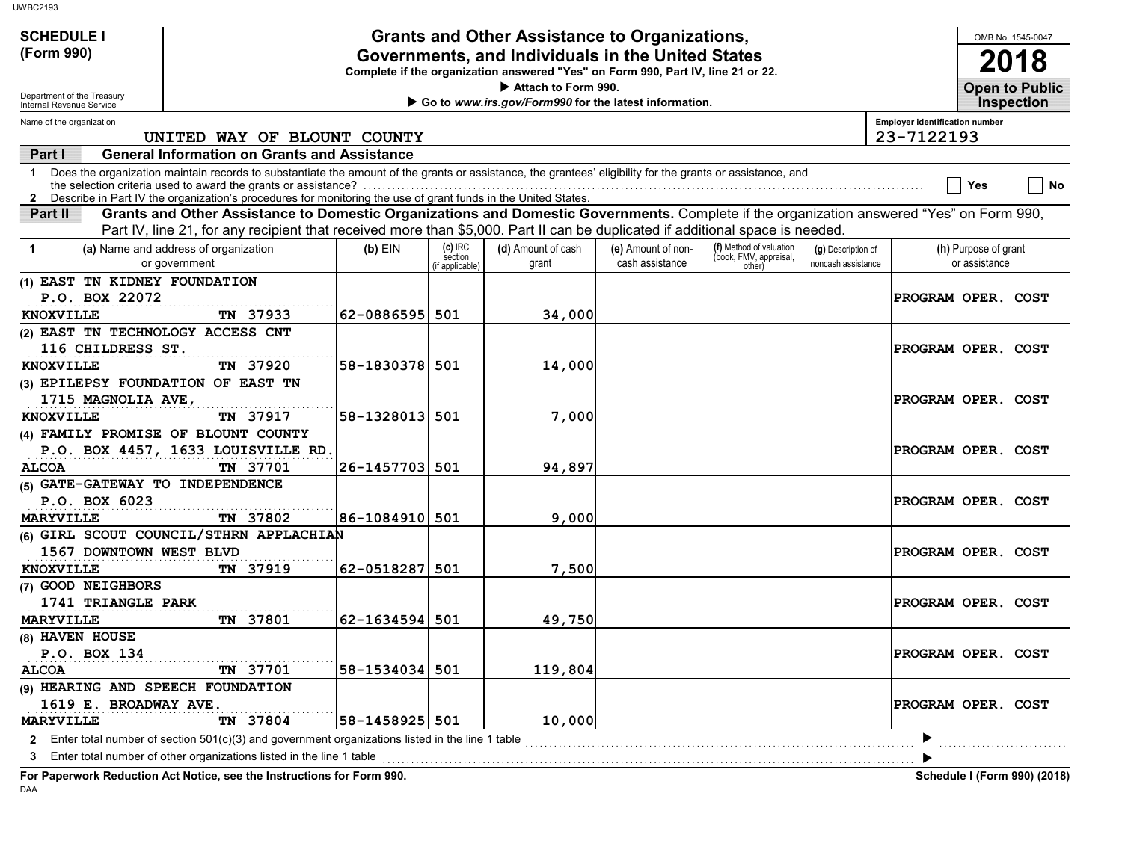| <b>Grants and Other Assistance to Organizations,</b><br><b>SCHEDULE I</b> |                                                                                                                                                                                                                                                             |                |                            |                                                                                                                                       |                    |                                  |                    |                                       | OMB No. 1545-0047    |                       |
|---------------------------------------------------------------------------|-------------------------------------------------------------------------------------------------------------------------------------------------------------------------------------------------------------------------------------------------------------|----------------|----------------------------|---------------------------------------------------------------------------------------------------------------------------------------|--------------------|----------------------------------|--------------------|---------------------------------------|----------------------|-----------------------|
| (Form 990)                                                                |                                                                                                                                                                                                                                                             |                |                            | Governments, and Individuals in the United States<br>Complete if the organization answered "Yes" on Form 990, Part IV, line 21 or 22. |                    |                                  |                    |                                       |                      | 2018                  |
|                                                                           |                                                                                                                                                                                                                                                             |                |                            | Attach to Form 990.                                                                                                                   |                    |                                  |                    |                                       |                      | <b>Open to Public</b> |
| Department of the Treasury<br>Internal Revenue Service                    |                                                                                                                                                                                                                                                             |                |                            | Go to www.irs.gov/Form990 for the latest information.                                                                                 |                    |                                  |                    |                                       | <b>Inspection</b>    |                       |
| Name of the organization                                                  |                                                                                                                                                                                                                                                             |                |                            |                                                                                                                                       |                    |                                  |                    | <b>Employer identification number</b> |                      |                       |
|                                                                           | UNITED WAY OF BLOUNT COUNTY                                                                                                                                                                                                                                 |                |                            |                                                                                                                                       |                    |                                  |                    | 23-7122193                            |                      |                       |
| Part I                                                                    | <b>General Information on Grants and Assistance</b>                                                                                                                                                                                                         |                |                            |                                                                                                                                       |                    |                                  |                    |                                       |                      |                       |
| $\mathbf 1$                                                               | Does the organization maintain records to substantiate the amount of the grants or assistance, the grantees' eligibility for the grants or assistance, and                                                                                                  |                |                            |                                                                                                                                       |                    |                                  |                    |                                       | Yes                  | No                    |
| Part II                                                                   | 2 Describe in Part IV the organization's procedures for monitoring the use of grant funds in the United States.<br>Grants and Other Assistance to Domestic Organizations and Domestic Governments. Complete if the organization answered "Yes" on Form 990, |                |                            |                                                                                                                                       |                    |                                  |                    |                                       |                      |                       |
|                                                                           | Part IV, line 21, for any recipient that received more than \$5,000. Part II can be duplicated if additional space is needed.                                                                                                                               |                |                            |                                                                                                                                       |                    |                                  |                    |                                       |                      |                       |
| $\mathbf 1$                                                               | (a) Name and address of organization                                                                                                                                                                                                                        | $(b)$ EIN      | $(c)$ IRC                  | (d) Amount of cash                                                                                                                    | (e) Amount of non- | (f) Method of valuation          | (g) Description of |                                       | (h) Purpose of grant |                       |
|                                                                           | or government                                                                                                                                                                                                                                               |                | section<br>(if applicable) | grant                                                                                                                                 | cash assistance    | (book, FMV, appraisal,<br>other) | noncash assistance |                                       | or assistance        |                       |
| (1) EAST TN KIDNEY FOUNDATION                                             |                                                                                                                                                                                                                                                             |                |                            |                                                                                                                                       |                    |                                  |                    |                                       |                      |                       |
| P.O. BOX 22072                                                            |                                                                                                                                                                                                                                                             |                |                            |                                                                                                                                       |                    |                                  |                    | PROGRAM OPER. COST                    |                      |                       |
| <b>KNOXVILLE</b>                                                          | TN 37933                                                                                                                                                                                                                                                    | 62-0886595 501 |                            | 34,000                                                                                                                                |                    |                                  |                    |                                       |                      |                       |
| (2) EAST TN TECHNOLOGY ACCESS CNT                                         |                                                                                                                                                                                                                                                             |                |                            |                                                                                                                                       |                    |                                  |                    |                                       |                      |                       |
| 116 CHILDRESS ST.                                                         |                                                                                                                                                                                                                                                             |                |                            |                                                                                                                                       |                    |                                  |                    | PROGRAM OPER. COST                    |                      |                       |
| <b>KNOXVILLE</b>                                                          | TN 37920                                                                                                                                                                                                                                                    | 58-1830378 501 |                            | 14,000                                                                                                                                |                    |                                  |                    |                                       |                      |                       |
| (3) EPILEPSY FOUNDATION OF EAST TN                                        |                                                                                                                                                                                                                                                             |                |                            |                                                                                                                                       |                    |                                  |                    |                                       |                      |                       |
| 1715 MAGNOLIA AVE,                                                        |                                                                                                                                                                                                                                                             |                |                            |                                                                                                                                       |                    |                                  |                    | PROGRAM OPER. COST                    |                      |                       |
| <b>KNOXVILLE</b>                                                          | TN 37917                                                                                                                                                                                                                                                    | 58-1328013 501 |                            | 7,000                                                                                                                                 |                    |                                  |                    |                                       |                      |                       |
|                                                                           | (4) FAMILY PROMISE OF BLOUNT COUNTY                                                                                                                                                                                                                         |                |                            |                                                                                                                                       |                    |                                  |                    |                                       |                      |                       |
|                                                                           | P.O. BOX 4457, 1633 LOUISVILLE RD                                                                                                                                                                                                                           |                |                            |                                                                                                                                       |                    |                                  |                    | PROGRAM OPER. COST                    |                      |                       |
| <b>ALCOA</b>                                                              | TN 37701                                                                                                                                                                                                                                                    | 26-1457703 501 |                            | 94,897                                                                                                                                |                    |                                  |                    |                                       |                      |                       |
| (5) GATE-GATEWAY TO INDEPENDENCE                                          |                                                                                                                                                                                                                                                             |                |                            |                                                                                                                                       |                    |                                  |                    |                                       |                      |                       |
| P.O. BOX 6023                                                             |                                                                                                                                                                                                                                                             |                |                            |                                                                                                                                       |                    |                                  |                    | PROGRAM OPER. COST                    |                      |                       |
| <b>MARYVILLE</b>                                                          | TN 37802                                                                                                                                                                                                                                                    | 86-1084910 501 |                            | 9,000                                                                                                                                 |                    |                                  |                    |                                       |                      |                       |
|                                                                           | (6) GIRL SCOUT COUNCIL/STHRN APPLACHIAN                                                                                                                                                                                                                     |                |                            |                                                                                                                                       |                    |                                  |                    |                                       |                      |                       |
| 1567 DOWNTOWN WEST BLVD                                                   |                                                                                                                                                                                                                                                             |                |                            |                                                                                                                                       |                    |                                  |                    | PROGRAM OPER. COST                    |                      |                       |
| <b>KNOXVILLE</b>                                                          | TN 37919                                                                                                                                                                                                                                                    | 62-0518287 501 |                            | 7,500                                                                                                                                 |                    |                                  |                    |                                       |                      |                       |
| (7) GOOD NEIGHBORS                                                        |                                                                                                                                                                                                                                                             |                |                            |                                                                                                                                       |                    |                                  |                    |                                       |                      |                       |
| 1741 TRIANGLE PARK                                                        |                                                                                                                                                                                                                                                             |                |                            |                                                                                                                                       |                    |                                  |                    | PROGRAM OPER. COST                    |                      |                       |
| <b>MARYVILLE</b>                                                          | TN 37801                                                                                                                                                                                                                                                    | 62-1634594 501 |                            | 49,750                                                                                                                                |                    |                                  |                    |                                       |                      |                       |
| (8) HAVEN HOUSE                                                           |                                                                                                                                                                                                                                                             |                |                            |                                                                                                                                       |                    |                                  |                    |                                       |                      |                       |
| P.O. BOX 134                                                              |                                                                                                                                                                                                                                                             |                |                            |                                                                                                                                       |                    |                                  |                    | PROGRAM OPER. COST                    |                      |                       |
| <b>ALCOA</b>                                                              | TN 37701                                                                                                                                                                                                                                                    | 58-1534034 501 |                            | 119,804                                                                                                                               |                    |                                  |                    |                                       |                      |                       |
| (9) HEARING AND SPEECH FOUNDATION                                         |                                                                                                                                                                                                                                                             |                |                            |                                                                                                                                       |                    |                                  |                    |                                       |                      |                       |
| 1619 E. BROADWAY AVE.                                                     |                                                                                                                                                                                                                                                             |                |                            |                                                                                                                                       |                    |                                  |                    | PROGRAM OPER. COST                    |                      |                       |
| MARYVILLE                                                                 | TN 37804                                                                                                                                                                                                                                                    | 58-1458925 501 |                            | 10,000                                                                                                                                |                    |                                  |                    |                                       |                      |                       |
|                                                                           | 2 Enter total number of section $501(c)(3)$ and government organizations listed in the line 1 table                                                                                                                                                         |                |                            |                                                                                                                                       |                    |                                  |                    |                                       |                      |                       |
| 3.                                                                        | Enter total number of other organizations listed in the line 1 table                                                                                                                                                                                        |                |                            |                                                                                                                                       |                    |                                  |                    |                                       |                      |                       |

**For Paperwork Reduction Act Notice, see the Instructions for Form 990. Schedule I (Form 990) (2018)** DAA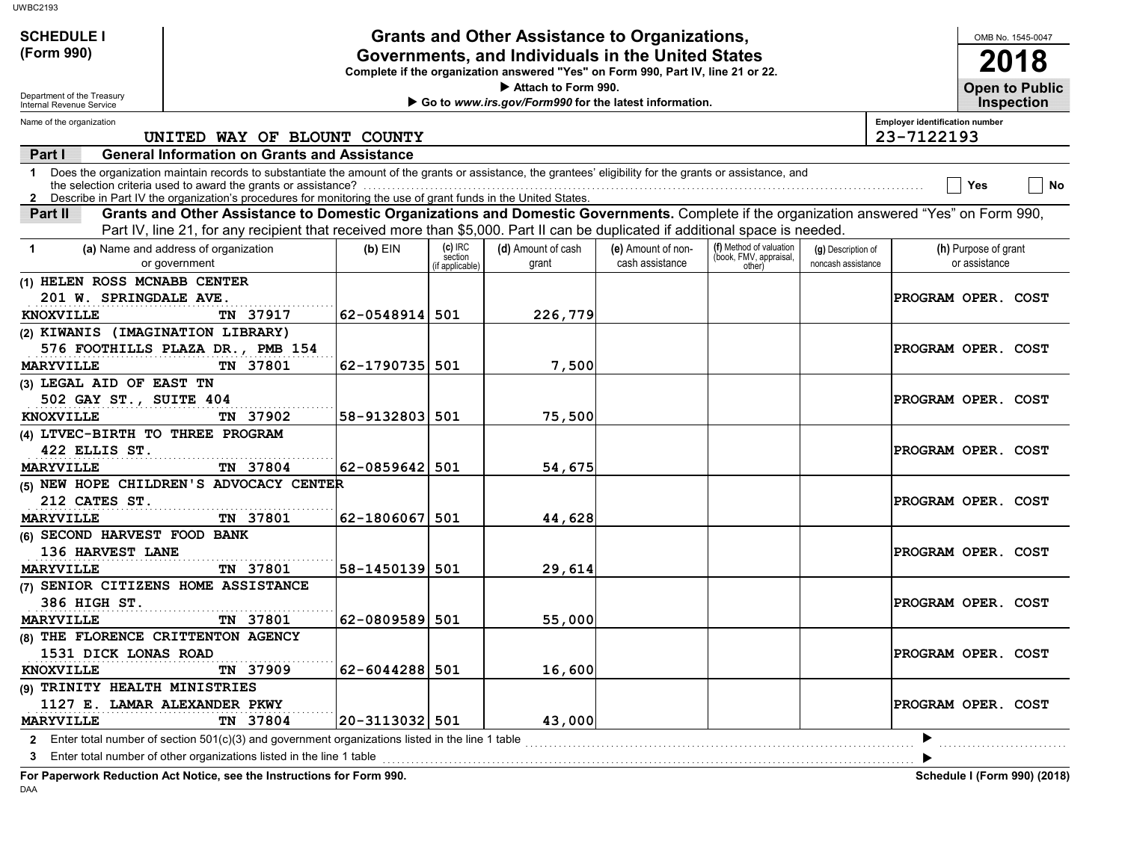| <b>UWBC2193</b>                                                                                                                                                                                                                                                                     |                |                      |                                                                                                         |                    |                                                   |                    |                                       |                      |                                            |
|-------------------------------------------------------------------------------------------------------------------------------------------------------------------------------------------------------------------------------------------------------------------------------------|----------------|----------------------|---------------------------------------------------------------------------------------------------------|--------------------|---------------------------------------------------|--------------------|---------------------------------------|----------------------|--------------------------------------------|
| <b>SCHEDULE I</b>                                                                                                                                                                                                                                                                   |                |                      | Grants and Other Assistance to Organizations,                                                           |                    |                                                   |                    |                                       |                      | OMB No. 1545-0047                          |
| (Form 990)                                                                                                                                                                                                                                                                          |                |                      | Governments, and Individuals in the United States                                                       |                    |                                                   |                    |                                       |                      | 2018                                       |
|                                                                                                                                                                                                                                                                                     |                |                      | Complete if the organization answered "Yes" on Form 990, Part IV, line 21 or 22.<br>Attach to Form 990. |                    |                                                   |                    |                                       |                      |                                            |
| Department of the Treasury<br>Internal Revenue Service                                                                                                                                                                                                                              |                |                      | Go to www.irs.gov/Form990 for the latest information.                                                   |                    |                                                   |                    |                                       |                      | <b>Open to Public</b><br><b>Inspection</b> |
| Name of the organization                                                                                                                                                                                                                                                            |                |                      |                                                                                                         |                    |                                                   |                    | <b>Employer identification number</b> |                      |                                            |
| UNITED WAY OF BLOUNT COUNTY                                                                                                                                                                                                                                                         |                |                      |                                                                                                         |                    |                                                   |                    | 23-7122193                            |                      |                                            |
| <b>General Information on Grants and Assistance</b><br>Part I                                                                                                                                                                                                                       |                |                      |                                                                                                         |                    |                                                   |                    |                                       |                      |                                            |
| Does the organization maintain records to substantiate the amount of the grants or assistance, the grantees' eligibility for the grants or assistance, and<br>1.<br>2 Describe in Part IV the organization's procedures for monitoring the use of grant funds in the United States. |                |                      |                                                                                                         |                    |                                                   |                    |                                       | Yes                  | No                                         |
| Grants and Other Assistance to Domestic Organizations and Domestic Governments. Complete if the organization answered "Yes" on Form 990,<br>Part II                                                                                                                                 |                |                      |                                                                                                         |                    |                                                   |                    |                                       |                      |                                            |
| Part IV, line 21, for any recipient that received more than \$5,000. Part II can be duplicated if additional space is needed.                                                                                                                                                       |                |                      |                                                                                                         |                    |                                                   |                    |                                       |                      |                                            |
| (a) Name and address of organization<br>-1                                                                                                                                                                                                                                          | $(b)$ EIN      | $(c)$ IRC<br>section | (d) Amount of cash                                                                                      | (e) Amount of non- | (f) Method of valuation<br>(book, FMV, appraisal, | (g) Description of |                                       | (h) Purpose of grant |                                            |
| or government                                                                                                                                                                                                                                                                       |                | if applicable)       | grant                                                                                                   | cash assistance    | other)                                            | noncash assistance |                                       | or assistance        |                                            |
| (1) HELEN ROSS MCNABB CENTER<br>201 W. SPRINGDALE AVE.                                                                                                                                                                                                                              |                |                      |                                                                                                         |                    |                                                   |                    | PROGRAM OPER. COST                    |                      |                                            |
| <b>KNOXVILLE</b><br>TN 37917                                                                                                                                                                                                                                                        | 62-0548914 501 |                      | 226,779                                                                                                 |                    |                                                   |                    |                                       |                      |                                            |
| (2) KIWANIS (IMAGINATION LIBRARY)                                                                                                                                                                                                                                                   |                |                      |                                                                                                         |                    |                                                   |                    |                                       |                      |                                            |
| 576 FOOTHILLS PLAZA DR., PMB 154                                                                                                                                                                                                                                                    |                |                      |                                                                                                         |                    |                                                   |                    | PROGRAM OPER. COST                    |                      |                                            |
| <b>MARYVILLE</b><br>TN 37801                                                                                                                                                                                                                                                        | 62-1790735 501 |                      | 7,500                                                                                                   |                    |                                                   |                    |                                       |                      |                                            |
| (3) LEGAL AID OF EAST TN                                                                                                                                                                                                                                                            |                |                      |                                                                                                         |                    |                                                   |                    |                                       |                      |                                            |
| 502 GAY ST., SUITE 404                                                                                                                                                                                                                                                              |                |                      |                                                                                                         |                    |                                                   |                    | PROGRAM OPER. COST                    |                      |                                            |
| <b>KNOXVILLE</b><br>TN 37902                                                                                                                                                                                                                                                        | 58-9132803 501 |                      | 75,500                                                                                                  |                    |                                                   |                    |                                       |                      |                                            |
| (4) LTVEC-BIRTH TO THREE PROGRAM                                                                                                                                                                                                                                                    |                |                      |                                                                                                         |                    |                                                   |                    |                                       |                      |                                            |
| 422 ELLIS ST.                                                                                                                                                                                                                                                                       |                |                      |                                                                                                         |                    |                                                   |                    | PROGRAM OPER. COST                    |                      |                                            |
| <b>MARYVILLE</b><br>TN 37804                                                                                                                                                                                                                                                        | 62-0859642 501 |                      | 54,675                                                                                                  |                    |                                                   |                    |                                       |                      |                                            |
| (5) NEW HOPE CHILDREN'S ADVOCACY CENTER<br>212 CATES ST.                                                                                                                                                                                                                            |                |                      |                                                                                                         |                    |                                                   |                    | PROGRAM OPER. COST                    |                      |                                            |
| TN 37801<br><b>MARYVILLE</b>                                                                                                                                                                                                                                                        | 62-1806067 501 |                      | 44,628                                                                                                  |                    |                                                   |                    |                                       |                      |                                            |
| (6) SECOND HARVEST FOOD BANK                                                                                                                                                                                                                                                        |                |                      |                                                                                                         |                    |                                                   |                    |                                       |                      |                                            |
| 136 HARVEST LANE                                                                                                                                                                                                                                                                    |                |                      |                                                                                                         |                    |                                                   |                    | PROGRAM OPER. COST                    |                      |                                            |
| TN 37801<br><b>MARYVILLE</b>                                                                                                                                                                                                                                                        | 58-1450139 501 |                      | 29,614                                                                                                  |                    |                                                   |                    |                                       |                      |                                            |
| (7) SENIOR CITIZENS HOME ASSISTANCE                                                                                                                                                                                                                                                 |                |                      |                                                                                                         |                    |                                                   |                    |                                       |                      |                                            |
| 386 HIGH ST.<br>TN 37801<br><b>MARYVILLE</b>                                                                                                                                                                                                                                        | 62-0809589 501 |                      | 55,000                                                                                                  |                    |                                                   |                    | PROGRAM OPER. COST                    |                      |                                            |
| (8) THE FLORENCE CRITTENTON AGENCY                                                                                                                                                                                                                                                  |                |                      |                                                                                                         |                    |                                                   |                    |                                       |                      |                                            |
| 1531 DICK LONAS ROAD                                                                                                                                                                                                                                                                |                |                      |                                                                                                         |                    |                                                   |                    | PROGRAM OPER. COST                    |                      |                                            |
| TN 37909<br><b>KNOXVILLE</b>                                                                                                                                                                                                                                                        | 62-6044288 501 |                      | 16,600                                                                                                  |                    |                                                   |                    |                                       |                      |                                            |
| (9) TRINITY HEALTH MINISTRIES                                                                                                                                                                                                                                                       |                |                      |                                                                                                         |                    |                                                   |                    |                                       |                      |                                            |
| 1127 E. LAMAR ALEXANDER PKWY                                                                                                                                                                                                                                                        |                |                      |                                                                                                         |                    |                                                   |                    | PROGRAM OPER. COST                    |                      |                                            |
| MARYVILLE<br>TN 37804                                                                                                                                                                                                                                                               | 20-3113032 501 |                      | 43,000                                                                                                  |                    |                                                   |                    |                                       |                      |                                            |
| 2 Enter total number of section 501(c)(3) and government organizations listed in the line 1 table                                                                                                                                                                                   |                |                      |                                                                                                         |                    |                                                   |                    |                                       |                      |                                            |
| 3 Enter total number of other organizations listed in the line 1 table                                                                                                                                                                                                              |                |                      |                                                                                                         |                    |                                                   |                    |                                       |                      |                                            |

**For Paperwork Reduction Act Notice, see the Instructions for Form 990. Schedule I (Form 990) (2018)** DAA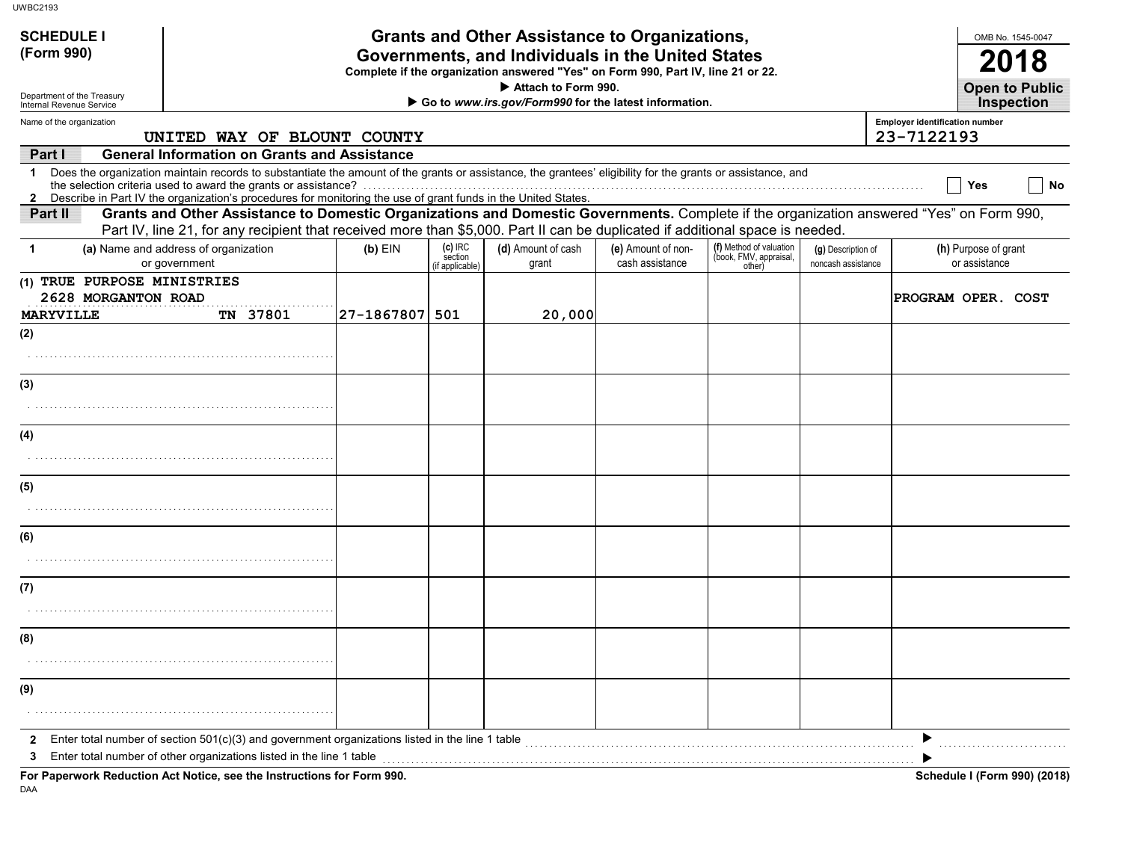| <b>SCHEDULE I</b>                                                                                                                                                                                                                                                                    |                                                   |                                      | <b>Grants and Other Assistance to Organizations,</b>                                                    |                                       |                                                             |                                          |                                       | OMB No. 1545-0047                     |
|--------------------------------------------------------------------------------------------------------------------------------------------------------------------------------------------------------------------------------------------------------------------------------------|---------------------------------------------------|--------------------------------------|---------------------------------------------------------------------------------------------------------|---------------------------------------|-------------------------------------------------------------|------------------------------------------|---------------------------------------|---------------------------------------|
| (Form 990)                                                                                                                                                                                                                                                                           | Governments, and Individuals in the United States |                                      |                                                                                                         |                                       |                                                             |                                          |                                       |                                       |
|                                                                                                                                                                                                                                                                                      |                                                   |                                      | Complete if the organization answered "Yes" on Form 990, Part IV, line 21 or 22.<br>Attach to Form 990. |                                       |                                                             |                                          |                                       | <b>Open to Public</b>                 |
| Department of the Treasury<br>Internal Revenue Service                                                                                                                                                                                                                               |                                                   |                                      | Go to www.irs.gov/Form990 for the latest information.                                                   |                                       |                                                             |                                          |                                       | <b>Inspection</b>                     |
| Name of the organization                                                                                                                                                                                                                                                             |                                                   |                                      |                                                                                                         |                                       |                                                             |                                          | <b>Employer identification number</b> |                                       |
| UNITED WAY OF BLOUNT COUNTY<br><b>General Information on Grants and Assistance</b>                                                                                                                                                                                                   |                                                   |                                      |                                                                                                         |                                       |                                                             |                                          | 23-7122193                            |                                       |
| Part I<br>Does the organization maintain records to substantiate the amount of the grants or assistance, the grantees' eligibility for the grants or assistance, and<br>1.                                                                                                           |                                                   |                                      |                                                                                                         |                                       |                                                             |                                          |                                       |                                       |
| 2 Describe in Part IV the organization's procedures for monitoring the use of grant funds in the United States.                                                                                                                                                                      |                                                   |                                      |                                                                                                         |                                       |                                                             |                                          |                                       | No<br><b>Yes</b>                      |
| Grants and Other Assistance to Domestic Organizations and Domestic Governments. Complete if the organization answered "Yes" on Form 990,<br>Part II<br>Part IV, line 21, for any recipient that received more than \$5,000. Part II can be duplicated if additional space is needed. |                                                   |                                      |                                                                                                         |                                       |                                                             |                                          |                                       |                                       |
| (a) Name and address of organization<br>-1<br>or government                                                                                                                                                                                                                          | $(b)$ EIN                                         | (c) IRC<br>section<br>if applicable) | (d) Amount of cash<br>grant                                                                             | (e) Amount of non-<br>cash assistance | (f) Method of valuation<br>(book, FMV, appraisal,<br>other) | (g) Description of<br>noncash assistance |                                       | (h) Purpose of grant<br>or assistance |
| (1) TRUE PURPOSE MINISTRIES<br>2628 MORGANTON ROAD                                                                                                                                                                                                                                   |                                                   |                                      |                                                                                                         |                                       |                                                             |                                          |                                       | PROGRAM OPER. COST                    |
| TN 37801<br><b>MARYVILLE</b>                                                                                                                                                                                                                                                         | 27-1867807 501                                    |                                      | 20,000                                                                                                  |                                       |                                                             |                                          |                                       |                                       |
| (2)                                                                                                                                                                                                                                                                                  |                                                   |                                      |                                                                                                         |                                       |                                                             |                                          |                                       |                                       |
|                                                                                                                                                                                                                                                                                      |                                                   |                                      |                                                                                                         |                                       |                                                             |                                          |                                       |                                       |
| (3)                                                                                                                                                                                                                                                                                  |                                                   |                                      |                                                                                                         |                                       |                                                             |                                          |                                       |                                       |
|                                                                                                                                                                                                                                                                                      |                                                   |                                      |                                                                                                         |                                       |                                                             |                                          |                                       |                                       |
| (4)                                                                                                                                                                                                                                                                                  |                                                   |                                      |                                                                                                         |                                       |                                                             |                                          |                                       |                                       |
|                                                                                                                                                                                                                                                                                      |                                                   |                                      |                                                                                                         |                                       |                                                             |                                          |                                       |                                       |
| (5)                                                                                                                                                                                                                                                                                  |                                                   |                                      |                                                                                                         |                                       |                                                             |                                          |                                       |                                       |
|                                                                                                                                                                                                                                                                                      |                                                   |                                      |                                                                                                         |                                       |                                                             |                                          |                                       |                                       |
| (6)                                                                                                                                                                                                                                                                                  |                                                   |                                      |                                                                                                         |                                       |                                                             |                                          |                                       |                                       |
|                                                                                                                                                                                                                                                                                      |                                                   |                                      |                                                                                                         |                                       |                                                             |                                          |                                       |                                       |
| (7)                                                                                                                                                                                                                                                                                  |                                                   |                                      |                                                                                                         |                                       |                                                             |                                          |                                       |                                       |
|                                                                                                                                                                                                                                                                                      |                                                   |                                      |                                                                                                         |                                       |                                                             |                                          |                                       |                                       |
| (8)                                                                                                                                                                                                                                                                                  |                                                   |                                      |                                                                                                         |                                       |                                                             |                                          |                                       |                                       |
|                                                                                                                                                                                                                                                                                      |                                                   |                                      |                                                                                                         |                                       |                                                             |                                          |                                       |                                       |
| (9)                                                                                                                                                                                                                                                                                  |                                                   |                                      |                                                                                                         |                                       |                                                             |                                          |                                       |                                       |
|                                                                                                                                                                                                                                                                                      |                                                   |                                      |                                                                                                         |                                       |                                                             |                                          |                                       |                                       |
| Enter total number of section 501(c)(3) and government organizations listed in the line 1 table<br>$\mathbf{z}$                                                                                                                                                                      |                                                   |                                      |                                                                                                         |                                       |                                                             |                                          |                                       |                                       |
| Enter total number of other organizations listed in the line 1 table<br>3                                                                                                                                                                                                            |                                                   |                                      |                                                                                                         |                                       |                                                             |                                          |                                       |                                       |

DAA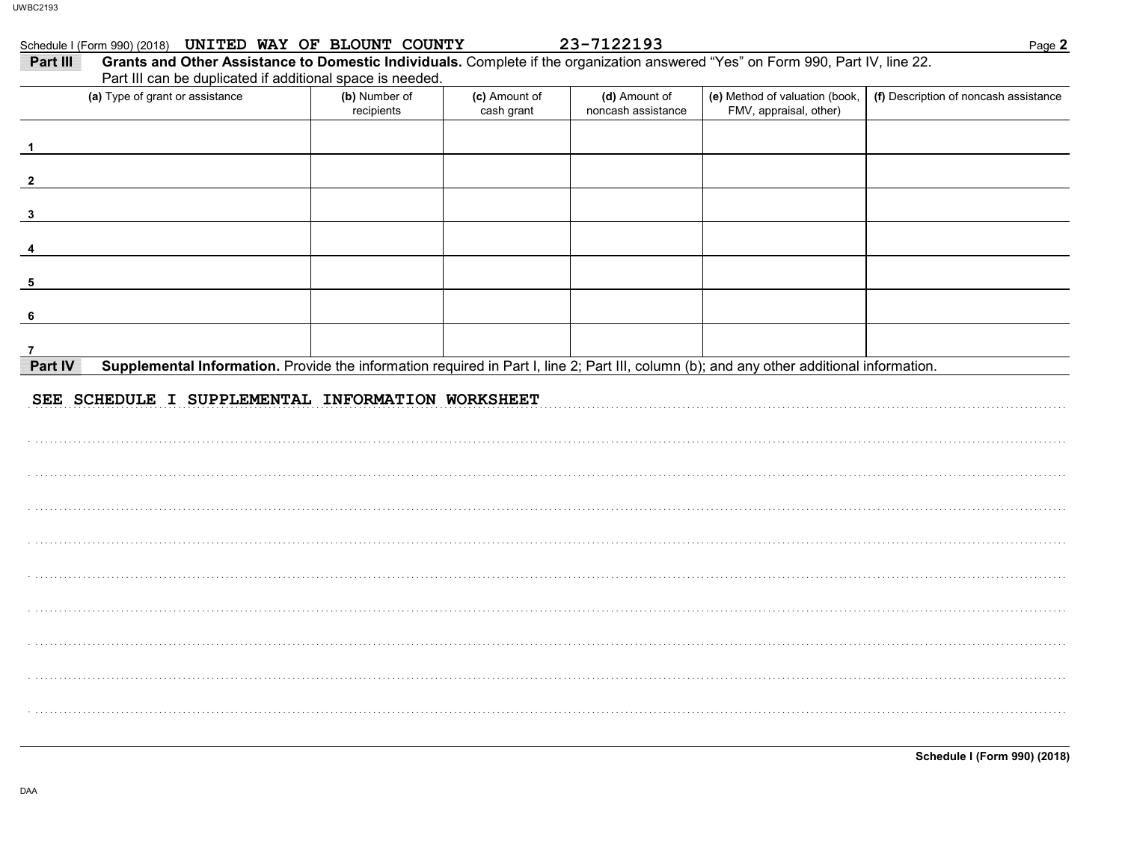### Schedule I (Form 990) (2018) UNITED WAY OF BLOUNT COUNTY

23-7122193

| Part III<br>Grants and Other Assistance to Domestic Individuals. Complete if the organization answered "Yes" on Form 990, Part IV, line 22.<br>Part III can be duplicated if additional space is needed. |                             |                             |                                     |                                                          |                                       |
|----------------------------------------------------------------------------------------------------------------------------------------------------------------------------------------------------------|-----------------------------|-----------------------------|-------------------------------------|----------------------------------------------------------|---------------------------------------|
| (a) Type of grant or assistance                                                                                                                                                                          | (b) Number of<br>recipients | (c) Amount of<br>cash grant | (d) Amount of<br>noncash assistance | (e) Method of valuation (book,<br>FMV, appraisal, other) | (f) Description of noncash assistance |
|                                                                                                                                                                                                          |                             |                             |                                     |                                                          |                                       |
| $\mathbf{2}$                                                                                                                                                                                             |                             |                             |                                     |                                                          |                                       |
| $\mathbf{3}$                                                                                                                                                                                             |                             |                             |                                     |                                                          |                                       |
|                                                                                                                                                                                                          |                             |                             |                                     |                                                          |                                       |
| 5                                                                                                                                                                                                        |                             |                             |                                     |                                                          |                                       |
| 6                                                                                                                                                                                                        |                             |                             |                                     |                                                          |                                       |
|                                                                                                                                                                                                          |                             |                             |                                     |                                                          |                                       |
| Part IV<br>Supplemental Information. Provide the information required in Part I, line 2; Part III, column (b); and any other additional information.                                                     |                             |                             |                                     |                                                          |                                       |
| SEE SCHEDULE I SUPPLEMENTAL INFORMATION WORKSHEET                                                                                                                                                        |                             |                             |                                     |                                                          |                                       |
|                                                                                                                                                                                                          |                             |                             |                                     |                                                          |                                       |
|                                                                                                                                                                                                          |                             |                             |                                     |                                                          |                                       |
|                                                                                                                                                                                                          |                             |                             |                                     |                                                          |                                       |
|                                                                                                                                                                                                          |                             |                             |                                     |                                                          |                                       |
|                                                                                                                                                                                                          |                             |                             |                                     |                                                          |                                       |
|                                                                                                                                                                                                          |                             |                             |                                     |                                                          |                                       |
|                                                                                                                                                                                                          |                             |                             |                                     |                                                          |                                       |
|                                                                                                                                                                                                          |                             |                             |                                     |                                                          |                                       |

**Schedule I (Form 990) (2018)**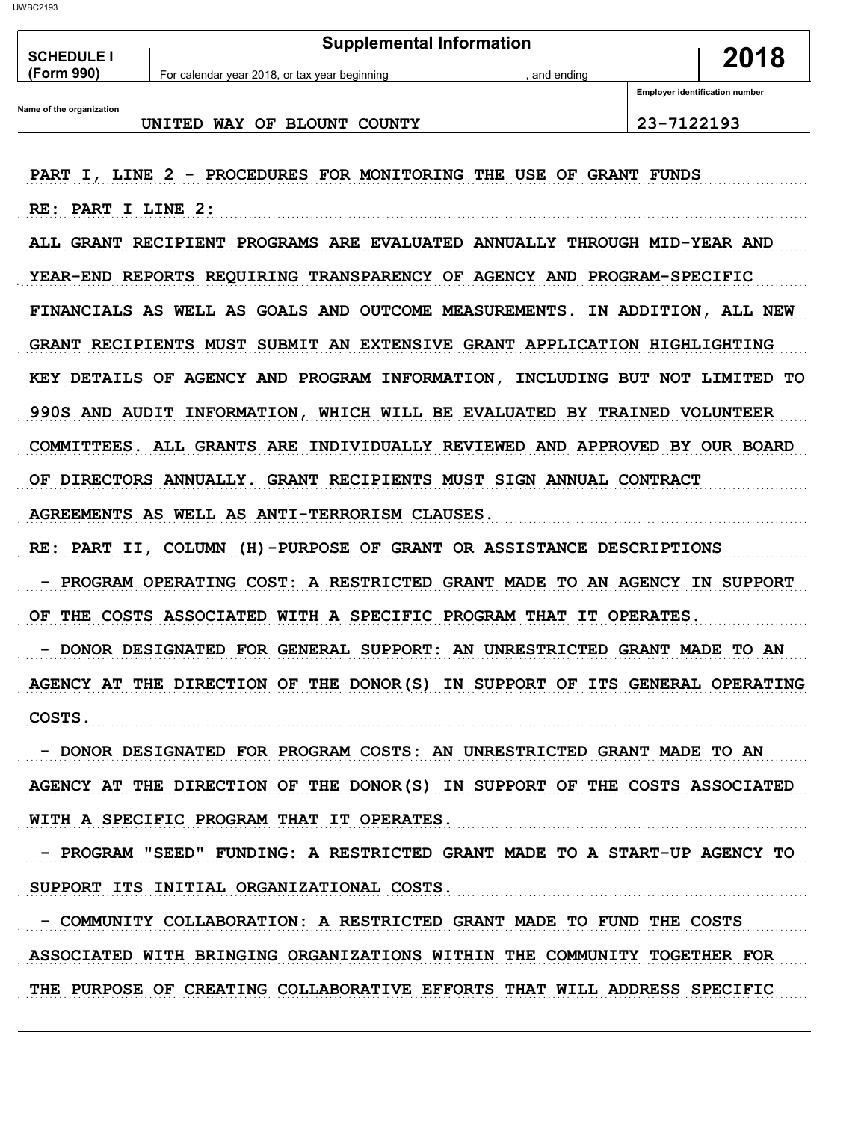**Supplemental Information** 2018 **SCHEDULE I** (Form 990) For calendar year 2018, or tax year beginning and ending **Employer identification number** Name of the organization UNITED WAY OF BLOUNT COUNTY 23-7122193 PART I, LINE 2 - PROCEDURES FOR MONITORING THE USE OF GRANT FUNDS RE: PART I LINE 2: ALL GRANT RECIPIENT PROGRAMS ARE EVALUATED ANNUALLY THROUGH MID-YEAR AND YEAR-END REPORTS REQUIRING TRANSPARENCY OF AGENCY AND PROGRAM-SPECIFIC FINANCIALS AS WELL AS GOALS AND OUTCOME MEASUREMENTS. IN ADDITION, ALL NEW GRANT RECIPIENTS MUST SUBMIT AN EXTENSIVE GRANT APPLICATION HIGHLIGHTING KEY DETAILS OF AGENCY AND PROGRAM INFORMATION, INCLUDING BUT NOT LIMITED TO 990S AND AUDIT INFORMATION, WHICH WILL BE EVALUATED BY TRAINED VOLUNTEER COMMITTEES. ALL GRANTS ARE INDIVIDUALLY REVIEWED AND APPROVED BY OUR BOARD OF DIRECTORS ANNUALLY. GRANT RECIPIENTS MUST SIGN ANNUAL CONTRACT AGREEMENTS AS WELL AS ANTI-TERRORISM CLAUSES. RE: PART II, COLUMN (H)-PURPOSE OF GRANT OR ASSISTANCE DESCRIPTIONS - PROGRAM OPERATING COST: A RESTRICTED GRANT MADE TO AN AGENCY IN SUPPORT OF THE COSTS ASSOCIATED WITH A SPECIFIC PROGRAM THAT IT OPERATES. - DONOR DESIGNATED FOR GENERAL SUPPORT: AN UNRESTRICTED GRANT MADE TO AN AGENCY AT THE DIRECTION OF THE DONOR(S) IN SUPPORT OF ITS GENERAL OPERATING COSTS. - DONOR DESIGNATED FOR PROGRAM COSTS: AN UNRESTRICTED GRANT MADE TO AN AGENCY AT THE DIRECTION OF THE DONOR(S) IN SUPPORT OF THE COSTS ASSOCIATED WITH A SPECIFIC PROGRAM THAT IT OPERATES. - PROGRAM "SEED" FUNDING: A RESTRICTED GRANT MADE TO A START-UP AGENCY TO SUPPORT ITS INITIAL ORGANIZATIONAL COSTS.

- COMMUNITY COLLABORATION: A RESTRICTED GRANT MADE TO FUND THE COSTS ASSOCIATED WITH BRINGING ORGANIZATIONS WITHIN THE COMMUNITY TOGETHER FOR THE PURPOSE OF CREATING COLLABORATIVE EFFORTS THAT WILL ADDRESS SPECIFIC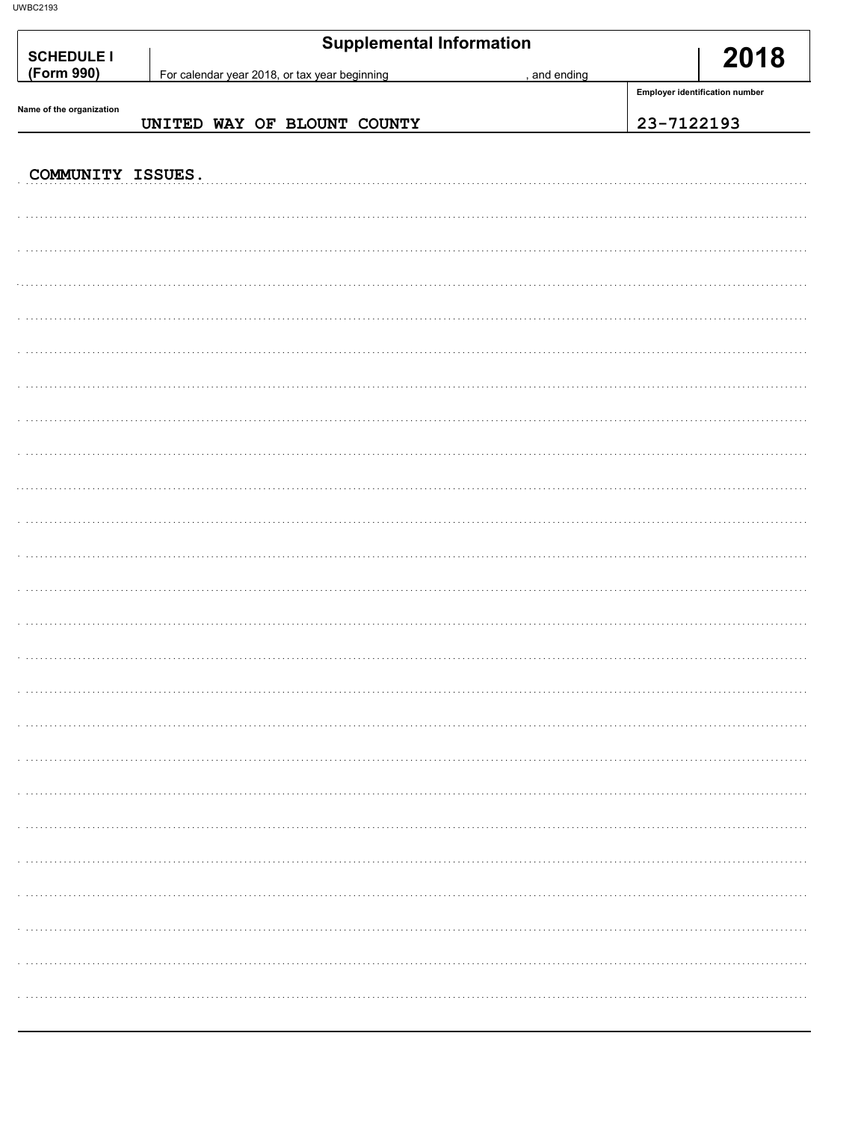| <b>SCHEDULE I</b><br>(Form 990) |  | For calendar year 2018, or tax year beginning | <b>Supplemental Information</b> |  | , and ending | 2018                           |
|---------------------------------|--|-----------------------------------------------|---------------------------------|--|--------------|--------------------------------|
|                                 |  |                                               |                                 |  |              | Employer identification number |
| Name of the organization        |  |                                               | UNITED WAY OF BLOUNT COUNTY     |  |              | 23-7122193                     |
| COMMUNITY ISSUES.               |  |                                               |                                 |  |              |                                |
|                                 |  |                                               |                                 |  |              |                                |
|                                 |  |                                               |                                 |  |              |                                |
|                                 |  |                                               |                                 |  |              |                                |
|                                 |  |                                               |                                 |  |              |                                |
|                                 |  |                                               |                                 |  |              |                                |
|                                 |  |                                               |                                 |  |              |                                |
|                                 |  |                                               |                                 |  |              |                                |
|                                 |  |                                               |                                 |  |              |                                |
|                                 |  |                                               |                                 |  |              |                                |
|                                 |  |                                               |                                 |  |              |                                |
|                                 |  |                                               |                                 |  |              |                                |
|                                 |  |                                               |                                 |  |              |                                |
|                                 |  |                                               |                                 |  |              |                                |
|                                 |  |                                               |                                 |  |              |                                |
|                                 |  |                                               |                                 |  |              |                                |
|                                 |  |                                               |                                 |  |              |                                |
|                                 |  |                                               |                                 |  |              |                                |
|                                 |  |                                               |                                 |  |              |                                |
|                                 |  |                                               |                                 |  |              |                                |
|                                 |  |                                               |                                 |  |              |                                |
|                                 |  |                                               |                                 |  |              |                                |
|                                 |  |                                               |                                 |  |              |                                |
|                                 |  |                                               |                                 |  |              |                                |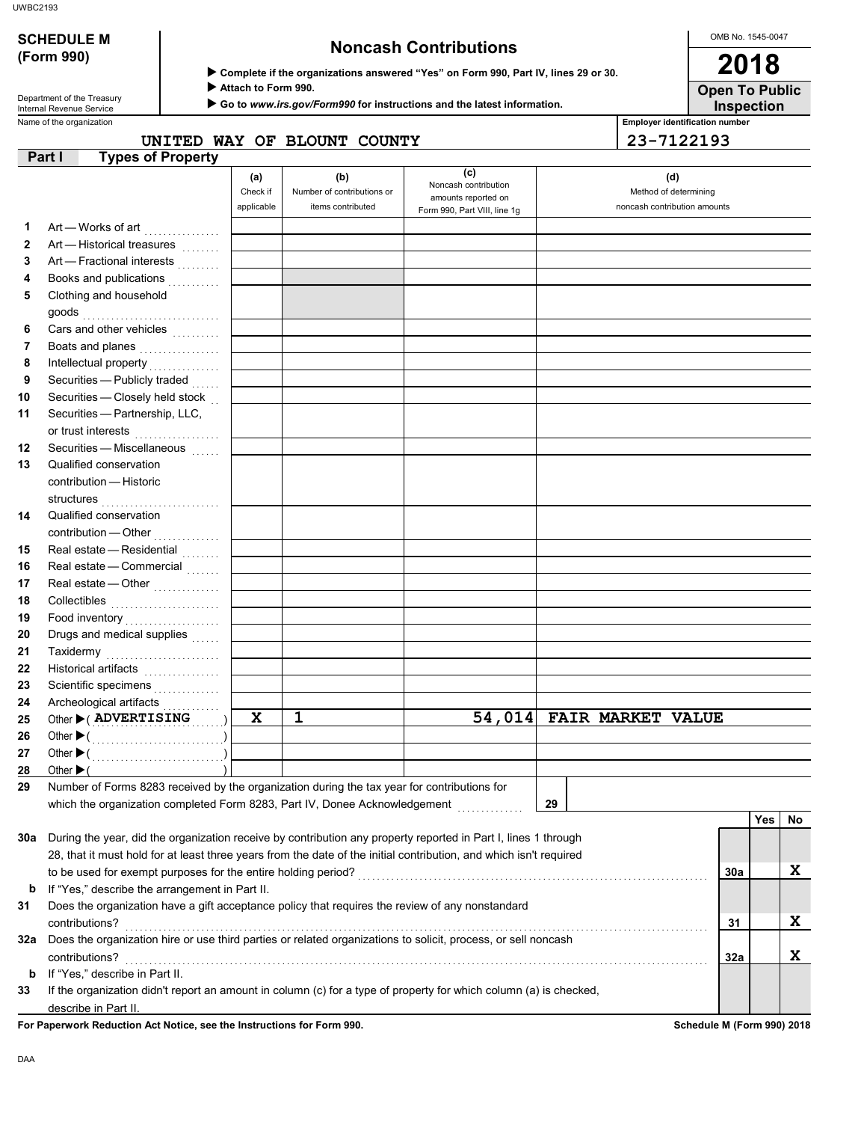| <b>SCHEDULE M</b><br><b>Noncash Contributions</b><br>(Form 990)<br>Complete if the organizations answered "Yes" on Form 990, Part IV, lines 29 or 30. |                                                                                                                                                                           |  |                        |                                                 |                                                                        |                                            |                                       | OMB No. 1545-0047                                     |     |    |
|-------------------------------------------------------------------------------------------------------------------------------------------------------|---------------------------------------------------------------------------------------------------------------------------------------------------------------------------|--|------------------------|-------------------------------------------------|------------------------------------------------------------------------|--------------------------------------------|---------------------------------------|-------------------------------------------------------|-----|----|
|                                                                                                                                                       |                                                                                                                                                                           |  |                        |                                                 |                                                                        |                                            | 2018                                  |                                                       |     |    |
|                                                                                                                                                       | Department of the Treasury<br>Internal Revenue Service                                                                                                                    |  | Attach to Form 990.    |                                                 | Go to www.irs.gov/Form990 for instructions and the latest information. | <b>Open To Public</b><br><b>Inspection</b> |                                       |                                                       |     |    |
|                                                                                                                                                       | Name of the organization                                                                                                                                                  |  |                        |                                                 |                                                                        |                                            | <b>Employer identification number</b> |                                                       |     |    |
|                                                                                                                                                       |                                                                                                                                                                           |  |                        | UNITED WAY OF BLOUNT COUNTY                     |                                                                        |                                            |                                       | 23-7122193                                            |     |    |
|                                                                                                                                                       | <b>Types of Property</b><br>Part I                                                                                                                                        |  | (a)                    | (b)                                             | (c)<br>Noncash contribution                                            |                                            |                                       | (d)                                                   |     |    |
|                                                                                                                                                       |                                                                                                                                                                           |  | Check if<br>applicable | Number of contributions or<br>items contributed | amounts reported on                                                    |                                            |                                       | Method of determining<br>noncash contribution amounts |     |    |
|                                                                                                                                                       |                                                                                                                                                                           |  |                        |                                                 | Form 990, Part VIII, line 1g                                           |                                            |                                       |                                                       |     |    |
| 1                                                                                                                                                     | Art - Works of art                                                                                                                                                        |  |                        |                                                 |                                                                        |                                            |                                       |                                                       |     |    |
| 2                                                                                                                                                     | Art - Historical treasures                                                                                                                                                |  |                        |                                                 |                                                                        |                                            |                                       |                                                       |     |    |
| 3                                                                                                                                                     | Art - Fractional interests                                                                                                                                                |  |                        |                                                 |                                                                        |                                            |                                       |                                                       |     |    |
| 4                                                                                                                                                     | Books and publications<br>Clothing and household                                                                                                                          |  |                        |                                                 |                                                                        |                                            |                                       |                                                       |     |    |
| 5                                                                                                                                                     |                                                                                                                                                                           |  |                        |                                                 |                                                                        |                                            |                                       |                                                       |     |    |
|                                                                                                                                                       |                                                                                                                                                                           |  |                        |                                                 |                                                                        |                                            |                                       |                                                       |     |    |
| 6<br>7                                                                                                                                                | Cars and other vehicles                                                                                                                                                   |  |                        |                                                 |                                                                        |                                            |                                       |                                                       |     |    |
|                                                                                                                                                       | Boats and planes                                                                                                                                                          |  |                        |                                                 |                                                                        |                                            |                                       |                                                       |     |    |
| 8                                                                                                                                                     | Intellectual property                                                                                                                                                     |  |                        |                                                 |                                                                        |                                            |                                       |                                                       |     |    |
| 9<br>10                                                                                                                                               | Securities - Publicly traded                                                                                                                                              |  |                        |                                                 |                                                                        |                                            |                                       |                                                       |     |    |
|                                                                                                                                                       | Securities - Closely held stock                                                                                                                                           |  |                        |                                                 |                                                                        |                                            |                                       |                                                       |     |    |
| 11                                                                                                                                                    | Securities - Partnership, LLC,                                                                                                                                            |  |                        |                                                 |                                                                        |                                            |                                       |                                                       |     |    |
|                                                                                                                                                       | or trust interests<br>                                                                                                                                                    |  |                        |                                                 |                                                                        |                                            |                                       |                                                       |     |    |
| 12                                                                                                                                                    | Securities - Miscellaneous                                                                                                                                                |  |                        |                                                 |                                                                        |                                            |                                       |                                                       |     |    |
| 13                                                                                                                                                    | Qualified conservation                                                                                                                                                    |  |                        |                                                 |                                                                        |                                            |                                       |                                                       |     |    |
|                                                                                                                                                       | contribution - Historic                                                                                                                                                   |  |                        |                                                 |                                                                        |                                            |                                       |                                                       |     |    |
|                                                                                                                                                       |                                                                                                                                                                           |  |                        |                                                 |                                                                        |                                            |                                       |                                                       |     |    |
| 14                                                                                                                                                    | Qualified conservation                                                                                                                                                    |  |                        |                                                 |                                                                        |                                            |                                       |                                                       |     |    |
|                                                                                                                                                       | contribution - Other                                                                                                                                                      |  |                        |                                                 |                                                                        |                                            |                                       |                                                       |     |    |
| 15                                                                                                                                                    | Real estate - Residential                                                                                                                                                 |  |                        |                                                 |                                                                        |                                            |                                       |                                                       |     |    |
| 16                                                                                                                                                    | Real estate - Commercial                                                                                                                                                  |  |                        |                                                 |                                                                        |                                            |                                       |                                                       |     |    |
| 17                                                                                                                                                    | Real estate - Other                                                                                                                                                       |  |                        |                                                 |                                                                        |                                            |                                       |                                                       |     |    |
| 18                                                                                                                                                    | Collectibles                                                                                                                                                              |  |                        |                                                 |                                                                        |                                            |                                       |                                                       |     |    |
| 19                                                                                                                                                    |                                                                                                                                                                           |  |                        |                                                 |                                                                        |                                            |                                       |                                                       |     |    |
| 20                                                                                                                                                    | Drugs and medical supplies                                                                                                                                                |  |                        |                                                 |                                                                        |                                            |                                       |                                                       |     |    |
| 21                                                                                                                                                    | Taxidermy                                                                                                                                                                 |  |                        |                                                 |                                                                        |                                            |                                       |                                                       |     |    |
| 22                                                                                                                                                    |                                                                                                                                                                           |  |                        |                                                 |                                                                        |                                            |                                       |                                                       |     |    |
| 23                                                                                                                                                    | Scientific specimens                                                                                                                                                      |  |                        |                                                 |                                                                        |                                            |                                       |                                                       |     |    |
| 24                                                                                                                                                    | Archeological artifacts                                                                                                                                                   |  |                        |                                                 |                                                                        |                                            |                                       |                                                       |     |    |
| 25                                                                                                                                                    | Other CADVERTISING                                                                                                                                                        |  | X                      | 1                                               | 54,014                                                                 |                                            | <b>FAIR MARKET VALUE</b>              |                                                       |     |    |
| 26                                                                                                                                                    |                                                                                                                                                                           |  |                        |                                                 |                                                                        |                                            |                                       |                                                       |     |    |
| 27                                                                                                                                                    |                                                                                                                                                                           |  |                        |                                                 |                                                                        |                                            |                                       |                                                       |     |    |
| 28                                                                                                                                                    | Other $\blacktriangleright$ (                                                                                                                                             |  |                        |                                                 |                                                                        |                                            |                                       |                                                       |     |    |
| 29                                                                                                                                                    | Number of Forms 8283 received by the organization during the tax year for contributions for<br>which the organization completed Form 8283, Part IV, Donee Acknowledgement |  |                        |                                                 |                                                                        | 29                                         |                                       |                                                       |     |    |
|                                                                                                                                                       |                                                                                                                                                                           |  |                        |                                                 |                                                                        |                                            |                                       |                                                       | Yes | No |
| 30a                                                                                                                                                   | During the year, did the organization receive by contribution any property reported in Part I, lines 1 through                                                            |  |                        |                                                 |                                                                        |                                            |                                       |                                                       |     |    |
|                                                                                                                                                       |                                                                                                                                                                           |  |                        |                                                 |                                                                        |                                            |                                       |                                                       |     |    |
|                                                                                                                                                       | 28, that it must hold for at least three years from the date of the initial contribution, and which isn't required                                                        |  |                        |                                                 |                                                                        |                                            |                                       |                                                       |     |    |

| -31 | Does the organization have a gift acceptance policy that requires the review of any nonstandard                   |     |  |
|-----|-------------------------------------------------------------------------------------------------------------------|-----|--|
|     | contributions?                                                                                                    | 31  |  |
| 32a | Does the organization hire or use third parties or related organizations to solicit, process, or sell noncash     |     |  |
|     | contributions?                                                                                                    | 32a |  |
| b.  | If "Yes," describe in Part II.                                                                                    |     |  |
| 33  | If the organization didn't report an amount in column (c) for a type of property for which column (a) is checked, |     |  |
|     | describe in Part II.                                                                                              |     |  |

For Paperwork Reduction Act Notice, see the Instructions for Form 990. Schedule M (Form 990) 2018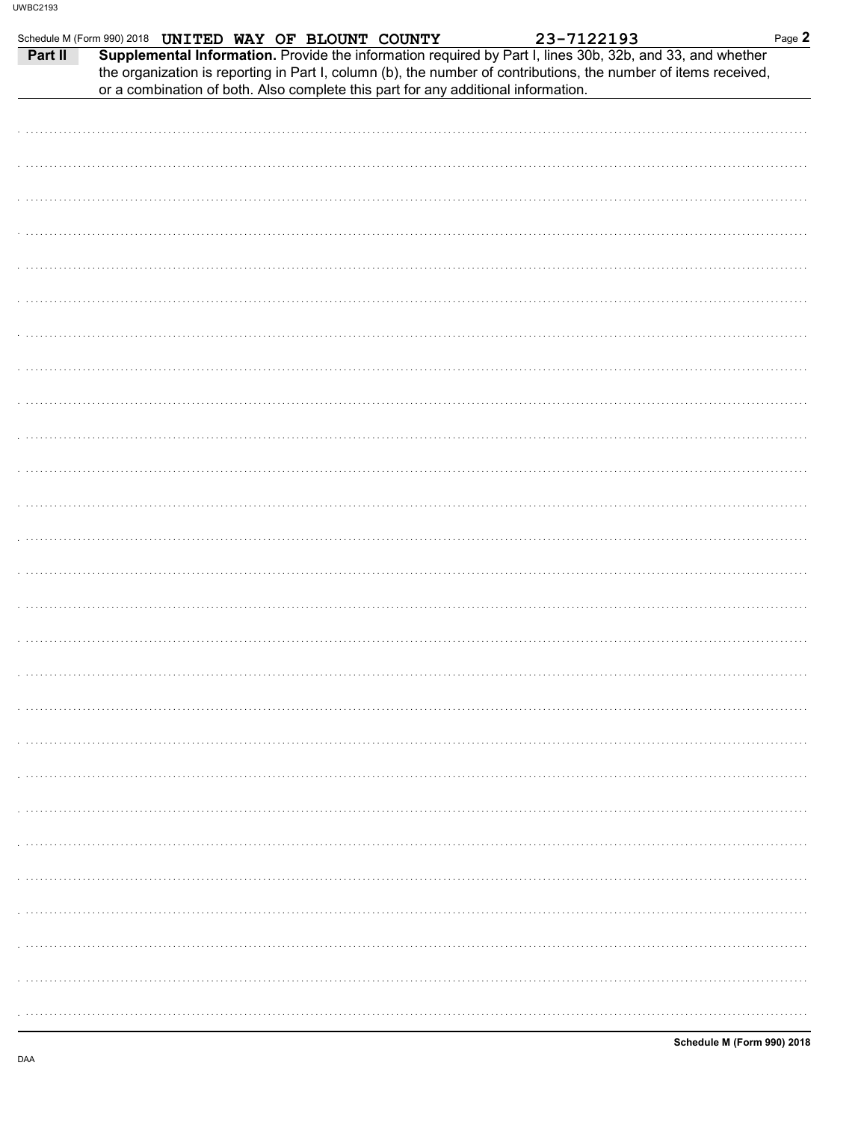|         | Schedule M (Form 990) 2018 UNITED WAY OF BLOUNT COUNTY                                                                                                                                                                       | 23-7122193 | Page 2 |
|---------|------------------------------------------------------------------------------------------------------------------------------------------------------------------------------------------------------------------------------|------------|--------|
| Part II | Supplemental Information. Provide the information required by Part I, lines 30b, 32b, and 33, and whether<br>the organization is reporting in Part I, column (b), the number of contributions, the number of items received, |            |        |
|         | or a combination of both. Also complete this part for any additional information.                                                                                                                                            |            |        |
|         |                                                                                                                                                                                                                              |            |        |
|         |                                                                                                                                                                                                                              |            |        |
|         |                                                                                                                                                                                                                              |            |        |
|         |                                                                                                                                                                                                                              |            |        |
|         |                                                                                                                                                                                                                              |            |        |
|         |                                                                                                                                                                                                                              |            |        |
|         |                                                                                                                                                                                                                              |            |        |
|         |                                                                                                                                                                                                                              |            |        |
|         |                                                                                                                                                                                                                              |            |        |
|         |                                                                                                                                                                                                                              |            |        |
|         |                                                                                                                                                                                                                              |            |        |
|         |                                                                                                                                                                                                                              |            |        |
|         |                                                                                                                                                                                                                              |            |        |
|         |                                                                                                                                                                                                                              |            |        |
|         |                                                                                                                                                                                                                              |            |        |
|         |                                                                                                                                                                                                                              |            |        |
|         |                                                                                                                                                                                                                              |            |        |
|         |                                                                                                                                                                                                                              |            |        |
|         |                                                                                                                                                                                                                              |            |        |
|         |                                                                                                                                                                                                                              |            |        |
|         |                                                                                                                                                                                                                              |            |        |
|         |                                                                                                                                                                                                                              |            |        |
|         |                                                                                                                                                                                                                              |            |        |
|         |                                                                                                                                                                                                                              |            |        |
|         |                                                                                                                                                                                                                              |            |        |
|         |                                                                                                                                                                                                                              |            |        |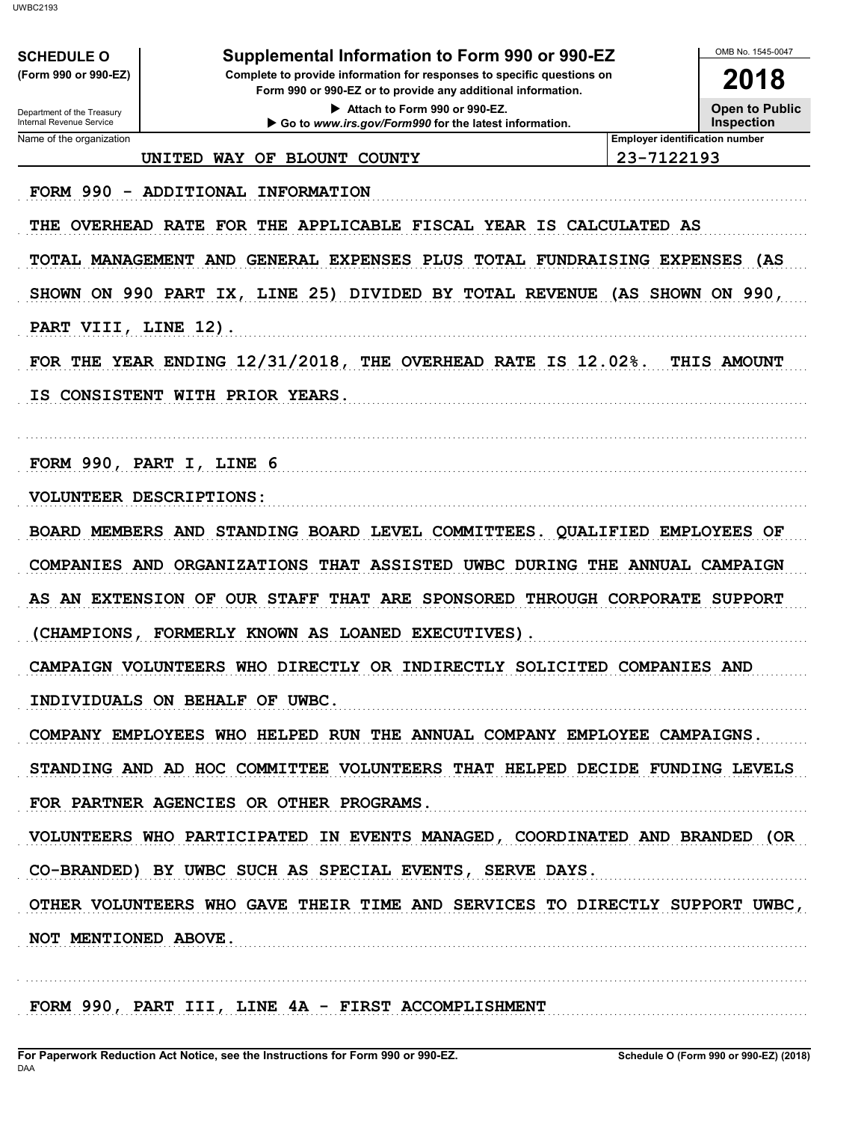| (Form 990 or 990-EZ)                                                                                                                   | Supplemental Information to Form 990 or 990-EZ                                         |                                       | OMB No. 1545-0047<br>2018 |  |  |  |
|----------------------------------------------------------------------------------------------------------------------------------------|----------------------------------------------------------------------------------------|---------------------------------------|---------------------------|--|--|--|
| Complete to provide information for responses to specific questions on<br>Form 990 or 990-EZ or to provide any additional information. |                                                                                        |                                       |                           |  |  |  |
| Department of the Treasury<br>Internal Revenue Service                                                                                 | Attach to Form 990 or 990-EZ.<br>Go to www.irs.gov/Form990 for the latest information. |                                       |                           |  |  |  |
| Name of the organization                                                                                                               |                                                                                        | <b>Employer identification number</b> |                           |  |  |  |
|                                                                                                                                        | WAY OF BLOUNT COUNTY<br>UNITED                                                         | 23-7122193                            |                           |  |  |  |
|                                                                                                                                        | FORM 990 - ADDITIONAL INFORMATION                                                      |                                       |                           |  |  |  |
| THE                                                                                                                                    | OVERHEAD RATE FOR THE APPLICABLE FISCAL YEAR IS CALCULATED AS                          |                                       |                           |  |  |  |
|                                                                                                                                        | TOTAL MANAGEMENT AND GENERAL EXPENSES PLUS TOTAL FUNDRAISING EXPENSES (AS              |                                       |                           |  |  |  |
|                                                                                                                                        | SHOWN ON 990 PART IX, LINE 25) DIVIDED BY TOTAL REVENUE (AS SHOWN ON 990,              |                                       |                           |  |  |  |
| PART VIII, LINE 12).                                                                                                                   |                                                                                        |                                       |                           |  |  |  |
|                                                                                                                                        | FOR THE YEAR ENDING $12/31/2018$ , THE OVERHEAD RATE IS $12.02\$ .                     |                                       | THIS AMOUNT               |  |  |  |
| IS.                                                                                                                                    | CONSISTENT WITH PRIOR YEARS.                                                           |                                       |                           |  |  |  |
|                                                                                                                                        |                                                                                        |                                       |                           |  |  |  |
|                                                                                                                                        | FORM 990, PART I, LINE 6                                                               |                                       |                           |  |  |  |
|                                                                                                                                        | VOLUNTEER DESCRIPTIONS:                                                                |                                       |                           |  |  |  |
|                                                                                                                                        | BOARD MEMBERS AND STANDING BOARD LEVEL COMMITTEES. QUALIFIED EMPLOYEES OF              |                                       |                           |  |  |  |
|                                                                                                                                        | COMPANIES AND ORGANIZATIONS THAT ASSISTED UWBC DURING THE ANNUAL CAMPAIGN              |                                       |                           |  |  |  |
|                                                                                                                                        | AS AN EXTENSION OF OUR STAFF THAT ARE SPONSORED THROUGH CORPORATE SUPPORT              |                                       |                           |  |  |  |
|                                                                                                                                        | (CHAMPIONS, FORMERLY KNOWN AS LOANED EXECUTIVES).                                      |                                       |                           |  |  |  |
|                                                                                                                                        | CAMPAIGN VOLUNTEERS WHO DIRECTLY OR INDIRECTLY SOLICITED COMPANIES AND                 |                                       |                           |  |  |  |
|                                                                                                                                        | INDIVIDUALS ON BEHALF OF UWBC.                                                         |                                       |                           |  |  |  |
|                                                                                                                                        | COMPANY EMPLOYEES WHO HELPED RUN THE ANNUAL COMPANY EMPLOYEE CAMPAIGNS.                |                                       |                           |  |  |  |
|                                                                                                                                        | STANDING AND AD HOC COMMITTEE VOLUNTEERS THAT HELPED DECIDE FUNDING LEVELS             |                                       |                           |  |  |  |
|                                                                                                                                        | FOR PARTNER AGENCIES OR OTHER PROGRAMS.                                                |                                       |                           |  |  |  |
|                                                                                                                                        | VOLUNTEERS WHO PARTICIPATED IN EVENTS MANAGED, COORDINATED AND BRANDED (OR             |                                       |                           |  |  |  |
|                                                                                                                                        | CO-BRANDED) BY UWBC SUCH AS SPECIAL EVENTS, SERVE DAYS.                                |                                       |                           |  |  |  |
|                                                                                                                                        | OTHER VOLUNTEERS WHO GAVE THEIR TIME AND SERVICES TO DIRECTLY SUPPORT UWBC,            |                                       |                           |  |  |  |
|                                                                                                                                        |                                                                                        |                                       |                           |  |  |  |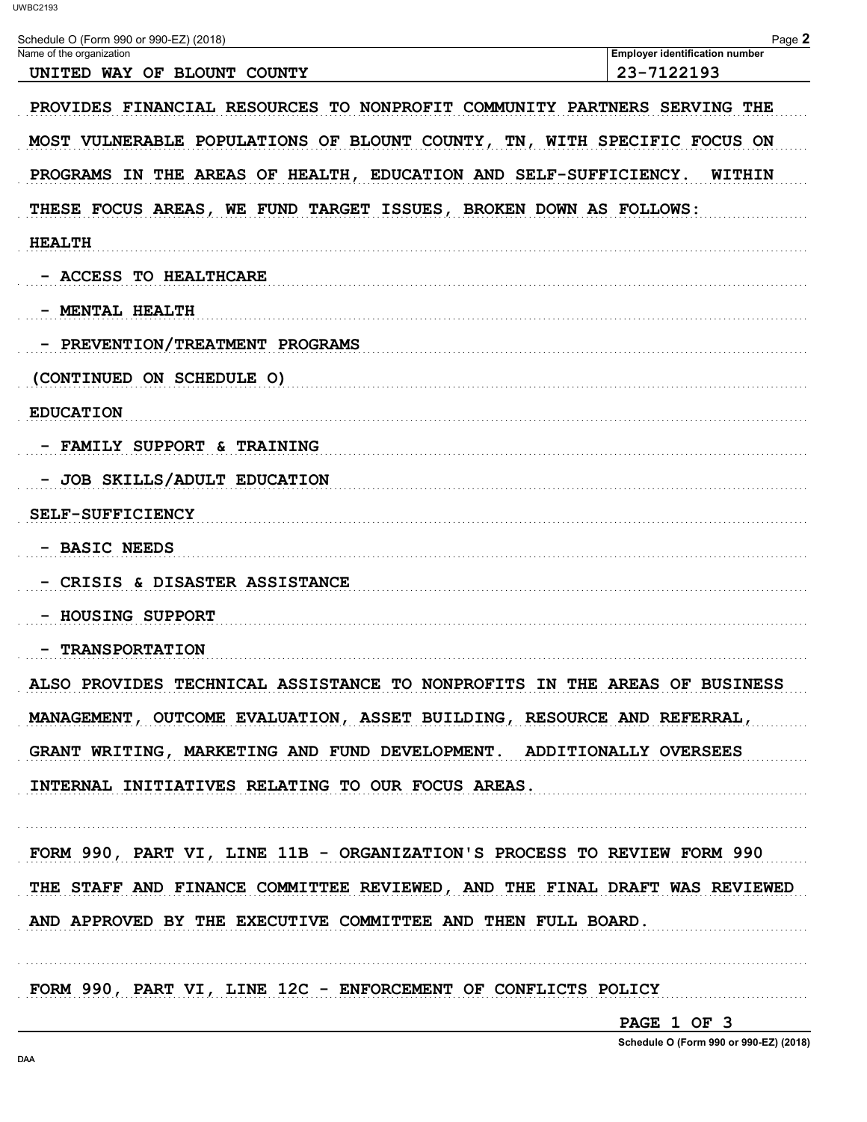| Schedule O (Form 990 or 990-EZ) (2018)                                             | Page 2<br><b>Employer identification number</b> |  |  |  |  |  |  |
|------------------------------------------------------------------------------------|-------------------------------------------------|--|--|--|--|--|--|
| Name of the organization<br>UNITED WAY OF BLOUNT COUNTY                            | 23-7122193                                      |  |  |  |  |  |  |
| PROVIDES FINANCIAL RESOURCES TO NONPROFIT COMMUNITY PARTNERS SERVING THE           |                                                 |  |  |  |  |  |  |
| MOST VULNERABLE POPULATIONS OF BLOUNT COUNTY, TN, WITH SPECIFIC FOCUS ON           |                                                 |  |  |  |  |  |  |
| PROGRAMS IN THE AREAS OF HEALTH, EDUCATION AND SELF-SUFFICIENCY.<br>WITHIN         |                                                 |  |  |  |  |  |  |
| THESE FOCUS AREAS, WE FUND TARGET ISSUES, BROKEN DOWN AS FOLLOWS:<br><b>HEALTH</b> |                                                 |  |  |  |  |  |  |
|                                                                                    |                                                 |  |  |  |  |  |  |
| - MENTAL HEALTH                                                                    |                                                 |  |  |  |  |  |  |
| - PREVENTION/TREATMENT PROGRAMS                                                    |                                                 |  |  |  |  |  |  |
| (CONTINUED ON SCHEDULE O)                                                          |                                                 |  |  |  |  |  |  |
| <b>EDUCATION</b>                                                                   |                                                 |  |  |  |  |  |  |
| - FAMILY SUPPORT & TRAINING                                                        |                                                 |  |  |  |  |  |  |
| JOB SKILLS/ADULT EDUCATION                                                         |                                                 |  |  |  |  |  |  |
| <b>SELF-SUFFICIENCY</b>                                                            |                                                 |  |  |  |  |  |  |
| - BASIC NEEDS                                                                      |                                                 |  |  |  |  |  |  |
| CRISIS & DISASTER ASSISTANCE                                                       |                                                 |  |  |  |  |  |  |
| <b>HOUSING SUPPORT</b>                                                             |                                                 |  |  |  |  |  |  |
| <b>TRANSPORTATION</b>                                                              |                                                 |  |  |  |  |  |  |
| ALSO PROVIDES TECHNICAL ASSISTANCE TO NONPROFITS IN THE AREAS OF BUSINESS          |                                                 |  |  |  |  |  |  |
| MANAGEMENT, OUTCOME EVALUATION, ASSET BUILDING, RESOURCE AND REFERRAL,             |                                                 |  |  |  |  |  |  |
| GRANT WRITING, MARKETING AND FUND DEVELOPMENT. ADDITIONALLY OVERSEES               |                                                 |  |  |  |  |  |  |
| INTERNAL INITIATIVES RELATING TO OUR FOCUS AREAS.                                  |                                                 |  |  |  |  |  |  |
| FORM 990, PART VI, LINE 11B - ORGANIZATION'S PROCESS TO REVIEW FORM 990            |                                                 |  |  |  |  |  |  |
| THE STAFF AND FINANCE COMMITTEE REVIEWED, AND THE FINAL DRAFT WAS REVIEWED         |                                                 |  |  |  |  |  |  |
| AND APPROVED BY THE EXECUTIVE COMMITTEE AND THEN FULL BOARD.                       |                                                 |  |  |  |  |  |  |
| FORM 990, PART VI, LINE 12C - ENFORCEMENT OF CONFLICTS POLICY                      |                                                 |  |  |  |  |  |  |

PAGE 1 OF 3

Schedule O (Form 990 or 990-EZ) (2018)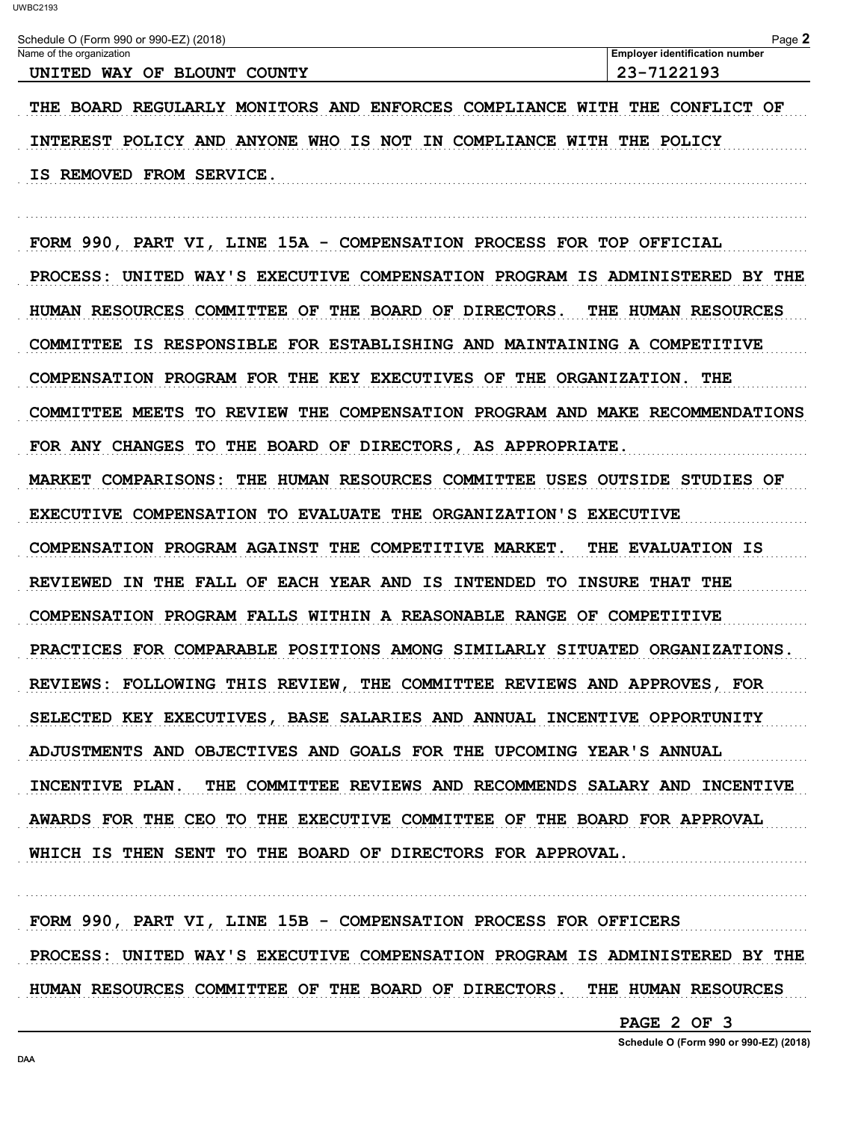Schedule O (Form 990 or 990-EZ) (2018) Page 2 **Employer identification number** Name of the organization UNITED WAY OF BLOUNT COUNTY 23-7122193 THE BOARD REGULARLY MONITORS AND ENFORCES COMPLIANCE WITH THE CONFLICT OF INTEREST POLICY AND ANYONE WHO IS NOT IN COMPLIANCE WITH THE POLICY IS REMOVED FROM SERVICE. FORM 990, PART VI, LINE 15A - COMPENSATION PROCESS FOR TOP OFFICIAL PROCESS: UNITED WAY'S EXECUTIVE COMPENSATION PROGRAM IS ADMINISTERED BY THE HUMAN RESOURCES COMMITTEE OF THE BOARD OF DIRECTORS. THE HUMAN RESOURCES COMMITTEE IS RESPONSIBLE FOR ESTABLISHING AND MAINTAINING A COMPETITIVE COMPENSATION PROGRAM FOR THE KEY EXECUTIVES OF THE ORGANIZATION. THE COMMITTEE MEETS TO REVIEW THE COMPENSATION PROGRAM AND MAKE RECOMMENDATIONS FOR ANY CHANGES TO THE BOARD OF DIRECTORS, AS APPROPRIATE. MARKET COMPARISONS: THE HUMAN RESOURCES COMMITTEE USES OUTSIDE STUDIES OF EXECUTIVE COMPENSATION TO EVALUATE THE ORGANIZATION'S EXECUTIVE COMPENSATION PROGRAM AGAINST THE COMPETITIVE MARKET. THE EVALUATION IS REVIEWED IN THE FALL OF EACH YEAR AND IS INTENDED TO INSURE THAT THE COMPENSATION PROGRAM FALLS WITHIN A REASONABLE RANGE OF COMPETITIVE PRACTICES FOR COMPARABLE POSITIONS AMONG SIMILARLY SITUATED ORGANIZATIONS. REVIEWS: FOLLOWING THIS REVIEW, THE COMMITTEE REVIEWS AND APPROVES, FOR SELECTED KEY EXECUTIVES, BASE SALARIES AND ANNUAL INCENTIVE OPPORTUNITY ADJUSTMENTS AND OBJECTIVES AND GOALS FOR THE UPCOMING YEAR'S ANNUAL INCENTIVE PLAN. THE COMMITTEE REVIEWS AND RECOMMENDS SALARY AND INCENTIVE AWARDS FOR THE CEO TO THE EXECUTIVE COMMITTEE OF THE BOARD FOR APPROVAL WHICH IS THEN SENT TO THE BOARD OF DIRECTORS FOR APPROVAL.

FORM 990, PART VI, LINE 15B - COMPENSATION PROCESS FOR OFFICERS PROCESS: UNITED WAY'S EXECUTIVE COMPENSATION PROGRAM IS ADMINISTERED BY THE HUMAN RESOURCES COMMITTEE OF THE BOARD OF DIRECTORS. THE HUMAN RESOURCES

PAGE 2 OF 3

Schedule O (Form 990 or 990-EZ) (2018)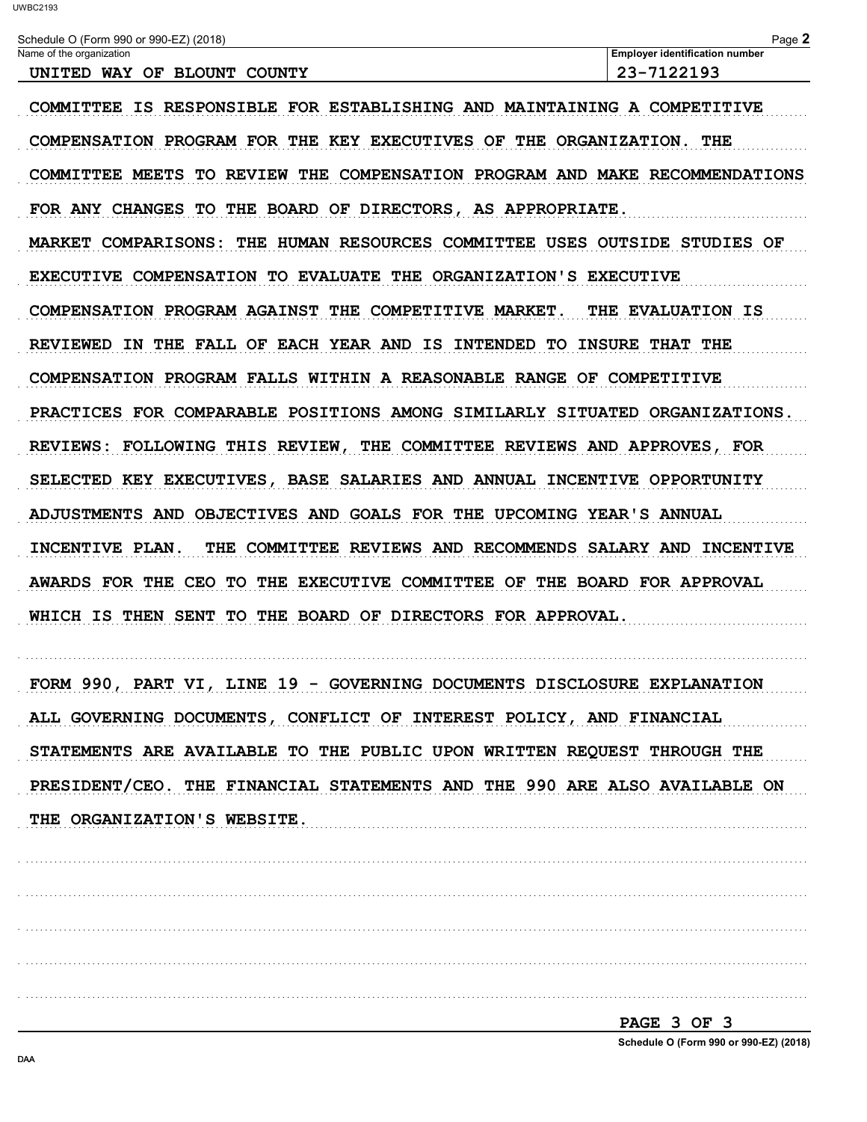| Schedule O (Form 990 or 990-EZ) (2018)<br>Name of the organization                  | Page 2<br><b>Employer identification number</b> |
|-------------------------------------------------------------------------------------|-------------------------------------------------|
| UNITED WAY OF BLOUNT COUNTY                                                         | 23-7122193                                      |
| COMMITTEE IS RESPONSIBLE FOR ESTABLISHING AND MAINTAINING A COMPETITIVE             |                                                 |
| COMPENSATION PROGRAM FOR THE KEY EXECUTIVES OF THE ORGANIZATION. THE                |                                                 |
| COMMITTEE MEETS TO REVIEW THE COMPENSATION PROGRAM AND MAKE RECOMMENDATIONS         |                                                 |
| FOR ANY CHANGES TO THE BOARD OF DIRECTORS, AS APPROPRIATE.                          |                                                 |
| THE HUMAN RESOURCES COMMITTEE USES OUTSIDE STUDIES OF<br><b>MARKET COMPARISONS:</b> |                                                 |
| EXECUTIVE COMPENSATION TO EVALUATE THE ORGANIZATION'S EXECUTIVE                     |                                                 |
| COMPENSATION PROGRAM AGAINST THE COMPETITIVE MARKET.                                | <b>THE EVALUATION IS</b>                        |
| REVIEWED IN THE FALL OF EACH YEAR AND IS INTENDED TO INSURE THAT THE                |                                                 |
| COMPENSATION PROGRAM FALLS WITHIN A REASONABLE RANGE OF COMPETITIVE                 |                                                 |
| PRACTICES FOR COMPARABLE POSITIONS AMONG SIMILARLY SITUATED ORGANIZATIONS.          |                                                 |
| REVIEWS: FOLLOWING THIS REVIEW,<br>THE COMMITTEE REVIEWS AND APPROVES, FOR          |                                                 |
| SELECTED KEY EXECUTIVES, BASE SALARIES AND ANNUAL INCENTIVE OPPORTUNITY             |                                                 |
| ADJUSTMENTS AND OBJECTIVES AND GOALS FOR THE UPCOMING YEAR'S ANNUAL                 |                                                 |
| THE COMMITTEE REVIEWS AND RECOMMENDS SALARY AND INCENTIVE<br>INCENTIVE PLAN.        |                                                 |
| AWARDS FOR THE CEO TO THE EXECUTIVE COMMITTEE OF THE BOARD FOR APPROVAL             |                                                 |
| WHICH IS THEN SENT<br>TO THE BOARD OF DIRECTORS FOR APPROVAL.                       |                                                 |
|                                                                                     |                                                 |
| FORM 990, PART VI, LINE 19 - GOVERNING DOCUMENTS DISCLOSURE EXPLANATION             |                                                 |
| ALL GOVERNING DOCUMENTS, CONFLICT OF INTEREST POLICY, AND FINANCIAL                 |                                                 |
| STATEMENTS ARE AVAILABLE TO THE PUBLIC UPON WRITTEN REQUEST THROUGH THE             |                                                 |
| PRESIDENT/CEO. THE FINANCIAL STATEMENTS AND THE 990 ARE ALSO AVAILABLE ON           |                                                 |
| THE ORGANIZATION'S WEBSITE.                                                         |                                                 |
|                                                                                     |                                                 |
|                                                                                     |                                                 |
|                                                                                     |                                                 |
|                                                                                     |                                                 |
|                                                                                     |                                                 |
|                                                                                     | <u>PAGE 3 OF 3</u>                              |

Schedule O (Form 990 or 990-EZ) (2018)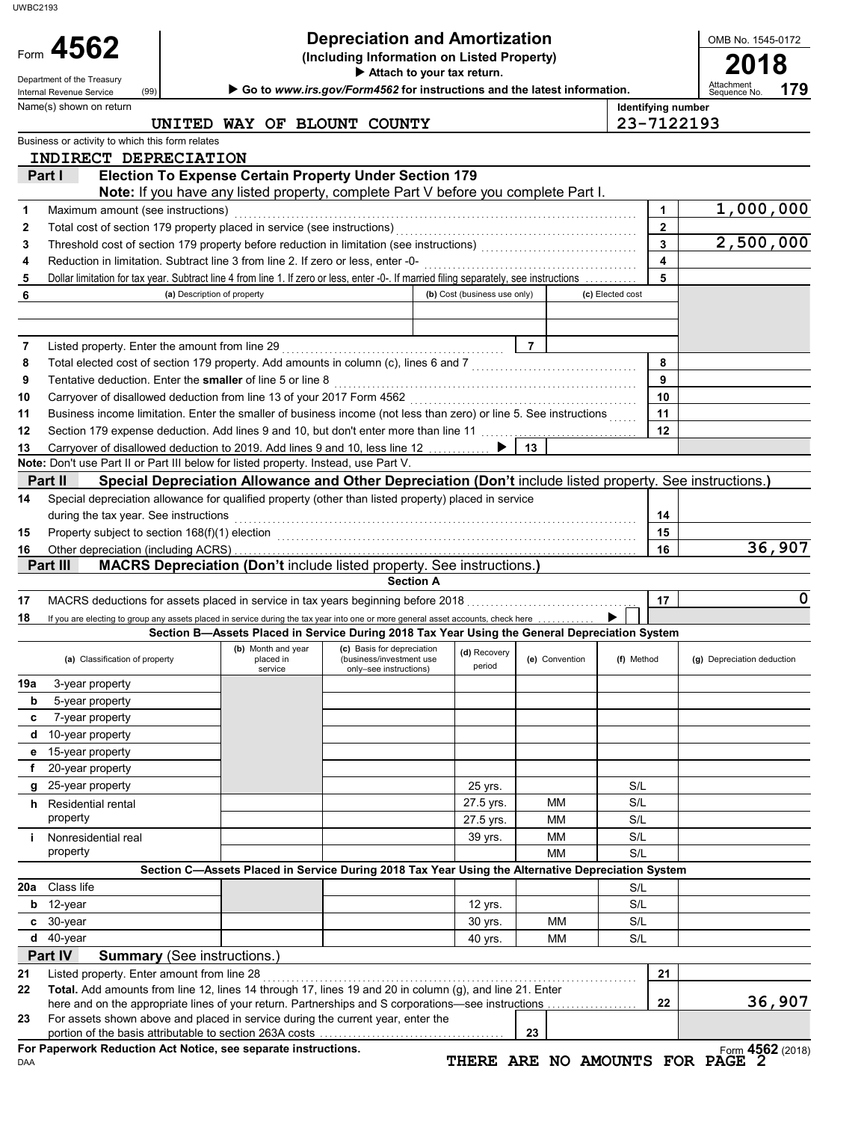Form **4562** (2018) **(a)** Classification of property **(b)** Month and year **(c)** Basis for depreciation **(d)** Recovery **(e)** Convention **(f)** Method **(g)** Depreciation deduction **(a) (a)** Classification of property **property** (b) and the pla during the tax year. See instructions **(Including Information on Listed Property) Identifying number Attach to your tax return.** Department of the Treasury (99) **Communist Communist Communist Communist Communist Communist Communist Communist Communist Communist Communist Communist Communist Communist Communist Communist Communist Communist Communis France Induce 10 (C)** Basis for depreciation<br>
placed in (business/investment use<br>
service period polly–see instructions) period Special depreciation allowance for qualified property (other than listed property) placed in service **(a)** Description of property **(b)** Cost (business use only) **(c)** Elected cost Dollar limitation for tax year. Subtract line 4 from line 1. If zero or less, enter -0-. If married filing separately, see instructions . . . . . . . . . . . **5 5** Business or activity to which this form relates Name(s) shown on return OMB No. 1545-0172 portion of the basis attributable to section 263A costs For assets shown above and placed in service during the current year, enter the here and on the appropriate lines of your return. Partnerships and S corporations—see instructions Listed property. Enter amount from line 28 . . . . . . . . . . . . . . . . . . . . . . . . . . . . . . . . . . . . . . . . . . . . . . . . . . . . . . . . . . . . . . . . . . . . . . . . . . . . . . . **21 21** 40 yrs. MM 30-year S/L 12-year 12 yrs. S/L Class life S/L property and the set of the set of the set of the set of the set of the set of the set of the set of the set o Nonresidential real 39 yrs. Nonresidential real 39 yrs. Nonresidential real 39 yrs. NM S/L property **27.5 yrs.** MM S/L Residential rental 27.5 yrs. MM S/L 25-year property and the state of the state of the state of the state of the state of the state of the state of the state of the state of the state of the state of the state of the state of the state of the state of the st 20-year property 15-year property 10-year property 7-year property 5-year property 3-year property If you are electing to group any assets placed in service during the tax year into one or more general asset accounts, check here MACRS deductions for assets placed in service in tax years beginning before 2018 . . . . . . . . . . . . . . . . . . . . . . . . . . . . . . . . . . . . **17 17** Other depreciation (including ACRS) . . . . . . . . . . . . . . . . . . . . . . . . . . . . . . . . . . . . . . . . . . . . . . . . . . . . . . . . . . . . . . . . . . . . . . . . . . . . . . . . . . . . . **16 16** Property subject to section 168(f)(1) election . . . . . . . . . . . . . . . . . . . . . . . . . . . . . . . . . . . . . . . . . . . . . . . . . . . . . . . . . . . . . . . . . . . . . . . . . . . . **13** Carryover of disallowed deduction to 2019. Add lines 9 and 10, less line 12 . . . . . . . . . . ▶ | **13** Section 179 expense deduction. Add lines 9 and 10, but don't enter more than line 11 . . . . . . . . . . . . . . . . . . . . . . . . . . . . . . . . . **12 12 11** Business income limitation. Enter the smaller of business income (not less than zero) or line 5. See instructions ...... 11 Carryover of disallowed deduction from line 13 of your 2017 Form 4562 . . . . . . . . . . . . . . . . . . . . . . . . . . . . . . . . . . . . . . . . . . . . . . . . **10 10** Tentative deduction. Enter the **smaller** of line 5 or line 8 . . . . . . . . . . . . . . . . . . . . . . . . . . . . . . . . . . . . . . . . . . . . . . . . . . . . . . . . . . . . . . . . **9 9** Total elected cost of section 179 property. Add amounts in column (c), lines 6 and 7 . . . . . . . . . . . . . . . . . . . . . . . . . . . . . . . . . . . **8 8** Listed property. Enter the amount from line 29 . . . . . . . . . . . . . . . . . . . . . . . . . . . . . . . . . . . . . . . . . . . . . . . **7 7** Reduction in limitation. Subtract line 3 from line 2. If zero or less, enter -0- . . . . . . . . . . . . . . . . . . . . . . . . . . . . . . . . . . . . . . . . . . . . . **4 4** Threshold cost of section 179 property before reduction in limitation (see instructions) . . . . . . . . . . . . . . . . . . . . . . . . . . . . . . . . . **3 3** Total cost of section 179 property placed in service (see instructions) . . . . . . . . . . . . . . . . . . . . . . . . . . . . . . . . . . . . . . . . . . . . . . . . . . . **2 2** Maximum amount (see instructions) . . . . . . . . . . . . . . . . . . . . . . . . . . . . . . . . . . . . . . . . . . . . . . . . . . . . . . . . . . . . . . . . . . . . . . . . . . . . . . . . . . . . . **1 1** Form  $4562$ **23 23 22 22 Total.** Add amounts from line 12, lines 14 through 17, lines 19 and 20 in column (g), and line 21. Enter **c b 20a Section C—Assets Placed in Service During 2018 Tax Year Using the Alternative Depreciation System i h g f e d c b 19a 18 Section A 15** Property subject to section 168(f)(1) election **168(f)** and the control of the control of the control of the control of the control of the control of the control of the control of the control of the control of the con **14 14 Note:** Don't use Part II or Part III below for listed property. Instead, use Part V. **6 Part IV Summary** (See instructions.) **Part III MACRS Depreciation (Don't** include listed property. See instructions.**) Part II Special Depreciation Allowance and Other Depreciation (Don't** include listed property. See instructions.**) Note:** If you have any listed property, complete Part V before you complete Part I. **Part I Election To Expense Certain Property Under Section 179 179 Depreciation and Amortization**  $\left\{ \begin{array}{ccc} \text{Depreciation and Amortization} \ \text{(including Information on Listed Property)} \ \end{array} \right\}$ **Section B—Assets Placed in Service During 2018 Tax Year Using the General Depreciation System** (99) ▶ **d** 40-year  $30 \text{ yrs.}$  MM  $\vert$  S/L **UNITED WAY OF BLOUNT COUNTY 23-7122193 INDIRECT DEPRECIATION 1,000,000 2,500,000 36,907 0 36,907** UWBC2193

DAA **For Paperwork Reduction Act Notice, see separate instructions.**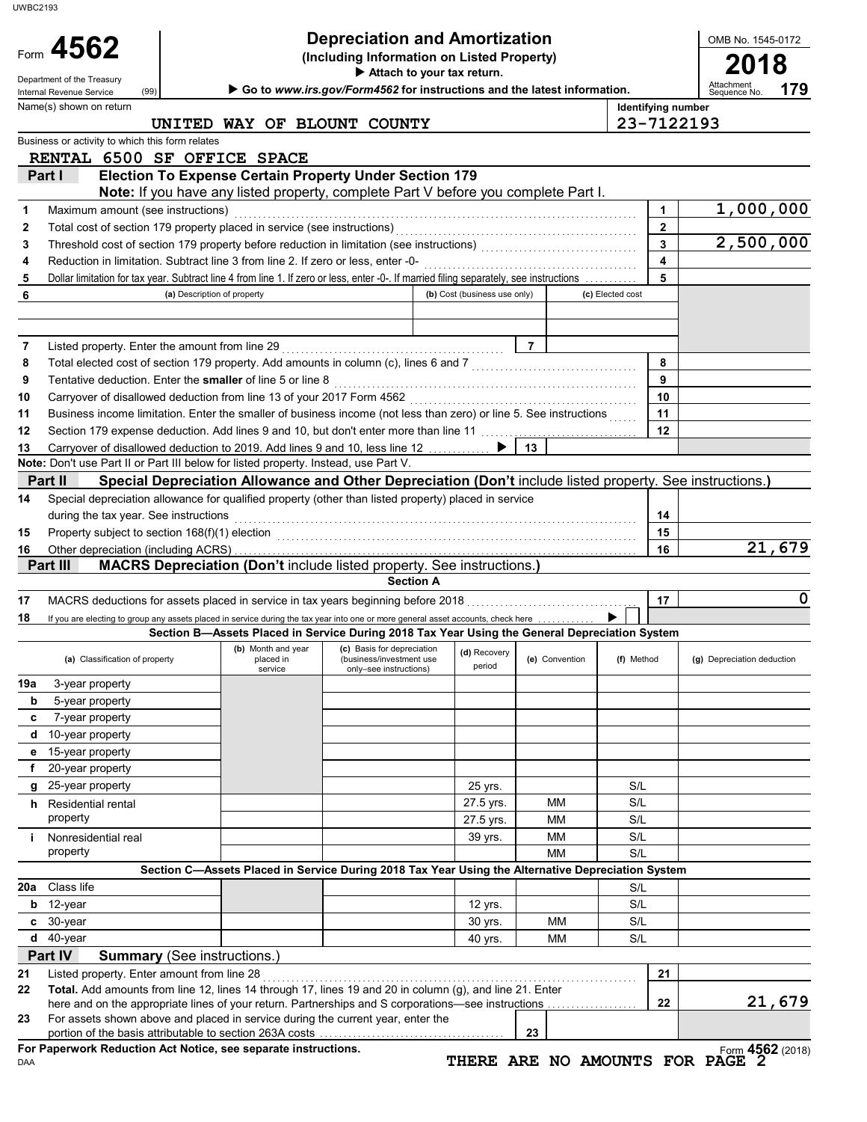|                             | Form 4562                                                                                                                                             |                                                                                                                                                             | <b>Depreciation and Amortization</b>                   |                              |                |                              | OMB No. 1545-0172          |  |
|-----------------------------|-------------------------------------------------------------------------------------------------------------------------------------------------------|-------------------------------------------------------------------------------------------------------------------------------------------------------------|--------------------------------------------------------|------------------------------|----------------|------------------------------|----------------------------|--|
|                             |                                                                                                                                                       | (Including Information on Listed Property)<br>Attach to your tax return.<br>Go to www.irs.gov/Form4562 for instructions and the latest information.<br>(99) |                                                        |                              |                |                              |                            |  |
|                             | Department of the Treasury<br>Internal Revenue Service                                                                                                |                                                                                                                                                             |                                                        |                              |                |                              |                            |  |
|                             | Name(s) shown on return                                                                                                                               |                                                                                                                                                             |                                                        |                              |                | <b>Identifying number</b>    | 179<br>Sequence No.        |  |
|                             |                                                                                                                                                       | UNITED WAY OF BLOUNT COUNTY                                                                                                                                 |                                                        |                              |                |                              | 23-7122193                 |  |
|                             | Business or activity to which this form relates<br>RENTAL 6500 SF OFFICE SPACE                                                                        |                                                                                                                                                             |                                                        |                              |                |                              |                            |  |
|                             | Part I                                                                                                                                                | <b>Election To Expense Certain Property Under Section 179</b>                                                                                               |                                                        |                              |                |                              |                            |  |
|                             |                                                                                                                                                       | Note: If you have any listed property, complete Part V before you complete Part I.                                                                          |                                                        |                              |                |                              |                            |  |
| 1                           | Maximum amount (see instructions)                                                                                                                     |                                                                                                                                                             |                                                        |                              |                | 1                            | 1,000,000                  |  |
| 2                           |                                                                                                                                                       |                                                                                                                                                             |                                                        |                              |                | $\mathbf{2}$                 |                            |  |
| 3                           | Threshold cost of section 179 property before reduction in limitation (see instructions) [[[[[[[[[[[[[[[[[[[[[                                        |                                                                                                                                                             |                                                        |                              |                | $\overline{\mathbf{3}}$      | 2,500,000                  |  |
| 4                           | Dollar limitation for tax year. Subtract line 4 from line 1. If zero or less, enter -0-. If married filing separately, see instructions               |                                                                                                                                                             |                                                        |                              |                | $\overline{\mathbf{4}}$<br>5 |                            |  |
| 5<br>6                      |                                                                                                                                                       | (a) Description of property                                                                                                                                 |                                                        | (b) Cost (business use only) |                | (c) Elected cost             |                            |  |
|                             |                                                                                                                                                       |                                                                                                                                                             |                                                        |                              |                |                              |                            |  |
|                             |                                                                                                                                                       |                                                                                                                                                             |                                                        |                              |                |                              |                            |  |
| 7                           |                                                                                                                                                       |                                                                                                                                                             |                                                        |                              | $\overline{7}$ |                              |                            |  |
| 8                           | Total elected cost of section 179 property. Add amounts in column (c), lines 6 and 7 [[[[[[[[[[[[[[[[[[[[[[[[                                         |                                                                                                                                                             |                                                        |                              |                | 8                            |                            |  |
| 9                           | Tentative deduction. Enter the smaller of line 5 or line 8                                                                                            |                                                                                                                                                             |                                                        |                              |                | 9<br>10                      |                            |  |
| 10<br>11                    | Business income limitation. Enter the smaller of business income (not less than zero) or line 5. See instructions                                     |                                                                                                                                                             |                                                        |                              |                | 11                           |                            |  |
| 12                          | Section 179 expense deduction. Add lines 9 and 10, but don't enter more than line 11                                                                  |                                                                                                                                                             |                                                        |                              |                | 12                           |                            |  |
| 13                          | Carryover of disallowed deduction to 2019. Add lines 9 and 10, less line 12 ▶                                                                         |                                                                                                                                                             |                                                        |                              | 13             |                              |                            |  |
|                             | Note: Don't use Part II or Part III below for listed property. Instead, use Part V.                                                                   |                                                                                                                                                             |                                                        |                              |                |                              |                            |  |
| Part II                     |                                                                                                                                                       | Special Depreciation Allowance and Other Depreciation (Don't include listed property. See instructions.)                                                    |                                                        |                              |                |                              |                            |  |
| 14                          | Special depreciation allowance for qualified property (other than listed property) placed in service                                                  |                                                                                                                                                             |                                                        |                              |                |                              |                            |  |
|                             | during the tax year. See instructions                                                                                                                 |                                                                                                                                                             |                                                        |                              |                | 14                           |                            |  |
| 15<br>16                    |                                                                                                                                                       |                                                                                                                                                             |                                                        |                              |                | 15<br>16                     | 21,679                     |  |
|                             | Part III<br><b>MACRS Depreciation (Don't include listed property. See instructions.)</b>                                                              |                                                                                                                                                             |                                                        |                              |                |                              |                            |  |
|                             |                                                                                                                                                       |                                                                                                                                                             |                                                        |                              |                |                              |                            |  |
|                             |                                                                                                                                                       |                                                                                                                                                             | <b>Section A</b>                                       |                              |                |                              |                            |  |
|                             |                                                                                                                                                       |                                                                                                                                                             |                                                        |                              |                | 17                           |                            |  |
|                             | If you are electing to group any assets placed in service during the tax year into one or more general asset accounts, check here                     |                                                                                                                                                             |                                                        |                              |                |                              |                            |  |
|                             | (a) Classification of property                                                                                                                        | Section B-Assets Placed in Service During 2018 Tax Year Using the General Depreciation System<br>(b) Month and year<br>placed in                            | (c) Basis for depreciation<br>(business/investment use | (d) Recovery                 | (e) Convention | (f) Method                   | (g) Depreciation deduction |  |
|                             |                                                                                                                                                       | service                                                                                                                                                     | only-see instructions)                                 | period                       |                |                              |                            |  |
| b                           | 3-year property                                                                                                                                       |                                                                                                                                                             |                                                        |                              |                |                              |                            |  |
| c                           | 5-year property<br>7-year property                                                                                                                    |                                                                                                                                                             |                                                        |                              |                |                              |                            |  |
| d                           | 10-year property                                                                                                                                      |                                                                                                                                                             |                                                        |                              |                |                              |                            |  |
| е                           | 15-year property                                                                                                                                      |                                                                                                                                                             |                                                        |                              |                |                              |                            |  |
| f                           | 20-year property                                                                                                                                      |                                                                                                                                                             |                                                        |                              |                |                              |                            |  |
| g                           | 25-year property                                                                                                                                      |                                                                                                                                                             |                                                        | 25 yrs.                      |                | S/L                          |                            |  |
| h.                          | Residential rental                                                                                                                                    |                                                                                                                                                             |                                                        | 27.5 yrs.                    | MМ             | S/L                          |                            |  |
|                             | property                                                                                                                                              |                                                                                                                                                             |                                                        | 27.5 yrs.                    | MМ             | S/L                          |                            |  |
|                             | Nonresidential real<br>property                                                                                                                       |                                                                                                                                                             |                                                        | 39 yrs.                      | MМ<br>MМ       | S/L<br>S/L                   |                            |  |
|                             |                                                                                                                                                       | Section C-Assets Placed in Service During 2018 Tax Year Using the Alternative Depreciation System                                                           |                                                        |                              |                |                              |                            |  |
|                             | Class life                                                                                                                                            |                                                                                                                                                             |                                                        |                              |                | S/L                          |                            |  |
| b                           | 12-year                                                                                                                                               |                                                                                                                                                             |                                                        | 12 yrs.                      |                | S/L                          |                            |  |
| 17<br>18<br>19a<br>20a<br>c | 30-year                                                                                                                                               |                                                                                                                                                             |                                                        | 30 yrs.                      | МM             | S/L                          |                            |  |
| d                           | 40-year                                                                                                                                               |                                                                                                                                                             |                                                        | 40 yrs.                      | МM             | S/L                          |                            |  |
|                             | Part IV<br><b>Summary</b> (See instructions.)                                                                                                         |                                                                                                                                                             |                                                        |                              |                |                              |                            |  |
|                             | Listed property. Enter amount from line 28<br>Total. Add amounts from line 12, lines 14 through 17, lines 19 and 20 in column (g), and line 21. Enter |                                                                                                                                                             |                                                        |                              |                | 21                           |                            |  |
|                             |                                                                                                                                                       |                                                                                                                                                             |                                                        |                              |                | 22                           |                            |  |
| 21<br>22<br>23              | For assets shown above and placed in service during the current year, enter the                                                                       |                                                                                                                                                             |                                                        |                              | 23             |                              | $\mathbf 0$<br>21,679      |  |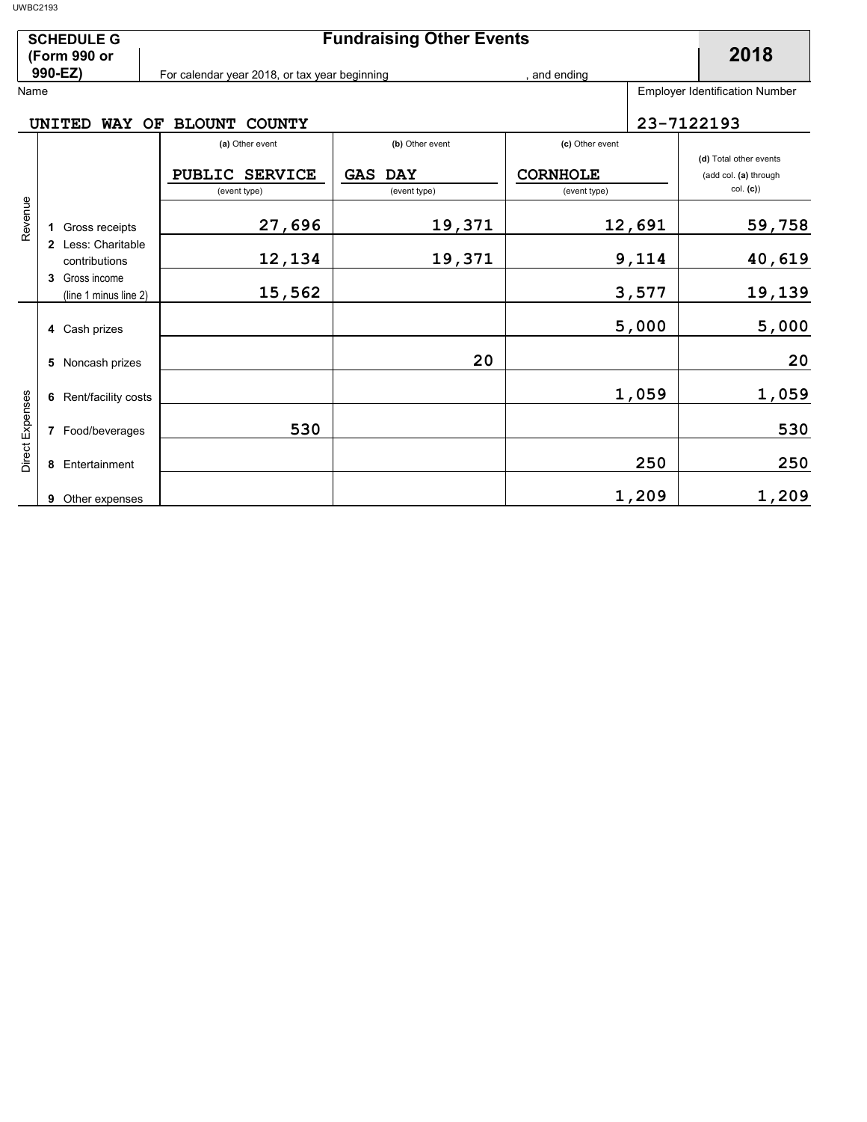| <b>SCHEDULE G</b> | <b>Fundraising Other Events</b>               |            |                                       |
|-------------------|-----------------------------------------------|------------|---------------------------------------|
| (Form 990 or      |                                               |            | 2018                                  |
| 990-EZ)           | For calendar year 2018, or tax year beginning | and ending |                                       |
| Name              |                                               |            | <b>Employer Identification Number</b> |

#### UNITED WAY OF BLOUNT COUNTY **23-7122193**

|                 |                                                                                                                        | (a) Other event                 | (b) Other event   | (c) Other event |                        |
|-----------------|------------------------------------------------------------------------------------------------------------------------|---------------------------------|-------------------|-----------------|------------------------|
|                 |                                                                                                                        |                                 |                   |                 | (d) Total other events |
|                 |                                                                                                                        | <b>PUBLIC</b><br><b>SERVICE</b> | GAS<br><b>DAY</b> | <b>CORNHOLE</b> | (add col. (a) through  |
| Revenue         |                                                                                                                        | (event type)                    | (event type)      | (event type)    | col. (c))              |
|                 | Gross receipts<br>1<br>Less: Charitable<br>$\mathbf{2}$<br>contributions<br>Gross income<br>3<br>(line 1 minus line 2) | 27,696                          | 19,371            | 12,691          | 59,758                 |
|                 |                                                                                                                        | 12,134                          | 19,371            | 9,114           | 40,619                 |
|                 |                                                                                                                        | 15,562                          |                   | 3,577           | 19,139                 |
| Direct Expenses | 4 Cash prizes                                                                                                          |                                 |                   | 5,000           | 5,000                  |
|                 | Noncash prizes<br>5                                                                                                    |                                 | 20                |                 | 20                     |
|                 | Rent/facility costs<br>6                                                                                               |                                 |                   | 1,059           | 1,059                  |
|                 | Food/beverages<br>7                                                                                                    | 530                             |                   |                 | 530                    |
|                 | Entertainment<br>8                                                                                                     |                                 |                   | 250             | 250                    |
|                 | Other expenses<br>9                                                                                                    |                                 |                   | 1,209           | 1,209                  |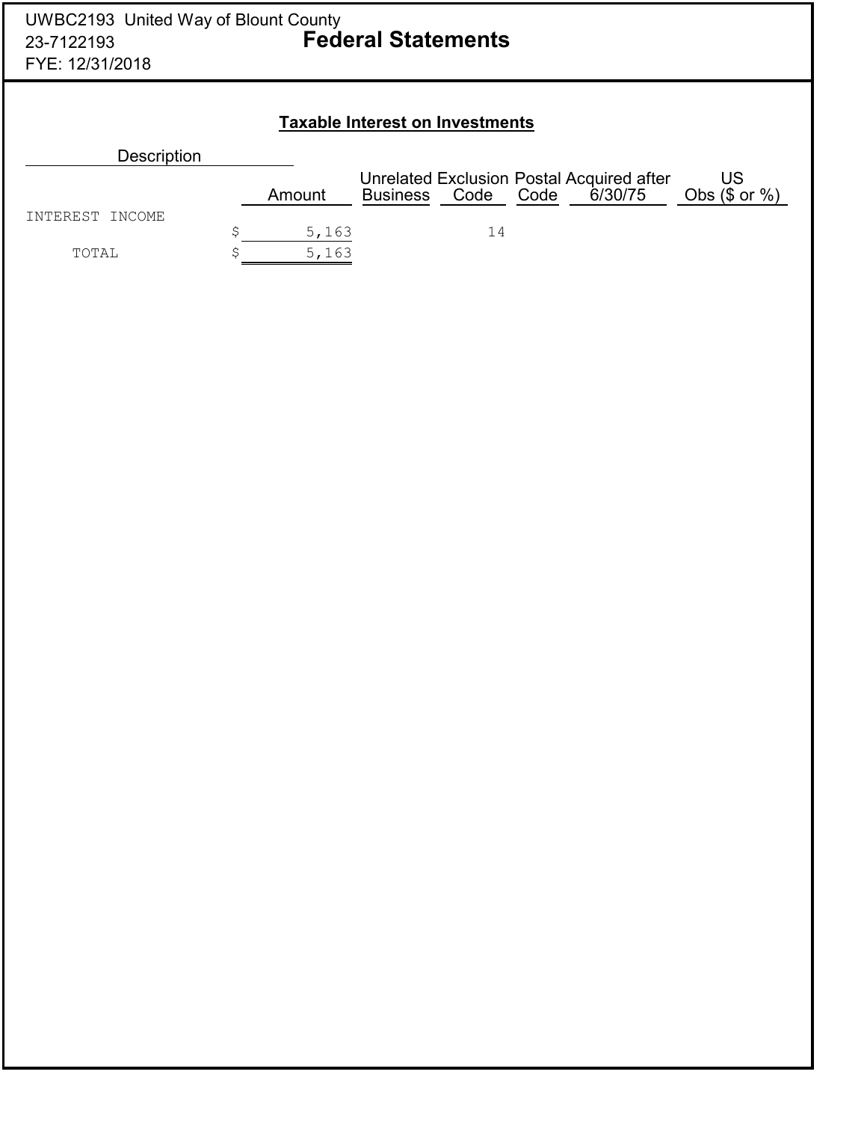### **Taxable Interest on Investments**

| <b>Description</b> |        |                 |      |      |                                                      |                          |
|--------------------|--------|-----------------|------|------|------------------------------------------------------|--------------------------|
|                    | Amount | <b>Business</b> | Code | Code | Unrelated Exclusion Postal Acquired after<br>6/30/75 | US<br>Obs $(\$$ or $%$ ) |
| INTEREST INCOME    | 5,163  |                 | 14   |      |                                                      |                          |
| TOTAL              | 5,163  |                 |      |      |                                                      |                          |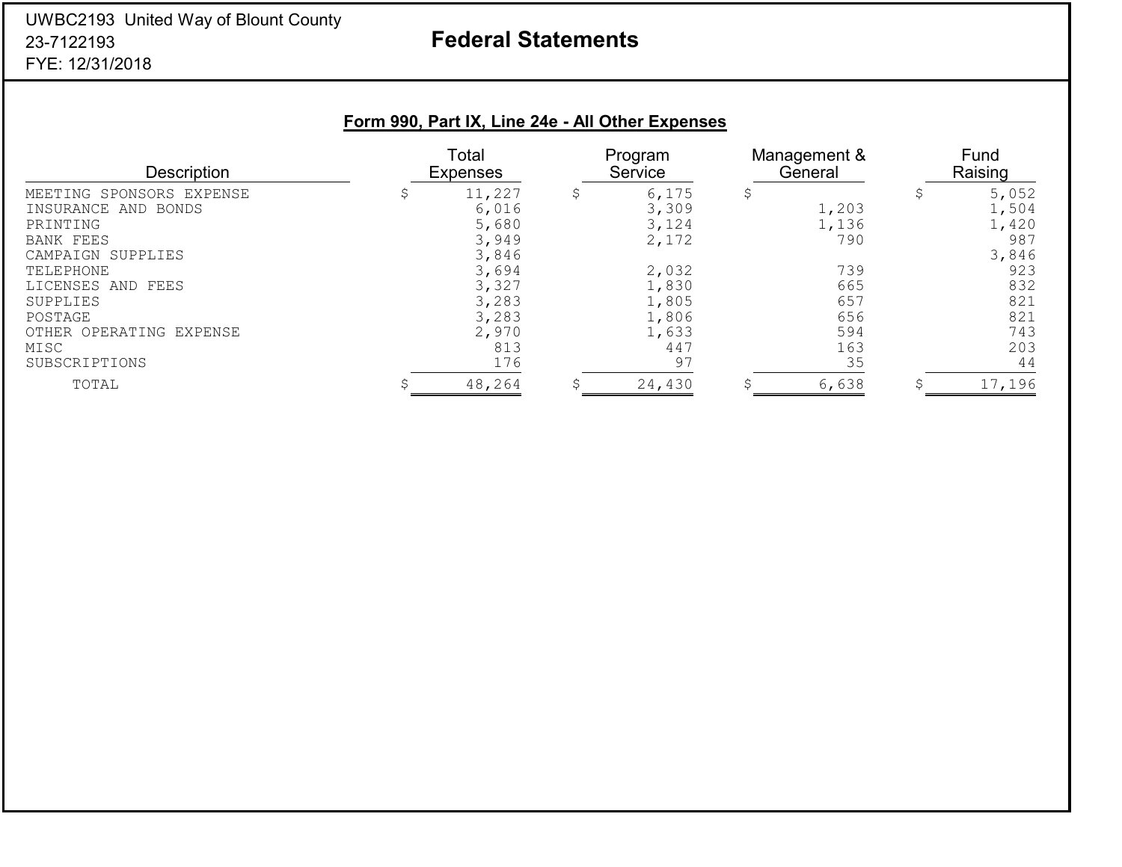### UWBC2193 United Way of Blount County 23-7122193FYE: 12/31/2018

# **Federal Statements**

# **Form 990, Part IX, Line 24e - All Other Expenses**

| <b>Description</b>                                                                                                                                                                               | Total<br><b>Expenses</b>                                                                       |    | Program<br>Service                                                                   |  | Management &<br>General                                         |  | Fund<br>Raising                                                                   |  |
|--------------------------------------------------------------------------------------------------------------------------------------------------------------------------------------------------|------------------------------------------------------------------------------------------------|----|--------------------------------------------------------------------------------------|--|-----------------------------------------------------------------|--|-----------------------------------------------------------------------------------|--|
| MEETING SPONSORS EXPENSE<br>INSURANCE AND BONDS<br>PRINTING<br><b>BANK FEES</b><br>CAMPAIGN SUPPLIES<br>TELEPHONE<br>LICENSES AND FEES<br>SUPPLIES<br>POSTAGE<br>OTHER OPERATING EXPENSE<br>MISC | 11,227<br>6,016<br>5,680<br>3,949<br>3,846<br>3,694<br>3,327<br>3,283<br>3,283<br>2,970<br>813 | \$ | 6,175<br>3,309<br>3,124<br>2,172<br>2,032<br>1,830<br>1,805<br>1,806<br>1,633<br>447 |  | 1,203<br>1,136<br>790<br>739<br>665<br>657<br>656<br>594<br>163 |  | 5,052<br>1,504<br>1,420<br>987<br>3,846<br>923<br>832<br>821<br>821<br>743<br>203 |  |
| SUBSCRIPTIONS<br>TOTAL                                                                                                                                                                           | 176<br>48,264                                                                                  | C  | 97<br>24,430                                                                         |  | 35<br>6,638                                                     |  | 44<br>17,196                                                                      |  |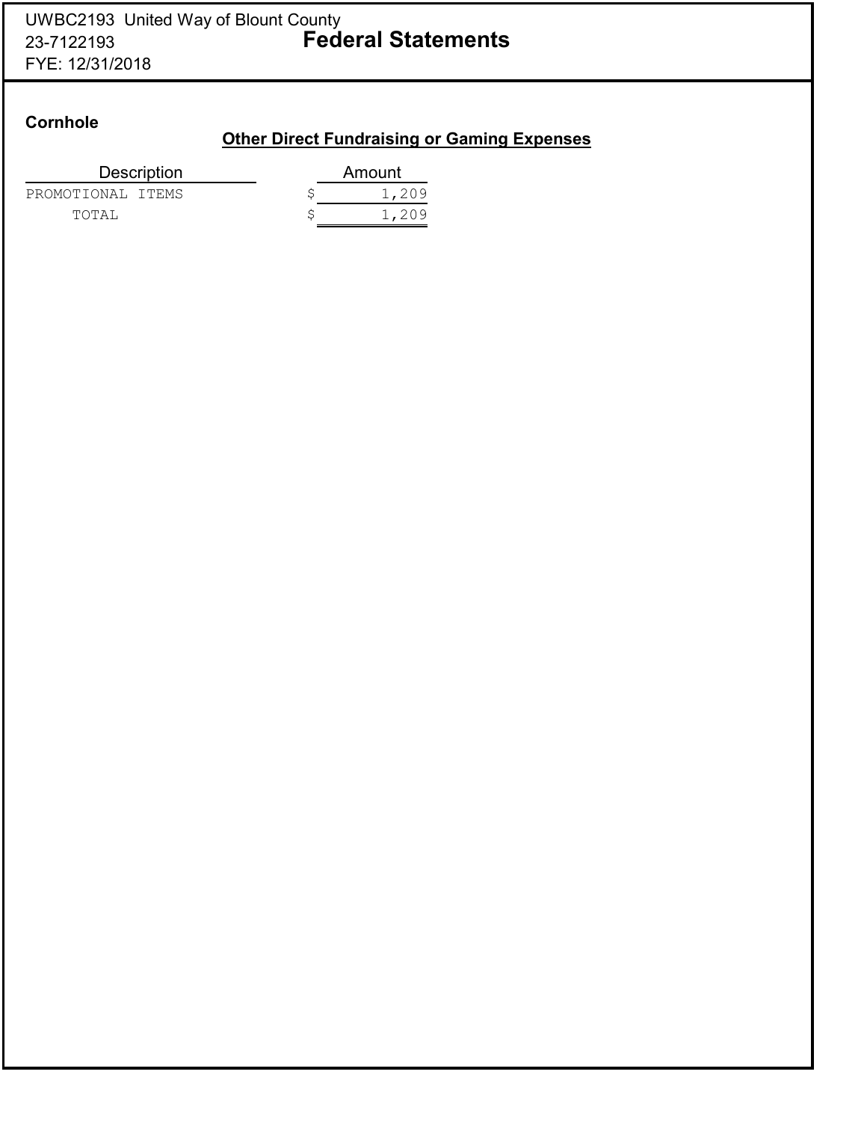### **Cornhole**

### **Other Direct Fundraising or Gaming Expenses**

| <b>Description</b> | Amount |
|--------------------|--------|
| PROMOTIONAL ITEMS  | 1,209  |
| TOTAI,             | 1,209  |